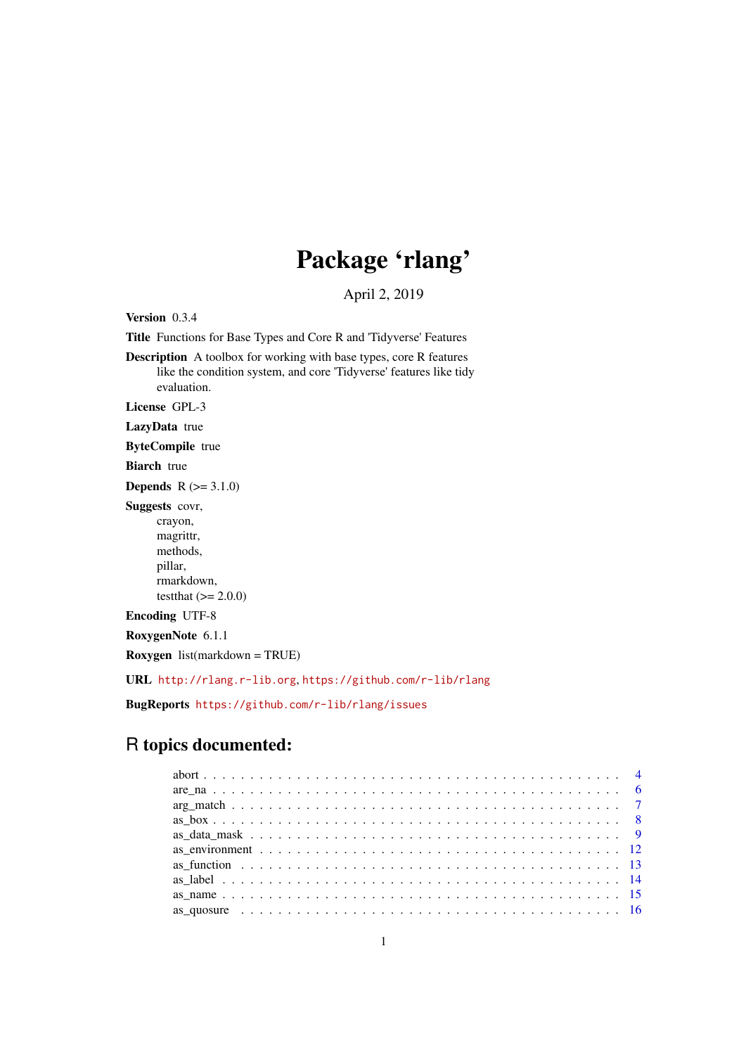# Package 'rlang'

April 2, 2019

<span id="page-0-0"></span>Version 0.3.4

Title Functions for Base Types and Core R and 'Tidyverse' Features

Description A toolbox for working with base types, core R features like the condition system, and core 'Tidyverse' features like tidy evaluation.

License GPL-3

LazyData true

ByteCompile true

Biarch true

**Depends**  $R$  ( $>= 3.1.0$ )

Suggests covr,

crayon, magrittr, methods, pillar, rmarkdown, testthat  $(>= 2.0.0)$ 

Encoding UTF-8

RoxygenNote 6.1.1

Roxygen list(markdown = TRUE)

URL <http://rlang.r-lib.org>, <https://github.com/r-lib/rlang>

BugReports <https://github.com/r-lib/rlang/issues>

## R topics documented: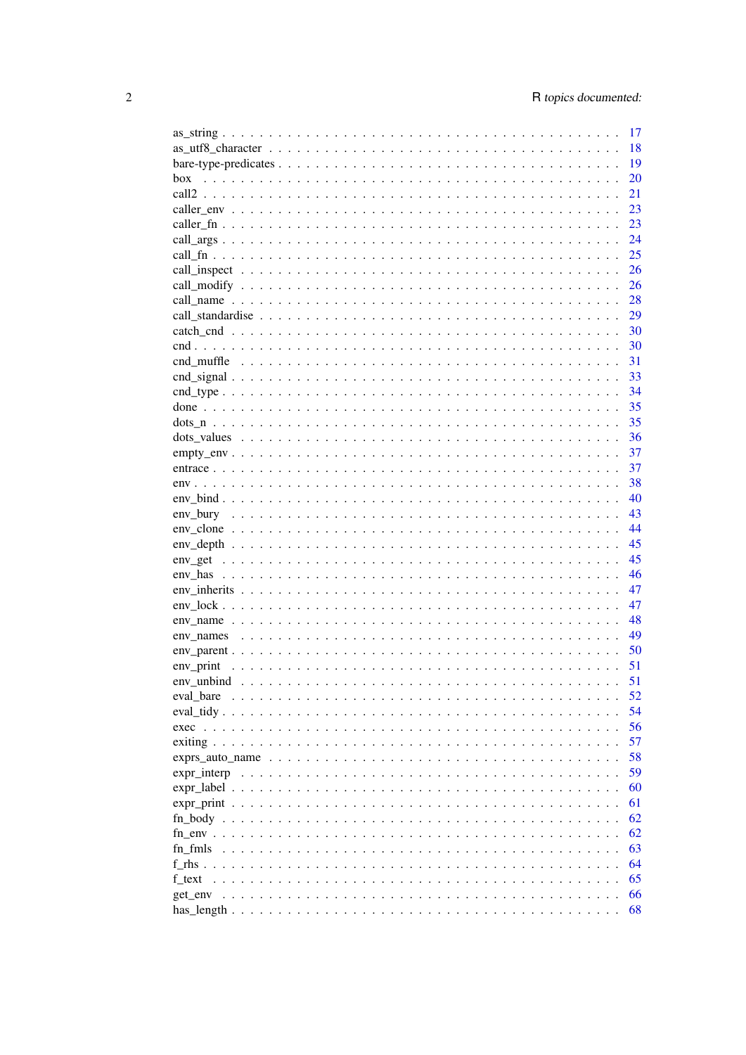|                                                                                                                | 17 |
|----------------------------------------------------------------------------------------------------------------|----|
|                                                                                                                | 18 |
|                                                                                                                | 19 |
| box                                                                                                            | 20 |
|                                                                                                                | 21 |
|                                                                                                                | 23 |
|                                                                                                                | 23 |
|                                                                                                                | 24 |
|                                                                                                                | 25 |
|                                                                                                                | 26 |
|                                                                                                                | 26 |
|                                                                                                                | 28 |
|                                                                                                                | 29 |
|                                                                                                                | 30 |
|                                                                                                                | 30 |
|                                                                                                                | 31 |
|                                                                                                                | 33 |
|                                                                                                                | 34 |
|                                                                                                                | 35 |
|                                                                                                                | 35 |
|                                                                                                                | 36 |
| $empty\_env$                                                                                                   | 37 |
|                                                                                                                | 37 |
|                                                                                                                | 38 |
|                                                                                                                | 40 |
|                                                                                                                | 43 |
|                                                                                                                | 44 |
|                                                                                                                | 45 |
|                                                                                                                | 45 |
|                                                                                                                | 46 |
|                                                                                                                | 47 |
|                                                                                                                | 47 |
|                                                                                                                | 48 |
| env names                                                                                                      | 49 |
|                                                                                                                | 50 |
| env_print                                                                                                      | 51 |
|                                                                                                                | 51 |
| eval bare                                                                                                      | 52 |
|                                                                                                                | 54 |
|                                                                                                                | 56 |
|                                                                                                                | 57 |
|                                                                                                                |    |
|                                                                                                                | 58 |
| $expr\_interp \dots \dots \dots \dots \dots \dots \dots \dots \dots \dots \dots \dots \dots \dots \dots \dots$ | 59 |
|                                                                                                                | 60 |
|                                                                                                                | 61 |
|                                                                                                                | 62 |
|                                                                                                                | 62 |
|                                                                                                                | 63 |
|                                                                                                                | 64 |
|                                                                                                                | 65 |
|                                                                                                                | 66 |
|                                                                                                                | 68 |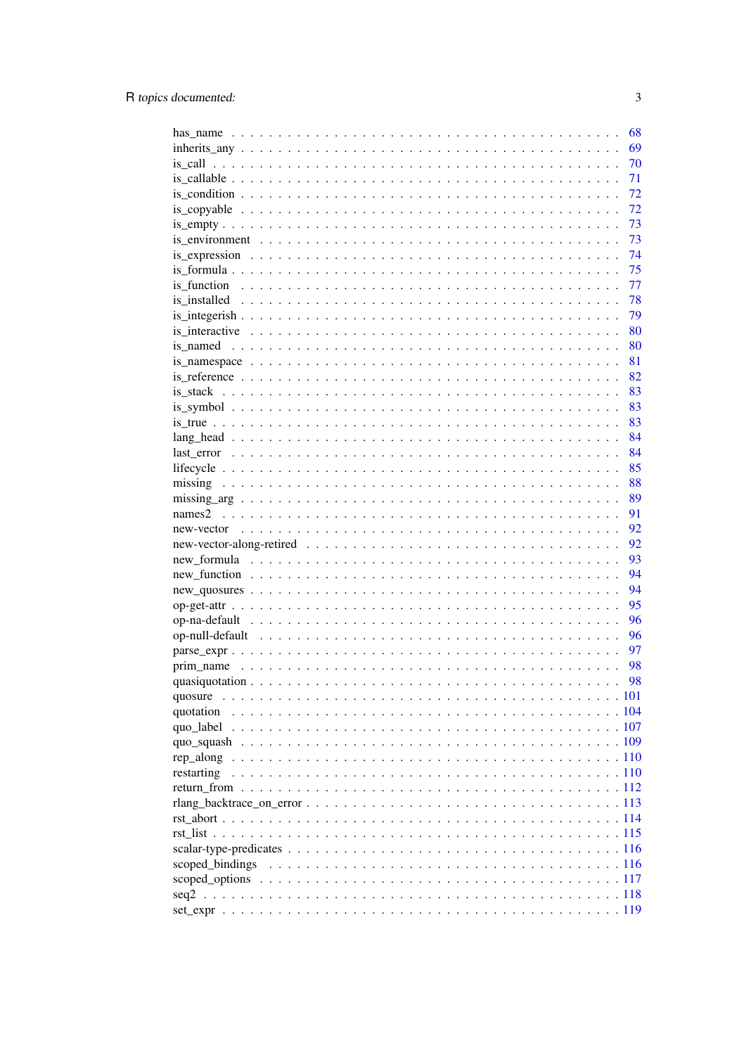|            | 68 |
|------------|----|
|            | 69 |
|            | 70 |
|            | 71 |
|            | 72 |
|            | 72 |
|            | 73 |
|            | 73 |
|            | 74 |
|            | 75 |
|            | 77 |
|            | 78 |
|            | 79 |
|            | 80 |
|            | 80 |
|            | 81 |
|            | 82 |
|            | 83 |
|            | 83 |
|            | 83 |
|            | 84 |
|            | 84 |
|            | 85 |
|            | 88 |
|            | 89 |
|            | 91 |
|            | 92 |
|            | 92 |
|            | 93 |
|            | 94 |
|            | 94 |
|            | 95 |
|            | 96 |
|            | 96 |
|            | 97 |
|            | 98 |
|            | 98 |
|            |    |
|            |    |
|            |    |
|            |    |
|            |    |
| restarting |    |
|            |    |
|            |    |
|            |    |
|            |    |
|            |    |
|            |    |
|            |    |
|            |    |
|            |    |
|            |    |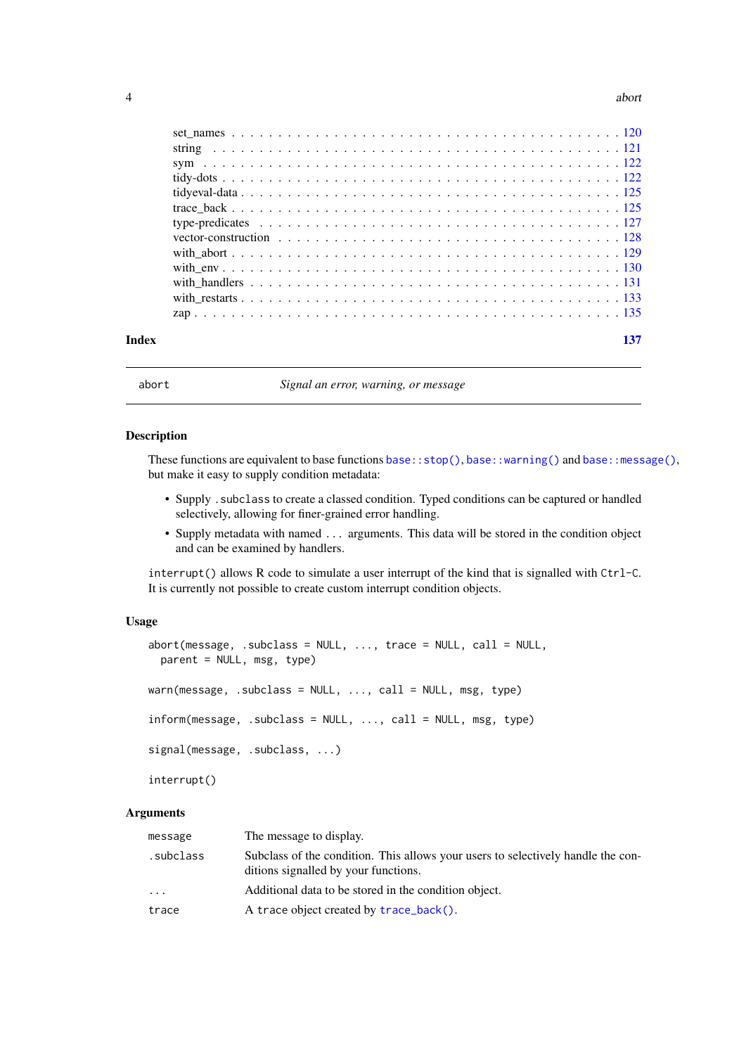<span id="page-3-0"></span>

| Index |  |
|-------|--|
|       |  |
|       |  |
|       |  |
|       |  |
|       |  |
|       |  |
|       |  |
|       |  |
|       |  |
|       |  |
|       |  |
|       |  |
|       |  |

<span id="page-3-1"></span>

abort *Signal an error, warning, or message*

#### <span id="page-3-2"></span>Description

These functions are equivalent to base functions [base::stop\(\)](#page-0-0), [base::warning\(\)](#page-0-0) and [base::message\(\)](#page-0-0), but make it easy to supply condition metadata:

- Supply .subclass to create a classed condition. Typed conditions can be captured or handled selectively, allowing for finer-grained error handling.
- Supply metadata with named ... arguments. This data will be stored in the condition object and can be examined by handlers.

interrupt() allows R code to simulate a user interrupt of the kind that is signalled with Ctrl-C. It is currently not possible to create custom interrupt condition objects.

#### Usage

```
abort(message, .subclass = NULL, ..., trace = NULL, call = NULL,
 parent = NULL, msg, type)
warn(mesage, .subclass = NULL, ..., call = NULL, msg, type)inform(message, .subclass = NULL, . . . , call = NULL, msg, type)signal(message, .subclass, ...)
interrupt()
```
### Arguments

| message    | The message to display.                                                                                                  |
|------------|--------------------------------------------------------------------------------------------------------------------------|
| .subclass. | Subclass of the condition. This allows your users to selectively handle the con-<br>ditions signalled by your functions. |
| $\cdots$   | Additional data to be stored in the condition object.                                                                    |
| trace      | A trace object created by trace_back().                                                                                  |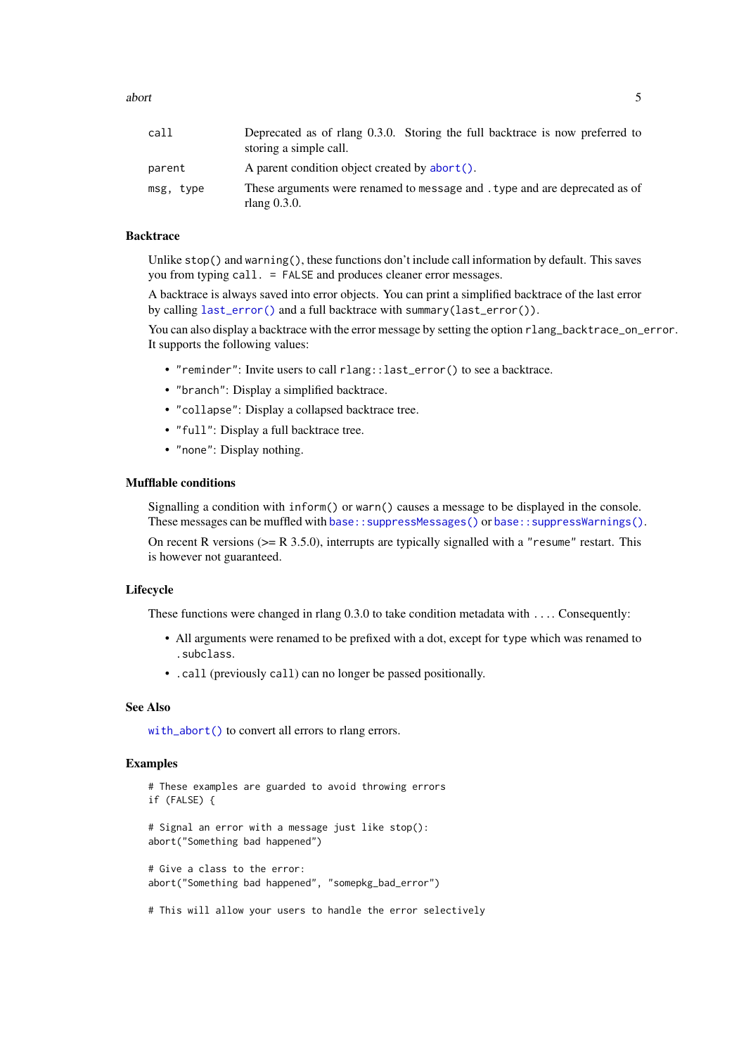abort 5 and 5 about 5 and 5 about 5 and 5 about 5 and 5 about 5 and 5 about 5 and 5 about 5 and 5 about 5 and 5 about 5 and 5 about 5 and 5 about 5 and 5 about 5 and 5 and 5 and 5 and 5 and 5 and 5 and 5 and 5 and 5 and 5

| call      | Deprecated as of rlang 0.3.0. Storing the full backtrace is now preferred to<br>storing a simple call. |
|-----------|--------------------------------------------------------------------------------------------------------|
| parent    | A parent condition object created by abort().                                                          |
| msg, type | These arguments were renamed to message and type and are deprecated as of<br>rlang $0.3.0$ .           |

### **Backtrace**

Unlike stop() and warning(), these functions don't include call information by default. This saves you from typing call. = FALSE and produces cleaner error messages.

A backtrace is always saved into error objects. You can print a simplified backtrace of the last error by calling [last\\_error\(\)](#page-83-1) and a full backtrace with summary(last\_error()).

You can also display a backtrace with the error message by setting the option rlang\_backtrace\_on\_error. It supports the following values:

- "reminder": Invite users to call rlang::last\_error() to see a backtrace.
- "branch": Display a simplified backtrace.
- "collapse": Display a collapsed backtrace tree.
- "full": Display a full backtrace tree.
- "none": Display nothing.

### Mufflable conditions

Signalling a condition with inform() or warn() causes a message to be displayed in the console. These messages can be muffled with [base::suppressMessages\(\)](#page-0-0) or [base::suppressWarnings\(\)](#page-0-0).

On recent R versions ( $>=$  R 3.5.0), interrupts are typically signalled with a "resume" restart. This is however not guaranteed.

#### Lifecycle

These functions were changed in rlang 0.3.0 to take condition metadata with .... Consequently:

- All arguments were renamed to be prefixed with a dot, except for type which was renamed to .subclass.
- .call (previously call) can no longer be passed positionally.

### See Also

[with\\_abort\(\)](#page-128-1) to convert all errors to rlang errors.

```
# These examples are guarded to avoid throwing errors
if (FALSE) {
# Signal an error with a message just like stop():
abort("Something bad happened")
# Give a class to the error:
abort("Something bad happened", "somepkg_bad_error")
# This will allow your users to handle the error selectively
```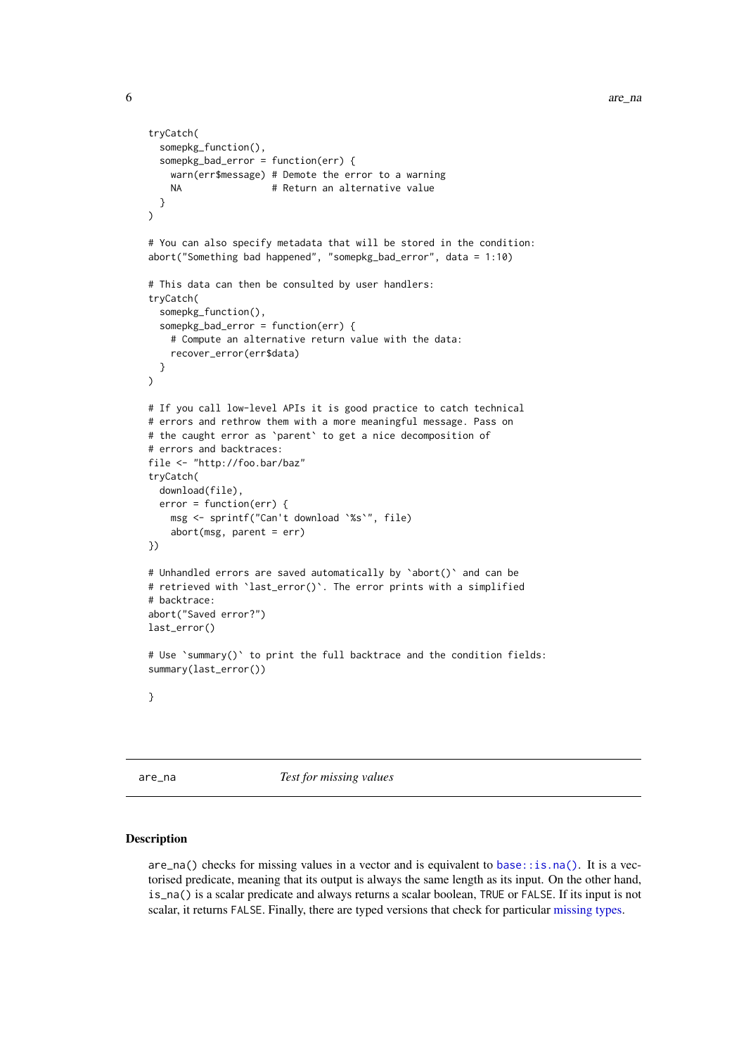```
tryCatch(
  somepkg_function(),
  somepkg_bad_error = function(err) {
    warn(err$message) # Demote the error to a warning
    NA # Return an alternative value
  }
)
# You can also specify metadata that will be stored in the condition:
abort("Something bad happened", "somepkg bad error", data = 1:10)
# This data can then be consulted by user handlers:
tryCatch(
  somepkg_function(),
  somepkg_bad_error = function(err) {
    # Compute an alternative return value with the data:
    recover_error(err$data)
  }
\lambda# If you call low-level APIs it is good practice to catch technical
# errors and rethrow them with a more meaningful message. Pass on
# the caught error as `parent` to get a nice decomposition of
# errors and backtraces:
file <- "http://foo.bar/baz"
tryCatch(
  download(file),
  error = function(err) {
    msg <- sprintf("Can't download `%s`", file)
    abort(msg, parent = err)
})
# Unhandled errors are saved automatically by `abort()` and can be
# retrieved with `last_error()`. The error prints with a simplified
# backtrace:
abort("Saved error?")
last_error()
# Use `summary()` to print the full backtrace and the condition fields:
summary(last_error())
}
```

```
are_na Test for missing values
```
 $are\_na()$  checks for missing values in a vector and is equivalent to [base::is.na\(\)](#page-0-0). It is a vectorised predicate, meaning that its output is always the same length as its input. On the other hand, is\_na() is a scalar predicate and always returns a scalar boolean, TRUE or FALSE. If its input is not scalar, it returns FALSE. Finally, there are typed versions that check for particular [missing types.](#page-87-1)

<span id="page-5-0"></span>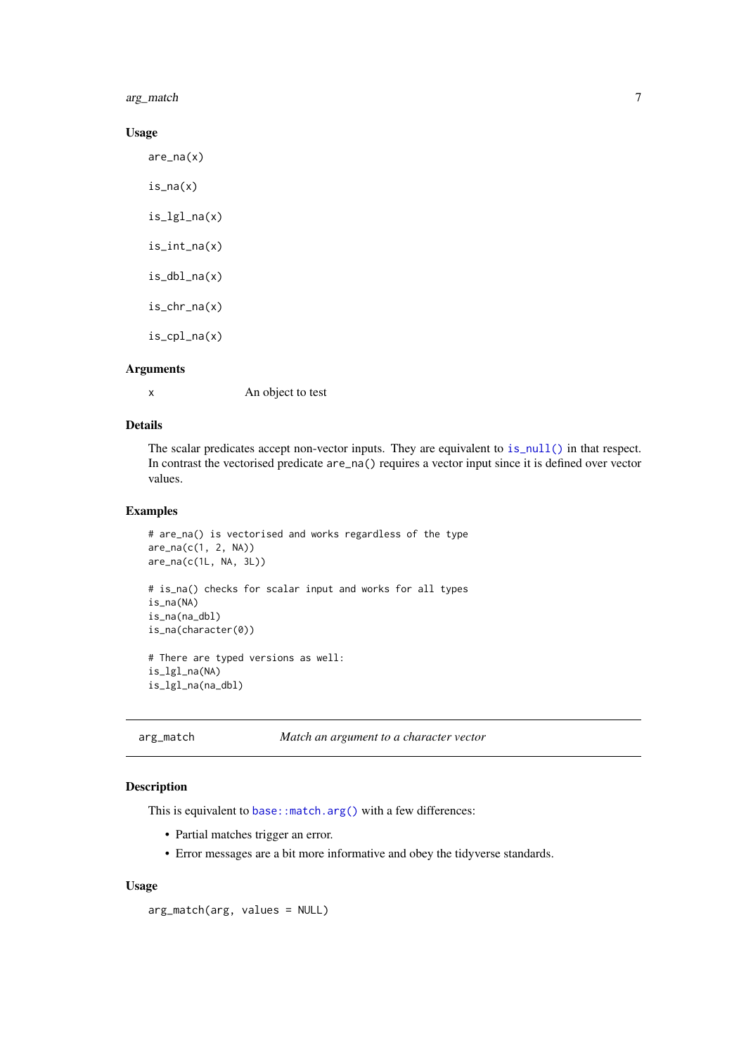<span id="page-6-0"></span>arg\_match 7

### Usage

are\_na(x) is\_na(x) is\_lgl\_na(x) is\_int\_na(x) is\_dbl\_na(x) is\_chr\_na(x)

is\_cpl\_na(x)

#### Arguments

x An object to test

### Details

The scalar predicates accept non-vector inputs. They are equivalent to [is\\_null\(\)](#page-126-1) in that respect. In contrast the vectorised predicate are\_na() requires a vector input since it is defined over vector values.

#### Examples

```
# are_na() is vectorised and works regardless of the type
are_na(c(1, 2, NA))
are_na(c(1L, NA, 3L))
# is_na() checks for scalar input and works for all types
is_na(NA)
is_na(na_dbl)
is_na(character(0))
# There are typed versions as well:
is_lgl_na(NA)
is_lgl_na(na_dbl)
```
arg\_match *Match an argument to a character vector*

### Description

This is equivalent to base: : match.arg() with a few differences:

- Partial matches trigger an error.
- Error messages are a bit more informative and obey the tidyverse standards.

### Usage

arg\_match(arg, values = NULL)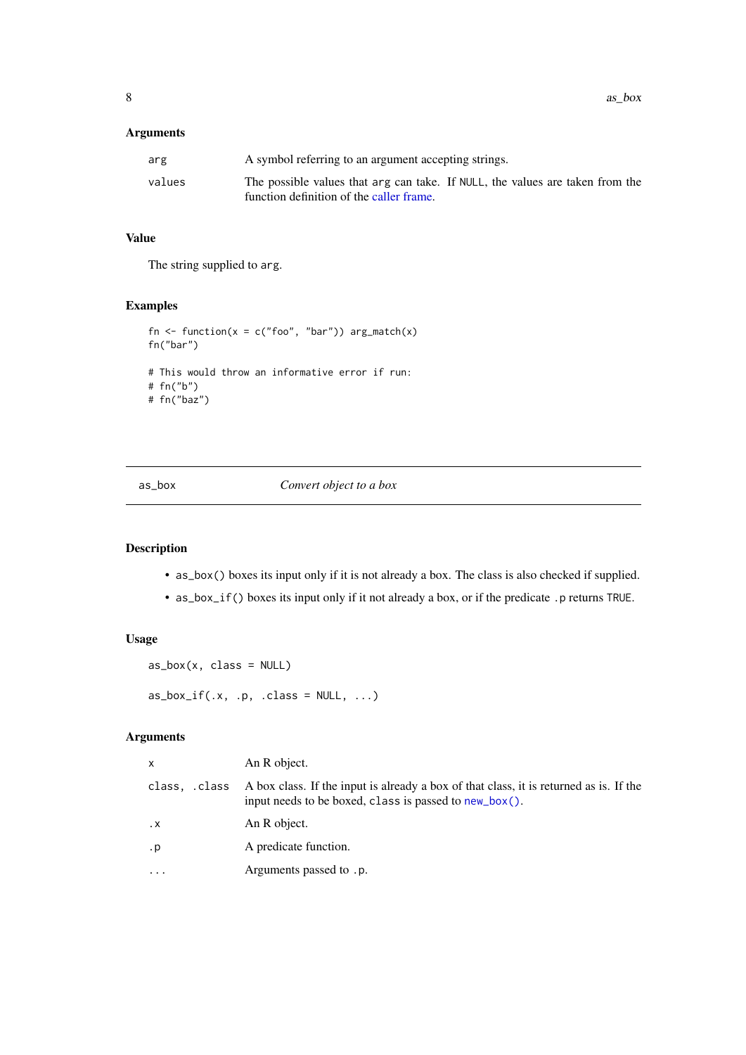### <span id="page-7-0"></span>Arguments

| arg    | A symbol referring to an argument accepting strings.                                                                      |
|--------|---------------------------------------------------------------------------------------------------------------------------|
| values | The possible values that arg can take. If NULL, the values are taken from the<br>function definition of the caller frame. |

### Value

The string supplied to arg.

### Examples

```
fn <- function(x = c("foo", "bar")) arg_match(x)
fn("bar")
# This would throw an informative error if run:
# fn("b")
# fn("baz")
```
as\_box *Convert object to a box*

### Description

- as\_box() boxes its input only if it is not already a box. The class is also checked if supplied.
- as\_box\_if() boxes its input only if it not already a box, or if the predicate .p returns TRUE.

### Usage

```
as_box(x, class = NULL)as_box_if(.x, .p, .class = NULL, . . .)
```
### Arguments

| X             | An R object.                                                                                                                                     |
|---------------|--------------------------------------------------------------------------------------------------------------------------------------------------|
| class, .class | A box class. If the input is already a box of that class, it is returned as is. If the<br>input needs to be boxed, class is passed to new_box(). |
| $\cdot$ X     | An R object.                                                                                                                                     |
| . p           | A predicate function.                                                                                                                            |
| $\cdot$       | Arguments passed to .p.                                                                                                                          |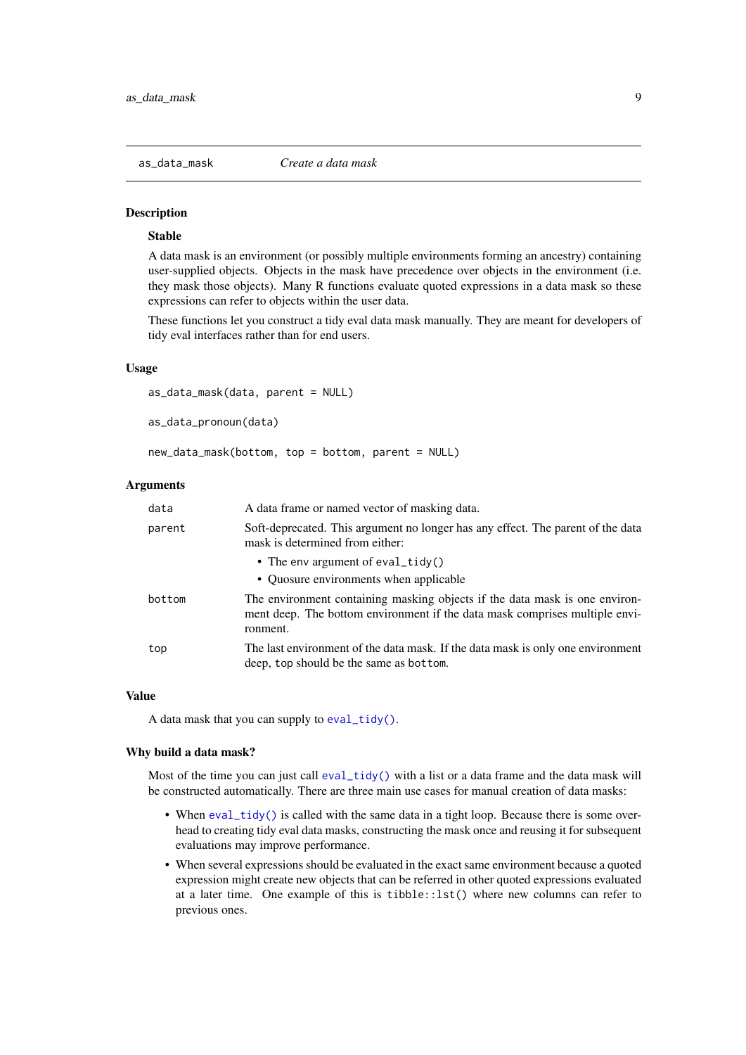<span id="page-8-0"></span>

### Stable

A data mask is an environment (or possibly multiple environments forming an ancestry) containing user-supplied objects. Objects in the mask have precedence over objects in the environment (i.e. they mask those objects). Many R functions evaluate quoted expressions in a data mask so these expressions can refer to objects within the user data.

These functions let you construct a tidy eval data mask manually. They are meant for developers of tidy eval interfaces rather than for end users.

#### Usage

```
as_data_mask(data, parent = NULL)
```
as data pronoun(data)

new\_data\_mask(bottom, top = bottom, parent = NULL)

### Arguments

| data   | A data frame or named vector of masking data.                                                                                                                          |
|--------|------------------------------------------------------------------------------------------------------------------------------------------------------------------------|
| parent | Soft-deprecated. This argument no longer has any effect. The parent of the data<br>mask is determined from either:                                                     |
|        | • The env argument of eval_tidy()                                                                                                                                      |
|        | • Quosure environments when applicable                                                                                                                                 |
| bottom | The environment containing masking objects if the data mask is one environ-<br>ment deep. The bottom environment if the data mask comprises multiple envi-<br>ronment. |
| top    | The last environment of the data mask. If the data mask is only one environment<br>deep, top should be the same as bottom.                                             |

#### Value

A data mask that you can supply to [eval\\_tidy\(\)](#page-53-1).

#### Why build a data mask?

Most of the time you can just call  $eval\_tidy()$  with a list or a data frame and the data mask will be constructed automatically. There are three main use cases for manual creation of data masks:

- When [eval\\_tidy\(\)](#page-53-1) is called with the same data in a tight loop. Because there is some overhead to creating tidy eval data masks, constructing the mask once and reusing it for subsequent evaluations may improve performance.
- When several expressions should be evaluated in the exact same environment because a quoted expression might create new objects that can be referred in other quoted expressions evaluated at a later time. One example of this is tibble::lst() where new columns can refer to previous ones.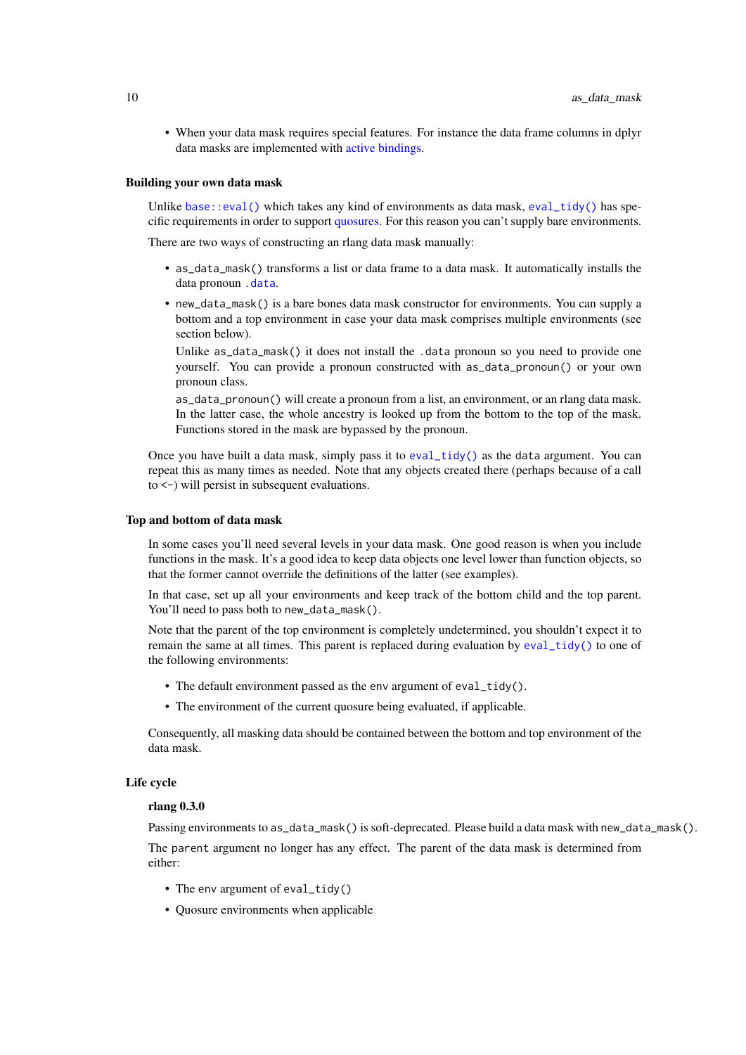• When your data mask requires special features. For instance the data frame columns in dplyr data masks are implemented with [active bindings.](#page-0-0)

#### Building your own data mask

Unlike [base::eval\(\)](#page-0-0) which takes any kind of environments as data mask,  $eval\_tidy()$  has specific requirements in order to support [quosures.](#page-103-1) For this reason you can't supply bare environments.

There are two ways of constructing an rlang data mask manually:

- as\_data\_mask() transforms a list or data frame to a data mask. It automatically installs the data pronoun [.data](#page-124-2).
- new\_data\_mask() is a bare bones data mask constructor for environments. You can supply a bottom and a top environment in case your data mask comprises multiple environments (see section below).

Unlike as\_data\_mask() it does not install the .data pronoun so you need to provide one yourself. You can provide a pronoun constructed with as\_data\_pronoun() or your own pronoun class.

as\_data\_pronoun() will create a pronoun from a list, an environment, or an rlang data mask. In the latter case, the whole ancestry is looked up from the bottom to the top of the mask. Functions stored in the mask are bypassed by the pronoun.

Once you have built a data mask, simply pass it to [eval\\_tidy\(\)](#page-53-1) as the data argument. You can repeat this as many times as needed. Note that any objects created there (perhaps because of a call to <-) will persist in subsequent evaluations.

#### Top and bottom of data mask

In some cases you'll need several levels in your data mask. One good reason is when you include functions in the mask. It's a good idea to keep data objects one level lower than function objects, so that the former cannot override the definitions of the latter (see examples).

In that case, set up all your environments and keep track of the bottom child and the top parent. You'll need to pass both to new\_data\_mask().

Note that the parent of the top environment is completely undetermined, you shouldn't expect it to remain the same at all times. This parent is replaced during evaluation by [eval\\_tidy\(\)](#page-53-1) to one of the following environments:

- The default environment passed as the env argument of eval\_tidy().
- The environment of the current quosure being evaluated, if applicable.

Consequently, all masking data should be contained between the bottom and top environment of the data mask.

#### Life cycle

#### rlang 0.3.0

Passing environments to as\_data\_mask() is soft-deprecated. Please build a data mask with new\_data\_mask().

The parent argument no longer has any effect. The parent of the data mask is determined from either:

- The env argument of eval\_tidy()
- Quosure environments when applicable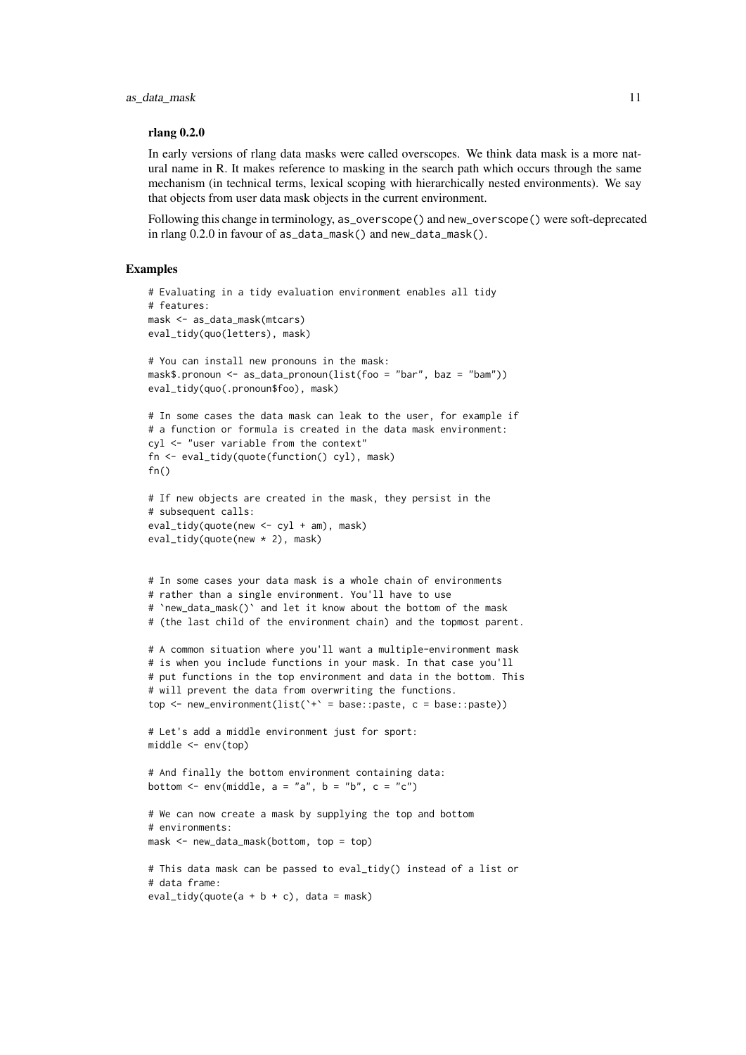#### rlang 0.2.0

In early versions of rlang data masks were called overscopes. We think data mask is a more natural name in R. It makes reference to masking in the search path which occurs through the same mechanism (in technical terms, lexical scoping with hierarchically nested environments). We say that objects from user data mask objects in the current environment.

Following this change in terminology, as\_overscope() and new\_overscope() were soft-deprecated in rlang 0.2.0 in favour of as\_data\_mask() and new\_data\_mask().

```
# Evaluating in a tidy evaluation environment enables all tidy
# features:
mask <- as_data_mask(mtcars)
eval_tidy(quo(letters), mask)
# You can install new pronouns in the mask:
mask$.pronoun <- as_data_pronoun(list(foo = "bar", baz = "bam"))
eval_tidy(quo(.pronoun$foo), mask)
# In some cases the data mask can leak to the user, for example if
# a function or formula is created in the data mask environment:
cyl <- "user variable from the context"
fn <- eval_tidy(quote(function() cyl), mask)
fn()# If new objects are created in the mask, they persist in the
# subsequent calls:
eval_tidy(quote(new <- cyl + am), mask)
eval_tidy(quote(new * 2), mask)
# In some cases your data mask is a whole chain of environments
# rather than a single environment. You'll have to use
# `new_data_mask()` and let it know about the bottom of the mask
# (the last child of the environment chain) and the topmost parent.
# A common situation where you'll want a multiple-environment mask
# is when you include functions in your mask. In that case you'll
# put functions in the top environment and data in the bottom. This
# will prevent the data from overwriting the functions.
top \leq new_environment(list('+' = base::paste, c = base::paste))
# Let's add a middle environment just for sport:
middle <- env(top)
# And finally the bottom environment containing data:
bottom \leq env(middle, a = "a", b = "b", c = "c")# We can now create a mask by supplying the top and bottom
# environments:
mask <- new_data_mask(bottom, top = top)
# This data mask can be passed to eval_tidy() instead of a list or
# data frame:
eval_tidy(quote(a + b + c), data = mask)
```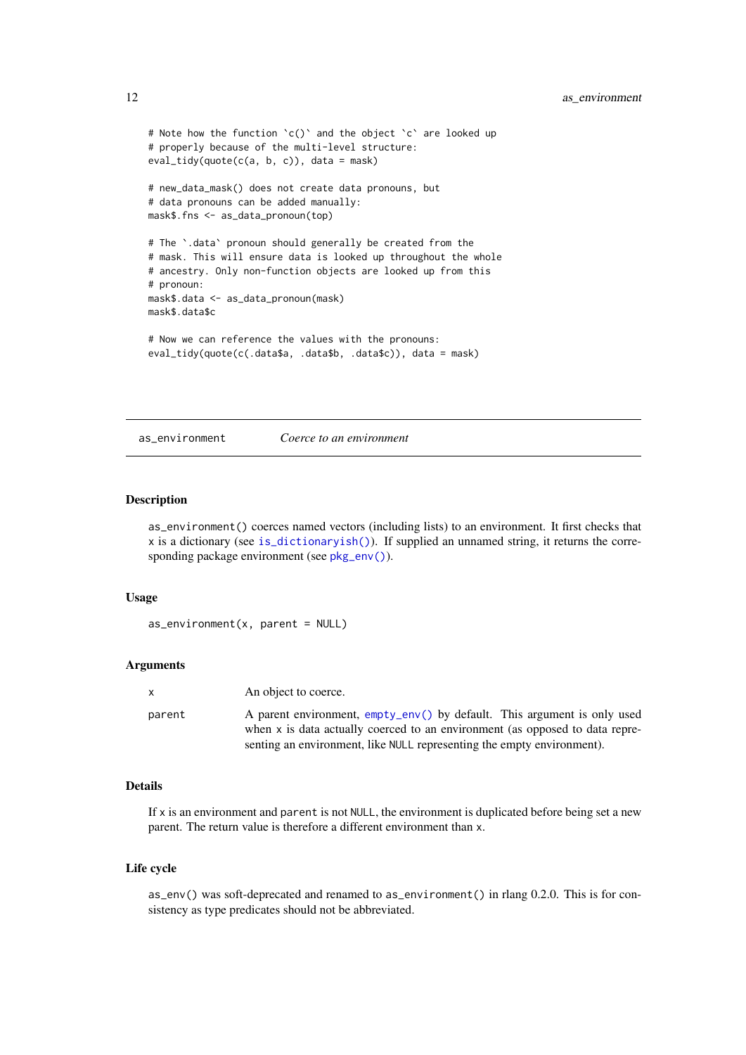```
# Note how the function `c()` and the object `c` are looked up
# properly because of the multi-level structure:
eval_tidy(quote(c(a, b, c)), data = mask)
# new_data_mask() does not create data pronouns, but
# data pronouns can be added manually:
mask$.fns <- as_data_pronoun(top)
# The `.data` pronoun should generally be created from the
# mask. This will ensure data is looked up throughout the whole
# ancestry. Only non-function objects are looked up from this
# pronoun:
mask$.data <- as_data_pronoun(mask)
mask$.data$c
# Now we can reference the values with the pronouns:
eval_tidy(quote(c(.data$a, .data$b, .data$c)), data = mask)
```
as\_environment *Coerce to an environment*

#### Description

as\_environment() coerces named vectors (including lists) to an environment. It first checks that x is a dictionary (see [is\\_dictionaryish\(\)](#page-79-1)). If supplied an unnamed string, it returns the corresponding package environment (see [pkg\\_env\(\)](#page-0-0)).

### Usage

```
as_environment(x, parent = NULL)
```
#### Arguments

| X      | An object to coerce.                                                                                                                                     |
|--------|----------------------------------------------------------------------------------------------------------------------------------------------------------|
| parent | A parent environment, empty_env() by default. This argument is only used<br>when x is data actually coerced to an environment (as opposed to data repre- |
|        | senting an environment, like NULL representing the empty environment).                                                                                   |

#### Details

If  $x$  is an environment and parent is not NULL, the environment is duplicated before being set a new parent. The return value is therefore a different environment than x.

### Life cycle

as\_env() was soft-deprecated and renamed to as\_environment() in rlang 0.2.0. This is for consistency as type predicates should not be abbreviated.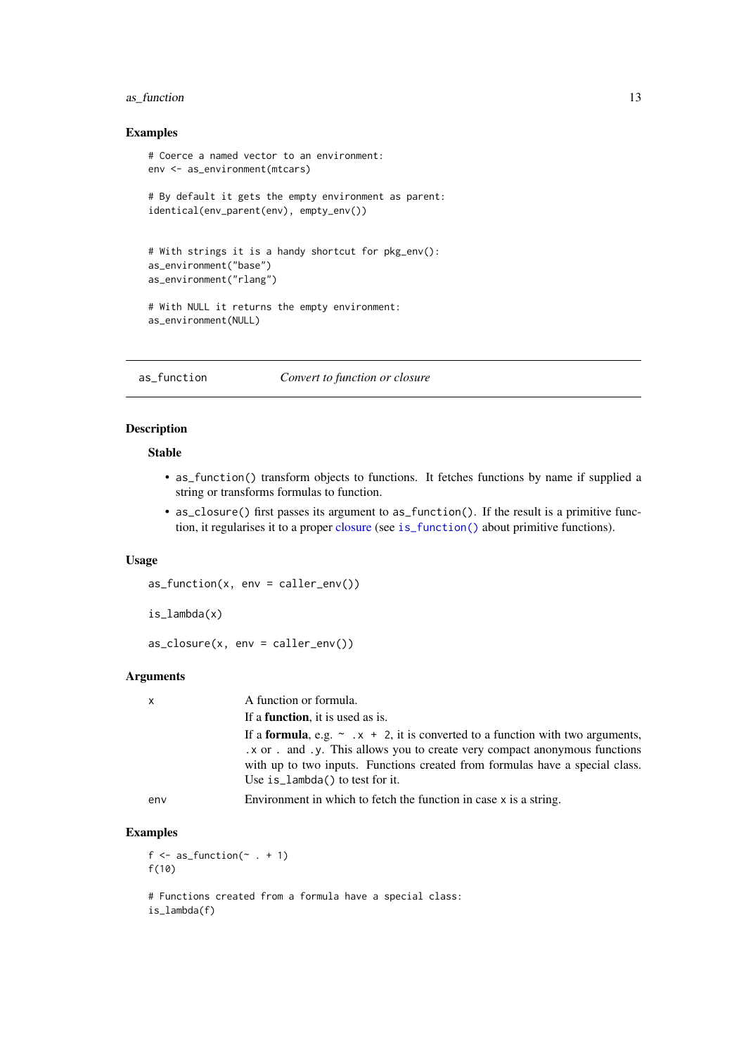#### <span id="page-12-0"></span>as\_function 13

### Examples

```
# Coerce a named vector to an environment:
env <- as_environment(mtcars)
# By default it gets the empty environment as parent:
identical(env_parent(env), empty_env())
# With strings it is a handy shortcut for pkg_env():
as_environment("base")
as_environment("rlang")
# With NULL it returns the empty environment:
as_environment(NULL)
```
as\_function *Convert to function or closure*

### Description

#### Stable

- as\_function() transform objects to functions. It fetches functions by name if supplied a string or transforms formulas to function.
- as\_closure() first passes its argument to as\_function(). If the result is a primitive function, it regularises it to a proper [closure](#page-0-0) (see [is\\_function\(\)](#page-76-1) about primitive functions).

### Usage

```
as_function(x, env = caller_env())
```

```
is_lambda(x)
```

```
as\_closure(x, env = caller\_env())
```
### Arguments

| $\mathsf{x}$ | A function or formula.                                                                                                                                                                                                                                                                         |
|--------------|------------------------------------------------------------------------------------------------------------------------------------------------------------------------------------------------------------------------------------------------------------------------------------------------|
|              | If a <b>function</b> , it is used as is.                                                                                                                                                                                                                                                       |
|              | If a <b>formula</b> , e.g. $\sim x + 2$ , it is converted to a function with two arguments,<br>x or . and .y. This allows you to create very compact anonymous functions<br>with up to two inputs. Functions created from formulas have a special class.<br>Use is $l$ ambda() to test for it. |
| env          | Environment in which to fetch the function in case x is a string.                                                                                                                                                                                                                              |

### Examples

```
f \leftarrow as\_function(\sim . + 1)f(10)
```
# Functions created from a formula have a special class: is\_lambda(f)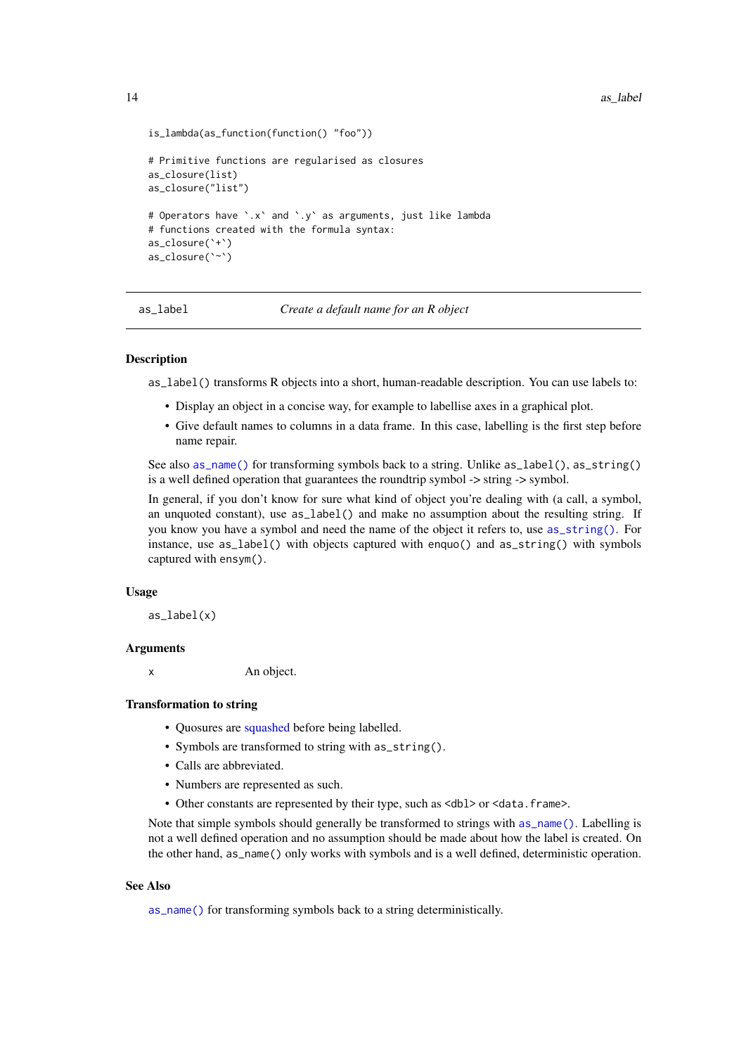```
is_lambda(as_function(function() "foo"))
# Primitive functions are regularised as closures
as_closure(list)
as_closure("list")
# Operators have `.x` and `.y` as arguments, just like lambda
# functions created with the formula syntax:
as_closure(`+`)
as closure(`~`)
```
<span id="page-13-1"></span>as\_label *Create a default name for an R object*

### Description

as\_label() transforms R objects into a short, human-readable description. You can use labels to:

- Display an object in a concise way, for example to labellise axes in a graphical plot.
- Give default names to columns in a data frame. In this case, labelling is the first step before name repair.

See also [as\\_name\(\)](#page-14-1) for transforming symbols back to a string. Unlike as\_label(), as\_string() is a well defined operation that guarantees the roundtrip symbol -> string -> symbol.

In general, if you don't know for sure what kind of object you're dealing with (a call, a symbol, an unquoted constant), use as\_label() and make no assumption about the resulting string. If you know you have a symbol and need the name of the object it refers to, use [as\\_string\(\)](#page-16-1). For instance, use as\_label() with objects captured with enquo() and as\_string() with symbols captured with ensym().

#### Usage

as  $label(x)$ 

#### Arguments

x An object.

### Transformation to string

- Quosures are [squashed](#page-108-1) before being labelled.
- Symbols are transformed to string with as\_string().
- Calls are abbreviated.
- Numbers are represented as such.
- Other constants are represented by their type, such as <db1> or <data.frame>.

Note that simple symbols should generally be transformed to strings with [as\\_name\(\)](#page-14-1). Labelling is not a well defined operation and no assumption should be made about how the label is created. On the other hand, as\_name() only works with symbols and is a well defined, deterministic operation.

#### See Also

[as\\_name\(\)](#page-14-1) for transforming symbols back to a string deterministically.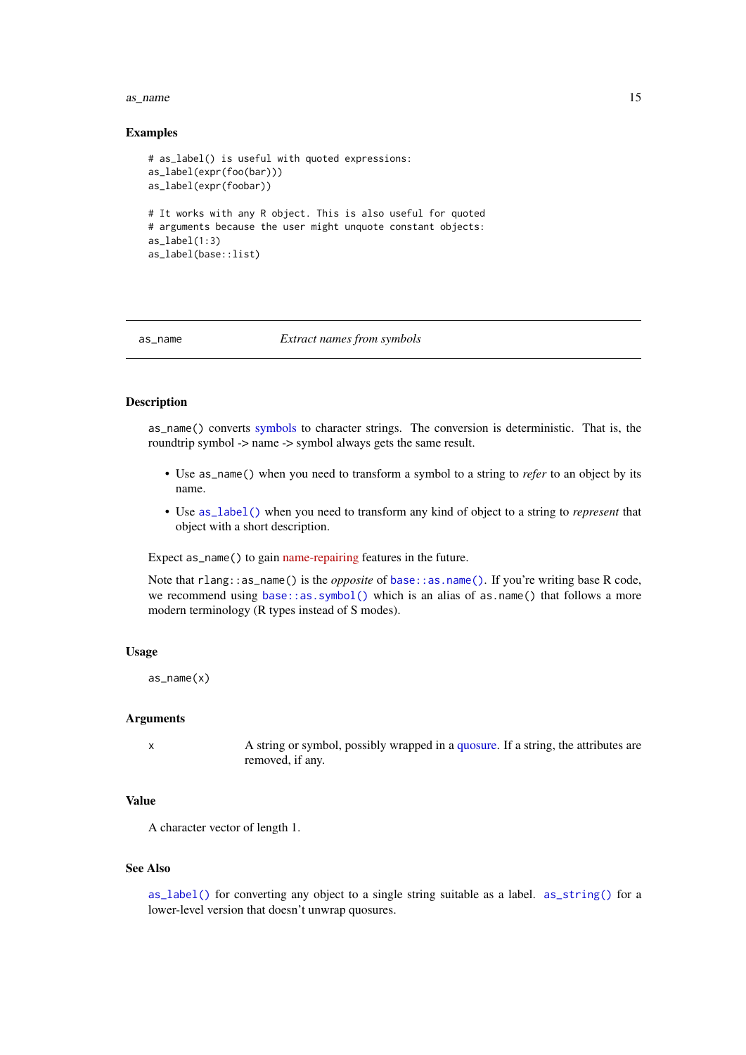#### <span id="page-14-0"></span>as\_name 15

#### Examples

```
# as_label() is useful with quoted expressions:
as_label(expr(foo(bar)))
as_label(expr(foobar))
# It works with any R object. This is also useful for quoted
# arguments because the user might unquote constant objects:
as_label(1:3)
as_label(base::list)
```
#### <span id="page-14-1"></span>as\_name *Extract names from symbols*

### Description

as\_name() converts [symbols](#page-121-1) to character strings. The conversion is deterministic. That is, the roundtrip symbol -> name -> symbol always gets the same result.

- Use as\_name() when you need to transform a symbol to a string to *refer* to an object by its name.
- Use [as\\_label\(\)](#page-13-1) when you need to transform any kind of object to a string to *represent* that object with a short description.

Expect as\_name() to gain [name-repairing](https://principles.tidyverse.org/names-attribute.html#minimal-unique-universal) features in the future.

Note that rlang::as\_name() is the *opposite* of [base::as.name\(\)](#page-0-0). If you're writing base R code, we recommend using [base::as.symbol\(\)](#page-0-0) which is an alias of as.name() that follows a more modern terminology (R types instead of S modes).

### Usage

```
as_name(x)
```
### Arguments

x A string or symbol, possibly wrapped in a [quosure.](#page-100-1) If a string, the attributes are removed, if any.

### Value

A character vector of length 1.

### See Also

[as\\_label\(\)](#page-13-1) for converting any object to a single string suitable as a label. [as\\_string\(\)](#page-16-1) for a lower-level version that doesn't unwrap quosures.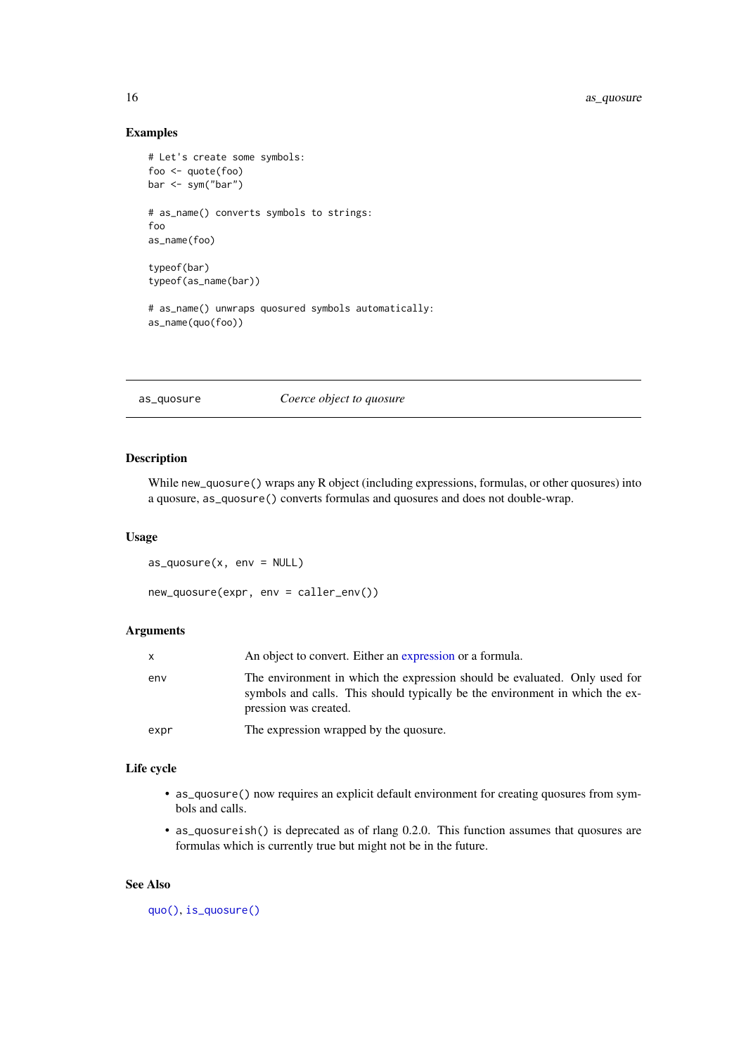### Examples

```
# Let's create some symbols:
foo <- quote(foo)
bar <- sym("bar")
# as_name() converts symbols to strings:
foo
as_name(foo)
typeof(bar)
typeof(as_name(bar))
# as_name() unwraps quosured symbols automatically:
```
as\_name(quo(foo))

### as\_quosure *Coerce object to quosure*

### Description

While new\_quosure() wraps any R object (including expressions, formulas, or other quosures) into a quosure, as\_quosure() converts formulas and quosures and does not double-wrap.

#### Usage

```
as\_quosure(x, env = NULL)
```
new\_quosure(expr, env = caller\_env())

### Arguments

|      | An object to convert. Either an expression or a formula.                                                                                                                            |
|------|-------------------------------------------------------------------------------------------------------------------------------------------------------------------------------------|
| env  | The environment in which the expression should be evaluated. Only used for<br>symbols and calls. This should typically be the environment in which the ex-<br>pression was created. |
| expr | The expression wrapped by the quosure.                                                                                                                                              |

### Life cycle

- as\_quosure() now requires an explicit default environment for creating quosures from symbols and calls.
- as\_quosureish() is deprecated as of rlang 0.2.0. This function assumes that quosures are formulas which is currently true but might not be in the future.

### See Also

[quo\(\)](#page-103-2), [is\\_quosure\(\)](#page-100-2)

<span id="page-15-0"></span>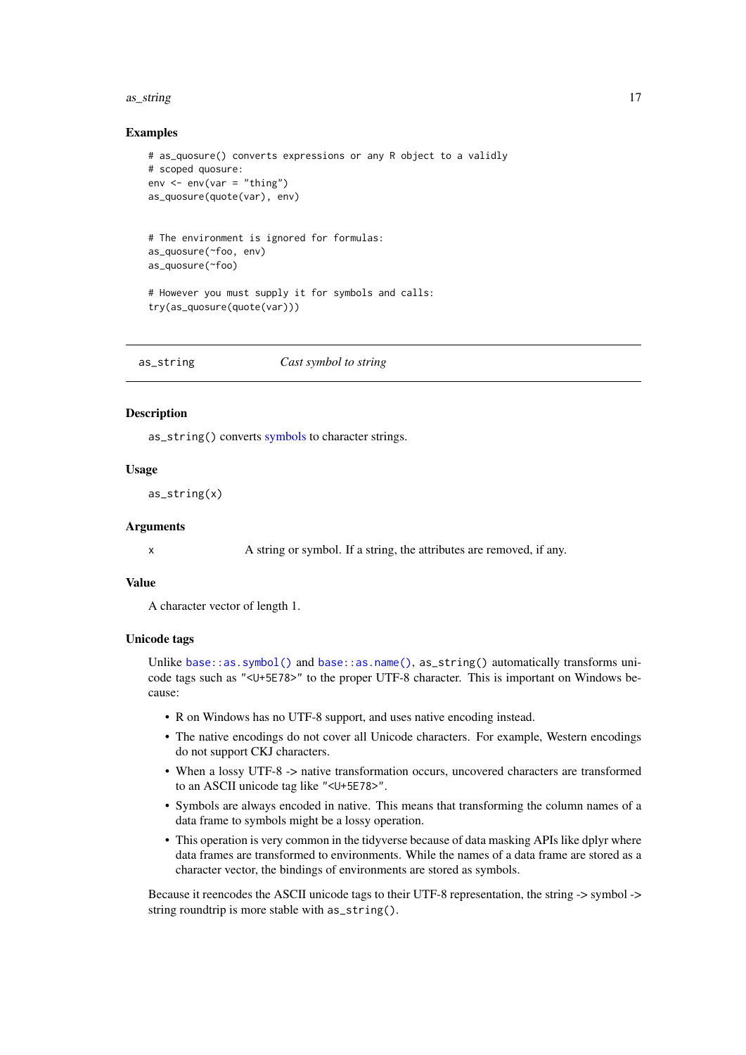#### <span id="page-16-0"></span>as\_string 17

#### Examples

```
# as_quosure() converts expressions or any R object to a validly
# scoped quosure:
env \le - env(var = "thing")as_quosure(quote(var), env)
# The environment is ignored for formulas:
as_quosure(~foo, env)
as_quosure(~foo)
```

```
# However you must supply it for symbols and calls:
try(as_quosure(quote(var)))
```
<span id="page-16-1"></span>as\_string *Cast symbol to string*

#### Description

as\_string() converts [symbols](#page-121-1) to character strings.

#### Usage

as\_string(x)

#### Arguments

x A string or symbol. If a string, the attributes are removed, if any.

#### Value

A character vector of length 1.

#### Unicode tags

Unlike [base::as.symbol\(\)](#page-0-0) and [base::as.name\(\)](#page-0-0), as\_string() automatically transforms unicode tags such as "<U+5E78>" to the proper UTF-8 character. This is important on Windows because:

- R on Windows has no UTF-8 support, and uses native encoding instead.
- The native encodings do not cover all Unicode characters. For example, Western encodings do not support CKJ characters.
- When a lossy UTF-8 -> native transformation occurs, uncovered characters are transformed to an ASCII unicode tag like "<U+5E78>".
- Symbols are always encoded in native. This means that transforming the column names of a data frame to symbols might be a lossy operation.
- This operation is very common in the tidyverse because of data masking APIs like dplyr where data frames are transformed to environments. While the names of a data frame are stored as a character vector, the bindings of environments are stored as symbols.

Because it reencodes the ASCII unicode tags to their UTF-8 representation, the string -> symbol -> string roundtrip is more stable with as\_string().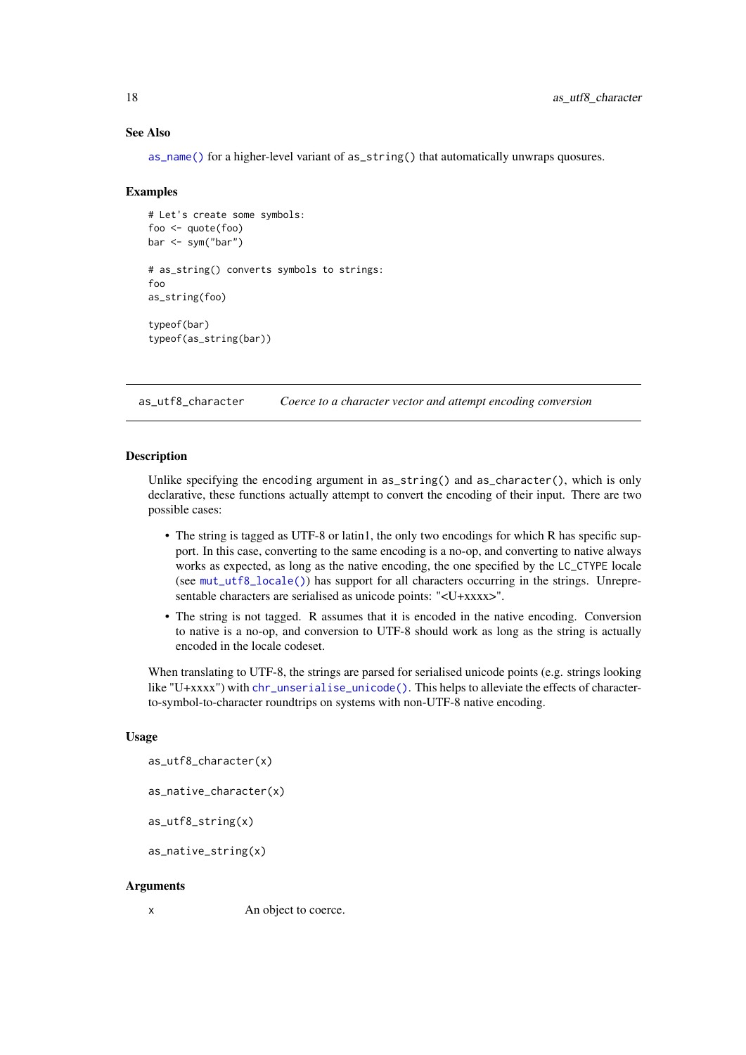#### See Also

[as\\_name\(\)](#page-14-1) for a higher-level variant of as\_string() that automatically unwraps quosures.

#### Examples

```
# Let's create some symbols:
foo <- quote(foo)
bar <- sym("bar")
# as_string() converts symbols to strings:
foo
as_string(foo)
typeof(bar)
typeof(as_string(bar))
```
as\_utf8\_character *Coerce to a character vector and attempt encoding conversion*

#### **Description**

Unlike specifying the encoding argument in as\_string() and as\_character(), which is only declarative, these functions actually attempt to convert the encoding of their input. There are two possible cases:

- The string is tagged as UTF-8 or latin1, the only two encodings for which R has specific support. In this case, converting to the same encoding is a no-op, and converting to native always works as expected, as long as the native encoding, the one specified by the LC\_CTYPE locale (see [mut\\_utf8\\_locale\(\)](#page-0-0)) has support for all characters occurring in the strings. Unrepresentable characters are serialised as unicode points: "<U+xxxx>".
- The string is not tagged. R assumes that it is encoded in the native encoding. Conversion to native is a no-op, and conversion to UTF-8 should work as long as the string is actually encoded in the locale codeset.

When translating to UTF-8, the strings are parsed for serialised unicode points (e.g. strings looking like "U+xxxx") with [chr\\_unserialise\\_unicode\(\)](#page-0-0). This helps to alleviate the effects of characterto-symbol-to-character roundtrips on systems with non-UTF-8 native encoding.

#### Usage

as\_utf8\_character(x)

as\_native\_character(x)

as\_utf8\_string(x)

as\_native\_string(x)

#### Arguments

x An object to coerce.

<span id="page-17-0"></span>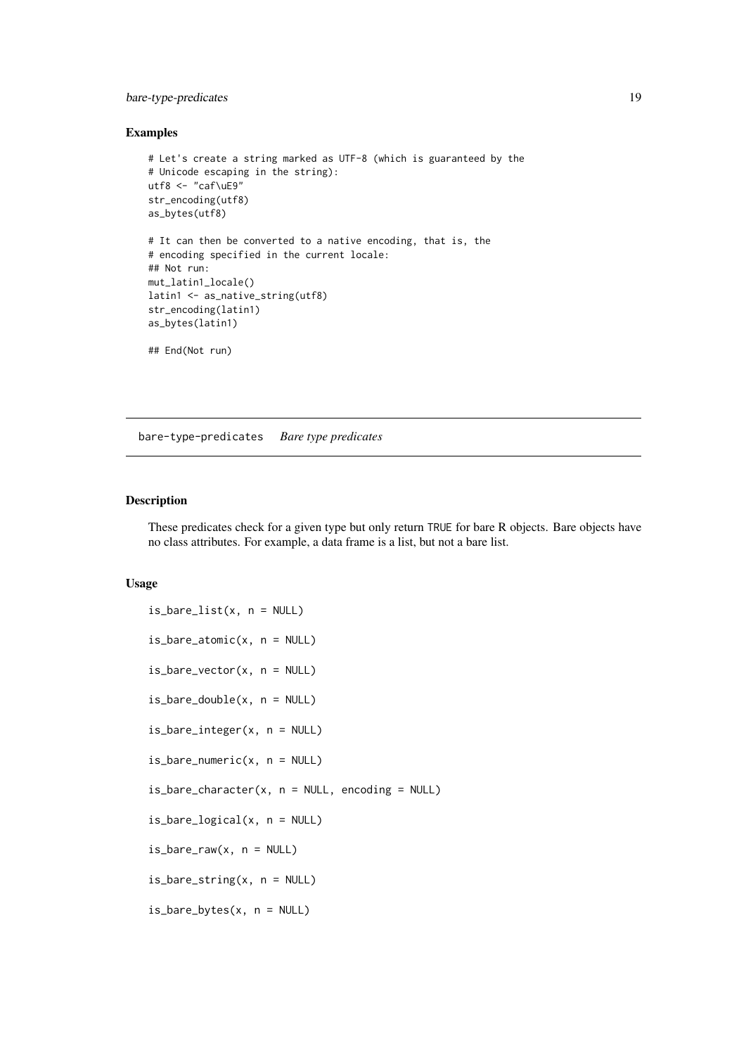#### <span id="page-18-0"></span>bare-type-predicates 19

### Examples

```
# Let's create a string marked as UTF-8 (which is guaranteed by the
# Unicode escaping in the string):
utf8 <- "caf\uE9"
str_encoding(utf8)
as_bytes(utf8)
# It can then be converted to a native encoding, that is, the
# encoding specified in the current locale:
## Not run:
mut_latin1_locale()
latin1 <- as_native_string(utf8)
str_encoding(latin1)
as_bytes(latin1)
## End(Not run)
```
bare-type-predicates *Bare type predicates*

#### Description

These predicates check for a given type but only return TRUE for bare R objects. Bare objects have no class attributes. For example, a data frame is a list, but not a bare list.

#### Usage

```
is\_bare\_list(x, n = NULL)is_bare_atomic(x, n = NULL)
is\_bare\_vector(x, n = NULL)is\_bare\_double(x, n = NULL)is_bare_integer(x, n = NULL)
is\_bare\_numeric(x, n = NULL)is\_bare\_character(x, n = NULL, encoding = NULL)is_bare_logical(x, n = NULL)
is\_bare\_raw(x, n = NULL)is_bare_string(x, n = NULL)
is_bare_bytes(x, n = NULL)
```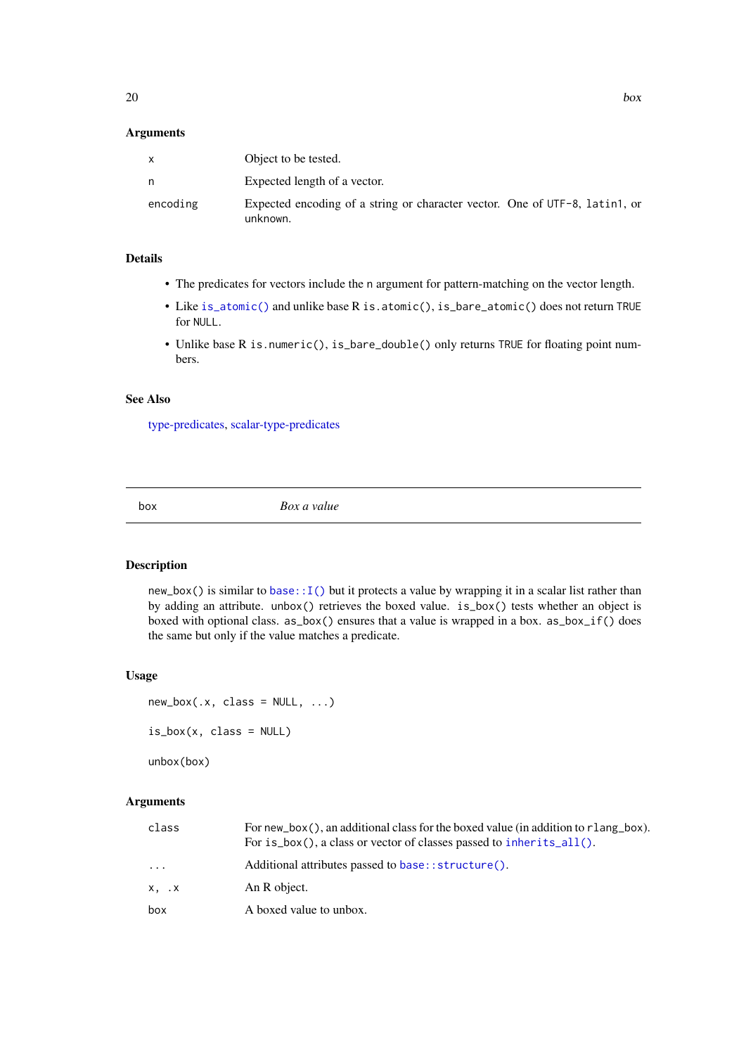### <span id="page-19-0"></span>Arguments

| x        | Object to be tested.                                                                    |
|----------|-----------------------------------------------------------------------------------------|
| n        | Expected length of a vector.                                                            |
| encoding | Expected encoding of a string or character vector. One of UTF-8, latin1, or<br>unknown. |

### Details

- The predicates for vectors include the n argument for pattern-matching on the vector length.
- Like [is\\_atomic\(\)](#page-126-1) and unlike base R is.atomic(), is\_bare\_atomic() does not return TRUE for NULL.
- Unlike base R is.numeric(), is\_bare\_double() only returns TRUE for floating point numbers.

#### See Also

[type-predicates,](#page-126-2) [scalar-type-predicates](#page-115-1)

box *Box a value*

#### <span id="page-19-1"></span>Description

new\_box() is similar to base:  $I()$  but it protects a value by wrapping it in a scalar list rather than by adding an attribute. unbox() retrieves the boxed value. is\_box() tests whether an object is boxed with optional class. as\_box() ensures that a value is wrapped in a box. as\_box\_if() does the same but only if the value matches a predicate.

### Usage

```
new\_box(.x, class = NULL, ...)is_box(x, class = NULL)
```
unbox(box)

### Arguments

| class         | For new $_{\rm{box}}$ (), an additional class for the boxed value (in addition to r lang $_{\rm{box}}$ ).<br>For is_box(), a class or vector of classes passed to inherits_all(). |
|---------------|-----------------------------------------------------------------------------------------------------------------------------------------------------------------------------------|
| $\cdots$      | Additional attributes passed to base::structure().                                                                                                                                |
| $X, \ldots X$ | An R object.                                                                                                                                                                      |
| box           | A boxed value to unbox.                                                                                                                                                           |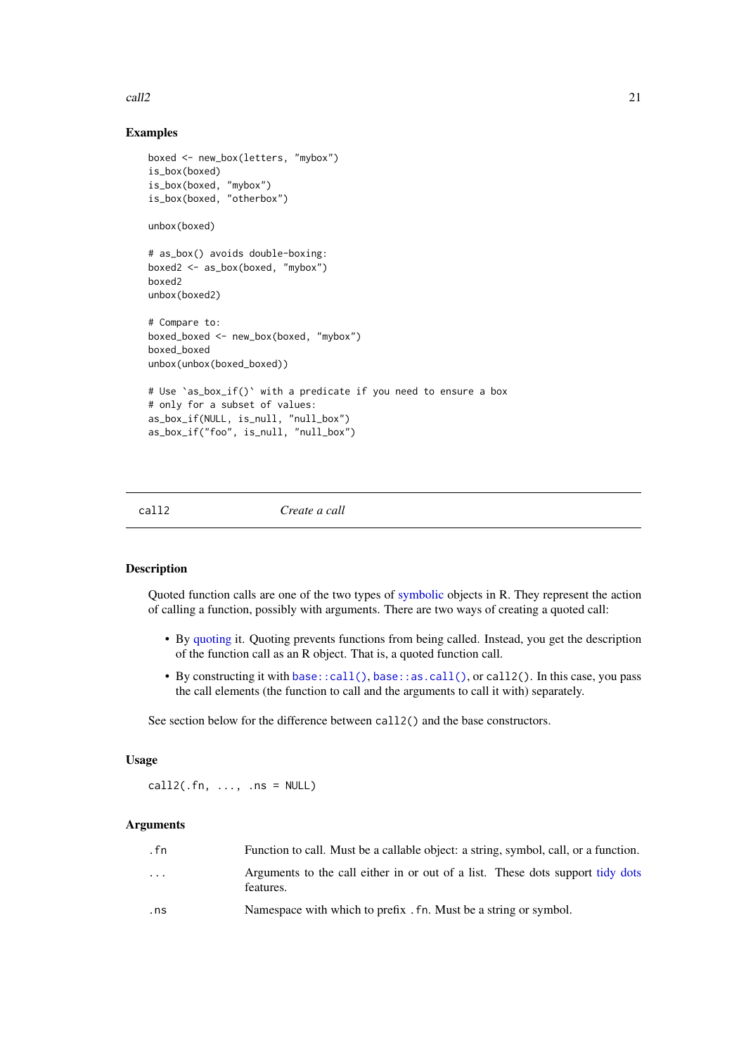<span id="page-20-0"></span> $\alpha$  21  $\alpha$  21

#### Examples

```
boxed <- new_box(letters, "mybox")
is_box(boxed)
is_box(boxed, "mybox")
is_box(boxed, "otherbox")
unbox(boxed)
# as_box() avoids double-boxing:
boxed2 <- as_box(boxed, "mybox")
boxed2
unbox(boxed2)
# Compare to:
boxed_boxed <- new_box(boxed, "mybox")
boxed_boxed
unbox(unbox(boxed_boxed))
# Use `as_box_if()` with a predicate if you need to ensure a box
# only for a subset of values:
as_box_if(NULL, is_null, "null_box")
as_box_if("foo", is_null, "null_box")
```
<span id="page-20-1"></span>

call2 *Create a call*

### Description

Quoted function calls are one of the two types of [symbolic](#page-73-2) objects in R. They represent the action of calling a function, possibly with arguments. There are two ways of creating a quoted call:

- By [quoting](#page-103-1) it. Quoting prevents functions from being called. Instead, you get the description of the function call as an R object. That is, a quoted function call.
- By constructing it with [base::call\(\)](#page-0-0), [base::as.call\(\)](#page-0-0), or call2(). In this case, you pass the call elements (the function to call and the arguments to call it with) separately.

See section below for the difference between call2() and the base constructors.

### Usage

 $call2(.fn, ..., ns = NULL)$ 

### Arguments

| . fn                    | Function to call. Must be a callable object: a string, symbol, call, or a function.         |
|-------------------------|---------------------------------------------------------------------------------------------|
| $\cdot$ $\cdot$ $\cdot$ | Arguments to the call either in or out of a list. These dots support tidy dots<br>features. |
| .ns                     | Namespace with which to prefix . fn. Must be a string or symbol.                            |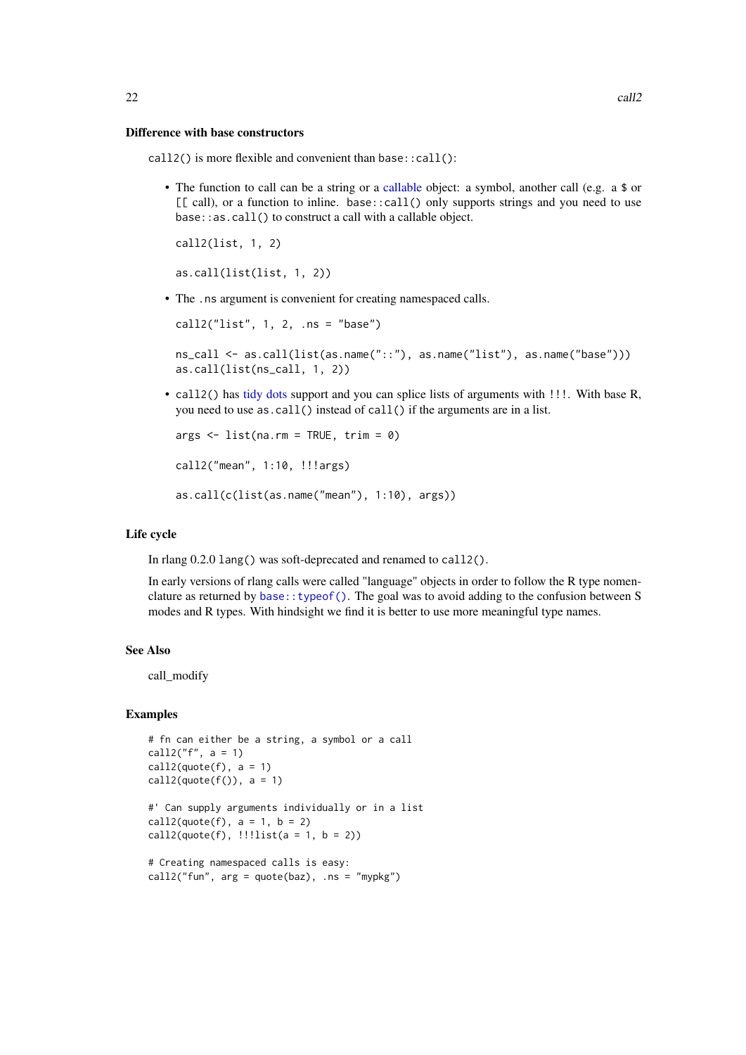#### Difference with base constructors

call2() is more flexible and convenient than base::call():

• The function to call can be a string or a [callable](#page-70-1) object: a symbol, another call (e.g. a \$ or  $[\lceil \text{call}\rceil]$ , or a function to inline. base::call() only supports strings and you need to use base::as.call() to construct a call with a callable object.

```
call2(list, 1, 2)
as.call(list(list, 1, 2))
```
• The .ns argument is convenient for creating namespaced calls.

```
call2("list", 1, 2, .ns = "base")
```

```
ns_call <- as.call(list(as.name("::"), as.name("list"), as.name("base")))
as.call(list(ns_call, 1, 2))
```
• call2() has [tidy dots](#page-121-3) support and you can splice lists of arguments with !!!. With base R, you need to use as.call() instead of call() if the arguments are in a list.

```
args \leftarrow list(na.rm = TRUE, trim = 0)call2("mean", 1:10, !!!args)
as.call(c(list(as.name("mean"), 1:10), args))
```
#### Life cycle

In rlang 0.2.0 lang() was soft-deprecated and renamed to call2().

In early versions of rlang calls were called "language" objects in order to follow the R type nomenclature as returned by [base::typeof\(\)](#page-0-0). The goal was to avoid adding to the confusion between S modes and R types. With hindsight we find it is better to use more meaningful type names.

#### See Also

call\_modify

#### Examples

```
# fn can either be a string, a symbol or a call
call2("f", a = 1)call2(quote(f), a = 1)call2(\text{quot}(f()), a = 1)
#' Can supply arguments individually or in a list
call2(quote(f), a = 1, b = 2)
call2(quote(f), !!list(a = 1, b = 2))# Creating namespaced calls is easy:
```
call2("fun",  $arg = quote(baz)$ , .ns = "mypkg")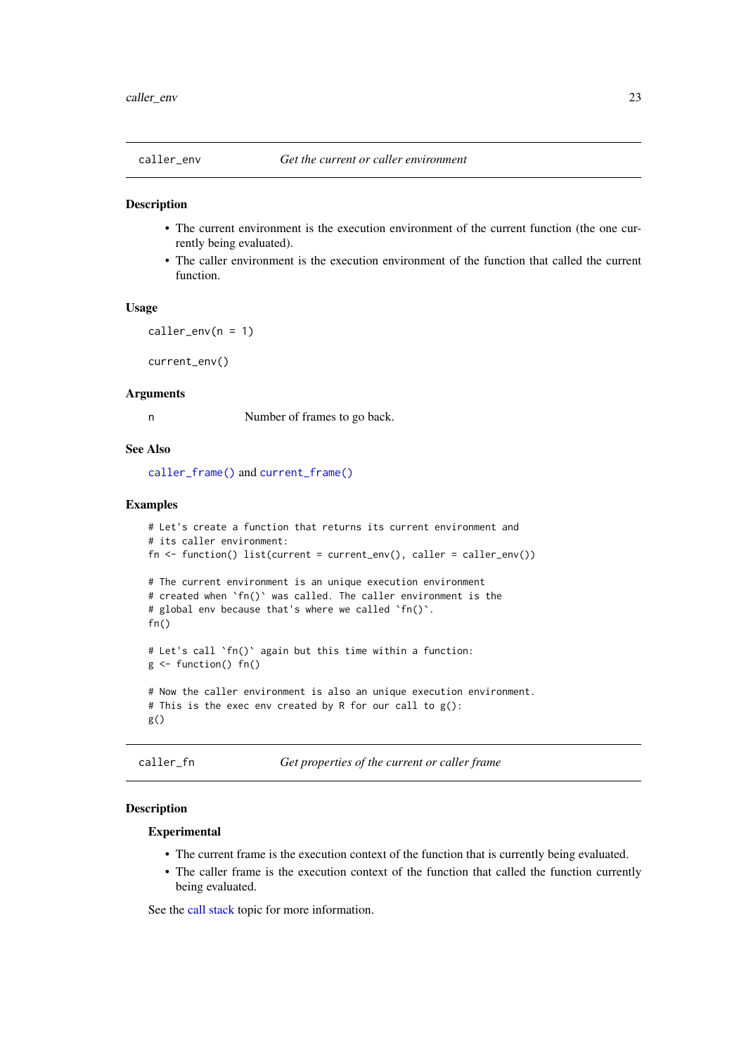<span id="page-22-2"></span><span id="page-22-1"></span><span id="page-22-0"></span>

- The current environment is the execution environment of the current function (the one currently being evaluated).
- The caller environment is the execution environment of the function that called the current function.

### Usage

 $caller\_env(n = 1)$ 

current\_env()

#### Arguments

n Number of frames to go back.

### See Also

[caller\\_frame\(\)](#page-0-0) and [current\\_frame\(\)](#page-0-0)

### Examples

```
# Let's create a function that returns its current environment and
# its caller environment:
fn \leftarrow function() list(current = current\_env(), caller = caller\_env())# The current environment is an unique execution environment
# created when `fn()` was called. The caller environment is the
# global env because that's where we called `fn()`.
fn()
# Let's call `fn()` again but this time within a function:
g <- function() fn()
# Now the caller environment is also an unique execution environment.
# This is the exec env created by R for our call to g():
g()
```

```
caller_fn Get properties of the current or caller frame
```
#### Description

#### Experimental

- The current frame is the execution context of the function that is currently being evaluated.
- The caller frame is the execution context of the function that called the function currently being evaluated.

See the [call stack](#page-0-0) topic for more information.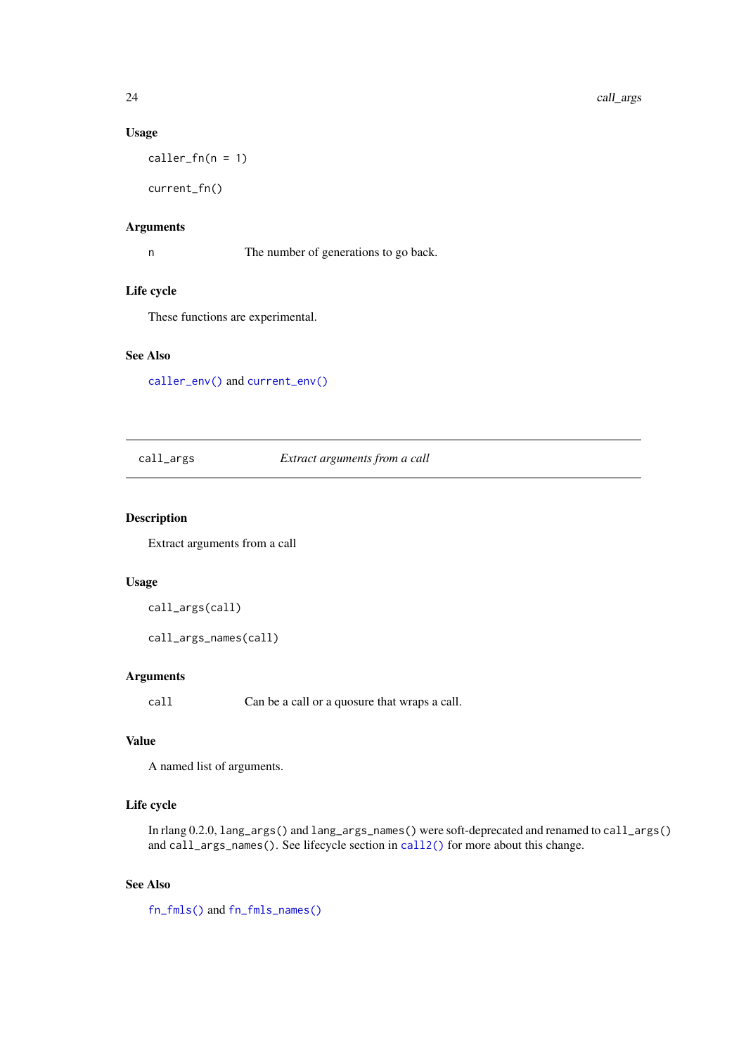### Usage

 $caller_fn(n = 1)$ 

current\_fn()

### Arguments

n The number of generations to go back.

### Life cycle

These functions are experimental.

### See Also

[caller\\_env\(\)](#page-22-1) and [current\\_env\(\)](#page-22-2)

### call\_args *Extract arguments from a call*

### Description

Extract arguments from a call

### Usage

```
call_args(call)
```
call\_args\_names(call)

### Arguments

call Can be a call or a quosure that wraps a call.

### Value

A named list of arguments.

### Life cycle

In rlang 0.2.0, lang\_args() and lang\_args\_names() were soft-deprecated and renamed to call\_args() and call\_args\_names(). See lifecycle section in [call2\(\)](#page-20-1) for more about this change.

### See Also

[fn\\_fmls\(\)](#page-62-1) and [fn\\_fmls\\_names\(\)](#page-62-2)

<span id="page-23-0"></span>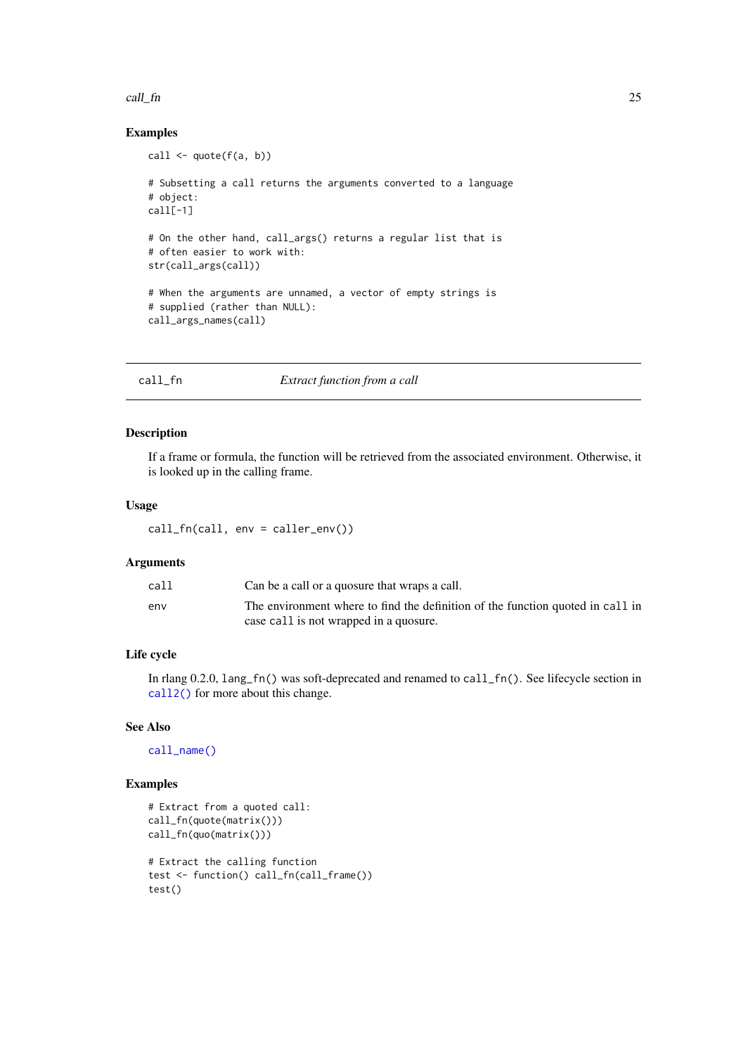#### <span id="page-24-0"></span>call\_fn 25

### Examples

```
call <- quote(f(a, b))
# Subsetting a call returns the arguments converted to a language
# object:
call[-1]
# On the other hand, call_args() returns a regular list that is
# often easier to work with:
str(call_args(call))
# When the arguments are unnamed, a vector of empty strings is
# supplied (rather than NULL):
call_args_names(call)
```
<span id="page-24-1"></span>

### Description

If a frame or formula, the function will be retrieved from the associated environment. Otherwise, it is looked up in the calling frame.

### Usage

call\_fn(call, env = caller\_env())

#### Arguments

| call | Can be a call or a quosure that wraps a call.                                  |
|------|--------------------------------------------------------------------------------|
| env  | The environment where to find the definition of the function quoted in call in |
|      | case call is not wrapped in a quosure.                                         |

### Life cycle

In rlang 0.2.0, lang\_fn() was soft-deprecated and renamed to call\_fn(). See lifecycle section in [call2\(\)](#page-20-1) for more about this change.

### See Also

[call\\_name\(\)](#page-27-1)

```
# Extract from a quoted call:
call_fn(quote(matrix()))
call_fn(quo(matrix()))
# Extract the calling function
test <- function() call_fn(call_frame())
test()
```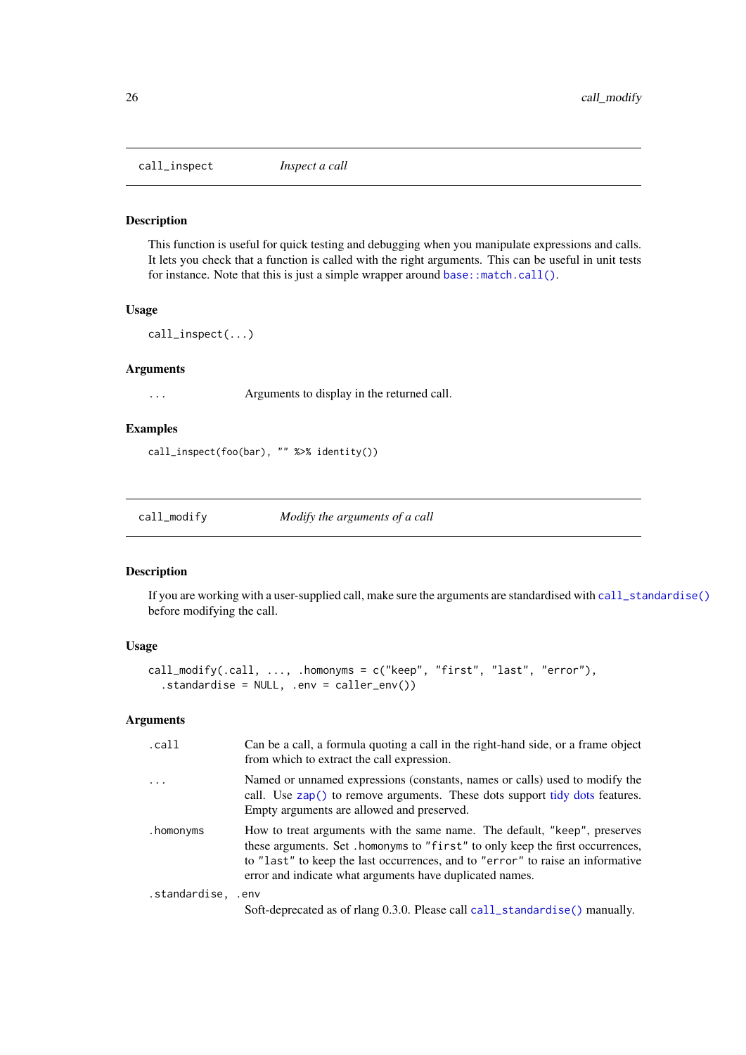<span id="page-25-0"></span>call\_inspect *Inspect a call*

#### Description

This function is useful for quick testing and debugging when you manipulate expressions and calls. It lets you check that a function is called with the right arguments. This can be useful in unit tests for instance. Note that this is just a simple wrapper around base:: match.call().

### Usage

call\_inspect(...)

#### Arguments

... Arguments to display in the returned call.

#### Examples

call\_inspect(foo(bar), "" %>% identity())

call\_modify *Modify the arguments of a call*

### Description

If you are working with a user-supplied call, make sure the arguments are standardised with [call\\_standardise\(\)](#page-28-1) before modifying the call.

#### Usage

```
call_modify(.call, ..., .homonyms = c("keep", "first", "last", "error"),
  .standardise = NULL, .env = caller_env())
```
#### Arguments

| .call              | Can be a call, a formula quoting a call in the right-hand side, or a frame object<br>from which to extract the call expression.                                                                                                                                                                           |
|--------------------|-----------------------------------------------------------------------------------------------------------------------------------------------------------------------------------------------------------------------------------------------------------------------------------------------------------|
| $\ddots$           | Named or unnamed expressions (constants, names or calls) used to modify the<br>call. Use zap() to remove arguments. These dots support tidy dots features.<br>Empty arguments are allowed and preserved.                                                                                                  |
| .homonyms          | How to treat arguments with the same name. The default, "keep", preserves<br>these arguments. Set . homonyms to "first" to only keep the first occurrences,<br>to "last" to keep the last occurrences, and to "error" to raise an informative<br>error and indicate what arguments have duplicated names. |
| .standardise, .env |                                                                                                                                                                                                                                                                                                           |
|                    | Soft-deprecated as of rlang 0.3.0. Please call call_standardise() manually.                                                                                                                                                                                                                               |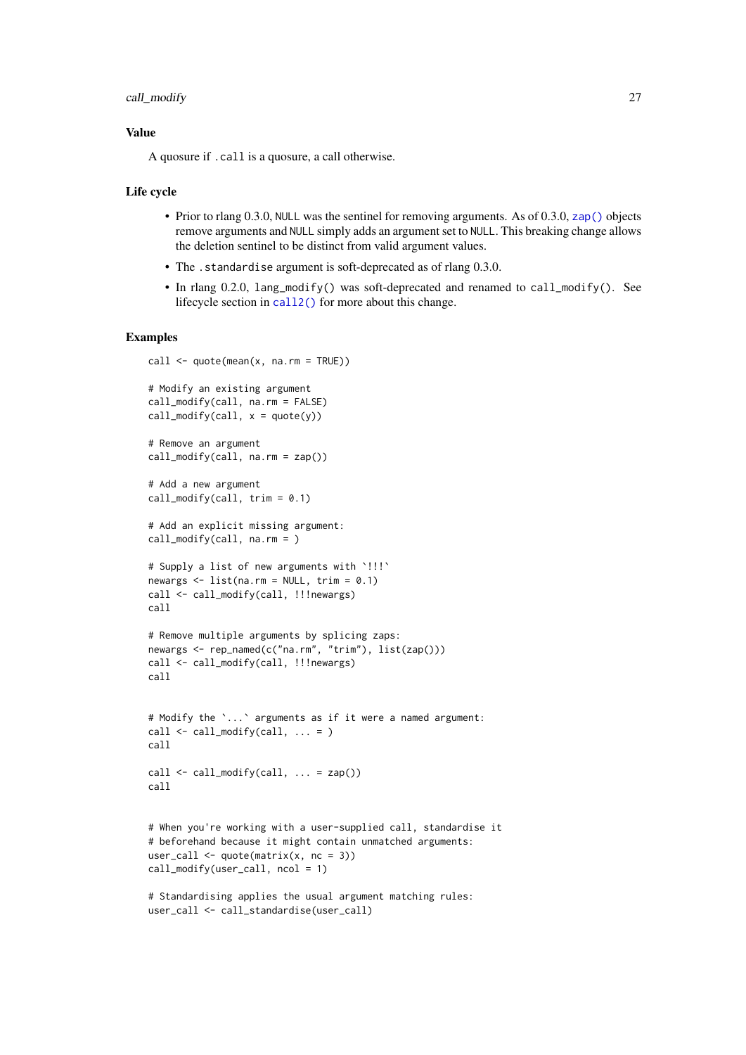#### call\_modify 27

#### Value

A quosure if .call is a quosure, a call otherwise.

#### Life cycle

- Prior to rlang 0.3.0, NULL was the sentinel for removing arguments. As of 0.3.0, [zap\(\)](#page-134-1) objects remove arguments and NULL simply adds an argument set to NULL. This breaking change allows the deletion sentinel to be distinct from valid argument values.
- The .standardise argument is soft-deprecated as of rlang 0.3.0.
- In rlang 0.2.0, lang\_modify() was soft-deprecated and renamed to call\_modify(). See lifecycle section in [call2\(\)](#page-20-1) for more about this change.

```
call <- quote(mean(x, na.rm = TRUE))
# Modify an existing argument
call_modify(call, na.rm = FALSE)
call_modify(call, x = \text{quote}(y))
# Remove an argument
call_modify(call, na.rm = zap())
# Add a new argument
call_modify(call, trim = 0.1)
# Add an explicit missing argument:
call_modify(call, na.rm = )
# Supply a list of new arguments with `!!!`
newargs \leq list(na.rm = NULL, trim = 0.1)
call <- call_modify(call, !!!newargs)
call
# Remove multiple arguments by splicing zaps:
newargs <- rep_named(c("na.rm", "trim"), list(zap()))
call <- call_modify(call, !!!newargs)
call
# Modify the `...` arguments as if it were a named argument:
call \le call_modify(call, ... = )
call
call <- call_modify(call, ... = zap())
call
# When you're working with a user-supplied call, standardise it
# beforehand because it might contain unmatched arguments:
user_call \leq quote(matrix(x, nc = 3))
call_modify(user_call, ncol = 1)
# Standardising applies the usual argument matching rules:
```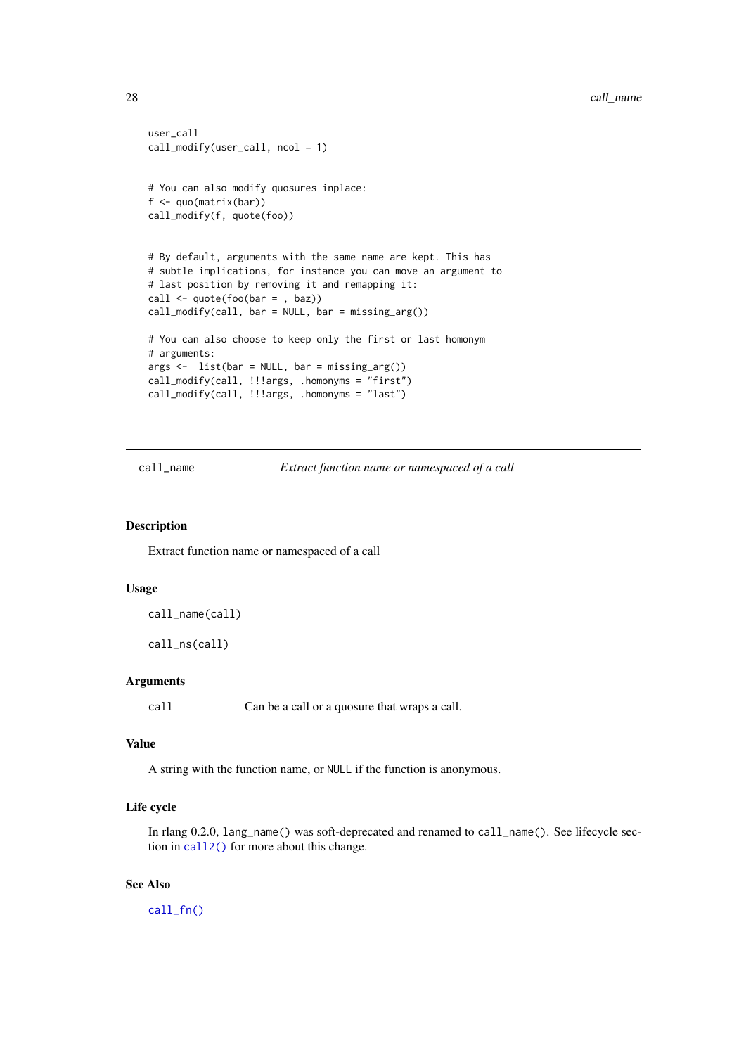```
user_call
call_modify(user_call, ncol = 1)
# You can also modify quosures inplace:
f <- quo(matrix(bar))
call_modify(f, quote(foo))
# By default, arguments with the same name are kept. This has
# subtle implications, for instance you can move an argument to
# last position by removing it and remapping it:
call \leq quote(foo(bar = , baz))
call_modify(call, bar = NULL, bar = missing_arg())# You can also choose to keep only the first or last homonym
# arguments:
args < - list(bar = NULL, bar = missing_arg())
call_modify(call, !!!args, .homonyms = "first")
call_modify(call, !!!args, .homonyms = "last")
```
<span id="page-27-1"></span>call\_name *Extract function name or namespaced of a call*

#### Description

Extract function name or namespaced of a call

#### Usage

```
call_name(call)
```
call\_ns(call)

### Arguments

call Can be a call or a quosure that wraps a call.

#### Value

A string with the function name, or NULL if the function is anonymous.

### Life cycle

In rlang 0.2.0, lang\_name() was soft-deprecated and renamed to call\_name(). See lifecycle section in [call2\(\)](#page-20-1) for more about this change.

### See Also

[call\\_fn\(\)](#page-24-1)

<span id="page-27-0"></span>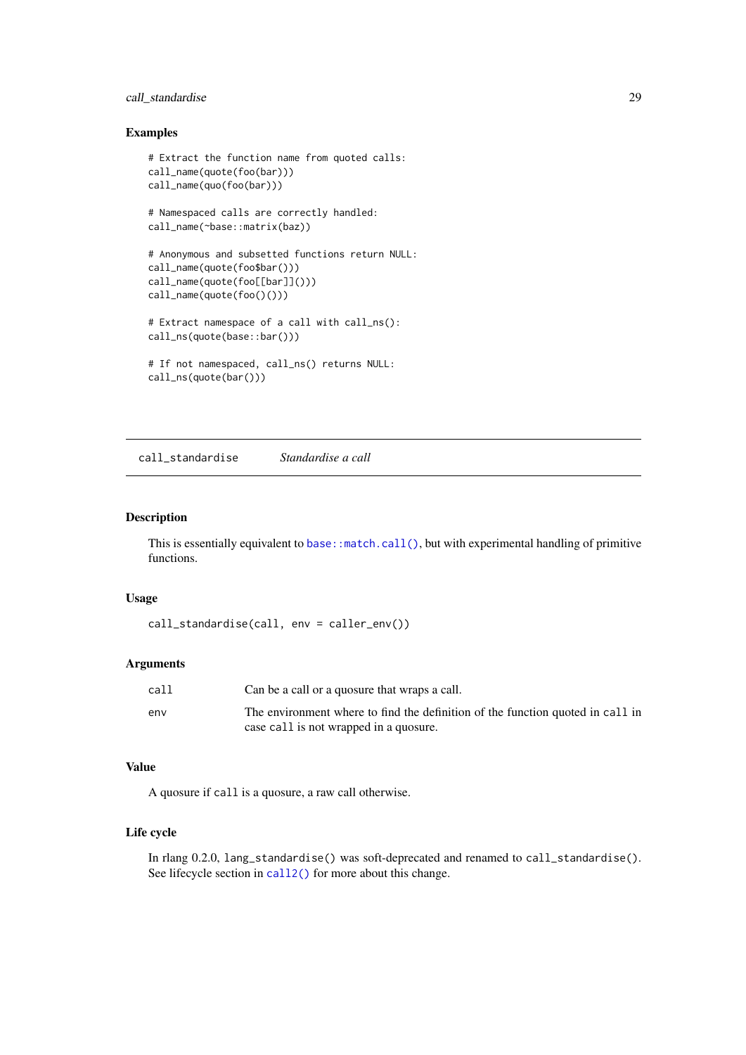#### <span id="page-28-0"></span>call\_standardise 29

#### Examples

```
# Extract the function name from quoted calls:
call_name(quote(foo(bar)))
call_name(quo(foo(bar)))
# Namespaced calls are correctly handled:
call_name(~base::matrix(baz))
# Anonymous and subsetted functions return NULL:
call_name(quote(foo$bar()))
call_name(quote(foo[[bar]]()))
call_name(quote(foo()()))
# Extract namespace of a call with call_ns():
call_ns(quote(base::bar()))
# If not namespaced, call_ns() returns NULL:
call_ns(quote(bar()))
```
<span id="page-28-1"></span>call\_standardise *Standardise a call*

### Description

This is essentially equivalent to [base::match.call\(\)](#page-0-0), but with experimental handling of primitive functions.

### Usage

```
call_standardise(call, env = caller_env())
```
### Arguments

| call | Can be a call or a quosure that wraps a call.                                  |
|------|--------------------------------------------------------------------------------|
| env  | The environment where to find the definition of the function quoted in call in |
|      | case call is not wrapped in a quosure.                                         |

### Value

A quosure if call is a quosure, a raw call otherwise.

### Life cycle

In rlang 0.2.0, lang\_standardise() was soft-deprecated and renamed to call\_standardise(). See lifecycle section in [call2\(\)](#page-20-1) for more about this change.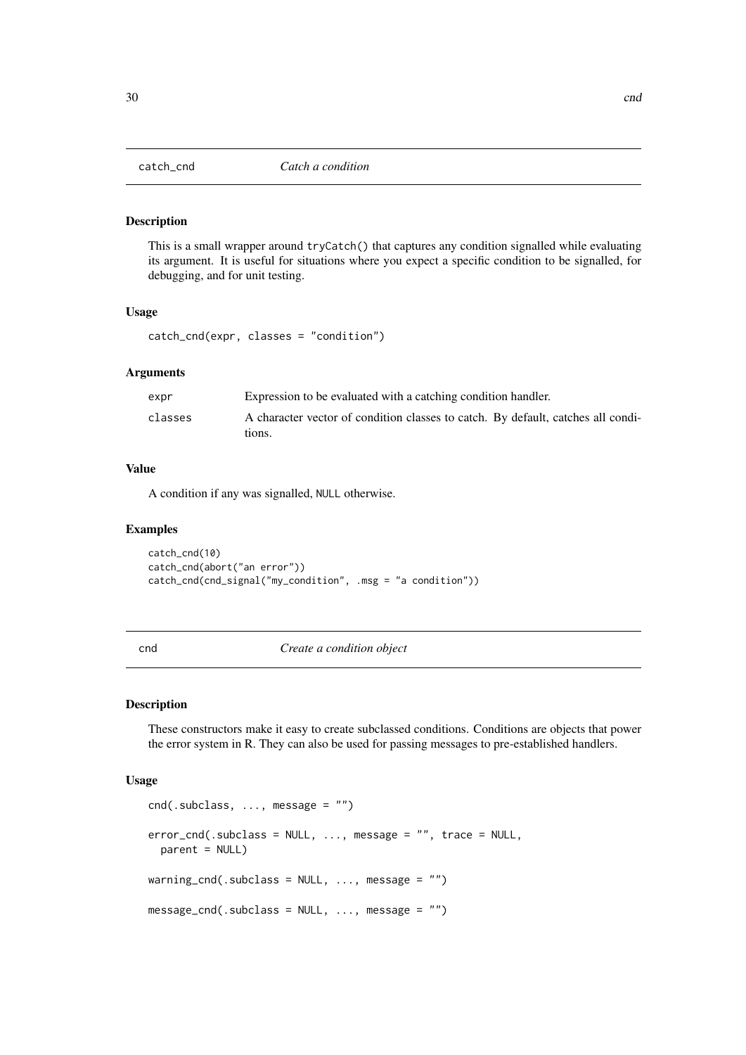<span id="page-29-1"></span><span id="page-29-0"></span>

This is a small wrapper around tryCatch() that captures any condition signalled while evaluating its argument. It is useful for situations where you expect a specific condition to be signalled, for debugging, and for unit testing.

#### Usage

catch\_cnd(expr, classes = "condition")

#### Arguments

| expr    | Expression to be evaluated with a catching condition handler.                              |
|---------|--------------------------------------------------------------------------------------------|
| classes | A character vector of condition classes to catch. By default, catches all condi-<br>tions. |
|         |                                                                                            |

### Value

A condition if any was signalled, NULL otherwise.

#### Examples

catch\_cnd(10) catch\_cnd(abort("an error")) catch\_cnd(cnd\_signal("my\_condition", .msg = "a condition"))

<span id="page-29-2"></span>

cnd *Create a condition object*

### Description

These constructors make it easy to create subclassed conditions. Conditions are objects that power the error system in R. They can also be used for passing messages to pre-established handlers.

#### Usage

```
cnd(.subclass, ..., message = "")error_cnd(.subclass = NULL, ..., message = "", trace = NULL,
 parent = NULL)
warning_cnd(.subclass = NULL, ..., message = "")message_cnd(.subclass = NULL, ..., message = "")
```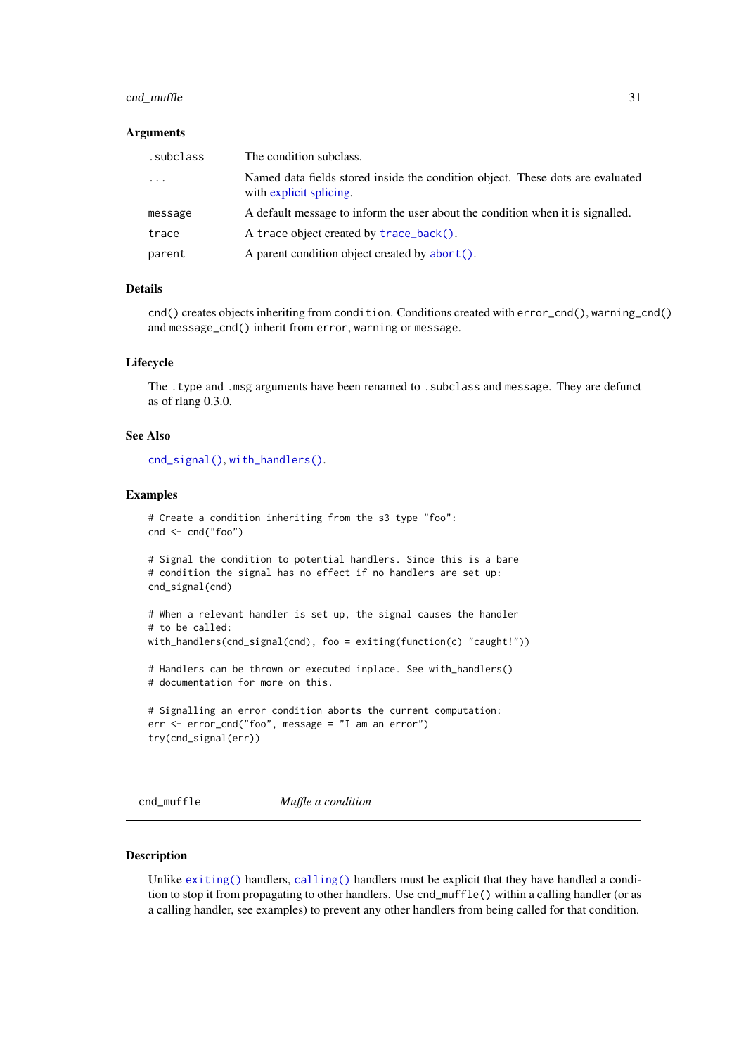#### <span id="page-30-0"></span>cnd\_muffle 31

#### Arguments

| .subclass | The condition subclass.                                                                                   |
|-----------|-----------------------------------------------------------------------------------------------------------|
| $\cdots$  | Named data fields stored inside the condition object. These dots are evaluated<br>with explicit splicing. |
| message   | A default message to inform the user about the condition when it is signalled.                            |
| trace     | A trace object created by trace_back().                                                                   |
| parent    | A parent condition object created by abort().                                                             |

### Details

cnd() creates objects inheriting from condition. Conditions created with error\_cnd(), warning\_cnd() and message\_cnd() inherit from error, warning or message.

### Lifecycle

The .type and .msg arguments have been renamed to .subclass and message. They are defunct as of rlang 0.3.0.

### See Also

[cnd\\_signal\(\)](#page-32-1), [with\\_handlers\(\)](#page-130-1).

#### Examples

```
# Create a condition inheriting from the s3 type "foo":
cnd <- cnd("foo")
# Signal the condition to potential handlers. Since this is a bare
# condition the signal has no effect if no handlers are set up:
cnd_signal(cnd)
# When a relevant handler is set up, the signal causes the handler
# to be called:
with_handlers(cnd_signal(cnd), foo = exiting(function(c) "caught!"))
# Handlers can be thrown or executed inplace. See with_handlers()
# documentation for more on this.
# Signalling an error condition aborts the current computation:
err <- error_cnd("foo", message = "I am an error")
try(cnd_signal(err))
```
<span id="page-30-1"></span>cnd\_muffle *Muffle a condition*

### Description

Unlike [exiting\(\)](#page-56-1) handlers, [calling\(\)](#page-56-2) handlers must be explicit that they have handled a condition to stop it from propagating to other handlers. Use cnd\_muffle() within a calling handler (or as a calling handler, see examples) to prevent any other handlers from being called for that condition.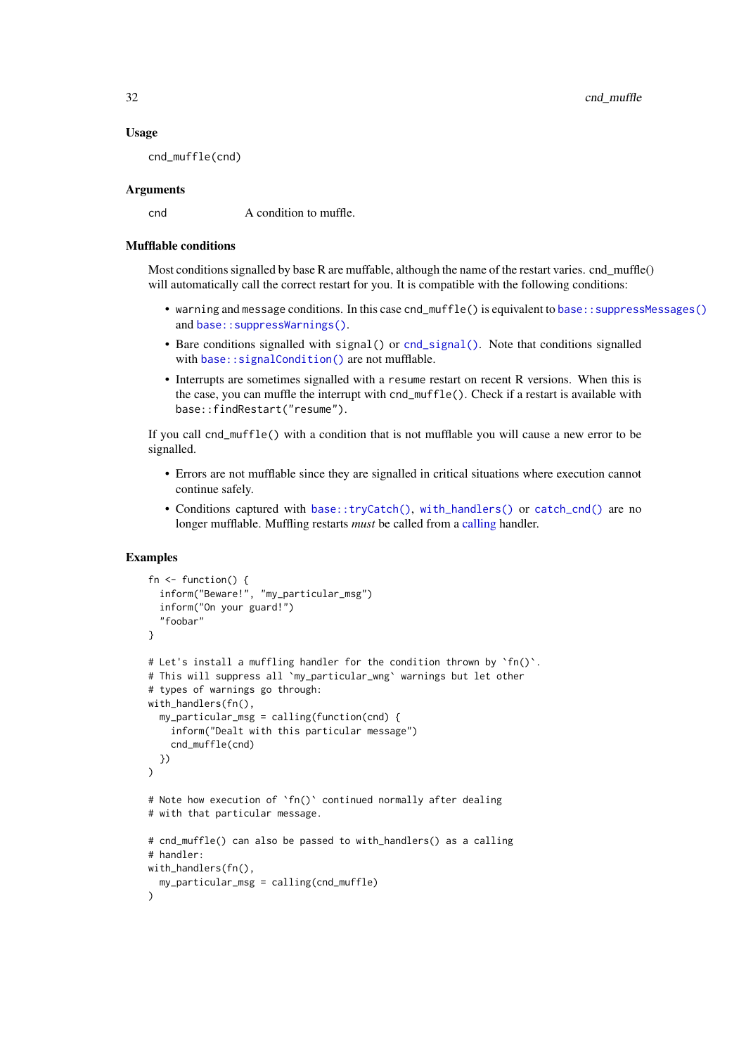32 cnd\_muffle

#### Usage

cnd\_muffle(cnd)

### Arguments

cnd A condition to muffle.

#### Mufflable conditions

Most conditions signalled by base R are muffable, although the name of the restart varies. cnd  $muffle()$ will automatically call the correct restart for you. It is compatible with the following conditions:

- warning and message conditions. In this case cnd\_muffle() is equivalent to base:: suppressMessages() and [base::suppressWarnings\(\)](#page-0-0).
- Bare conditions signalled with signal() or [cnd\\_signal\(\)](#page-32-1). Note that conditions signalled with base:: signalCondition() are not mufflable.
- Interrupts are sometimes signalled with a resume restart on recent R versions. When this is the case, you can muffle the interrupt with cnd\_muffle(). Check if a restart is available with base::findRestart("resume").

If you call cnd\_muffle() with a condition that is not mufflable you will cause a new error to be signalled.

- Errors are not mufflable since they are signalled in critical situations where execution cannot continue safely.
- Conditions captured with [base::tryCatch\(\)](#page-0-0), [with\\_handlers\(\)](#page-130-1) or [catch\\_cnd\(\)](#page-29-1) are no longer mufflable. Muffling restarts *must* be called from a [calling](#page-56-2) handler.

```
fn \leq function() {
  inform("Beware!", "my_particular_msg")
  inform("On your guard!")
  "foobar"
}
# Let's install a muffling handler for the condition thrown by `fn()`.
# This will suppress all `my_particular_wng` warnings but let other
# types of warnings go through:
with_handlers(fn(),
  my_particular_msg = calling(function(cnd) {
    inform("Dealt with this particular message")
    cnd_muffle(cnd)
  })
\lambda# Note how execution of `fn()` continued normally after dealing
# with that particular message.
# cnd_muffle() can also be passed to with_handlers() as a calling
# handler:
with_handlers(fn(),
  my_particular_msg = calling(cnd_muffle)
\lambda
```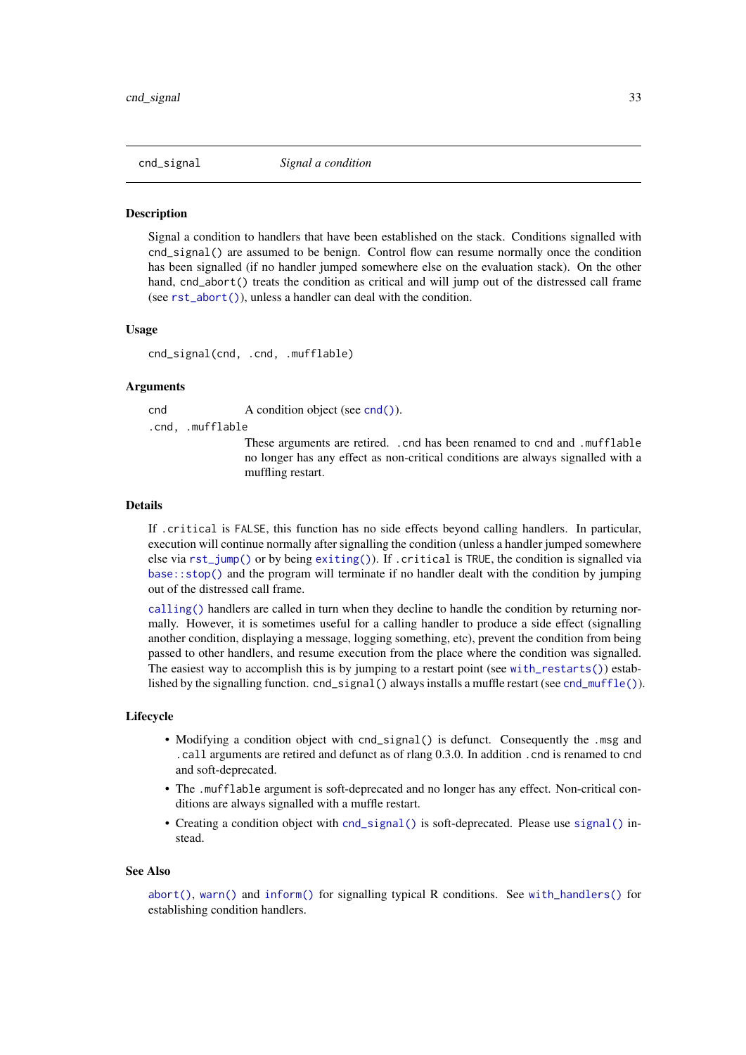<span id="page-32-1"></span><span id="page-32-0"></span>

Signal a condition to handlers that have been established on the stack. Conditions signalled with cnd\_signal() are assumed to be benign. Control flow can resume normally once the condition has been signalled (if no handler jumped somewhere else on the evaluation stack). On the other hand, cnd\_abort() treats the condition as critical and will jump out of the distressed call frame (see [rst\\_abort\(\)](#page-113-1)), unless a handler can deal with the condition.

#### Usage

cnd\_signal(cnd, .cnd, .mufflable)

#### Arguments

cnd A condition object (see [cnd\(\)](#page-29-2)).

.cnd, .mufflable

These arguments are retired. .cnd has been renamed to cnd and .mufflable no longer has any effect as non-critical conditions are always signalled with a muffling restart.

#### Details

If .critical is FALSE, this function has no side effects beyond calling handlers. In particular, execution will continue normally after signalling the condition (unless a handler jumped somewhere else via [rst\\_jump\(\)](#page-114-1) or by being  $exiting()$ . If .critical is TRUE, the condition is signalled via  $base::stop()$  and the program will terminate if no handler dealt with the condition by jumping out of the distressed call frame.

[calling\(\)](#page-56-2) handlers are called in turn when they decline to handle the condition by returning normally. However, it is sometimes useful for a calling handler to produce a side effect (signalling another condition, displaying a message, logging something, etc), prevent the condition from being passed to other handlers, and resume execution from the place where the condition was signalled. The easiest way to accomplish this is by jumping to a restart point (see [with\\_restarts\(\)](#page-132-1)) established by the signalling function. cnd\_signal() always installs a muffle restart (see [cnd\\_muffle\(\)](#page-30-1)).

#### Lifecycle

- Modifying a condition object with cnd\_signal() is defunct. Consequently the .msg and .call arguments are retired and defunct as of rlang 0.3.0. In addition .cnd is renamed to cnd and soft-deprecated.
- The .mufflable argument is soft-deprecated and no longer has any effect. Non-critical conditions are always signalled with a muffle restart.
- Creating a condition object with [cnd\\_signal\(\)](#page-32-1) is soft-deprecated. Please use [signal\(\)](#page-3-2) instead.

#### See Also

[abort\(\)](#page-3-1), [warn\(\)](#page-3-2) and [inform\(\)](#page-3-2) for signalling typical R conditions. See [with\\_handlers\(\)](#page-130-1) for establishing condition handlers.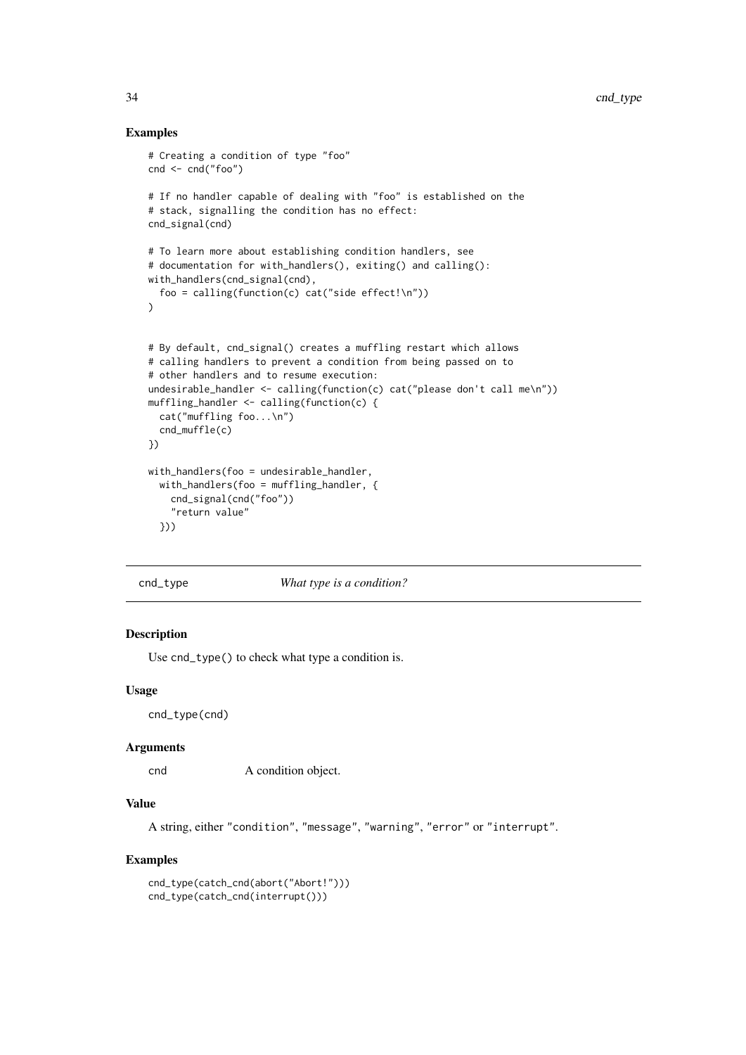### Examples

```
# Creating a condition of type "foo"
cnd <- cnd("foo")
# If no handler capable of dealing with "foo" is established on the
# stack, signalling the condition has no effect:
cnd_signal(cnd)
# To learn more about establishing condition handlers, see
# documentation for with_handlers(), exiting() and calling():
with_handlers(cnd_signal(cnd),
  foo = calling(function(c) cat("side effect!\n"))
\lambda# By default, cnd_signal() creates a muffling restart which allows
# calling handlers to prevent a condition from being passed on to
# other handlers and to resume execution:
undesirable_handler <- calling(function(c) cat("please don't call me\n"))
muffling_handler <- calling(function(c) {
  cat("muffling foo...\n")
  cnd_muffle(c)
})
with_handlers(foo = undesirable_handler,
  with_handlers(foo = muffling_handler, {
    cnd_signal(cnd("foo"))
    "return value"
  }))
```
cnd\_type *What type is a condition?*

#### Description

Use cnd\_type() to check what type a condition is.

#### Usage

cnd\_type(cnd)

### Arguments

cnd A condition object.

### Value

A string, either "condition", "message", "warning", "error" or "interrupt".

```
cnd_type(catch_cnd(abort("Abort!")))
cnd_type(catch_cnd(interrupt()))
```
<span id="page-33-0"></span>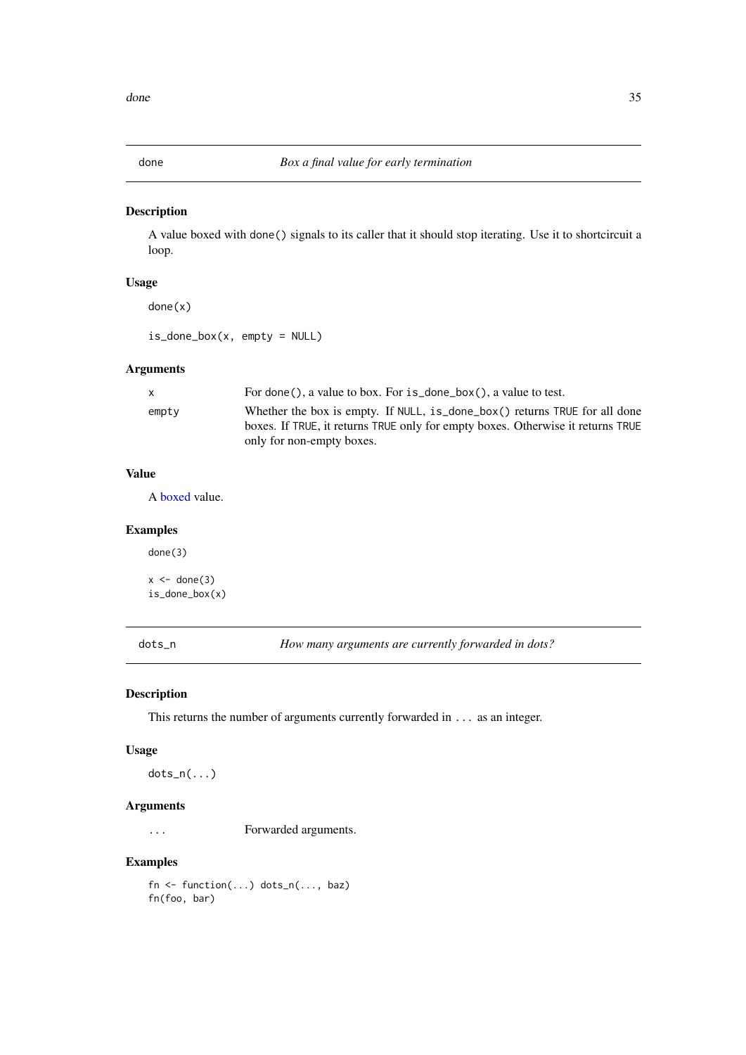<span id="page-34-0"></span>

A value boxed with done() signals to its caller that it should stop iterating. Use it to shortcircuit a loop.

### Usage

done(x)

 $is\_done\_box(x, empty = NULL)$ 

### Arguments

| X     | For done(), a value to box. For $is\_done\_box()$ , a value to test.            |
|-------|---------------------------------------------------------------------------------|
| empty | Whether the box is empty. If NULL, is done box() returns TRUE for all done      |
|       | boxes. If TRUE, it returns TRUE only for empty boxes. Otherwise it returns TRUE |
|       | only for non-empty boxes.                                                       |

### Value

A [boxed](#page-0-0) value.

### Examples

done(3)

 $x \leftarrow$  done(3) is\_done\_box(x)

dots\_n *How many arguments are currently forwarded in dots?*

#### Description

This returns the number of arguments currently forwarded in ... as an integer.

### Usage

dots\_n(...)

#### Arguments

... Forwarded arguments.

### Examples

fn  $\leq$  function(...) dots\_n(..., baz) fn(foo, bar)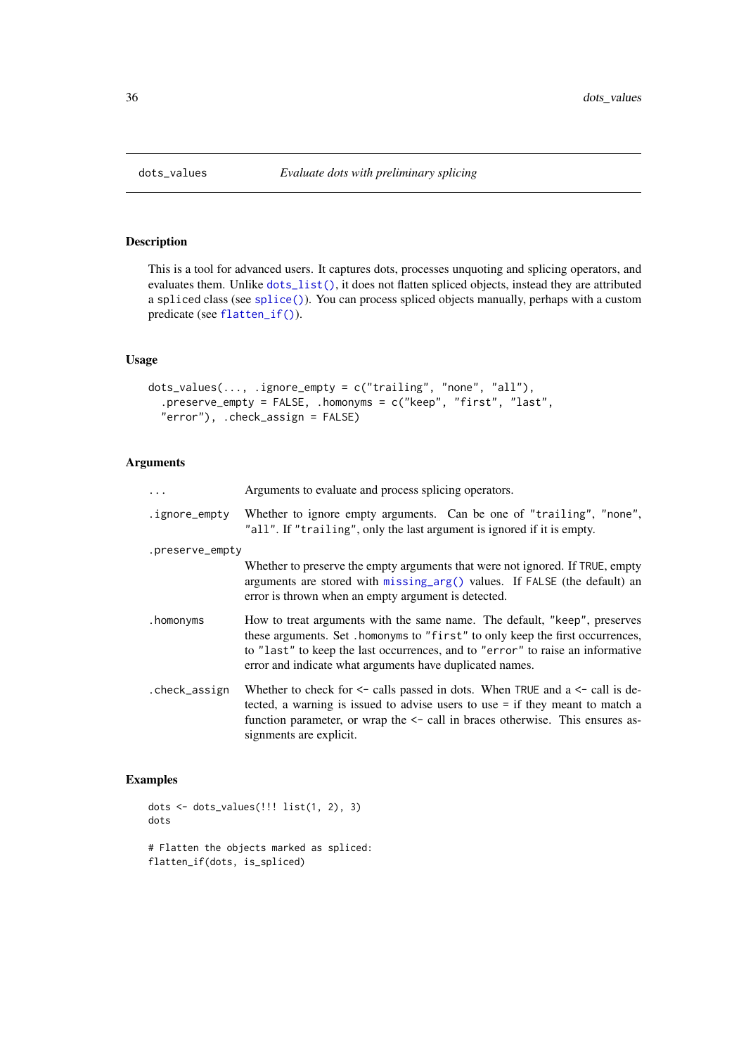This is a tool for advanced users. It captures dots, processes unquoting and splicing operators, and evaluates them. Unlike [dots\\_list\(\)](#page-121-3), it does not flatten spliced objects, instead they are attributed a spliced class (see [splice\(\)](#page-0-0)). You can process spliced objects manually, perhaps with a custom predicate (see [flatten\\_if\(\)](#page-0-0)).

### Usage

```
dots_values(..., .ignore_empty = c("trailing", "none", "all"),
  .preserve_empty = FALSE, .homonyms = c("keep", "first", "last",
  "error"), .check_assign = FALSE)
```
### Arguments

|                 | Arguments to evaluate and process splicing operators.                                                                                                                                                                                                                                                     |
|-----------------|-----------------------------------------------------------------------------------------------------------------------------------------------------------------------------------------------------------------------------------------------------------------------------------------------------------|
| .ignore_empty   | Whether to ignore empty arguments. Can be one of "trailing", "none",<br>"all". If "trailing", only the last argument is ignored if it is empty.                                                                                                                                                           |
| .preserve_empty |                                                                                                                                                                                                                                                                                                           |
|                 | Whether to preserve the empty arguments that were not ignored. If TRUE, empty<br>arguments are stored with $missing_arg()$ values. If $FALSE (the default)$ an<br>error is thrown when an empty argument is detected.                                                                                     |
| .homonyms       | How to treat arguments with the same name. The default, "keep", preserves<br>these arguments. Set . homonyms to "first" to only keep the first occurrences,<br>to "last" to keep the last occurrences, and to "error" to raise an informative<br>error and indicate what arguments have duplicated names. |
| .check_assign   | Whether to check for $\leq$ calls passed in dots. When TRUE and a $\leq$ call is de-<br>tected, a warning is issued to advise users to use $=$ if they meant to match a<br>function parameter, or wrap the $\le$ - call in braces otherwise. This ensures as-<br>signments are explicit.                  |

```
dots <- dots_values(!!! list(1, 2), 3)
dots
# Flatten the objects marked as spliced:
flatten_if(dots, is_spliced)
```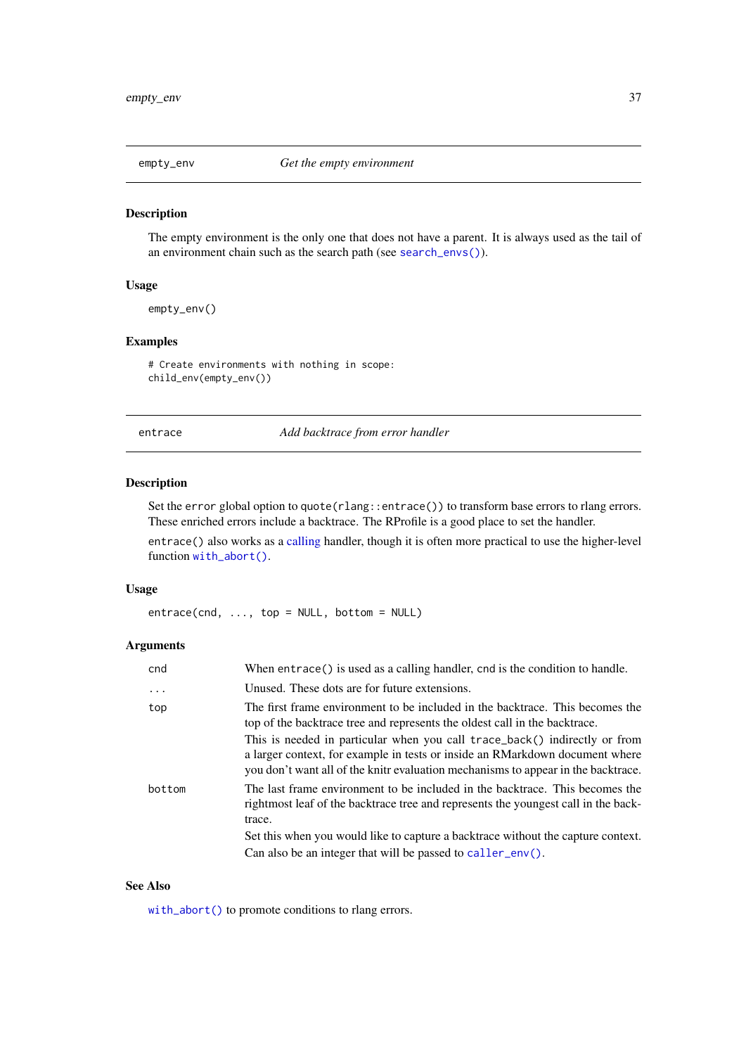<span id="page-36-0"></span>

The empty environment is the only one that does not have a parent. It is always used as the tail of an environment chain such as the search path (see [search\\_envs\(\)](#page-0-0)).

# Usage

empty\_env()

# Examples

# Create environments with nothing in scope: child\_env(empty\_env())

entrace *Add backtrace from error handler*

# Description

Set the error global option to quote(rlang::entrace()) to transform base errors to rlang errors. These enriched errors include a backtrace. The RProfile is a good place to set the handler.

entrace() also works as a [calling](#page-56-0) handler, though it is often more practical to use the higher-level function [with\\_abort\(\)](#page-128-0).

# Usage

 $entrace(cnd, ..., top = NULL, bottom = NULL)$ 

# Arguments

| cnd       | When entrace() is used as a calling handler, cnd is the condition to handle.                                                                                                                                                                    |
|-----------|-------------------------------------------------------------------------------------------------------------------------------------------------------------------------------------------------------------------------------------------------|
| $\ddotsc$ | Unused. These dots are for future extensions.                                                                                                                                                                                                   |
| top       | The first frame environment to be included in the backtrace. This becomes the<br>top of the backtrace tree and represents the oldest call in the backtrace.                                                                                     |
|           | This is needed in particular when you call trace_back() indirectly or from<br>a larger context, for example in tests or inside an RMarkdown document where<br>you don't want all of the knitr evaluation mechanisms to appear in the backtrace. |
| bottom    | The last frame environment to be included in the backtrace. This becomes the<br>rightmost leaf of the backtrace tree and represents the youngest call in the back-<br>trace.                                                                    |
|           | Set this when you would like to capture a backtrace without the capture context.                                                                                                                                                                |
|           | Can also be an integer that will be passed to caller_env().                                                                                                                                                                                     |

# See Also

[with\\_abort\(\)](#page-128-0) to promote conditions to rlang errors.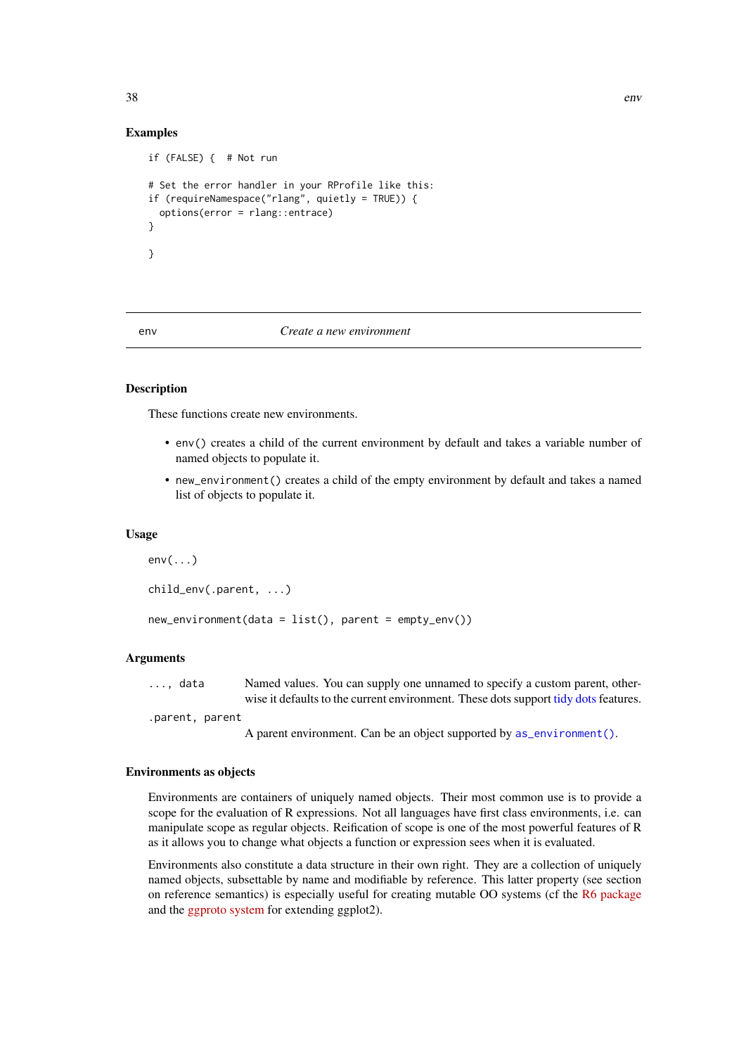# Examples

```
if (FALSE) { # Not run
# Set the error handler in your RProfile like this:
if (requireNamespace("rlang", quietly = TRUE)) {
  options(error = rlang::entrace)
}
}
```
<span id="page-37-0"></span>

#### env *Create a new environment*

# Description

These functions create new environments.

- env() creates a child of the current environment by default and takes a variable number of named objects to populate it.
- new\_environment() creates a child of the empty environment by default and takes a named list of objects to populate it.

## Usage

```
env(...)child_env(.parent, ...)
new_environment(data = list(), parent = empty_env())
```
## Arguments

..., data Named values. You can supply one unnamed to specify a custom parent, otherwise it defaults to the current environment. These dots support [tidy dots](#page-121-0) features.

.parent, parent

A parent environment. Can be an object supported by [as\\_environment\(\)](#page-11-0).

#### Environments as objects

Environments are containers of uniquely named objects. Their most common use is to provide a scope for the evaluation of R expressions. Not all languages have first class environments, i.e. can manipulate scope as regular objects. Reification of scope is one of the most powerful features of R as it allows you to change what objects a function or expression sees when it is evaluated.

Environments also constitute a data structure in their own right. They are a collection of uniquely named objects, subsettable by name and modifiable by reference. This latter property (see section on reference semantics) is especially useful for creating mutable OO systems (cf the [R6 package](https://github.com/wch/R6) and the [ggproto system](http://ggplot2.tidyverse.org/articles/extending-ggplot2.html) for extending ggplot2).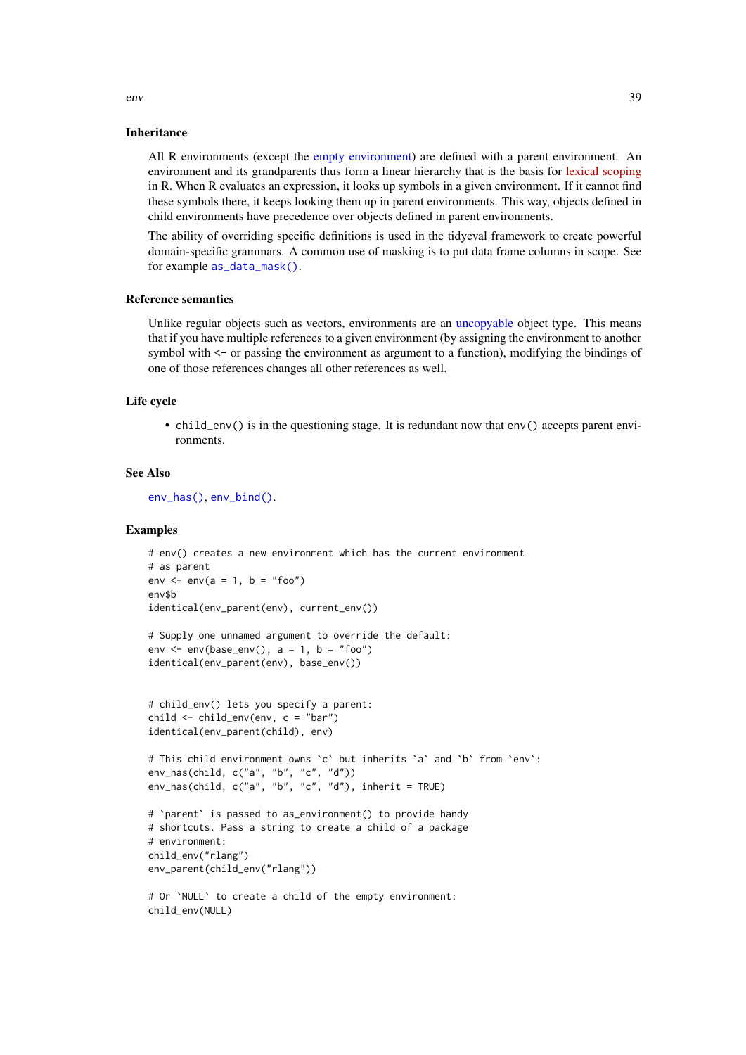#### Inheritance

All R environments (except the [empty environment\)](#page-36-0) are defined with a parent environment. An environment and its grandparents thus form a linear hierarchy that is the basis for [lexical scoping](https://en.wikipedia.org/wiki/Scope_(computer_science)) in R. When R evaluates an expression, it looks up symbols in a given environment. If it cannot find these symbols there, it keeps looking them up in parent environments. This way, objects defined in child environments have precedence over objects defined in parent environments.

The ability of overriding specific definitions is used in the tidyeval framework to create powerful domain-specific grammars. A common use of masking is to put data frame columns in scope. See for example [as\\_data\\_mask\(\)](#page-8-0).

# Reference semantics

Unlike regular objects such as vectors, environments are an [uncopyable](#page-71-0) object type. This means that if you have multiple references to a given environment (by assigning the environment to another symbol with <- or passing the environment as argument to a function), modifying the bindings of one of those references changes all other references as well.

## Life cycle

• child\_env() is in the questioning stage. It is redundant now that env() accepts parent environments.

## See Also

[env\\_has\(\)](#page-45-0), [env\\_bind\(\)](#page-39-0).

#### Examples

```
# env() creates a new environment which has the current environment
# as parent
env \leq env(a = 1, b = "foo")
env$b
identical(env_parent(env), current_env())
```

```
# Supply one unnamed argument to override the default:
env <- env(base\_env(), a = 1, b = "foo")identical(env_parent(env), base_env())
```

```
# child_env() lets you specify a parent:
child <- child_env(env, c = "bar")
identical(env_parent(child), env)
# This child environment owns `c` but inherits `a` and `b` from `env`:
env_has(child, c("a", "b", "c", "d"))
env_has(child, c("a", "b", "c", "d"), inherit = TRUE)
```

```
# 'parent' is passed to as_environment() to provide handy
# shortcuts. Pass a string to create a child of a package
# environment:
child_env("rlang")
env_parent(child_env("rlang"))
```

```
# Or `NULL` to create a child of the empty environment:
child_env(NULL)
```
env 39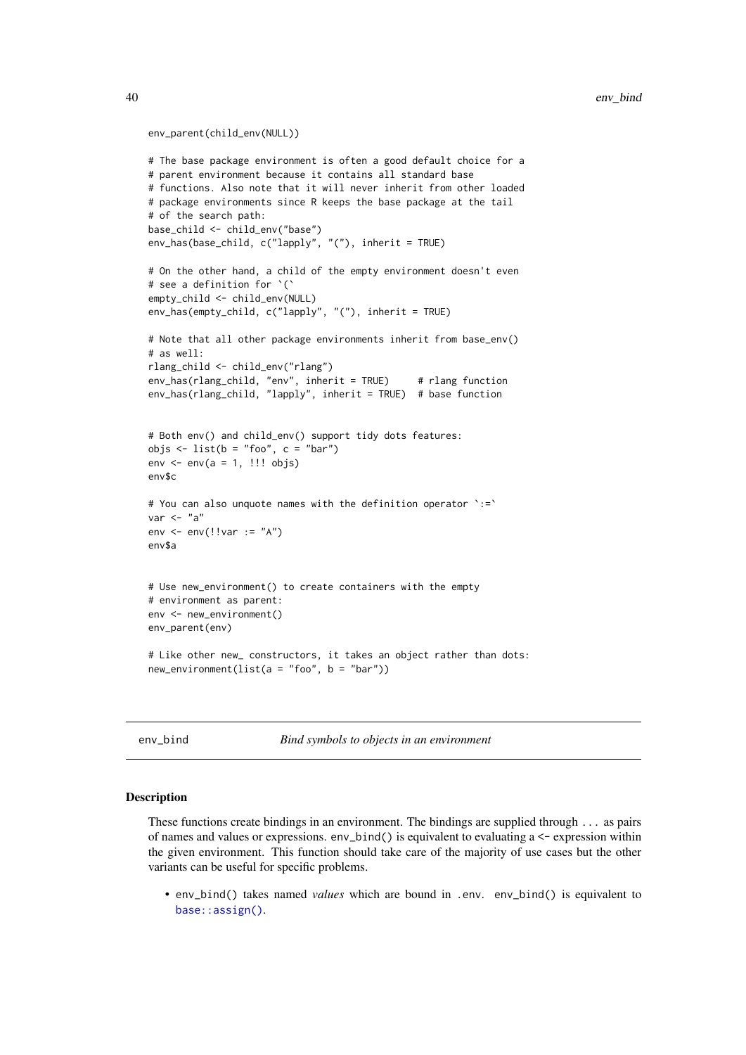## env\_parent(child\_env(NULL))

```
# The base package environment is often a good default choice for a
# parent environment because it contains all standard base
# functions. Also note that it will never inherit from other loaded
# package environments since R keeps the base package at the tail
# of the search path:
base_child <- child_env("base")
env_has(base_child, c("lapply", "("), inherit = TRUE)
# On the other hand, a child of the empty environment doesn't even
# see a definition for `(`
empty_child <- child_env(NULL)
env_has(empty_child, c("lapply", "("), inherit = TRUE)
# Note that all other package environments inherit from base_env()
# as well:
rlang_child <- child_env("rlang")
env_has(rlang_child, "env", inherit = TRUE) # rlang function
env_has(rlang_child, "lapply", inherit = TRUE) # base function
# Both env() and child_env() support tidy dots features:
objs \le list(b = "foo", c = "bar")
env \leq env(a = 1, !!! objs)
env$c
# You can also unquote names with the definition operator `:=`
var <- "a"
env \leq env(!!var := "A")
env$a
# Use new_environment() to create containers with the empty
# environment as parent:
env <- new_environment()
env_parent(env)
# Like other new_ constructors, it takes an object rather than dots:
new_environment(list(a = "foo", b = "bar"))
```
<span id="page-39-0"></span>env\_bind *Bind symbols to objects in an environment*

#### <span id="page-39-1"></span>Description

These functions create bindings in an environment. The bindings are supplied through ... as pairs of names and values or expressions. env\_bind() is equivalent to evaluating a <- expression within the given environment. This function should take care of the majority of use cases but the other variants can be useful for specific problems.

• env\_bind() takes named *values* which are bound in .env. env\_bind() is equivalent to [base::assign\(\)](#page-0-0).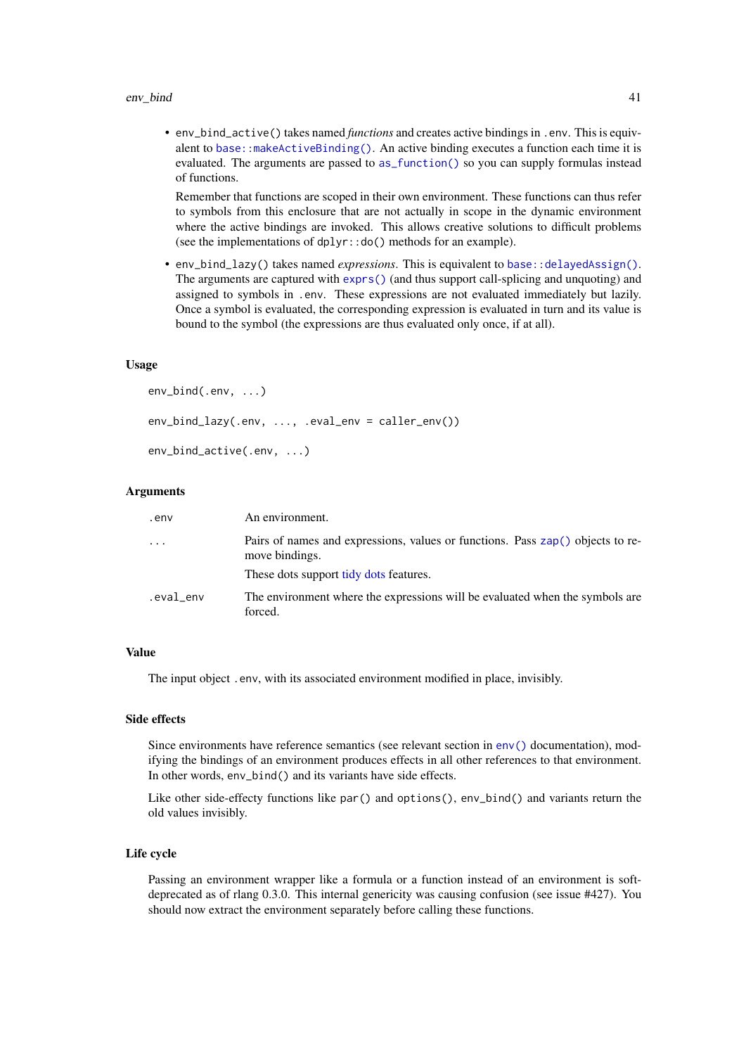• env\_bind\_active() takes named *functions* and creates active bindings in .env. This is equivalent to [base::makeActiveBinding\(\)](#page-0-0). An active binding executes a function each time it is evaluated. The arguments are passed to [as\\_function\(\)](#page-12-0) so you can supply formulas instead of functions.

Remember that functions are scoped in their own environment. These functions can thus refer to symbols from this enclosure that are not actually in scope in the dynamic environment where the active bindings are invoked. This allows creative solutions to difficult problems (see the implementations of dplyr::do() methods for an example).

• env\_bind\_lazy() takes named *expressions*. This is equivalent to [base::delayedAssign\(\)](#page-0-0). The arguments are captured with [exprs\(\)](#page-103-0) (and thus support call-splicing and unquoting) and assigned to symbols in .env. These expressions are not evaluated immediately but lazily. Once a symbol is evaluated, the corresponding expression is evaluated in turn and its value is bound to the symbol (the expressions are thus evaluated only once, if at all).

#### Usage

```
env_bind(.env, ...)
env_bind_lazy(.env, ..., .eval_env = caller_env())
env_bind_active(.env, ...)
```
## Arguments

| .env       | An environment.                                                                                  |
|------------|--------------------------------------------------------------------------------------------------|
| $\ddots$ . | Pairs of names and expressions, values or functions. Pass zap() objects to re-<br>move bindings. |
|            | These dots support tidy dots features.                                                           |
| .eval_env  | The environment where the expressions will be evaluated when the symbols are<br>forced.          |

# Value

The input object .env, with its associated environment modified in place, invisibly.

## Side effects

Since environments have reference semantics (see relevant section in  $env()$  documentation), modifying the bindings of an environment produces effects in all other references to that environment. In other words, env\_bind() and its variants have side effects.

Like other side-effecty functions like par() and options(), env\_bind() and variants return the old values invisibly.

#### Life cycle

Passing an environment wrapper like a formula or a function instead of an environment is softdeprecated as of rlang 0.3.0. This internal genericity was causing confusion (see issue #427). You should now extract the environment separately before calling these functions.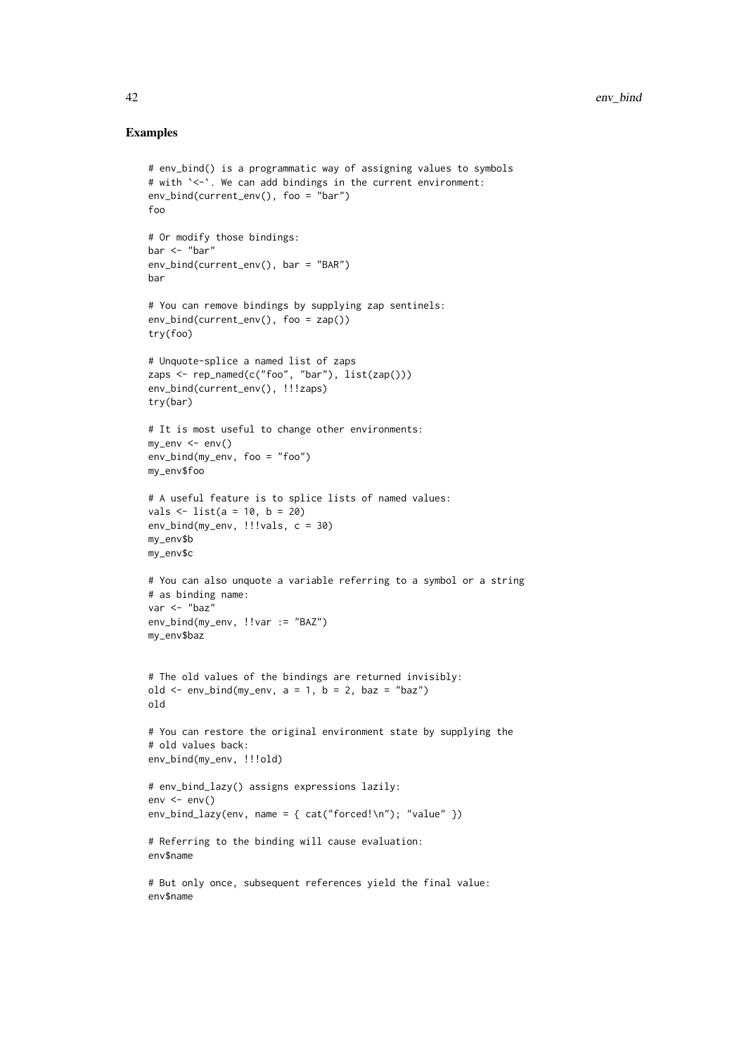```
# env_bind() is a programmatic way of assigning values to symbols
# with `<-`. We can add bindings in the current environment:
env_bind(current_env(), foo = "bar")
foo
# Or modify those bindings:
bar <- "bar"
env_bind(current_env(), bar = "BAR")
bar
# You can remove bindings by supplying zap sentinels:
env_bind(current_env(), foo = zap())
try(foo)
# Unquote-splice a named list of zaps
zaps <- rep_named(c("foo", "bar"), list(zap()))
env_bind(current_env(), !!!zaps)
try(bar)
# It is most useful to change other environments:
my_env <- env()
env_bind(my_env, foo = "foo")
my_env$foo
# A useful feature is to splice lists of named values:
vals <- list(a = 10, b = 20)
env_bind(my_env, !!!vals, c = 30)
my_env$b
my_env$c
# You can also unquote a variable referring to a symbol or a string
# as binding name:
var <- "baz"
env_bind(my_env, !!var := "BAZ")
my_env$baz
# The old values of the bindings are returned invisibly:
old \le env_bind(my_env, a = 1, b = 2, baz = "baz")
old
# You can restore the original environment state by supplying the
# old values back:
env_bind(my_env, !!!old)
# env_bind_lazy() assigns expressions lazily:
env \le env()env_bind_lazy(env, name = { cat("forced!\n''); "value" })
# Referring to the binding will cause evaluation:
env$name
# But only once, subsequent references yield the final value:
env$name
```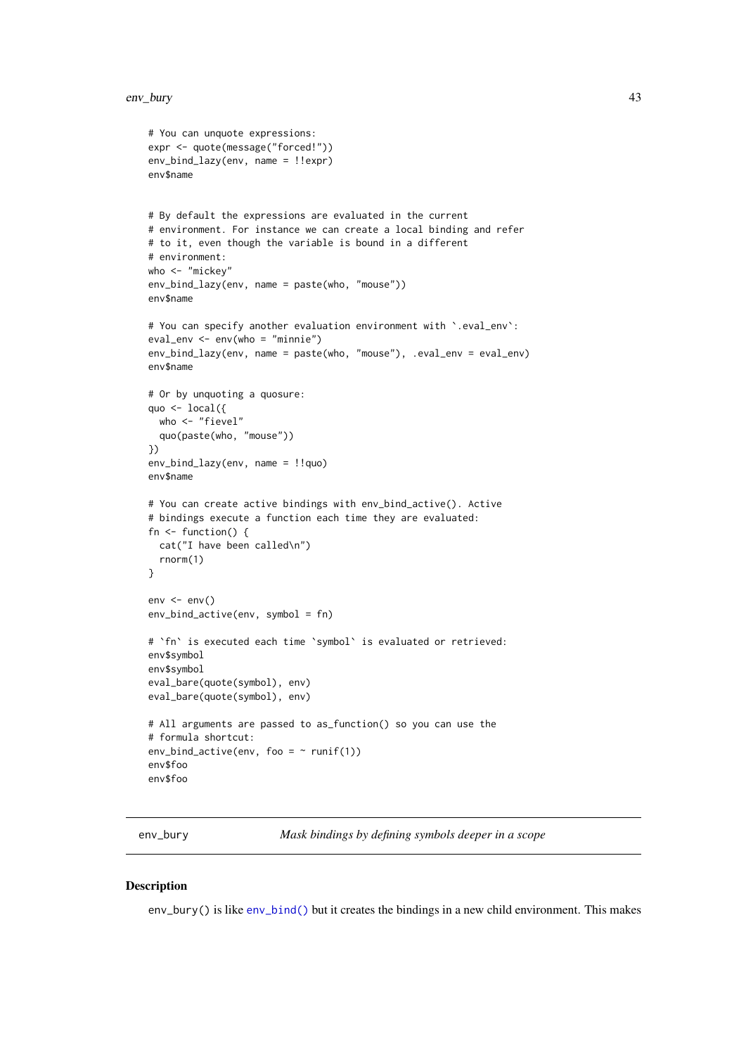```
# You can unquote expressions:
expr <- quote(message("forced!"))
env_bind_lazy(env, name = !!expr)
env$name
# By default the expressions are evaluated in the current
# environment. For instance we can create a local binding and refer
# to it, even though the variable is bound in a different
# environment:
who <- "mickey"
env_bind_lazy(env, name = paste(who, "mouse"))
env$name
# You can specify another evaluation environment with `.eval_env`:
eval_env <- env(who = "minnie")
env_bind_lazy(env, name = paste(who, "mouse"), .eval_env = eval_env)
env$name
# Or by unquoting a quosure:
quo <- local({
  who <- "fievel"
  quo(paste(who, "mouse"))
})
env_bind_lazy(env, name = !!quo)
env$name
# You can create active bindings with env_bind_active(). Active
# bindings execute a function each time they are evaluated:
fn \leq function() {
 cat("I have been called\n")
  rnorm(1)
}
env \le env()env_bind_active(env, symbol = fn)
# `fn` is executed each time `symbol` is evaluated or retrieved:
env$symbol
env$symbol
eval_bare(quote(symbol), env)
eval_bare(quote(symbol), env)
# All arguments are passed to as_function() so you can use the
# formula shortcut:
env_bind_active(env, foo = \sim runif(1))
env$foo
env$foo
```
env\_bury *Mask bindings by defining symbols deeper in a scope*

# Description

env\_bury() is like [env\\_bind\(\)](#page-39-0) but it creates the bindings in a new child environment. This makes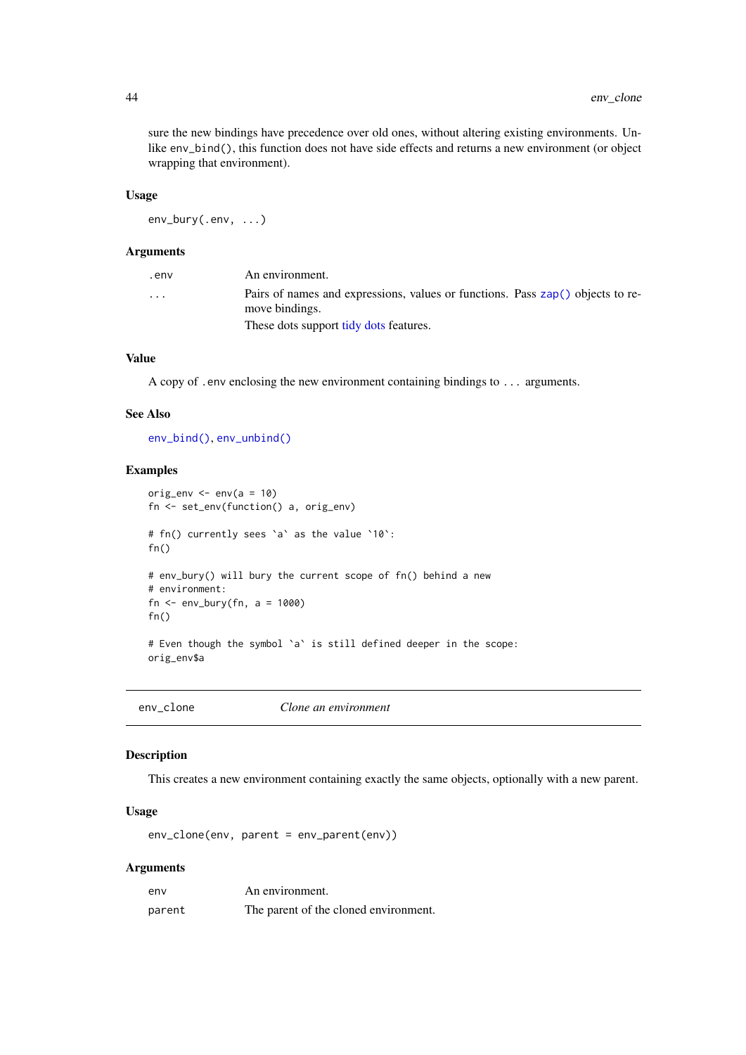sure the new bindings have precedence over old ones, without altering existing environments. Unlike env\_bind(), this function does not have side effects and returns a new environment (or object wrapping that environment).

## Usage

env\_bury(.env, ...)

## Arguments

| .env     | An environment.                                                                                  |
|----------|--------------------------------------------------------------------------------------------------|
| $\cdots$ | Pairs of names and expressions, values or functions. Pass zap() objects to re-<br>move bindings. |
|          | These dots support tidy dots features.                                                           |

## Value

A copy of .env enclosing the new environment containing bindings to ... arguments.

#### See Also

[env\\_bind\(\)](#page-39-0), [env\\_unbind\(\)](#page-50-0)

## Examples

```
orig_env \leq env(a = 10)
fn <- set_env(function() a, orig_env)
# fn() currently sees `a` as the value `10`:
fn()
# env_bury() will bury the current scope of fn() behind a new
# environment:
fn \leq env_bury(fn, a = 1000)
fn()
# Even though the symbol `a` is still defined deeper in the scope:
orig_env$a
```

| env clone | Clone an environment |
|-----------|----------------------|
|-----------|----------------------|

#### Description

This creates a new environment containing exactly the same objects, optionally with a new parent.

# Usage

env\_clone(env, parent = env\_parent(env))

#### Arguments

| env    | An environment.                       |
|--------|---------------------------------------|
| parent | The parent of the cloned environment. |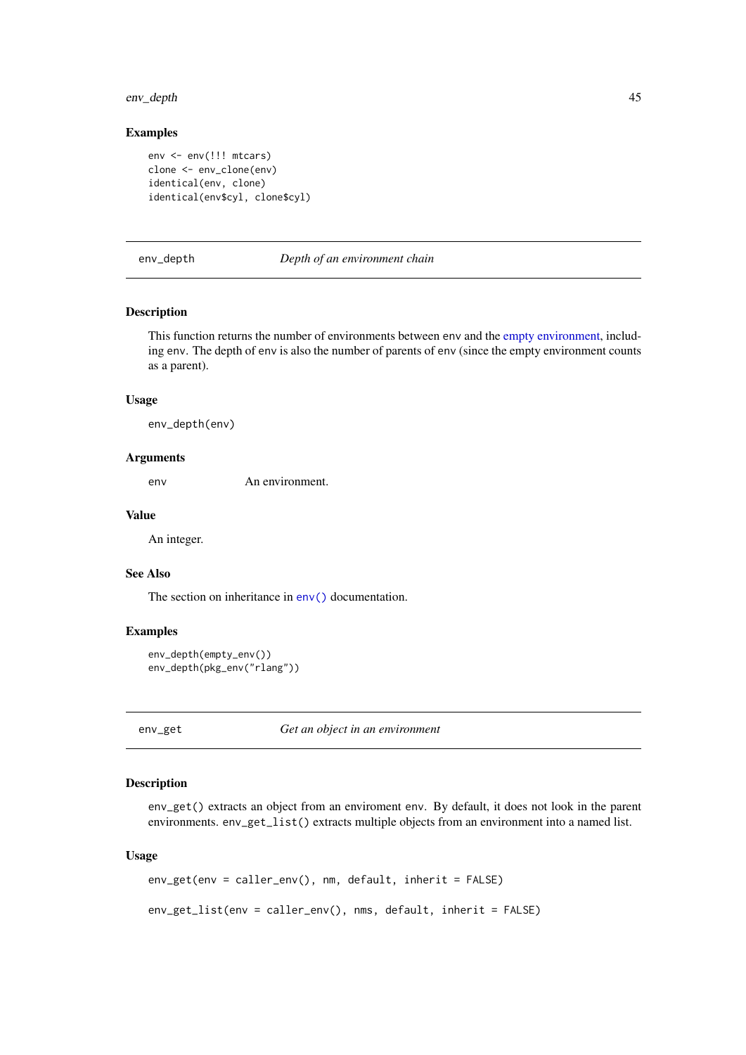## env\_depth 45

# Examples

```
env <- env(!!! mtcars)
clone <- env_clone(env)
identical(env, clone)
identical(env$cyl, clone$cyl)
```
env\_depth *Depth of an environment chain*

## Description

This function returns the number of environments between env and the [empty environment,](#page-36-0) including env. The depth of env is also the number of parents of env (since the empty environment counts as a parent).

## Usage

env\_depth(env)

# Arguments

env An environment.

# Value

An integer.

## See Also

The section on inheritance in [env\(\)](#page-37-0) documentation.

# Examples

```
env_depth(empty_env())
env_depth(pkg_env("rlang"))
```
env\_get *Get an object in an environment*

## Description

env\_get() extracts an object from an enviroment env. By default, it does not look in the parent environments. env\_get\_list() extracts multiple objects from an environment into a named list.

# Usage

```
env_get(env = caller_env(), nm, default, inherit = FALSE)
env_get_list(env = caller_env(), nms, default, inherit = FALSE)
```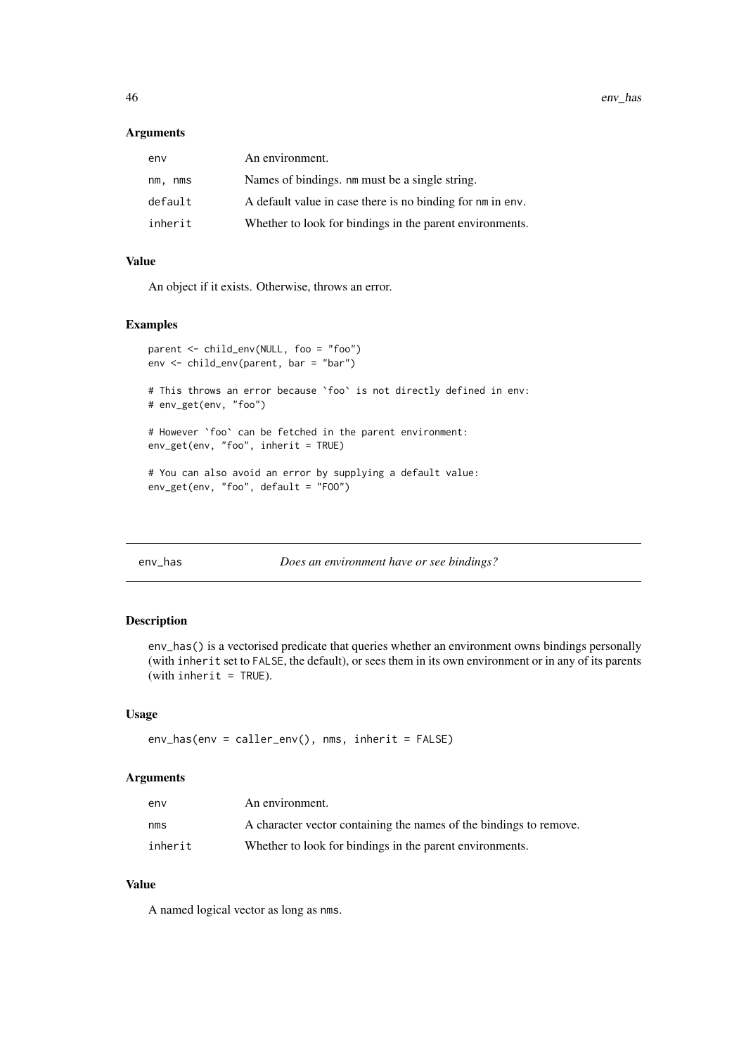46 env\_has env\_has env\_has env\_has env\_has env\_has env\_has env\_has env\_has env\_has env\_has env\_has env\_has env\_has env\_has env\_has env\_has env\_has env\_has env\_has env\_has env\_has env\_has env\_has env\_has env\_has env\_has env

# Arguments

| env        | An environment.                                            |
|------------|------------------------------------------------------------|
| nm.<br>nms | Names of bindings. nm must be a single string.             |
| default    | A default value in case there is no binding for nm in env. |
| inherit    | Whether to look for bindings in the parent environments.   |

# Value

An object if it exists. Otherwise, throws an error.

## Examples

```
parent <- child_env(NULL, foo = "foo")
env <- child_env(parent, bar = "bar")
# This throws an error because `foo` is not directly defined in env:
# env_get(env, "foo")
# However `foo` can be fetched in the parent environment:
env_get(env, "foo", inherit = TRUE)
# You can also avoid an error by supplying a default value:
env_get(env, "foo", default = "FOO")
```
<span id="page-45-0"></span>env\_has *Does an environment have or see bindings?*

# Description

env\_has() is a vectorised predicate that queries whether an environment owns bindings personally (with inherit set to FALSE, the default), or sees them in its own environment or in any of its parents (with inherit =  $TRUE$ ).

## Usage

```
env_has(env = caller_env(), nms, inherit = FALSE)
```
## Arguments

| env     | An environment.                                                    |
|---------|--------------------------------------------------------------------|
| nms     | A character vector containing the names of the bindings to remove. |
| inherit | Whether to look for bindings in the parent environments.           |

# Value

A named logical vector as long as nms.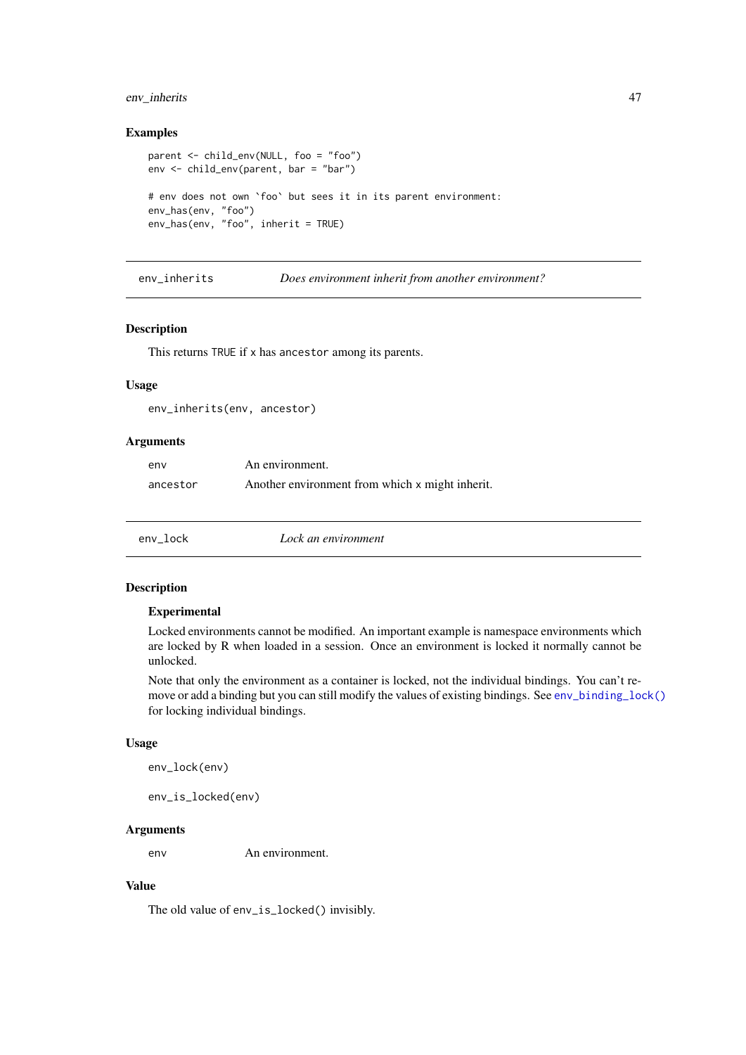## env\_inherits 47

## Examples

```
parent <- child_env(NULL, foo = "foo")
env <- child_env(parent, bar = "bar")
# env does not own `foo` but sees it in its parent environment:
env_has(env, "foo")
env_has(env, "foo", inherit = TRUE)
```
env\_inherits *Does environment inherit from another environment?*

# Description

This returns TRUE if x has ancestor among its parents.

# Usage

env\_inherits(env, ancestor)

#### Arguments

| env      | An environment.                                 |
|----------|-------------------------------------------------|
| ancestor | Another environment from which x might inherit. |

<span id="page-46-0"></span>

| env_lock | Lock an environment |  |
|----------|---------------------|--|
|          |                     |  |

# Description

#### Experimental

Locked environments cannot be modified. An important example is namespace environments which are locked by R when loaded in a session. Once an environment is locked it normally cannot be unlocked.

Note that only the environment as a container is locked, not the individual bindings. You can't remove or add a binding but you can still modify the values of existing bindings. See [env\\_binding\\_lock\(\)](#page-0-0) for locking individual bindings.

# Usage

```
env_lock(env)
```
env\_is\_locked(env)

# Arguments

env An environment.

# Value

The old value of env\_is\_locked() invisibly.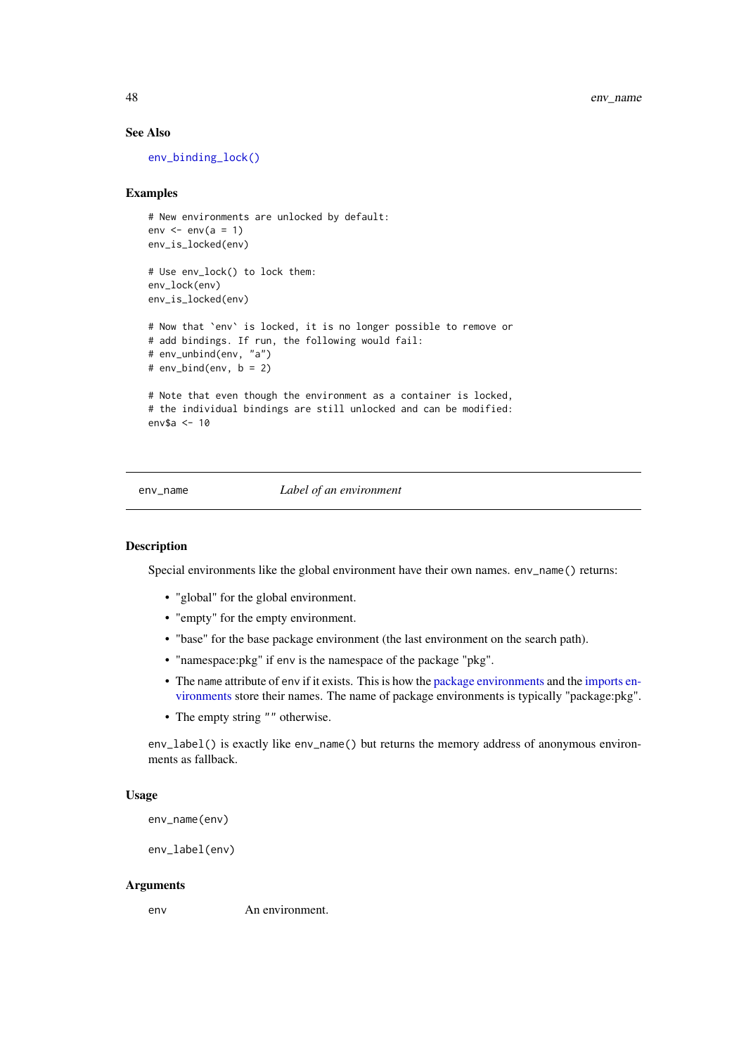# See Also

[env\\_binding\\_lock\(\)](#page-0-0)

## Examples

```
# New environments are unlocked by default:
env \leq -env(a = 1)env_is_locked(env)
# Use env_lock() to lock them:
env_lock(env)
env_is_locked(env)
# Now that `env` is locked, it is no longer possible to remove or
# add bindings. If run, the following would fail:
# env_unbind(env, "a")
# env_bind(env, b = 2)
# Note that even though the environment as a container is locked,
# the individual bindings are still unlocked and can be modified:
env$a <- 10
```
## <span id="page-47-0"></span>env\_name *Label of an environment*

# <span id="page-47-1"></span>Description

Special environments like the global environment have their own names. env\_name() returns:

- "global" for the global environment.
- "empty" for the empty environment.
- "base" for the base package environment (the last environment on the search path).
- "namespace:pkg" if env is the namespace of the package "pkg".
- The name attribute of env if it exists. This is how the [package environments](#page-0-0) and the [imports en](#page-0-0)[vironments](#page-0-0) store their names. The name of package environments is typically "package:pkg".
- The empty string "" otherwise.

env\_label() is exactly like env\_name() but returns the memory address of anonymous environments as fallback.

# Usage

```
env_name(env)
```
env\_label(env)

## Arguments

env An environment.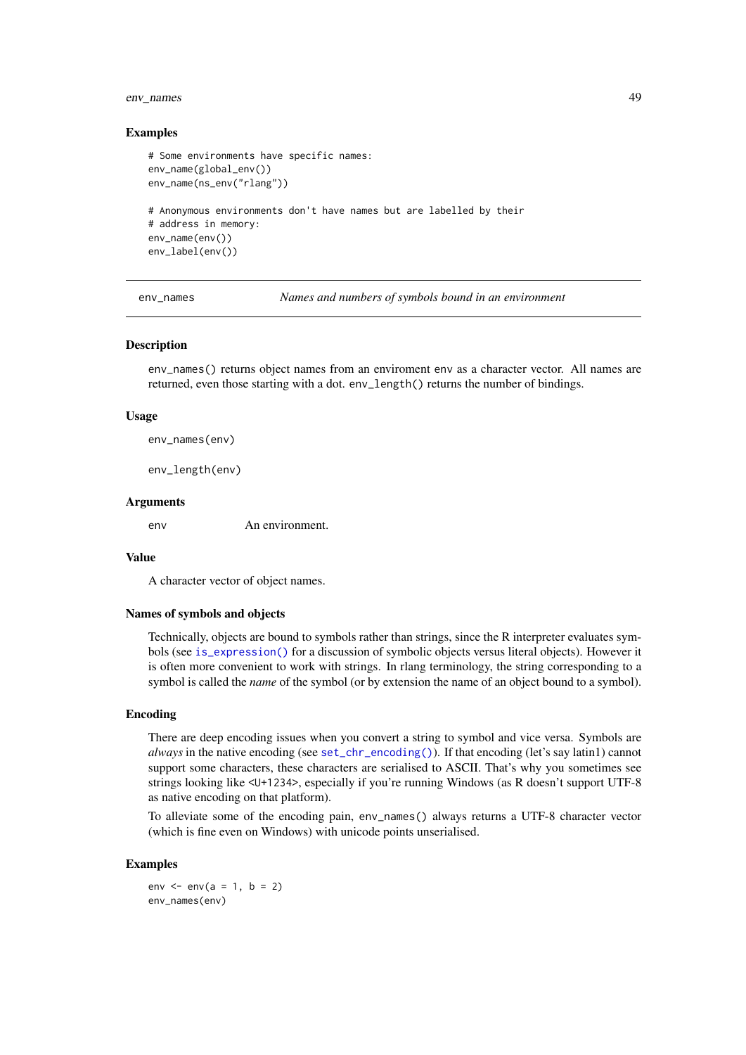## env\_names 49

## Examples

```
# Some environments have specific names:
env_name(global_env())
env_name(ns_env("rlang"))
# Anonymous environments don't have names but are labelled by their
# address in memory:
env_name(env())
env_label(env())
```
env\_names *Names and numbers of symbols bound in an environment*

#### Description

env\_names() returns object names from an enviroment env as a character vector. All names are returned, even those starting with a dot. env\_length() returns the number of bindings.

## Usage

env\_names(env)

env\_length(env)

## Arguments

env An environment.

# Value

A character vector of object names.

## Names of symbols and objects

Technically, objects are bound to symbols rather than strings, since the R interpreter evaluates symbols (see [is\\_expression\(\)](#page-73-0) for a discussion of symbolic objects versus literal objects). However it is often more convenient to work with strings. In rlang terminology, the string corresponding to a symbol is called the *name* of the symbol (or by extension the name of an object bound to a symbol).

# Encoding

There are deep encoding issues when you convert a string to symbol and vice versa. Symbols are *always* in the native encoding (see [set\\_chr\\_encoding\(\)](#page-0-0)). If that encoding (let's say latin1) cannot support some characters, these characters are serialised to ASCII. That's why you sometimes see strings looking like <U+1234>, especially if you're running Windows (as R doesn't support UTF-8 as native encoding on that platform).

To alleviate some of the encoding pain, env\_names() always returns a UTF-8 character vector (which is fine even on Windows) with unicode points unserialised.

#### Examples

env  $\le -$  env(a = 1, b = 2) env\_names(env)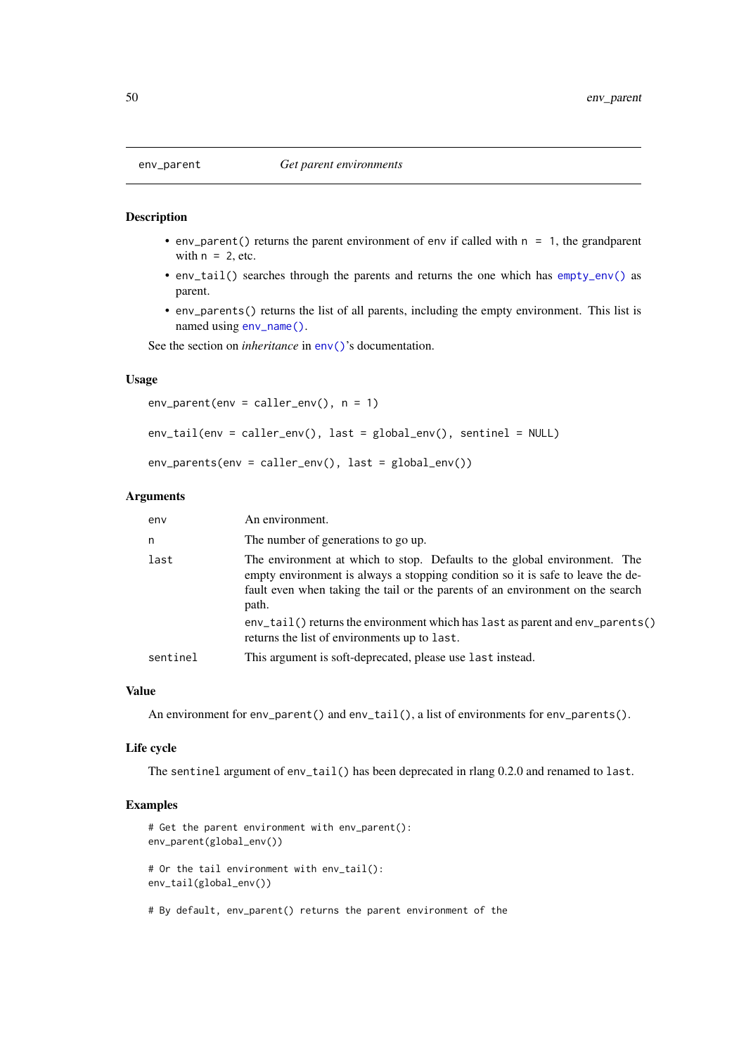- env\_parent() returns the parent environment of env if called with  $n = 1$ , the grandparent with  $n = 2$ , etc.
- env\_tail() searches through the parents and returns the one which has [empty\\_env\(\)](#page-36-0) as parent.
- env\_parents() returns the list of all parents, including the empty environment. This list is named using [env\\_name\(\)](#page-47-0).

See the section on *inheritance* in [env\(\)](#page-37-0)'s documentation.

# Usage

```
env_parent(env = caller_env(), n = 1)
```

```
env_tail(env = caller_env(), last = global_env(), sentinel = NULL)
```

```
env\_parents (env = caller_env(), last = global_env())
```
#### Arguments

| env      | An environment.                                                                                                                                                                                                                                         |
|----------|---------------------------------------------------------------------------------------------------------------------------------------------------------------------------------------------------------------------------------------------------------|
| n        | The number of generations to go up.                                                                                                                                                                                                                     |
| last     | The environment at which to stop. Defaults to the global environment. The<br>empty environment is always a stopping condition so it is safe to leave the de-<br>fault even when taking the tail or the parents of an environment on the search<br>path. |
|          | $env\_tail()$ returns the environment which has last as parent and $env\_parents()$<br>returns the list of environments up to last.                                                                                                                     |
| sentinel | This argument is soft-deprecated, please use last instead.                                                                                                                                                                                              |

# Value

An environment for env\_parent() and env\_tail(), a list of environments for env\_parents().

#### Life cycle

The sentinel argument of env\_tail() has been deprecated in rlang 0.2.0 and renamed to last.

```
# Get the parent environment with env_parent():
env_parent(global_env())
# Or the tail environment with env_tail():
env_tail(global_env())
```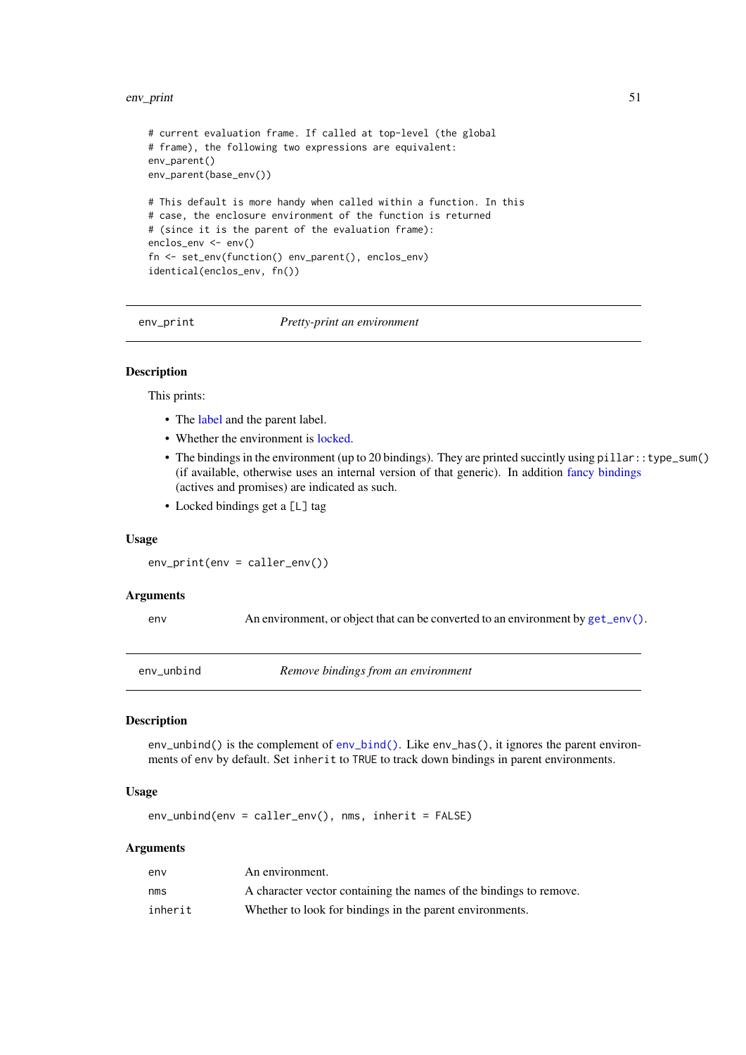## env<sub>-</sub>print 51

```
# current evaluation frame. If called at top-level (the global
# frame), the following two expressions are equivalent:
env_parent()
env_parent(base_env())
# This default is more handy when called within a function. In this
# case, the enclosure environment of the function is returned
# (since it is the parent of the evaluation frame):
enclos_env <- env()
fn <- set_env(function() env_parent(), enclos_env)
identical(enclos_env, fn())
```
env\_print *Pretty-print an environment*

## Description

This prints:

- The [label](#page-47-1) and the parent label.
- Whether the environment is [locked.](#page-46-0)
- The bindings in the environment (up to 20 bindings). They are printed succintly using pillar::type\_sum() (if available, otherwise uses an internal version of that generic). In addition [fancy bindings](#page-39-1) (actives and promises) are indicated as such.
- Locked bindings get a [L] tag

## Usage

env\_print(env = caller\_env())

# Arguments

env An environment, or object that can be converted to an environment by [get\\_env\(\)](#page-65-0).

<span id="page-50-0"></span>env\_unbind *Remove bindings from an environment*

# Description

env\_unbind() is the complement of [env\\_bind\(\)](#page-39-0). Like env\_has(), it ignores the parent environments of env by default. Set inherit to TRUE to track down bindings in parent environments.

# Usage

env\_unbind(env = caller\_env(), nms, inherit = FALSE)

# Arguments

| env     | An environment.                                                    |
|---------|--------------------------------------------------------------------|
| nms     | A character vector containing the names of the bindings to remove. |
| inherit | Whether to look for bindings in the parent environments.           |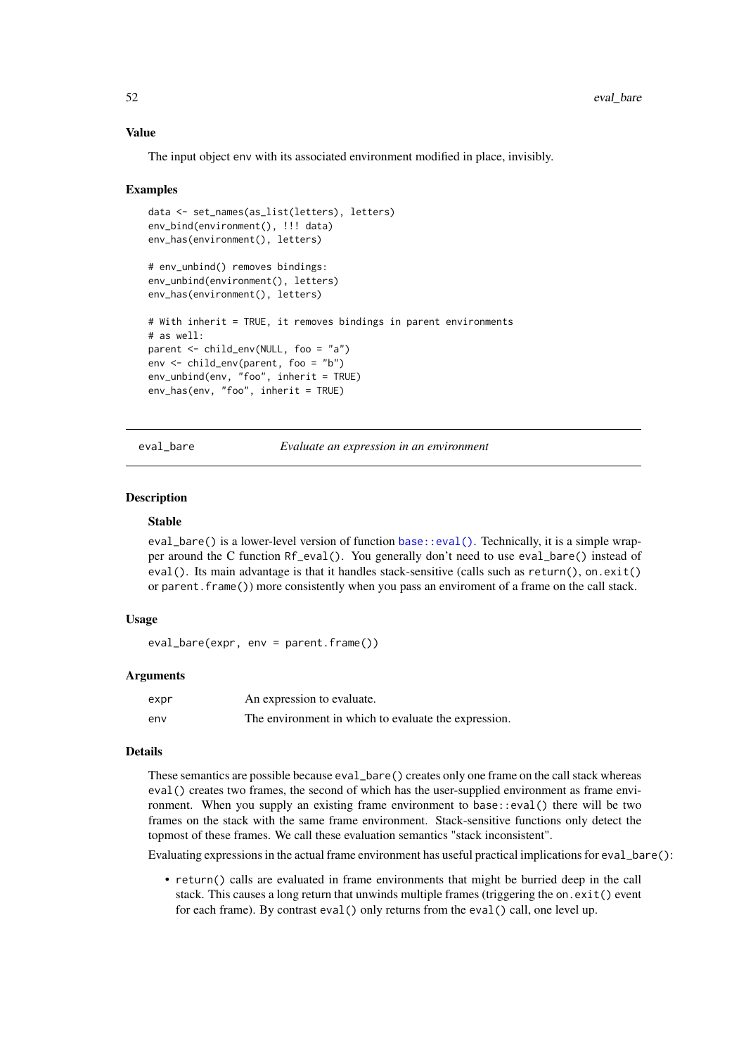## Value

The input object env with its associated environment modified in place, invisibly.

## Examples

```
data <- set_names(as_list(letters), letters)
env_bind(environment(), !!! data)
env_has(environment(), letters)
# env_unbind() removes bindings:
env_unbind(environment(), letters)
env_has(environment(), letters)
# With inherit = TRUE, it removes bindings in parent environments
# as well:
parent <- child_env(NULL, foo = "a")
env <- child_env(parent, foo = "b")
env_unbind(env, "foo", inherit = TRUE)
env_has(env, "foo", inherit = TRUE)
```
eval\_bare *Evaluate an expression in an environment*

## Description

## Stable

eval\_bare() is a lower-level version of function [base::eval\(\)](#page-0-0). Technically, it is a simple wrapper around the C function Rf\_eval(). You generally don't need to use eval\_bare() instead of eval(). Its main advantage is that it handles stack-sensitive (calls such as return(), on.exit() or parent.frame()) more consistently when you pass an enviroment of a frame on the call stack.

# Usage

```
eval_bare(expr, env = parent.frame())
```
#### Arguments

| expr | An expression to evaluate.                           |
|------|------------------------------------------------------|
| env  | The environment in which to evaluate the expression. |

#### Details

These semantics are possible because eval\_bare() creates only one frame on the call stack whereas eval() creates two frames, the second of which has the user-supplied environment as frame environment. When you supply an existing frame environment to base::eval() there will be two frames on the stack with the same frame environment. Stack-sensitive functions only detect the topmost of these frames. We call these evaluation semantics "stack inconsistent".

Evaluating expressions in the actual frame environment has useful practical implications for eval\_bare():

• return() calls are evaluated in frame environments that might be burried deep in the call stack. This causes a long return that unwinds multiple frames (triggering the on.exit() event for each frame). By contrast eval() only returns from the eval() call, one level up.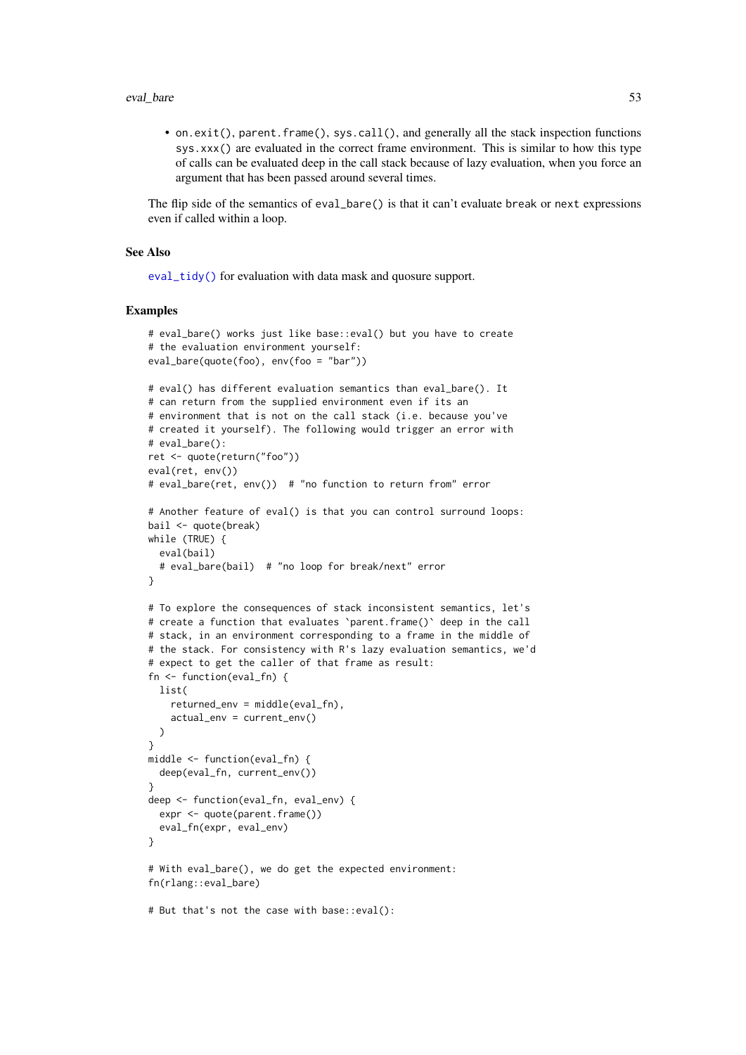#### eval\_bare 53

• on.exit(), parent.frame(), sys.call(), and generally all the stack inspection functions sys.xxx() are evaluated in the correct frame environment. This is similar to how this type of calls can be evaluated deep in the call stack because of lazy evaluation, when you force an argument that has been passed around several times.

The flip side of the semantics of eval\_bare() is that it can't evaluate break or next expressions even if called within a loop.

## See Also

[eval\\_tidy\(\)](#page-53-0) for evaluation with data mask and quosure support.

```
# eval_bare() works just like base::eval() but you have to create
# the evaluation environment yourself:
eval_bare(quote(foo), env(foo = "bar"))
# eval() has different evaluation semantics than eval_bare(). It
# can return from the supplied environment even if its an
# environment that is not on the call stack (i.e. because you've
# created it yourself). The following would trigger an error with
# eval_bare():
ret <- quote(return("foo"))
eval(ret, env())
# eval_bare(ret, env()) # "no function to return from" error
# Another feature of eval() is that you can control surround loops:
bail <- quote(break)
while (TRUE) {
  eval(bail)
  # eval_bare(bail) # "no loop for break/next" error
}
# To explore the consequences of stack inconsistent semantics, let's
# create a function that evaluates 'parent.frame()' deep in the call
# stack, in an environment corresponding to a frame in the middle of
# the stack. For consistency with R's lazy evaluation semantics, we'd
# expect to get the caller of that frame as result:
fn <- function(eval_fn) {
 list(
    returned env = middle(eval fn).
    actual_env = current_env()
  )
}
middle <- function(eval_fn) {
 deep(eval_fn, current_env())
}
deep <- function(eval_fn, eval_env) {
  expr <- quote(parent.frame())
  eval_fn(expr, eval_env)
}
# With eval_bare(), we do get the expected environment:
fn(rlang::eval_bare)
# But that's not the case with base::eval():
```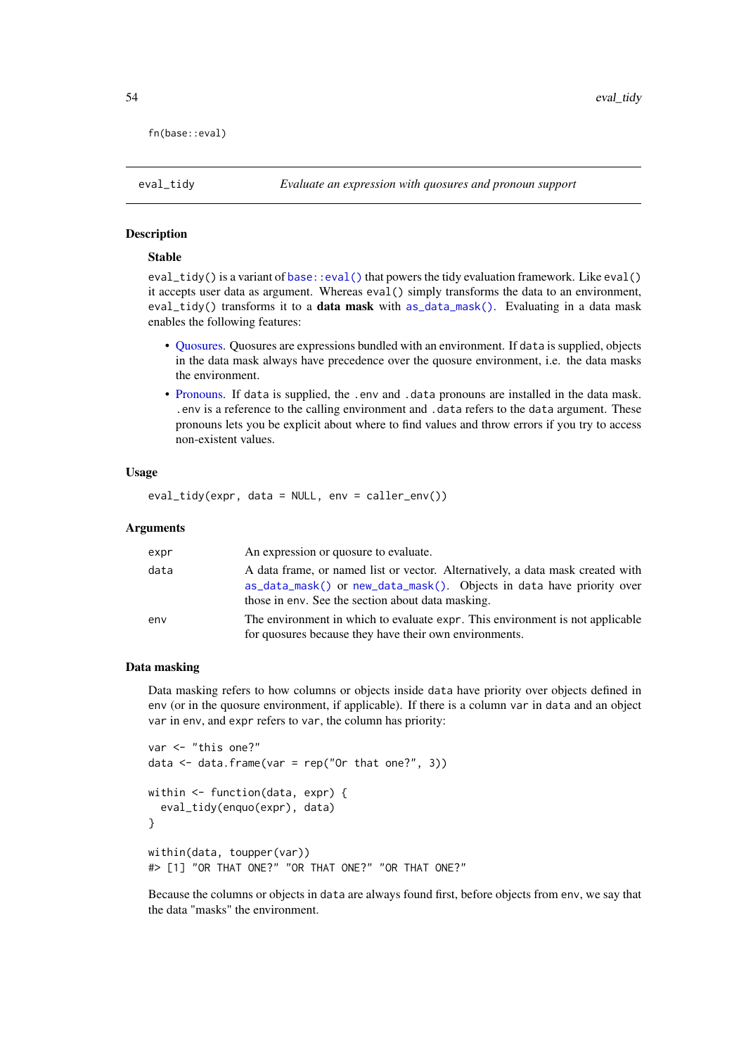fn(base::eval)

<span id="page-53-0"></span>eval\_tidy *Evaluate an expression with quosures and pronoun support*

# Description

# Stable

eval\_tidy() is a variant of [base::eval\(\)](#page-0-0) that powers the tidy evaluation framework. Like eval() it accepts user data as argument. Whereas eval() simply transforms the data to an environment, eval\_tidy() transforms it to a data mask with [as\\_data\\_mask\(\)](#page-8-0). Evaluating in a data mask enables the following features:

- [Quosures.](#page-103-1) Quosures are expressions bundled with an environment. If data is supplied, objects in the data mask always have precedence over the quosure environment, i.e. the data masks the environment.
- [Pronouns.](#page-124-0) If data is supplied, the .env and .data pronouns are installed in the data mask. .env is a reference to the calling environment and .data refers to the data argument. These pronouns lets you be explicit about where to find values and throw errors if you try to access non-existent values.

# Usage

eval\_tidy(expr, data = NULL, env = caller\_env())

# Arguments

| expr | An expression or quosure to evaluate.                                                                                                                                                                        |
|------|--------------------------------------------------------------------------------------------------------------------------------------------------------------------------------------------------------------|
| data | A data frame, or named list or vector. Alternatively, a data mask created with<br>as_data_mask() or new_data_mask(). Objects in data have priority over<br>those in env. See the section about data masking. |
| env  | The environment in which to evaluate expr. This environment is not applicable<br>for quosures because they have their own environments.                                                                      |

## Data masking

Data masking refers to how columns or objects inside data have priority over objects defined in env (or in the quosure environment, if applicable). If there is a column var in data and an object var in env, and expr refers to var, the column has priority:

```
var <- "this one?"
data \leq data.frame(var = rep("Or that one?", 3))
within <- function(data, expr) {
  eval_tidy(enquo(expr), data)
}
within(data, toupper(var))
#> [1] "OR THAT ONE?" "OR THAT ONE?" "OR THAT ONE?"
```
Because the columns or objects in data are always found first, before objects from env, we say that the data "masks" the environment.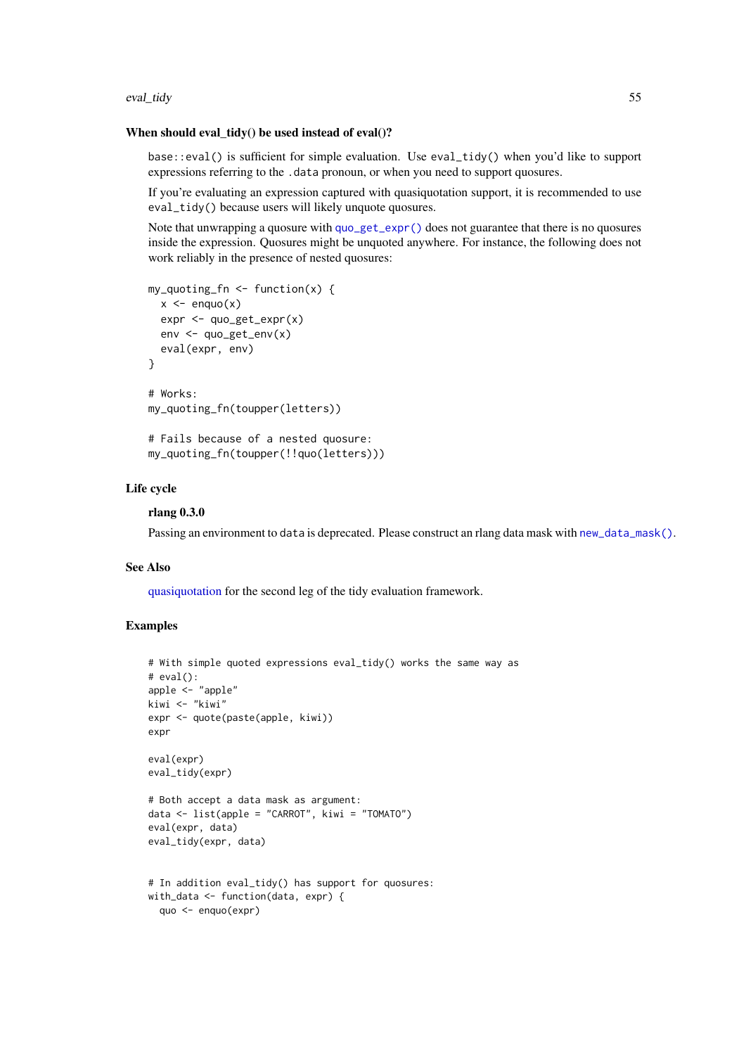#### eval\_tidy 55

#### When should eval  $\text{tidy}()$  be used instead of eval $()$ ?

base::eval() is sufficient for simple evaluation. Use eval\_tidy() when you'd like to support expressions referring to the .data pronoun, or when you need to support quosures.

If you're evaluating an expression captured with quasiquotation support, it is recommended to use eval\_tidy() because users will likely unquote quosures.

Note that unwrapping a quosure with [quo\\_get\\_expr\(\)](#page-100-0) does not guarantee that there is no quosures inside the expression. Quosures might be unquoted anywhere. For instance, the following does not work reliably in the presence of nested quosures:

```
my_quoting_fn <- function(x) {
  x \leq - enquo(x)expr <- quo_get_expr(x)
  env <- quo_get_env(x)
  eval(expr, env)
}
# Works:
my_quoting_fn(toupper(letters))
# Fails because of a nested quosure:
my_quoting_fn(toupper(!!quo(letters)))
```
# Life cycle

#### rlang 0.3.0

Passing an environment to data is deprecated. Please construct an rlang data mask with [new\\_data\\_mask\(\)](#page-8-1).

# See Also

[quasiquotation](#page-97-0) for the second leg of the tidy evaluation framework.

```
# With simple quoted expressions eval_tidy() works the same way as
# eval():
apple <- "apple"
kiwi <- "kiwi"
expr <- quote(paste(apple, kiwi))
expr
eval(expr)
eval_tidy(expr)
# Both accept a data mask as argument:
data <- list(apple = "CARROT", kiwi = "TOMATO")
eval(expr, data)
eval_tidy(expr, data)
# In addition eval_tidy() has support for quosures:
with_data <- function(data, expr) {
  quo <- enquo(expr)
```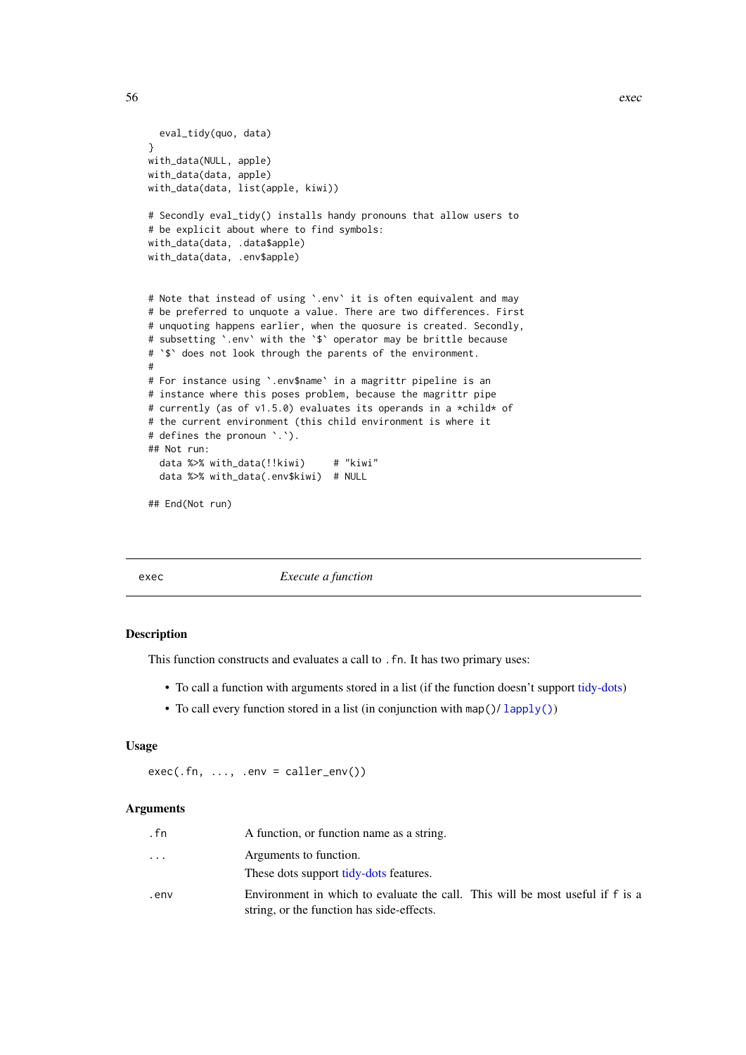```
eval_tidy(quo, data)
with_data(NULL, apple)
with_data(data, apple)
with_data(data, list(apple, kiwi))
# Secondly eval_tidy() installs handy pronouns that allow users to
# be explicit about where to find symbols:
with_data(data, .data$apple)
with data(data, .env$apple)
# Note that instead of using `.env` it is often equivalent and may
# be preferred to unquote a value. There are two differences. First
# unquoting happens earlier, when the quosure is created. Secondly,
# subsetting `.env` with the `$` operator may be brittle because
# `$` does not look through the parents of the environment.
# For instance using `.env$name` in a magrittr pipeline is an
# instance where this poses problem, because the magrittr pipe
```

```
# currently (as of v1.5.0) evaluates its operands in a *child* of
# the current environment (this child environment is where it
# defines the pronoun `.`).
## Not run:
  data %>% with_data(!!kiwi) # "kiwi"
  data %>% with_data(.env$kiwi) # NULL
```

```
## End(Not run)
```
#

exec *Execute a function*

#### Description

This function constructs and evaluates a call to .fn. It has two primary uses:

- To call a function with arguments stored in a list (if the function doesn't support [tidy-dots\)](#page-121-0)
- To call every function stored in a list (in conjunction with map( $\frac{1}{\text{apply}}$ ())

# Usage

 $exec(.fn, ..., .env = caller_env())$ 

## Arguments

| . fn     | A function, or function name as a string.                                                                                  |
|----------|----------------------------------------------------------------------------------------------------------------------------|
| $\cdots$ | Arguments to function.                                                                                                     |
|          | These dots support tidy-dots features.                                                                                     |
| .env     | Environment in which to evaluate the call. This will be most useful if f is a<br>string, or the function has side-effects. |

}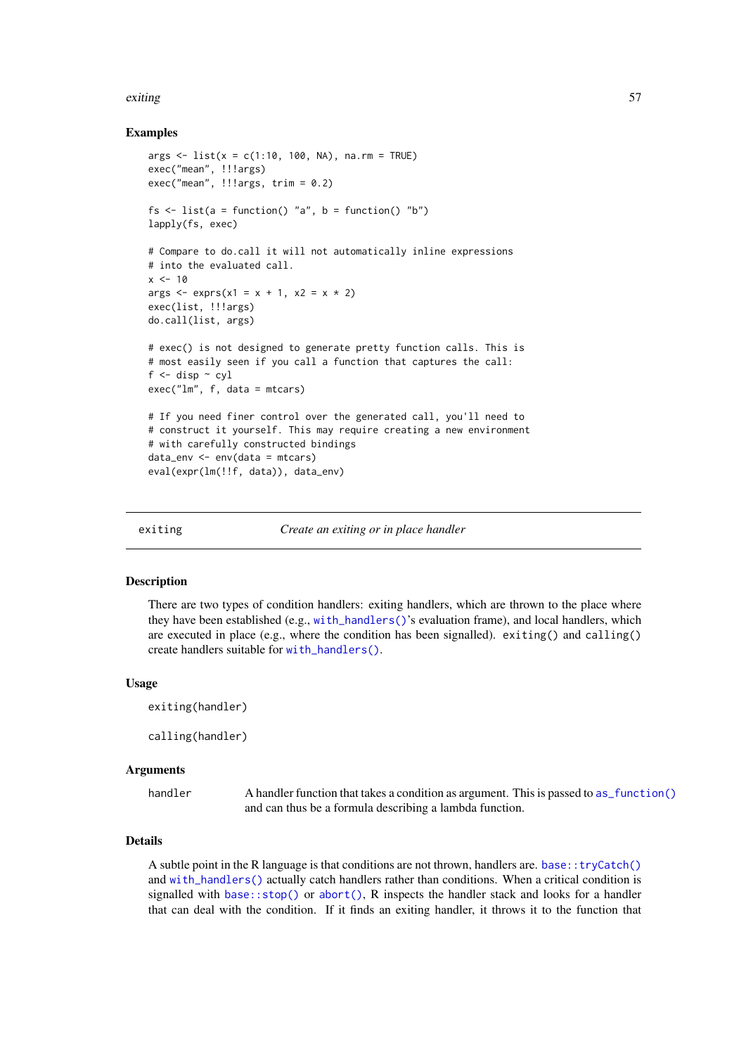# exiting 57

## Examples

```
args <- list(x = c(1:10, 100, NA), na.rm = TRUE)
exec("mean", !!!args)
exec("mean", !!!args, trim = 0.2)
fs \le list(a = function() "a", b = function() "b")
lapply(fs, exec)
# Compare to do.call it will not automatically inline expressions
# into the evaluated call.
x < -10args \leq -\exp(r)(x) = x + 1, x^2 = x * 2)exec(list, !!!args)
do.call(list, args)
# exec() is not designed to generate pretty function calls. This is
# most easily seen if you call a function that captures the call:
f \leftarrow disp \sim cyl
exec("lm", f, data = mtcars)
# If you need finer control over the generated call, you'll need to
# construct it yourself. This may require creating a new environment
# with carefully constructed bindings
data_env <- env(data = mtcars)
eval(expr(lm(!!f, data)), data_env)
```
exiting *Create an exiting or in place handler*

#### <span id="page-56-0"></span>Description

There are two types of condition handlers: exiting handlers, which are thrown to the place where they have been established (e.g., [with\\_handlers\(\)](#page-130-0)'s evaluation frame), and local handlers, which are executed in place (e.g., where the condition has been signalled). exiting() and calling() create handlers suitable for [with\\_handlers\(\)](#page-130-0).

## Usage

```
exiting(handler)
calling(handler)
```
#### Arguments

handler A handler function that takes a condition as argument. This is passed to [as\\_function\(\)](#page-12-0) and can thus be a formula describing a lambda function.

# Details

A subtle point in the R language is that conditions are not thrown, handlers are. [base::tryCatch\(\)](#page-0-0) and [with\\_handlers\(\)](#page-130-0) actually catch handlers rather than conditions. When a critical condition is signalled with base:: $stop()$  or  $abort()$ , R inspects the handler stack and looks for a handler that can deal with the condition. If it finds an exiting handler, it throws it to the function that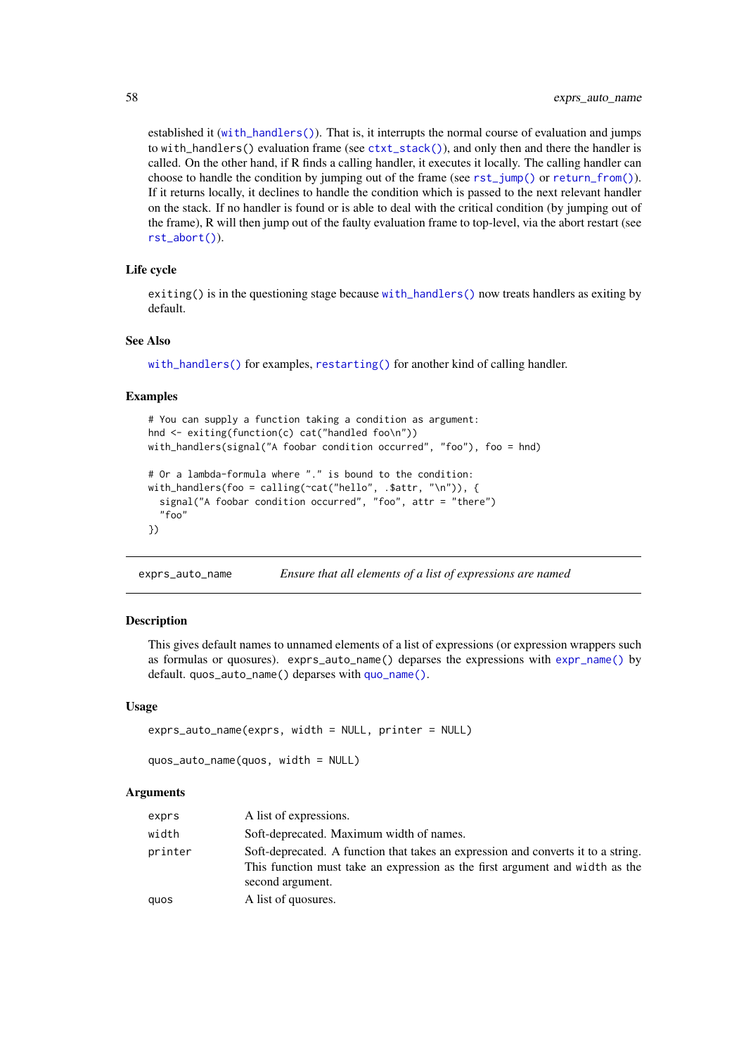established it ([with\\_handlers\(\)](#page-130-0)). That is, it interrupts the normal course of evaluation and jumps to with\_handlers() evaluation frame (see [ctxt\\_stack\(\)](#page-0-0)), and only then and there the handler is called. On the other hand, if R finds a calling handler, it executes it locally. The calling handler can choose to handle the condition by jumping out of the frame (see [rst\\_jump\(\)](#page-114-0) or [return\\_from\(\)](#page-111-0)). If it returns locally, it declines to handle the condition which is passed to the next relevant handler on the stack. If no handler is found or is able to deal with the critical condition (by jumping out of the frame), R will then jump out of the faulty evaluation frame to top-level, via the abort restart (see [rst\\_abort\(\)](#page-113-0)).

# Life cycle

exiting() is in the questioning stage because [with\\_handlers\(\)](#page-130-0) now treats handlers as exiting by default.

#### See Also

[with\\_handlers\(\)](#page-130-0) for examples, [restarting\(\)](#page-109-0) for another kind of calling handler.

#### Examples

```
# You can supply a function taking a condition as argument:
hnd <- exiting(function(c) cat("handled foo\n"))
with_handlers(signal("A foobar condition occurred", "foo"), foo = hnd)
# Or a lambda-formula where "." is bound to the condition:
with_handlers(foo = calling(\text{cat("hello", .} \text{start, "\\n")), {
  signal("A foobar condition occurred", "foo", attr = "there")
  "foo"
})
```
exprs\_auto\_name *Ensure that all elements of a list of expressions are named*

#### Description

This gives default names to unnamed elements of a list of expressions (or expression wrappers such as formulas or quosures). exprs\_auto\_name() deparses the expressions with [expr\\_name\(\)](#page-59-0) by default. quos\_auto\_name() deparses with [quo\\_name\(\)](#page-106-0).

# Usage

```
exprs_auto_name(exprs, width = NULL, printer = NULL)
quos_auto_name(quos, width = NULL)
```
#### Arguments

| exprs   | A list of expressions.                                                                                                                                                                |
|---------|---------------------------------------------------------------------------------------------------------------------------------------------------------------------------------------|
| width   | Soft-deprecated. Maximum width of names.                                                                                                                                              |
| printer | Soft-deprecated. A function that takes an expression and converts it to a string.<br>This function must take an expression as the first argument and width as the<br>second argument. |
| quos    | A list of quosures.                                                                                                                                                                   |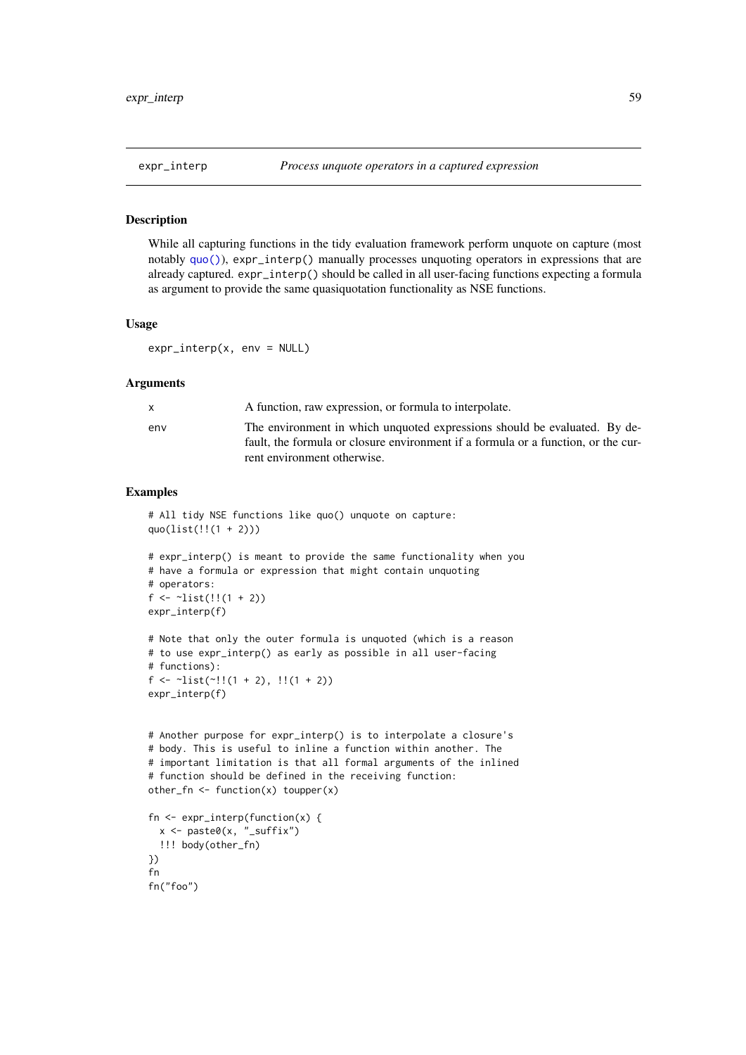While all capturing functions in the tidy evaluation framework perform unquote on capture (most notably [quo\(\)](#page-103-0)), expr\_interp() manually processes unquoting operators in expressions that are already captured. expr\_interp() should be called in all user-facing functions expecting a formula as argument to provide the same quasiquotation functionality as NSE functions.

# Usage

expr\_interp(x, env = NULL)

#### Arguments

|     | A function, raw expression, or formula to interpolate.                                                                                                         |
|-----|----------------------------------------------------------------------------------------------------------------------------------------------------------------|
| env | The environment in which unquoted expressions should be evaluated. By de-<br>fault, the formula or closure environment if a formula or a function, or the cur- |
|     | rent environment otherwise.                                                                                                                                    |

```
# All tidy NSE functions like quo() unquote on capture:
quo(list(!!(1 + 2)))
# expr_interp() is meant to provide the same functionality when you
# have a formula or expression that might contain unquoting
# operators:
f \leftarrow \text{list}(!!(1 + 2))expr_interp(f)
# Note that only the outer formula is unquoted (which is a reason
# to use expr_interp() as early as possible in all user-facing
# functions):
f \leftarrow \text{list}(\sim)!(1 + 2), \left(1 + 2)\right)expr_interp(f)
# Another purpose for expr_interp() is to interpolate a closure's
# body. This is useful to inline a function within another. The
# important limitation is that all formal arguments of the inlined
# function should be defined in the receiving function:
other_fn \leq function(x) toupper(x)
fn <- expr_interp(function(x) {
 x <- paste0(x, "_suffix")
  !!! body(other_fn)
})
fn
fn("foo")
```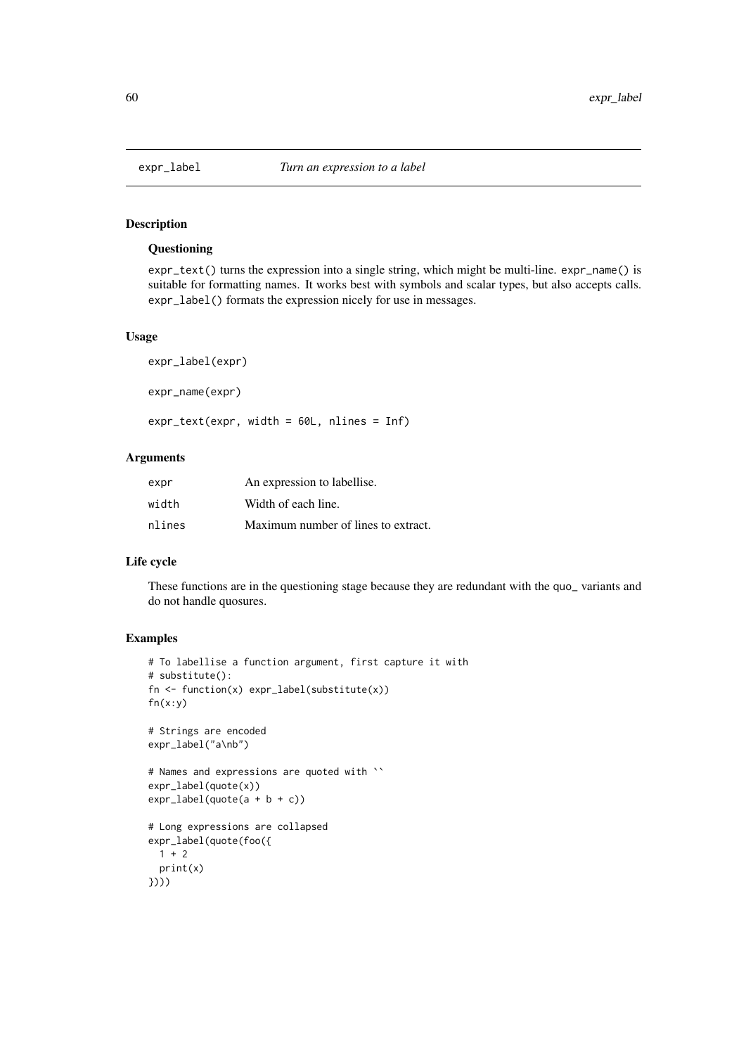# **Questioning**

expr\_text() turns the expression into a single string, which might be multi-line. expr\_name() is suitable for formatting names. It works best with symbols and scalar types, but also accepts calls. expr\_label() formats the expression nicely for use in messages.

# Usage

```
expr_label(expr)
expr_name(expr)
expr_text(expr, width = 60L, nlines = Inf)
```
# Arguments

| expr   | An expression to labellise.         |
|--------|-------------------------------------|
| width  | Width of each line.                 |
| nlines | Maximum number of lines to extract. |

# Life cycle

These functions are in the questioning stage because they are redundant with the quo\_ variants and do not handle quosures.

```
# To labellise a function argument, first capture it with
# substitute():
fn <- function(x) expr_label(substitute(x))
fn(x:y)
# Strings are encoded
expr_label("a\nb")
# Names and expressions are quoted with ``
expr_label(quote(x))
expr_label(quote(a + b + c))
# Long expressions are collapsed
expr_label(quote(foo({
 1 + 2print(x)
})))
```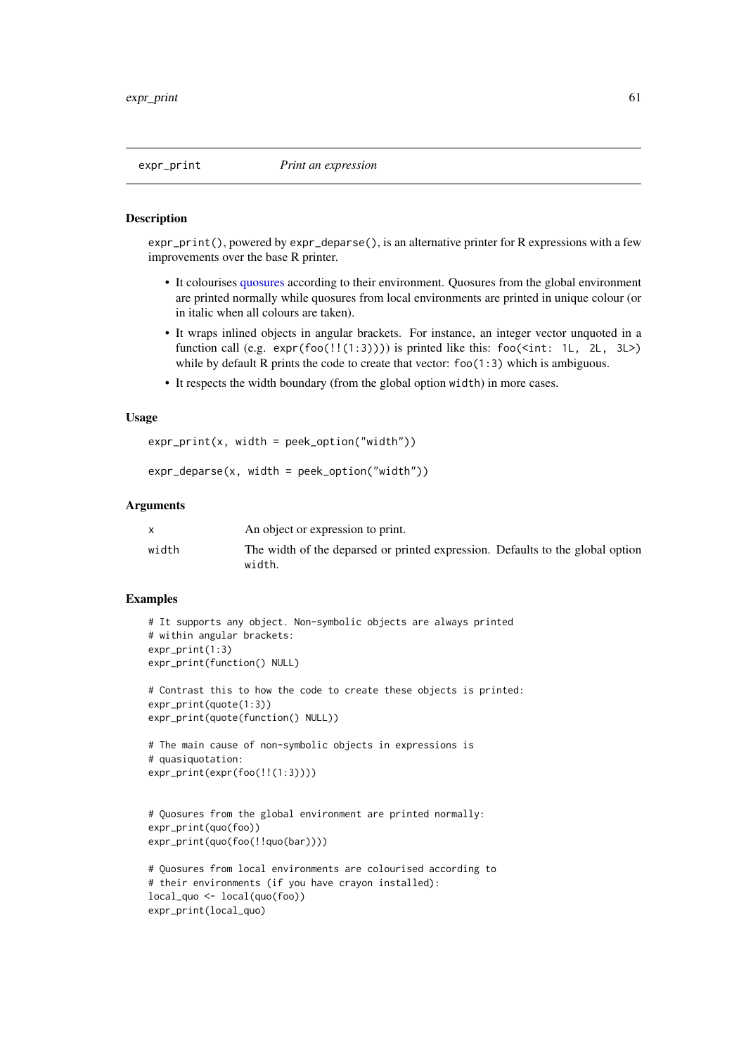expr\_print(), powered by expr\_deparse(), is an alternative printer for R expressions with a few improvements over the base R printer.

- It colourises [quosures](#page-103-1) according to their environment. Quosures from the global environment are printed normally while quosures from local environments are printed in unique colour (or in italic when all colours are taken).
- It wraps inlined objects in angular brackets. For instance, an integer vector unquoted in a function call (e.g.  $exp(foo(!!(1:3))))$ ) is printed like this:  $foo(\text{aint}: 1L, 2L, 3L)$ while by default R prints the code to create that vector:  $foo(1:3)$  which is ambiguous.
- It respects the width boundary (from the global option width) in more cases.

# Usage

```
expr_print(x, width = peek_option("width"))
```

```
expr_deparse(x, width = peek_option("width"))
```
## Arguments

|       | An object or expression to print.                                              |
|-------|--------------------------------------------------------------------------------|
| width | The width of the deparsed or printed expression. Defaults to the global option |
|       | width.                                                                         |

```
# It supports any object. Non-symbolic objects are always printed
# within angular brackets:
expr_print(1:3)
expr_print(function() NULL)
```

```
# Contrast this to how the code to create these objects is printed:
expr_print(quote(1:3))
expr_print(quote(function() NULL))
```

```
# The main cause of non-symbolic objects in expressions is
# quasiquotation:
expr_print(expr(foo(!!(1:3))))
```

```
# Quosures from the global environment are printed normally:
expr_print(quo(foo))
expr_print(quo(foo(!!quo(bar))))
```

```
# Quosures from local environments are colourised according to
# their environments (if you have crayon installed):
local_quo <- local(quo(foo))
expr_print(local_quo)
```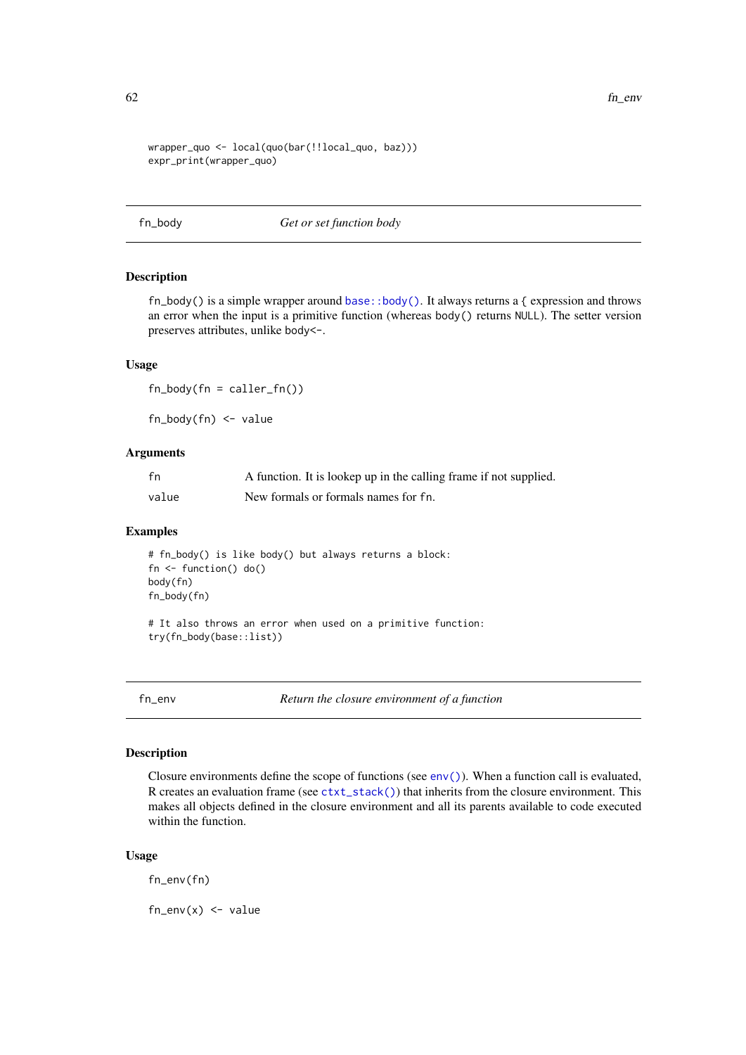```
wrapper_quo <- local(quo(bar(!!local_quo, baz)))
expr_print(wrapper_quo)
```
fn\_body *Get or set function body*

#### Description

fn\_body() is a simple wrapper around [base::body\(\)](#page-0-0). It always returns a { expression and throws an error when the input is a primitive function (whereas body() returns NULL). The setter version preserves attributes, unlike body<-.

## Usage

 $fn\_body(fn = caller_fn())$ 

fn\_body(fn) <- value

## Arguments

| fn    | A function. It is lookep up in the calling frame if not supplied. |
|-------|-------------------------------------------------------------------|
| value | New formals or formals names for fn.                              |

# Examples

```
# fn_body() is like body() but always returns a block:
fn <- function() do()
body(fn)
fn_body(fn)
```
# It also throws an error when used on a primitive function: try(fn\_body(base::list))

fn\_env *Return the closure environment of a function*

## Description

Closure environments define the scope of functions (see  $env()$ ). When a function call is evaluated, R creates an evaluation frame (see [ctxt\\_stack\(\)](#page-0-0)) that inherits from the closure environment. This makes all objects defined in the closure environment and all its parents available to code executed within the function.

# Usage

fn\_env(fn)

 $fn_{env}(x) \leftarrow value$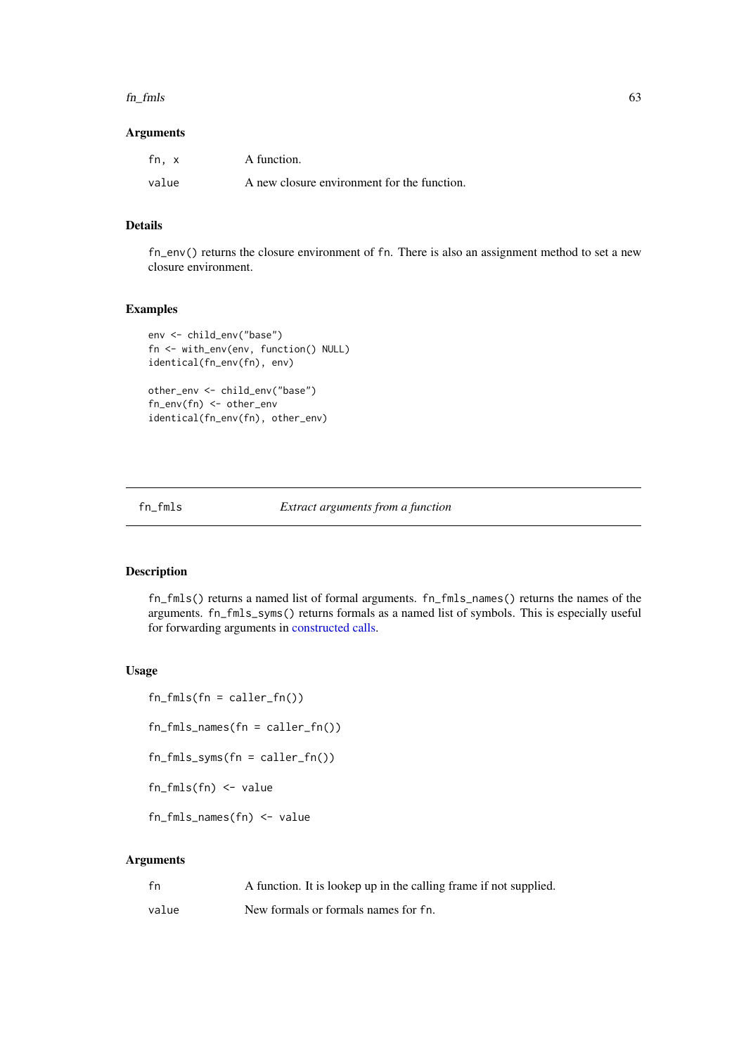#### $f_{\rm m}$  fm s  $\sim$  63

# Arguments

| fn. x | A function.                                 |
|-------|---------------------------------------------|
| value | A new closure environment for the function. |

# Details

fn\_env() returns the closure environment of fn. There is also an assignment method to set a new closure environment.

# Examples

```
env <- child_env("base")
fn <- with_env(env, function() NULL)
identical(fn_env(fn), env)
```
other\_env <- child\_env("base") fn\_env(fn) <- other\_env identical(fn\_env(fn), other\_env)

fn\_fmls *Extract arguments from a function*

# Description

fn\_fmls() returns a named list of formal arguments. fn\_fmls\_names() returns the names of the arguments. fn\_fmls\_syms() returns formals as a named list of symbols. This is especially useful for forwarding arguments in [constructed calls.](#page-0-0)

# Usage

 $fn_fmls(fn = caller_fn())$ fn\_fmls\_names(fn = caller\_fn()) fn\_fmls\_syms(fn = caller\_fn()) fn\_fmls(fn) <- value fn\_fmls\_names(fn) <- value

# Arguments

| fn    | A function. It is lookep up in the calling frame if not supplied. |
|-------|-------------------------------------------------------------------|
| value | New formals or formals names for fn.                              |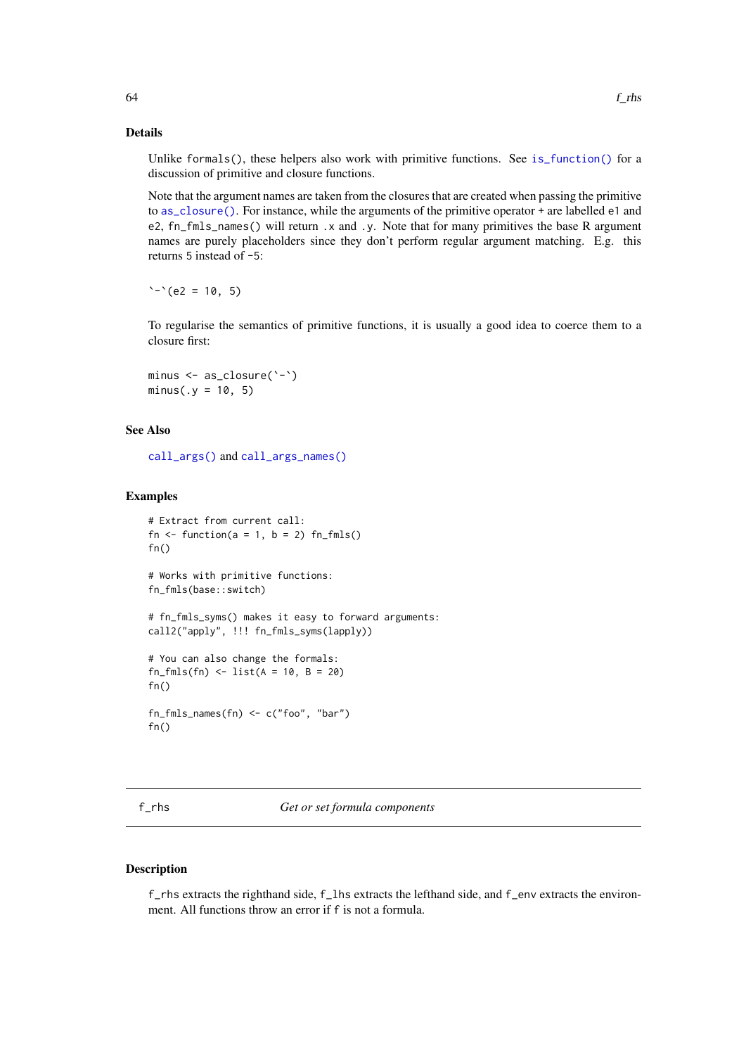Unlike formals(), these helpers also work with primitive functions. See [is\\_function\(\)](#page-76-0) for a discussion of primitive and closure functions.

Note that the argument names are taken from the closures that are created when passing the primitive to [as\\_closure\(\)](#page-12-1). For instance, while the arguments of the primitive operator + are labelled e1 and e2, fn\_fmls\_names() will return .x and .y. Note that for many primitives the base R argument names are purely placeholders since they don't perform regular argument matching. E.g. this returns 5 instead of -5:

 $\text{``-``(e2 = 10, 5)}$ 

To regularise the semantics of primitive functions, it is usually a good idea to coerce them to a closure first:

minus <- as\_closure(`-`)  $minus(.y = 10, 5)$ 

# See Also

[call\\_args\(\)](#page-23-0) and [call\\_args\\_names\(\)](#page-23-1)

#### Examples

```
# Extract from current call:
fn \le function(a = 1, b = 2) fn_fmls()
fn()
# Works with primitive functions:
fn_fmls(base::switch)
# fn_fmls_syms() makes it easy to forward arguments:
call2("apply", !!! fn_fmls_syms(lapply))
# You can also change the formals:
fn_fmls(fn) <- list(A = 10, B = 20)
fn()fn_fmls_names(fn) <- c("foo", "bar")
fn()
```
f\_rhs *Get or set formula components*

# Description

f\_rhs extracts the righthand side, f\_lhs extracts the lefthand side, and f\_env extracts the environment. All functions throw an error if f is not a formula.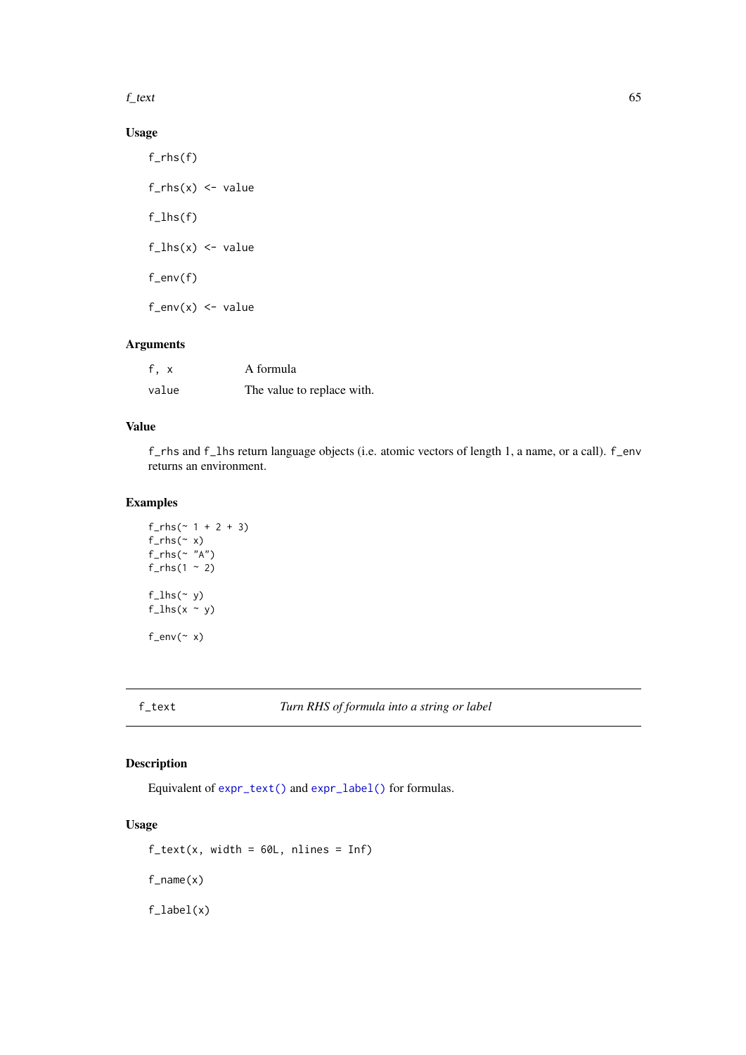$f_{\text{text}}$  65

# Usage

```
f_rhs(f)
f_rhs(x) \leftarrow valuef_{\text{-}1hs(f)}f_{\text{llhs}}(x) \leftarrow value
f_env(f)
f_{env}(x) \leftarrow value
```
# Arguments

| f, x  | A formula                  |
|-------|----------------------------|
| value | The value to replace with. |

# Value

f\_rhs and f\_lhs return language objects (i.e. atomic vectors of length 1, a name, or a call). f\_env returns an environment.

# Examples

```
f_rhs (~ 1 + 2 + 3)
f_rhs(\sim x)f_rhs(\sim "A")f_rhs(1 \sim 2)
f_{\text{-}1hs}(~ y)
f_{\text{llhs}}(x \sim y)f_{env}(\sim x)
```
# Description

Equivalent of [expr\\_text\(\)](#page-59-0) and [expr\\_label\(\)](#page-59-1) for formulas.

# Usage

 $f_{text}(x, width = 60L, nlines = Inf)$ f\_name(x)

f\_label(x)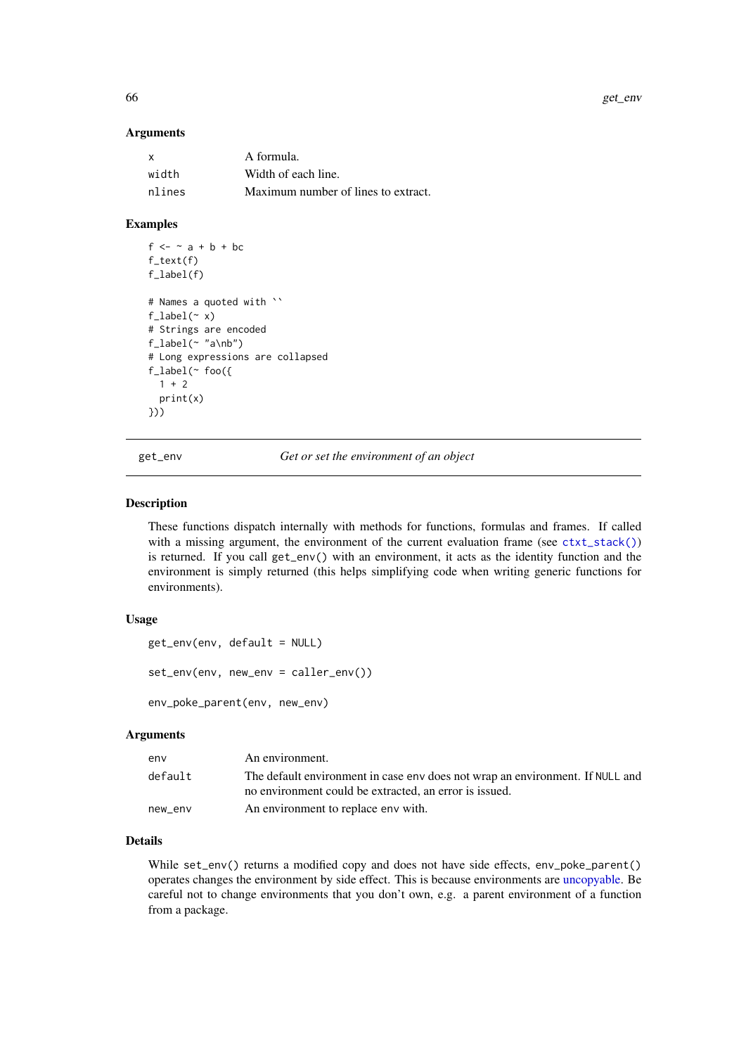## Arguments

| X      | A formula.                          |
|--------|-------------------------------------|
| width  | Width of each line.                 |
| nlines | Maximum number of lines to extract. |

# Examples

```
f \leftarrow \sim a + b + bcf_text(f)
f_label(f)
# Names a quoted with ``
f_{\text{label}}(x)# Strings are encoded
f_{\text{label}}(\sim "a\nb")
# Long expressions are collapsed
f_label(~ foo({
  1 + 2print(x)
}))
```
<span id="page-65-0"></span>

get\_env *Get or set the environment of an object*

# <span id="page-65-1"></span>Description

These functions dispatch internally with methods for functions, formulas and frames. If called with a missing argument, the environment of the current evaluation frame (see  $\text{ctxt\_stack}()$ ) is returned. If you call get\_env() with an environment, it acts as the identity function and the environment is simply returned (this helps simplifying code when writing generic functions for environments).

## Usage

```
get_env(env, default = NULL)
set_env(env, new_env = caller_env())
```
env\_poke\_parent(env, new\_env)

#### Arguments

| env     | An environment.                                                                                                                         |
|---------|-----------------------------------------------------------------------------------------------------------------------------------------|
| default | The default environment in case env does not wrap an environment. If NULL and<br>no environment could be extracted, an error is issued. |
| new_env | An environment to replace env with.                                                                                                     |

# Details

While set\_env() returns a modified copy and does not have side effects, env\_poke\_parent() operates changes the environment by side effect. This is because environments are [uncopyable.](#page-71-0) Be careful not to change environments that you don't own, e.g. a parent environment of a function from a package.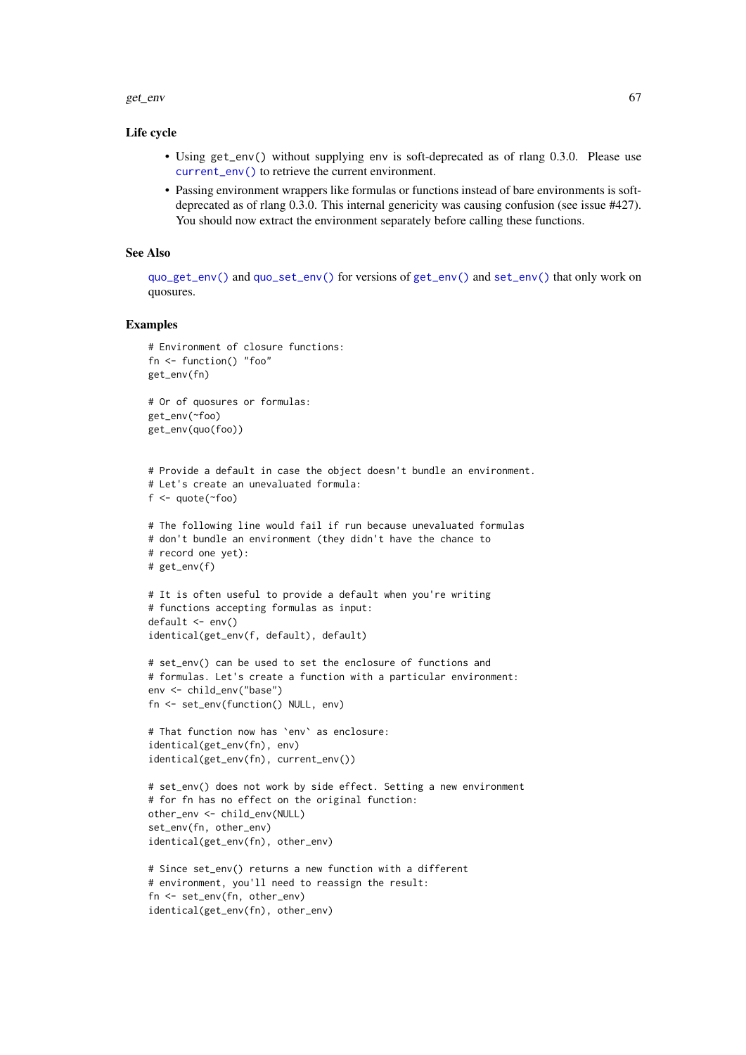#### get\_env 67

## Life cycle

- Using get\_env() without supplying env is soft-deprecated as of rlang 0.3.0. Please use [current\\_env\(\)](#page-22-1) to retrieve the current environment.
- Passing environment wrappers like formulas or functions instead of bare environments is softdeprecated as of rlang 0.3.0. This internal genericity was causing confusion (see issue #427). You should now extract the environment separately before calling these functions.

# See Also

[quo\\_get\\_env\(\)](#page-100-0) and [quo\\_set\\_env\(\)](#page-100-0) for versions of [get\\_env\(\)](#page-65-0) and [set\\_env\(\)](#page-65-1) that only work on quosures.

```
# Environment of closure functions:
fn <- function() "foo"
get_env(fn)
# Or of quosures or formulas:
get_env(~foo)
get_env(quo(foo))
# Provide a default in case the object doesn't bundle an environment.
# Let's create an unevaluated formula:
f \leftarrow \text{quote}(\sim \text{foo})# The following line would fail if run because unevaluated formulas
# don't bundle an environment (they didn't have the chance to
# record one yet):
# get_env(f)
# It is often useful to provide a default when you're writing
# functions accepting formulas as input:
default <- env()
identical(get_env(f, default), default)
# set_env() can be used to set the enclosure of functions and
# formulas. Let's create a function with a particular environment:
env <- child_env("base")
fn <- set_env(function() NULL, env)
# That function now has `env` as enclosure:
identical(get_env(fn), env)
identical(get_env(fn), current_env())
# set_env() does not work by side effect. Setting a new environment
# for fn has no effect on the original function:
other_env <- child_env(NULL)
set_env(fn, other_env)
identical(get_env(fn), other_env)
# Since set_env() returns a new function with a different
# environment, you'll need to reassign the result:
fn <- set_env(fn, other_env)
identical(get_env(fn), other_env)
```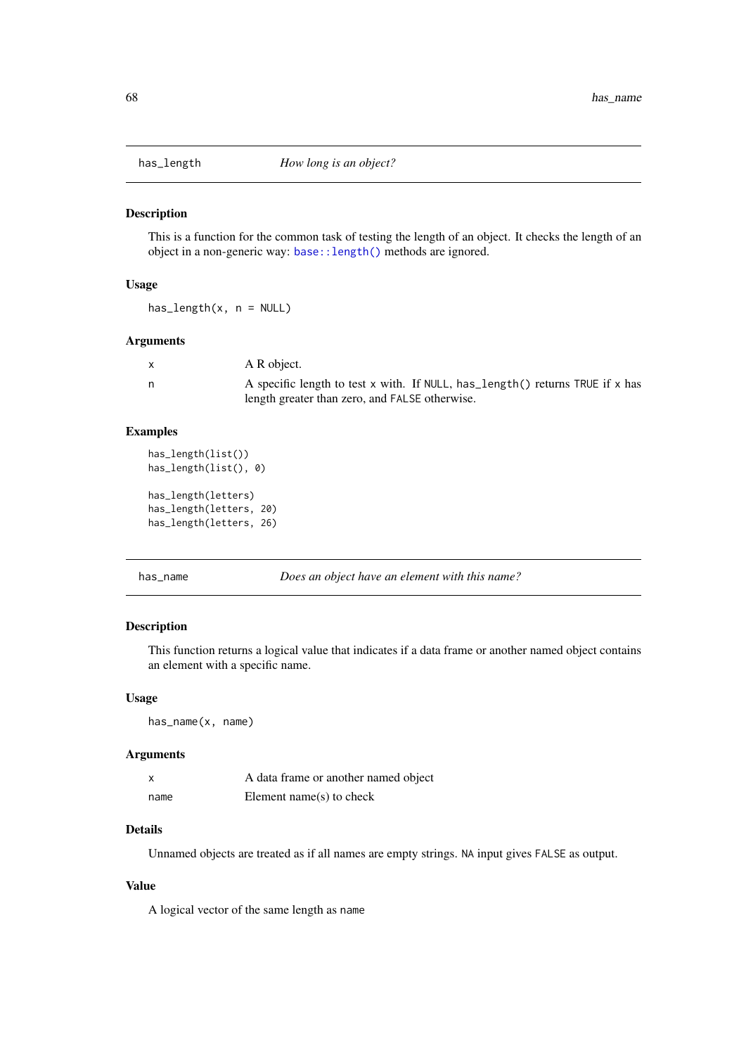This is a function for the common task of testing the length of an object. It checks the length of an object in a non-generic way: [base::length\(\)](#page-0-0) methods are ignored.

# Usage

has\_length(x, n = NULL)

# Arguments

| X | A R object.                                                                    |
|---|--------------------------------------------------------------------------------|
| n | A specific length to test x with. If NULL, has length () returns TRUE if x has |
|   | length greater than zero, and FALSE otherwise.                                 |

# Examples

```
has_length(list())
has_length(list(), 0)
```

```
has_length(letters)
has_length(letters, 20)
has_length(letters, 26)
```
has\_name *Does an object have an element with this name?*

# Description

This function returns a logical value that indicates if a data frame or another named object contains an element with a specific name.

# Usage

```
has_name(x, name)
```
# Arguments

| $\boldsymbol{\mathsf{x}}$ | A data frame or another named object |
|---------------------------|--------------------------------------|
| name                      | Element name $(s)$ to check          |

# Details

Unnamed objects are treated as if all names are empty strings. NA input gives FALSE as output.

# Value

A logical vector of the same length as name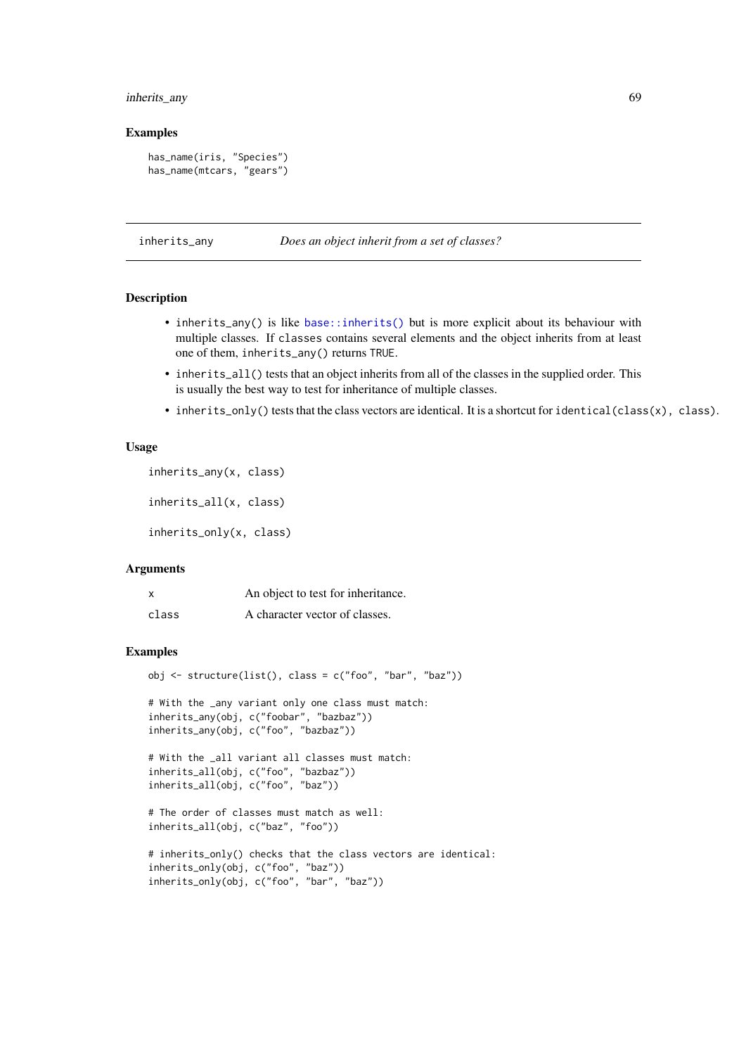## inherits\_any 69

## Examples

```
has_name(iris, "Species")
has_name(mtcars, "gears")
```
inherits\_any *Does an object inherit from a set of classes?*

# Description

- inherits\_any() is like [base::inherits\(\)](#page-0-0) but is more explicit about its behaviour with multiple classes. If classes contains several elements and the object inherits from at least one of them, inherits\_any() returns TRUE.
- inherits\_all() tests that an object inherits from all of the classes in the supplied order. This is usually the best way to test for inheritance of multiple classes.
- inherits\_only() tests that the class vectors are identical. It is a shortcut for identical(class(x), class).

# Usage

```
inherits_any(x, class)
```
inherits\_all(x, class)

inherits\_only(x, class)

## Arguments

|       | An object to test for inheritance. |
|-------|------------------------------------|
| class | A character vector of classes.     |

```
obj \le structure(list(), class = c("foo", "bar", "baz"))
```

```
# With the _any variant only one class must match:
inherits_any(obj, c("foobar", "bazbaz"))
inherits_any(obj, c("foo", "bazbaz"))
```

```
# With the _all variant all classes must match:
inherits_all(obj, c("foo", "bazbaz"))
inherits_all(obj, c("foo", "baz"))
```

```
# The order of classes must match as well:
inherits_all(obj, c("baz", "foo"))
```

```
# inherits_only() checks that the class vectors are identical:
inherits_only(obj, c("foo", "baz"))
inherits_only(obj, c("foo", "bar", "baz"))
```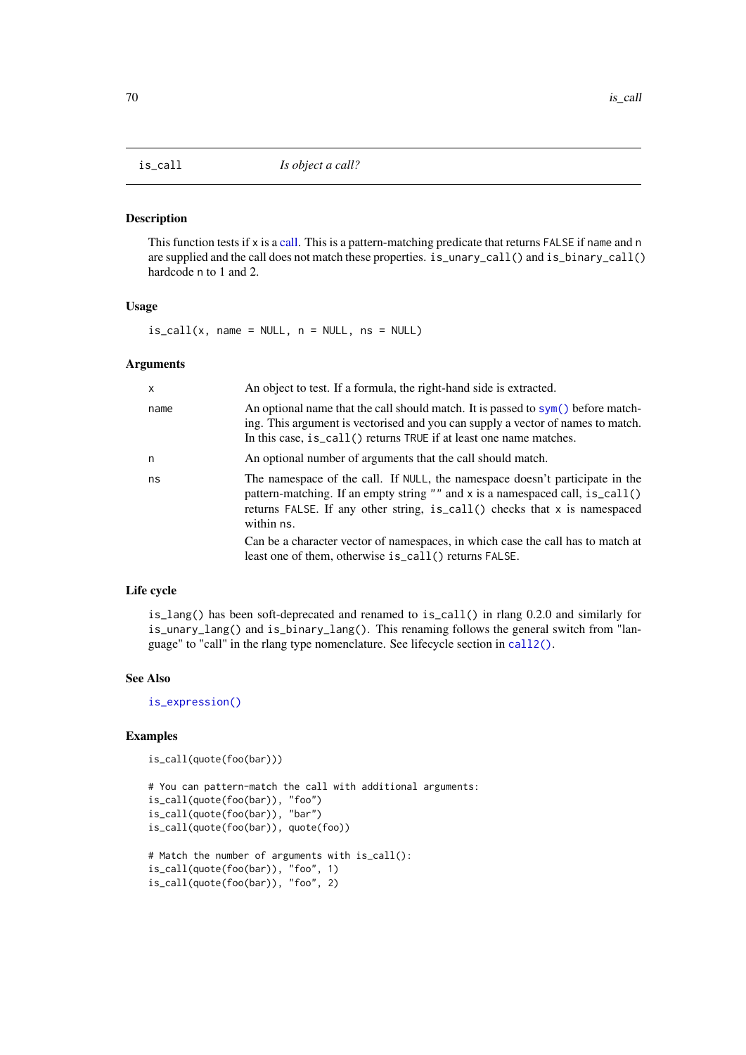This function tests if x is a [call.](#page-20-0) This is a pattern-matching predicate that returns FALSE if name and n are supplied and the call does not match these properties. is\_unary\_call() and is\_binary\_call() hardcode n to 1 and 2.

## Usage

 $is\_call(x, name = NULL, n = NULL, ns = NULL)$ 

# Arguments

| $\mathsf{x}$ | An object to test. If a formula, the right-hand side is extracted.                                                                                                                                                                                       |
|--------------|----------------------------------------------------------------------------------------------------------------------------------------------------------------------------------------------------------------------------------------------------------|
| name         | An optional name that the call should match. It is passed to $sym()$ before match-<br>ing. This argument is vectorised and you can supply a vector of names to match.<br>In this case, is_call() returns TRUE if at least one name matches.              |
| n            | An optional number of arguments that the call should match.                                                                                                                                                                                              |
| ns           | The namespace of the call. If NULL, the namespace doesn't participate in the<br>pattern-matching. If an empty string "" and x is a namespaced call, is_call()<br>returns FALSE. If any other string, is_call() checks that x is namespaced<br>within ns. |
|              | Can be a character vector of namespaces, in which case the call has to match at<br>least one of them, otherwise is_call() returns FALSE.                                                                                                                 |

## Life cycle

is\_lang() has been soft-deprecated and renamed to is\_call() in rlang 0.2.0 and similarly for is\_unary\_lang() and is\_binary\_lang(). This renaming follows the general switch from "language" to "call" in the rlang type nomenclature. See lifecycle section in [call2\(\)](#page-20-0).

# See Also

[is\\_expression\(\)](#page-73-0)

```
is_call(quote(foo(bar)))
```

```
# You can pattern-match the call with additional arguments:
is_call(quote(foo(bar)), "foo")
is_call(quote(foo(bar)), "bar")
is_call(quote(foo(bar)), quote(foo))
# Match the number of arguments with is_call():
is_call(quote(foo(bar)), "foo", 1)
is_call(quote(foo(bar)), "foo", 2)
```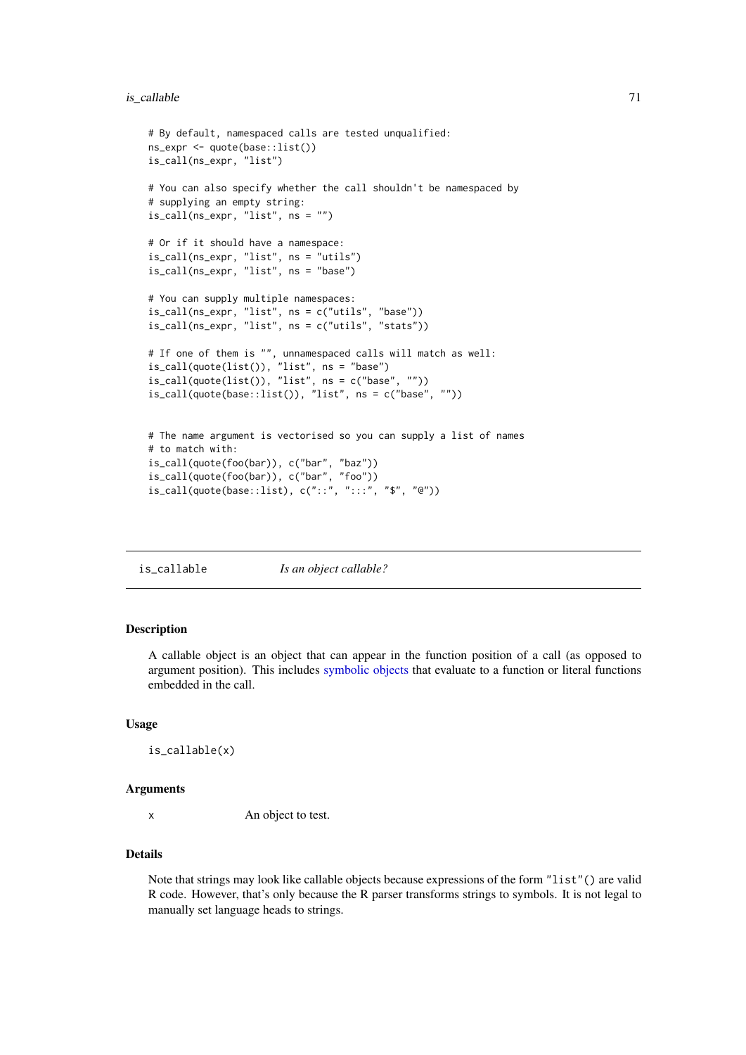#### is\_callable 71

```
# By default, namespaced calls are tested unqualified:
ns_expr <- quote(base::list())
is_call(ns_expr, "list")
# You can also specify whether the call shouldn't be namespaced by
# supplying an empty string:
is_call(ns_expr, "list", ns = "")
# Or if it should have a namespace:
is_call(ns_expr, "list", ns = "utils")
is_call(ns_expr, "list", ns = "base")
# You can supply multiple namespaces:
is_call(ns_expr, "list", ns = c("utils", "base"))
is_call(ns_expr, "list", ns = c("utils", "stats"))
# If one of them is "", unnamespaced calls will match as well:
is_call(quote(list()), "list", ns = "base")
is\_call(quote(list()), "list", ns = c("base", "")is_call(quote(base::list()), "list", ns = c("base", ""))
# The name argument is vectorised so you can supply a list of names
# to match with:
is_call(quote(foo(bar)), c("bar", "baz"))
is_call(quote(foo(bar)), c("bar", "foo"))
```
 $\verb|is_call(quote(base::list), c("::", ":::", "$\$", "@"))|$ 

is\_callable *Is an object callable?*

# Description

A callable object is an object that can appear in the function position of a call (as opposed to argument position). This includes [symbolic objects](#page-73-1) that evaluate to a function or literal functions embedded in the call.

#### Usage

```
is_callable(x)
```
#### Arguments

x An object to test.

## Details

Note that strings may look like callable objects because expressions of the form "list"() are valid R code. However, that's only because the R parser transforms strings to symbols. It is not legal to manually set language heads to strings.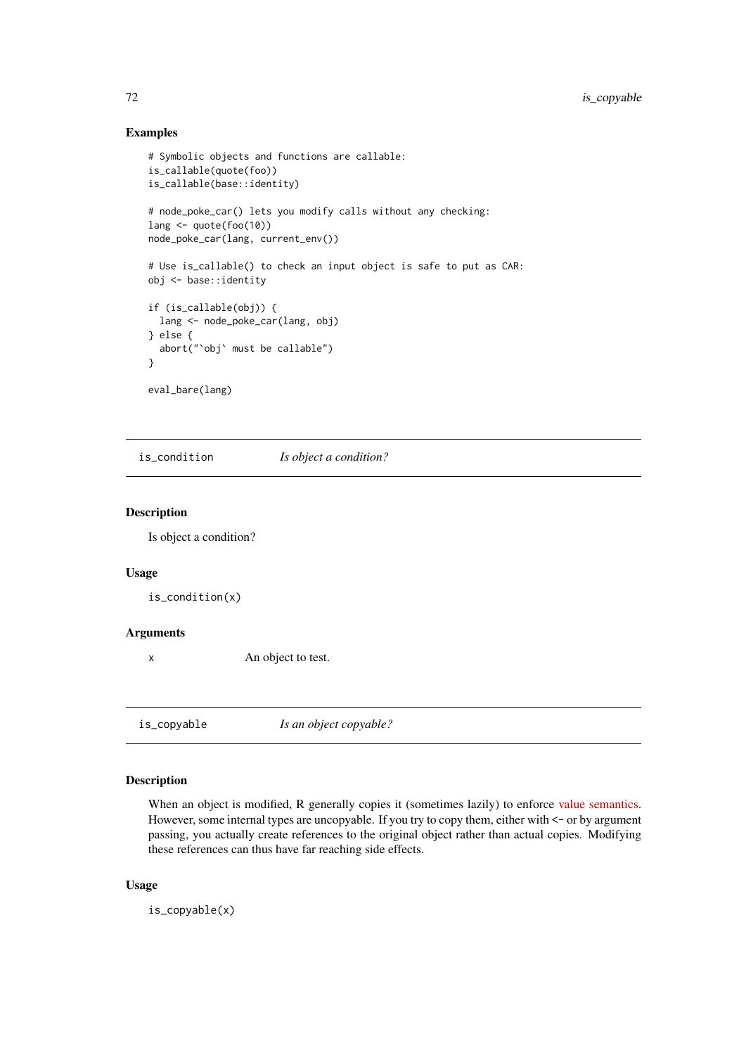## Examples

```
# Symbolic objects and functions are callable:
is_callable(quote(foo))
is_callable(base::identity)
# node_poke_car() lets you modify calls without any checking:
lang \leq quote(foo(10))
node_poke_car(lang, current_env())
# Use is_callable() to check an input object is safe to put as CAR:
obj <- base::identity
if (is_callable(obj)) {
 lang <- node_poke_car(lang, obj)
} else {
 abort("`obj` must be callable")
}
eval_bare(lang)
```
is\_condition *Is object a condition?*

# Description

Is object a condition?

# Usage

is\_condition(x)

#### Arguments

x An object to test.

<span id="page-71-0"></span>is\_copyable *Is an object copyable?*

# Description

When an object is modified, R generally copies it (sometimes lazily) to enforce [value semantics.](https://en.wikipedia.org/wiki/Value_semantics) However, some internal types are uncopyable. If you try to copy them, either with  $\le$  - or by argument passing, you actually create references to the original object rather than actual copies. Modifying these references can thus have far reaching side effects.

# Usage

is\_copyable(x)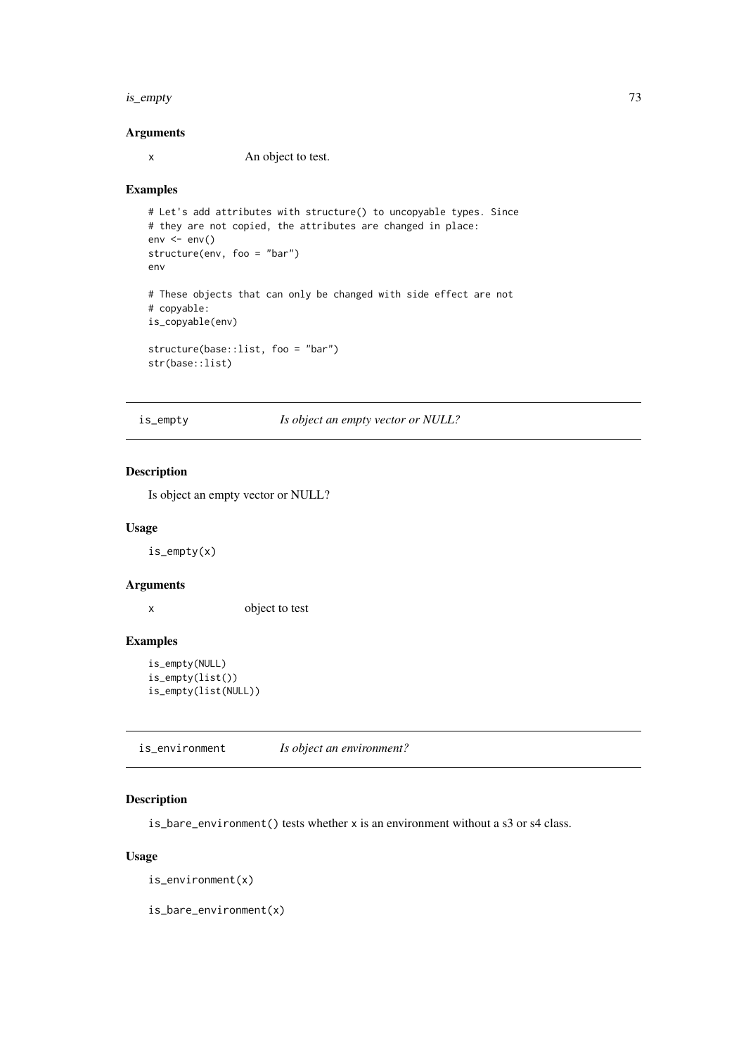#### is\_empty 73

# Arguments

x An object to test.

# Examples

```
# Let's add attributes with structure() to uncopyable types. Since
# they are not copied, the attributes are changed in place:
env < -env()structure(env, foo = "bar")
env
# These objects that can only be changed with side effect are not
# copyable:
is_copyable(env)
structure(base::list, foo = "bar")
str(base::list)
```
is\_empty *Is object an empty vector or NULL?*

# Description

Is object an empty vector or NULL?

## Usage

is\_empty(x)

## Arguments

x object to test

# Examples

```
is_empty(NULL)
is_empty(list())
is_empty(list(NULL))
```
is\_environment *Is object an environment?*

# Description

is\_bare\_environment() tests whether x is an environment without a s3 or s4 class.

# Usage

is\_environment(x)

is\_bare\_environment(x)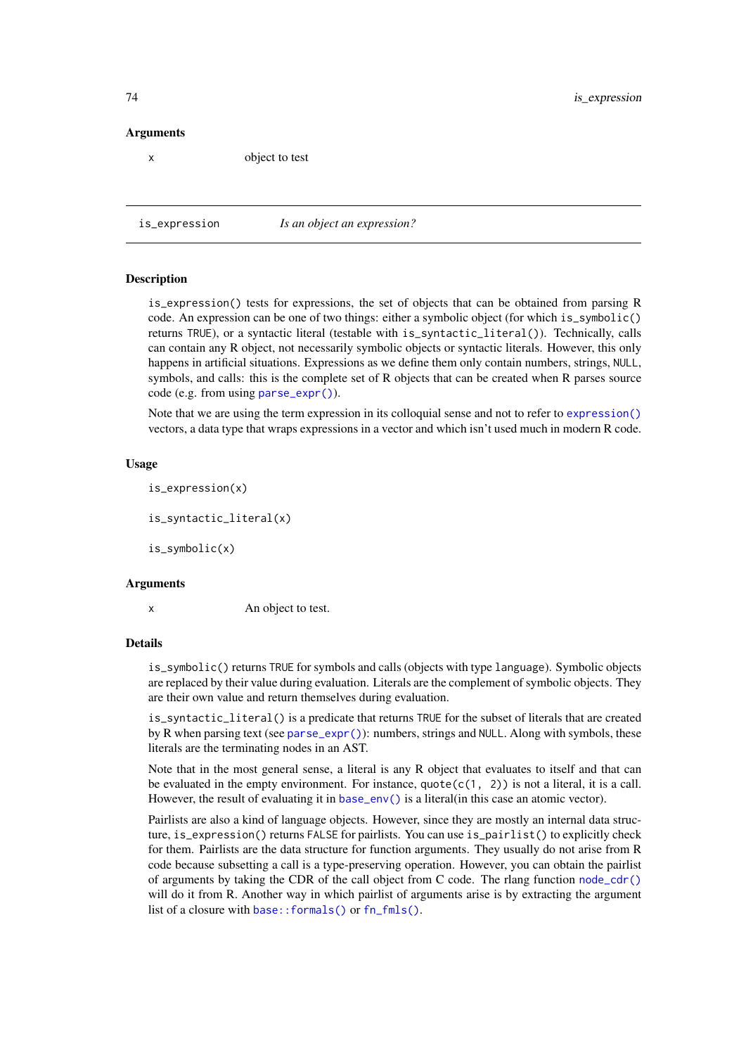## Arguments

x object to test

<span id="page-73-0"></span>

is\_expression *Is an object an expression?*

#### <span id="page-73-1"></span>Description

is\_expression() tests for expressions, the set of objects that can be obtained from parsing R code. An expression can be one of two things: either a symbolic object (for which is\_symbolic() returns TRUE), or a syntactic literal (testable with is\_syntactic\_literal()). Technically, calls can contain any R object, not necessarily symbolic objects or syntactic literals. However, this only happens in artificial situations. Expressions as we define them only contain numbers, strings, NULL, symbols, and calls: this is the complete set of R objects that can be created when R parses source code (e.g. from using [parse\\_expr\(\)](#page-96-0)).

Note that we are using the term expression in its colloquial sense and not to refer to [expression\(\)](#page-0-0) vectors, a data type that wraps expressions in a vector and which isn't used much in modern R code.

## Usage

is\_expression(x)

is\_syntactic\_literal(x)

is\_symbolic(x)

#### Arguments

x An object to test.

#### Details

is\_symbolic() returns TRUE for symbols and calls (objects with type language). Symbolic objects are replaced by their value during evaluation. Literals are the complement of symbolic objects. They are their own value and return themselves during evaluation.

is\_syntactic\_literal() is a predicate that returns TRUE for the subset of literals that are created by R when parsing text (see [parse\\_expr\(\)](#page-96-0)): numbers, strings and NULL. Along with symbols, these literals are the terminating nodes in an AST.

Note that in the most general sense, a literal is any R object that evaluates to itself and that can be evaluated in the empty environment. For instance, quote(c(1, 2)) is not a literal, it is a call. However, the result of evaluating it in [base\\_env\(\)](#page-0-0) is a literal(in this case an atomic vector).

Pairlists are also a kind of language objects. However, since they are mostly an internal data structure, is\_expression() returns FALSE for pairlists. You can use is\_pairlist() to explicitly check for them. Pairlists are the data structure for function arguments. They usually do not arise from R code because subsetting a call is a type-preserving operation. However, you can obtain the pairlist of arguments by taking the CDR of the call object from C code. The rlang function [node\\_cdr\(\)](#page-0-0) will do it from R. Another way in which pairlist of arguments arise is by extracting the argument list of a closure with [base::formals\(\)](#page-0-0) or [fn\\_fmls\(\)](#page-62-0).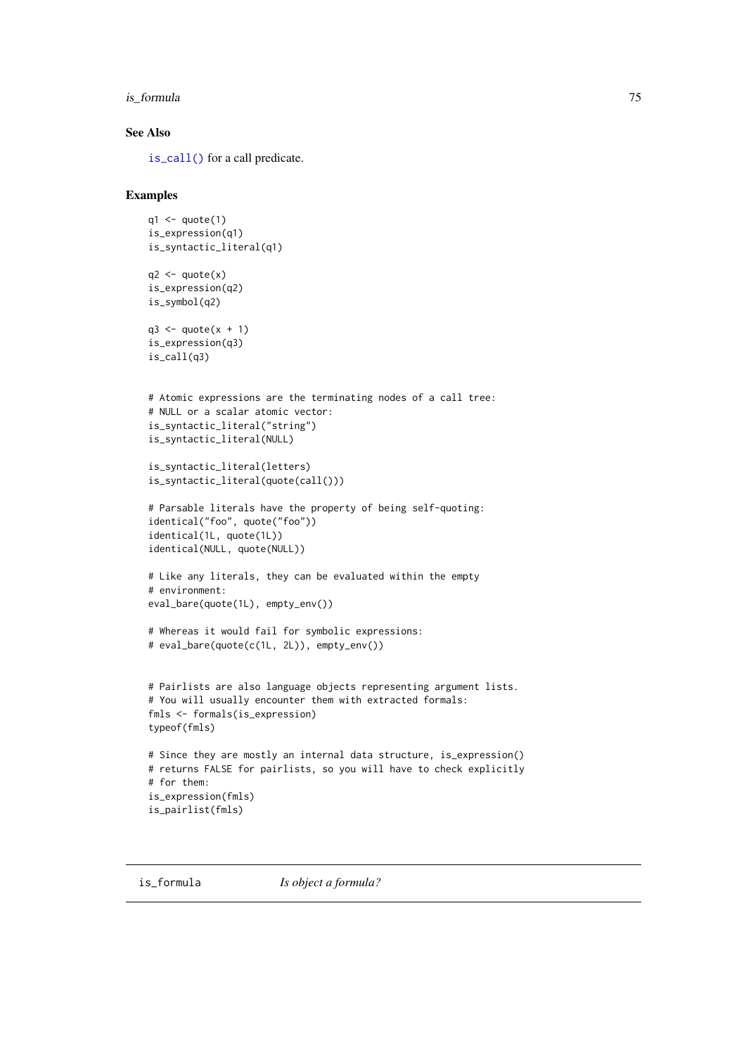#### is\_formula 75

## See Also

[is\\_call\(\)](#page-69-0) for a call predicate.

## Examples

```
q1 \leftarrow quote(1)is_expression(q1)
is_syntactic_literal(q1)
q2 \leftarrow quote(x)is_expression(q2)
is_symbol(q2)
q3 \leq quote(x + 1)
is_expression(q3)
is_call(q3)
# Atomic expressions are the terminating nodes of a call tree:
# NULL or a scalar atomic vector:
is_syntactic_literal("string")
is_syntactic_literal(NULL)
is_syntactic_literal(letters)
is_syntactic_literal(quote(call()))
# Parsable literals have the property of being self-quoting:
identical("foo", quote("foo"))
identical(1L, quote(1L))
identical(NULL, quote(NULL))
# Like any literals, they can be evaluated within the empty
# environment:
eval_bare(quote(1L), empty_env())
# Whereas it would fail for symbolic expressions:
# eval_bare(quote(c(1L, 2L)), empty_env())
# Pairlists are also language objects representing argument lists.
# You will usually encounter them with extracted formals:
fmls <- formals(is_expression)
typeof(fmls)
# Since they are mostly an internal data structure, is_expression()
# returns FALSE for pairlists, so you will have to check explicitly
# for them:
is_expression(fmls)
is_pairlist(fmls)
```
<span id="page-74-0"></span>is\_formula *Is object a formula?*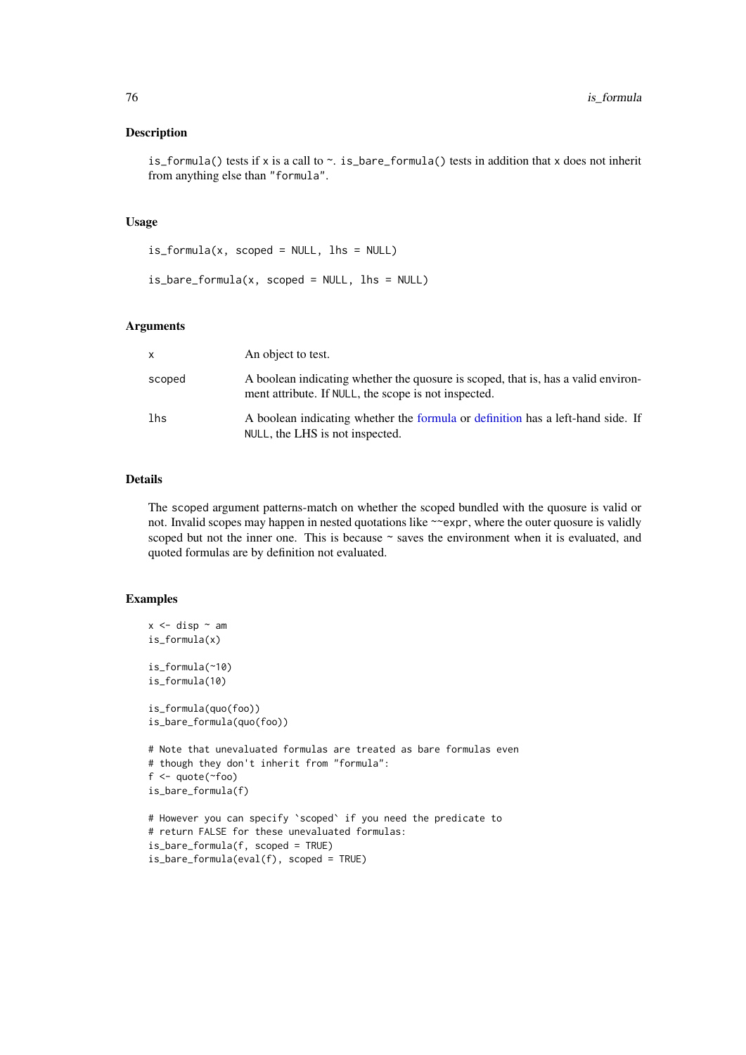is\_formula() tests if x is a call to  $\sim$ . is\_bare\_formula() tests in addition that x does not inherit from anything else than "formula".

# Usage

 $is_{formula}(x, scopeed = NULL, lhs = NULL)$ 

```
is_bare_formula(x, scoped = NULL, lhs = NULL)
```
## Arguments

| $\mathsf{x}$ | An object to test.                                                                                                                        |
|--------------|-------------------------------------------------------------------------------------------------------------------------------------------|
| scoped       | A boolean indicating whether the quosure is scoped, that is, has a valid environ-<br>ment attribute. If NULL, the scope is not inspected. |
| lhs          | A boolean indicating whether the formula or definition has a left-hand side. If<br>NULL, the LHS is not inspected.                        |

## Details

The scoped argument patterns-match on whether the scoped bundled with the quosure is valid or not. Invalid scopes may happen in nested quotations like ~~expr, where the outer quosure is validly scoped but not the inner one. This is because ~ saves the environment when it is evaluated, and quoted formulas are by definition not evaluated.

```
x \le disp \sim am
is_formula(x)
is_formula(~10)
is_formula(10)
is_formula(quo(foo))
is_bare_formula(quo(foo))
# Note that unevaluated formulas are treated as bare formulas even
# though they don't inherit from "formula":
f \leftarrow \text{quote}(\sim \text{foo})is_bare_formula(f)
# However you can specify `scoped` if you need the predicate to
# return FALSE for these unevaluated formulas:
is_bare_formula(f, scoped = TRUE)
is_bare_formula(eval(f), scoped = TRUE)
```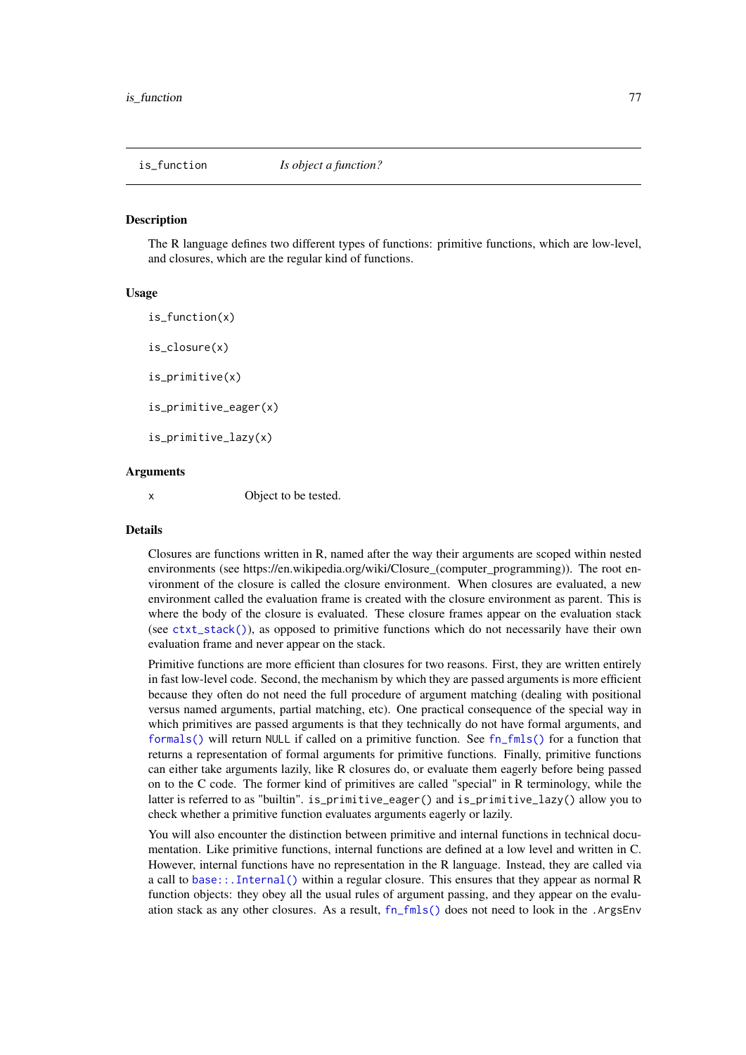The R language defines two different types of functions: primitive functions, which are low-level, and closures, which are the regular kind of functions.

## Usage

is\_function(x) is\_closure(x) is\_primitive(x) is\_primitive\_eager(x) is\_primitive\_lazy(x)

# Arguments

x Object to be tested.

#### Details

Closures are functions written in R, named after the way their arguments are scoped within nested environments (see https://en.wikipedia.org/wiki/Closure\_(computer\_programming)). The root environment of the closure is called the closure environment. When closures are evaluated, a new environment called the evaluation frame is created with the closure environment as parent. This is where the body of the closure is evaluated. These closure frames appear on the evaluation stack (see  $\text{ctxt\_stack}($ )), as opposed to primitive functions which do not necessarily have their own evaluation frame and never appear on the stack.

Primitive functions are more efficient than closures for two reasons. First, they are written entirely in fast low-level code. Second, the mechanism by which they are passed arguments is more efficient because they often do not need the full procedure of argument matching (dealing with positional versus named arguments, partial matching, etc). One practical consequence of the special way in which primitives are passed arguments is that they technically do not have formal arguments, and [formals\(\)](#page-0-0) will return NULL if called on a primitive function. See [fn\\_fmls\(\)](#page-62-0) for a function that returns a representation of formal arguments for primitive functions. Finally, primitive functions can either take arguments lazily, like R closures do, or evaluate them eagerly before being passed on to the C code. The former kind of primitives are called "special" in R terminology, while the latter is referred to as "builtin". is\_primitive\_eager() and is\_primitive\_lazy() allow you to check whether a primitive function evaluates arguments eagerly or lazily.

You will also encounter the distinction between primitive and internal functions in technical documentation. Like primitive functions, internal functions are defined at a low level and written in C. However, internal functions have no representation in the R language. Instead, they are called via a call to [base::.Internal\(\)](#page-0-0) within a regular closure. This ensures that they appear as normal R function objects: they obey all the usual rules of argument passing, and they appear on the evaluation stack as any other closures. As a result, [fn\\_fmls\(\)](#page-62-0) does not need to look in the .ArgsEnv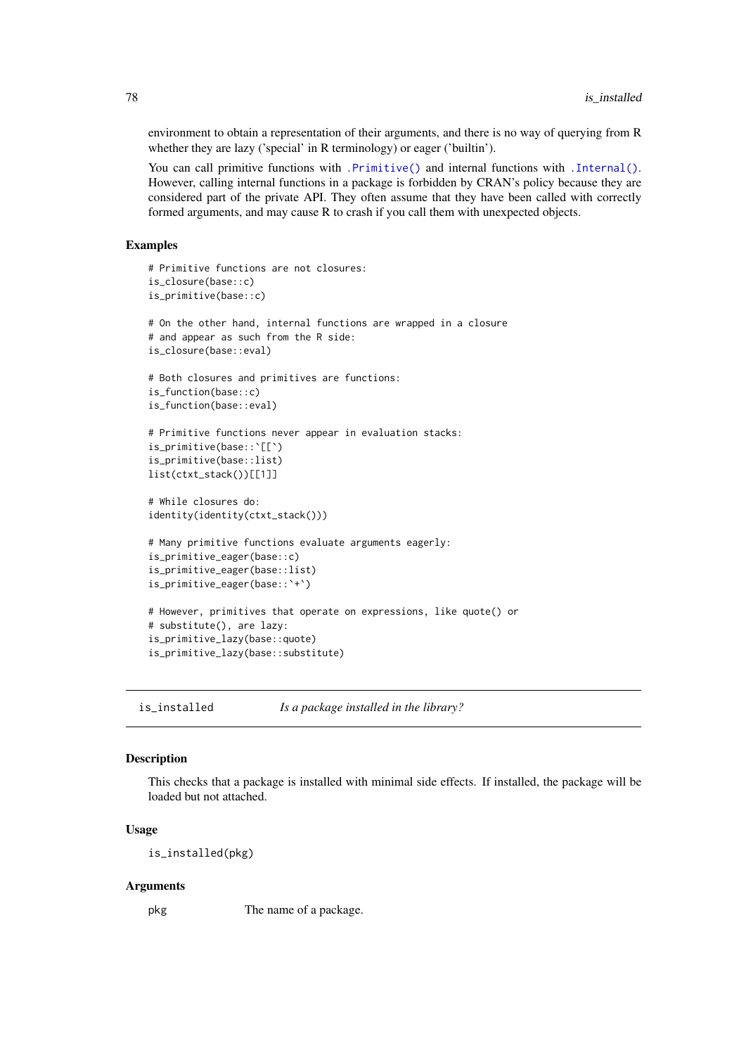environment to obtain a representation of their arguments, and there is no way of querying from R whether they are lazy ('special' in R terminology) or eager ('builtin').

You can call primitive functions with [.Primitive\(\)](#page-0-0) and internal functions with [.Internal\(\)](#page-0-0). However, calling internal functions in a package is forbidden by CRAN's policy because they are considered part of the private API. They often assume that they have been called with correctly formed arguments, and may cause R to crash if you call them with unexpected objects.

## Examples

```
# Primitive functions are not closures:
is_closure(base::c)
is_primitive(base::c)
# On the other hand, internal functions are wrapped in a closure
# and appear as such from the R side:
is_closure(base::eval)
# Both closures and primitives are functions:
is_function(base::c)
is_function(base::eval)
# Primitive functions never appear in evaluation stacks:
is_primitive(base::`[[`)
is_primitive(base::list)
list(ctxt_stack())[[1]]
# While closures do:
identity(identity(ctxt_stack()))
# Many primitive functions evaluate arguments eagerly:
is_primitive_eager(base::c)
is_primitive_eager(base::list)
is_primitive_eager(base::`+`)
# However, primitives that operate on expressions, like quote() or
# substitute(), are lazy:
is_primitive_lazy(base::quote)
is_primitive_lazy(base::substitute)
```
is\_installed *Is a package installed in the library?*

#### Description

This checks that a package is installed with minimal side effects. If installed, the package will be loaded but not attached.

#### Usage

is\_installed(pkg)

#### Arguments

pkg The name of a package.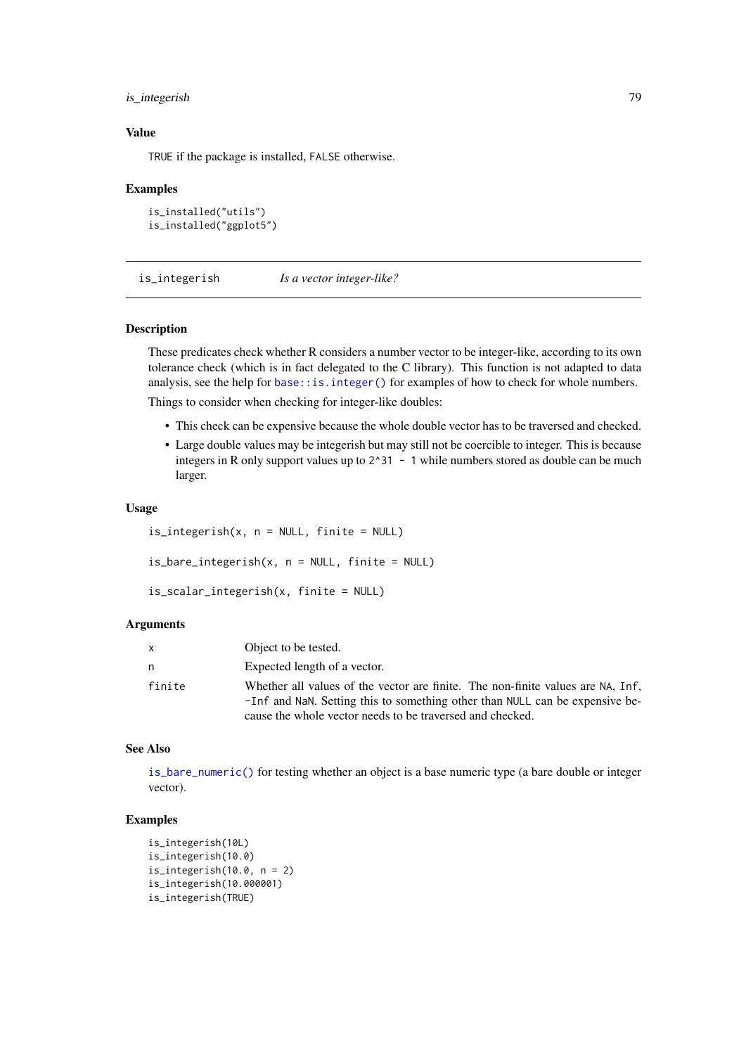#### is\_integerish 79

#### Value

TRUE if the package is installed, FALSE otherwise.

### Examples

```
is_installed("utils")
is_installed("ggplot5")
```
is\_integerish *Is a vector integer-like?*

#### Description

These predicates check whether R considers a number vector to be integer-like, according to its own tolerance check (which is in fact delegated to the C library). This function is not adapted to data analysis, see the help for [base::is.integer\(\)](#page-0-0) for examples of how to check for whole numbers.

Things to consider when checking for integer-like doubles:

- This check can be expensive because the whole double vector has to be traversed and checked.
- Large double values may be integerish but may still not be coercible to integer. This is because integers in R only support values up to  $2^3$ 1 - 1 while numbers stored as double can be much larger.

#### Usage

```
is_integerish(x, n = NULL, finite = NULL)
is\_bare\_integersh(x, n = NULL, finite = NULL)is_scalar_integerish(x, finite = NULL)
```
## Arguments

| Object to be tested.                                                                                                                                                                                                         |  |
|------------------------------------------------------------------------------------------------------------------------------------------------------------------------------------------------------------------------------|--|
| Expected length of a vector.                                                                                                                                                                                                 |  |
| Whether all values of the vector are finite. The non-finite values are NA, Inf,<br>-Inf and NaN. Setting this to something other than NULL can be expensive be-<br>cause the whole vector needs to be traversed and checked. |  |
|                                                                                                                                                                                                                              |  |

## See Also

[is\\_bare\\_numeric\(\)](#page-18-0) for testing whether an object is a base numeric type (a bare double or integer vector).

```
is_integerish(10L)
is_integerish(10.0)
is_integerish(10.0, n = 2)
is_integerish(10.000001)
is_integerish(TRUE)
```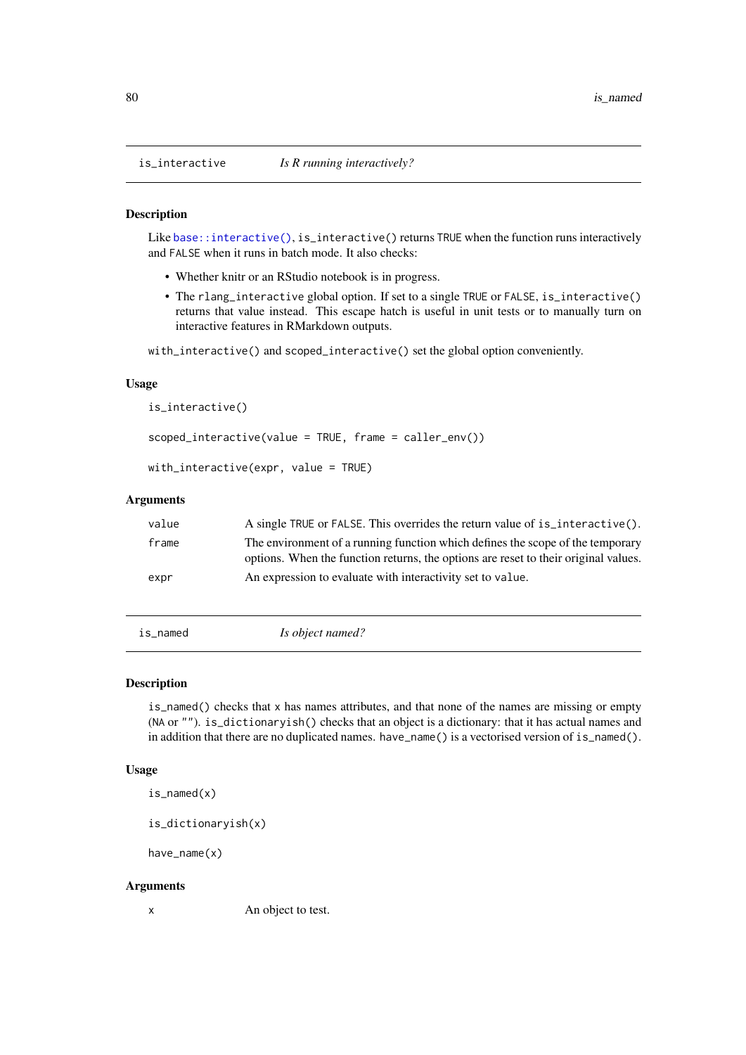is\_interactive *Is R running interactively?*

## Description

Like [base::interactive\(\)](#page-0-0), is\_interactive() returns TRUE when the function runs interactively and FALSE when it runs in batch mode. It also checks:

- Whether knitr or an RStudio notebook is in progress.
- The rlang\_interactive global option. If set to a single TRUE or FALSE, is\_interactive() returns that value instead. This escape hatch is useful in unit tests or to manually turn on interactive features in RMarkdown outputs.

with\_interactive() and scoped\_interactive() set the global option conveniently.

## Usage

```
is_interactive()
scoped_interactive(value = TRUE, frame = caller_env())
with_interactive(expr, value = TRUE)
```
# Arguments

| value | A single TRUE or FALSE. This overrides the return value of is interactive().                                                                                          |
|-------|-----------------------------------------------------------------------------------------------------------------------------------------------------------------------|
| frame | The environment of a running function which defines the scope of the temporary<br>options. When the function returns, the options are reset to their original values. |
| expr  | An expression to evaluate with interactivity set to value.                                                                                                            |

is\_named *Is object named?*

## Description

is\_named() checks that x has names attributes, and that none of the names are missing or empty (NA or ""). is\_dictionaryish() checks that an object is a dictionary: that it has actual names and in addition that there are no duplicated names. have\_name() is a vectorised version of is\_named().

## Usage

is\_named(x)

is\_dictionaryish(x)

have\_name(x)

## Arguments

x An object to test.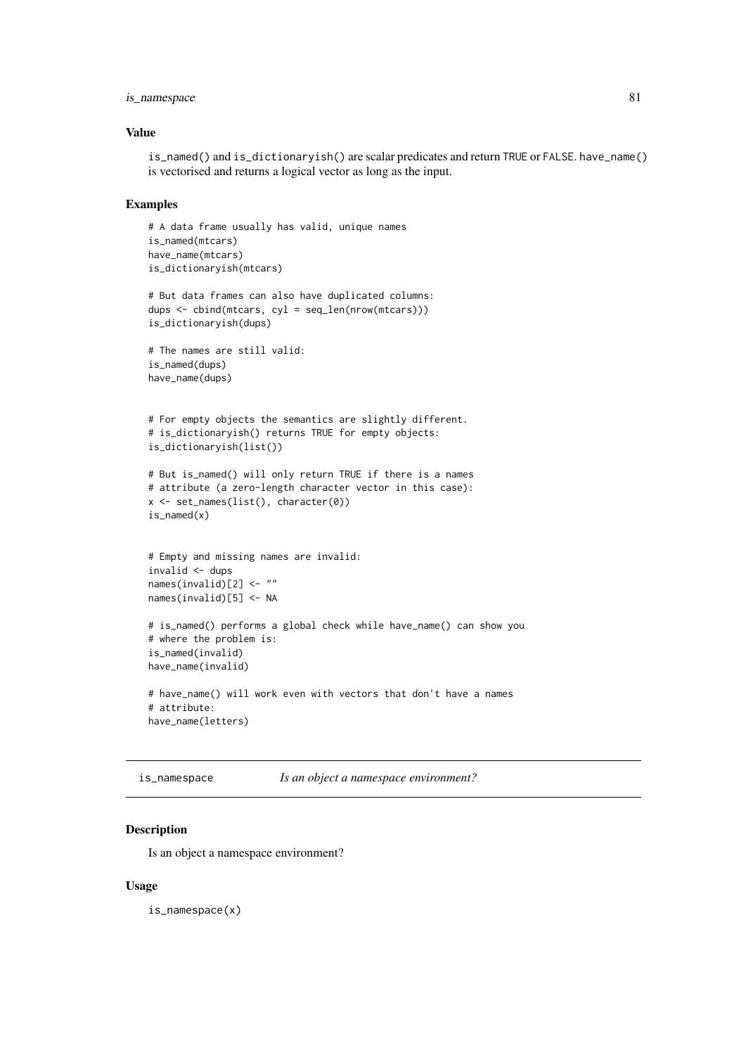#### is\_namespace 81

#### Value

is\_named() and is\_dictionaryish() are scalar predicates and return TRUE or FALSE. have\_name() is vectorised and returns a logical vector as long as the input.

# Examples

```
# A data frame usually has valid, unique names
is_named(mtcars)
have_name(mtcars)
is_dictionaryish(mtcars)
# But data frames can also have duplicated columns:
dups <- cbind(mtcars, cyl = seq_len(nrow(mtcars)))
is_dictionaryish(dups)
# The names are still valid:
is_named(dups)
have_name(dups)
# For empty objects the semantics are slightly different.
# is_dictionaryish() returns TRUE for empty objects:
is_dictionaryish(list())
# But is_named() will only return TRUE if there is a names
# attribute (a zero-length character vector in this case):
x <- set_names(list(), character(0))
is_named(x)
# Empty and missing names are invalid:
invalid <- dups
names(invalid)[2] <- ""
names(invalid)[5] <- NA
# is_named() performs a global check while have_name() can show you
# where the problem is:
is_named(invalid)
have_name(invalid)
# have_name() will work even with vectors that don't have a names
# attribute:
have_name(letters)
```

```
is_namespace Is an object a namespace environment?
```
## Description

Is an object a namespace environment?

# Usage

is\_namespace(x)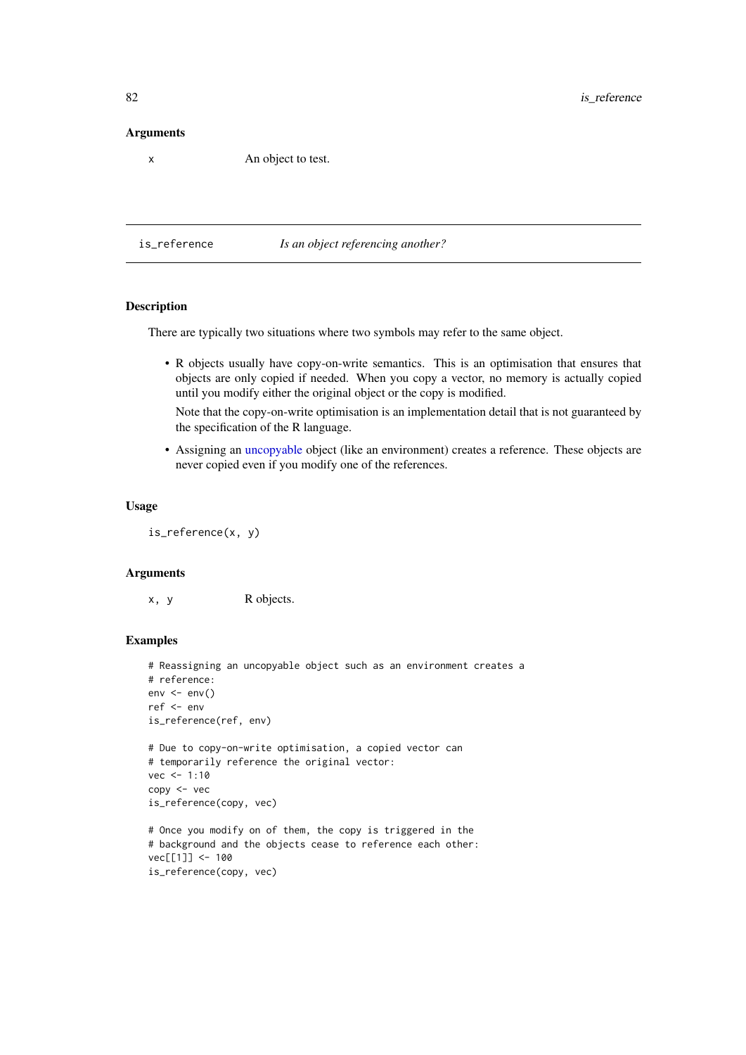## Arguments

x An object to test.

is\_reference *Is an object referencing another?*

# Description

There are typically two situations where two symbols may refer to the same object.

• R objects usually have copy-on-write semantics. This is an optimisation that ensures that objects are only copied if needed. When you copy a vector, no memory is actually copied until you modify either the original object or the copy is modified.

Note that the copy-on-write optimisation is an implementation detail that is not guaranteed by the specification of the R language.

• Assigning an [uncopyable](#page-71-0) object (like an environment) creates a reference. These objects are never copied even if you modify one of the references.

#### Usage

is\_reference(x, y)

## Arguments

x, y R objects.

```
# Reassigning an uncopyable object such as an environment creates a
# reference:
env \le env()ref <- env
is_reference(ref, env)
# Due to copy-on-write optimisation, a copied vector can
# temporarily reference the original vector:
vec < -1:10copy <- vec
is_reference(copy, vec)
# Once you modify on of them, the copy is triggered in the
# background and the objects cease to reference each other:
vec[[1]] <- 100
is_reference(copy, vec)
```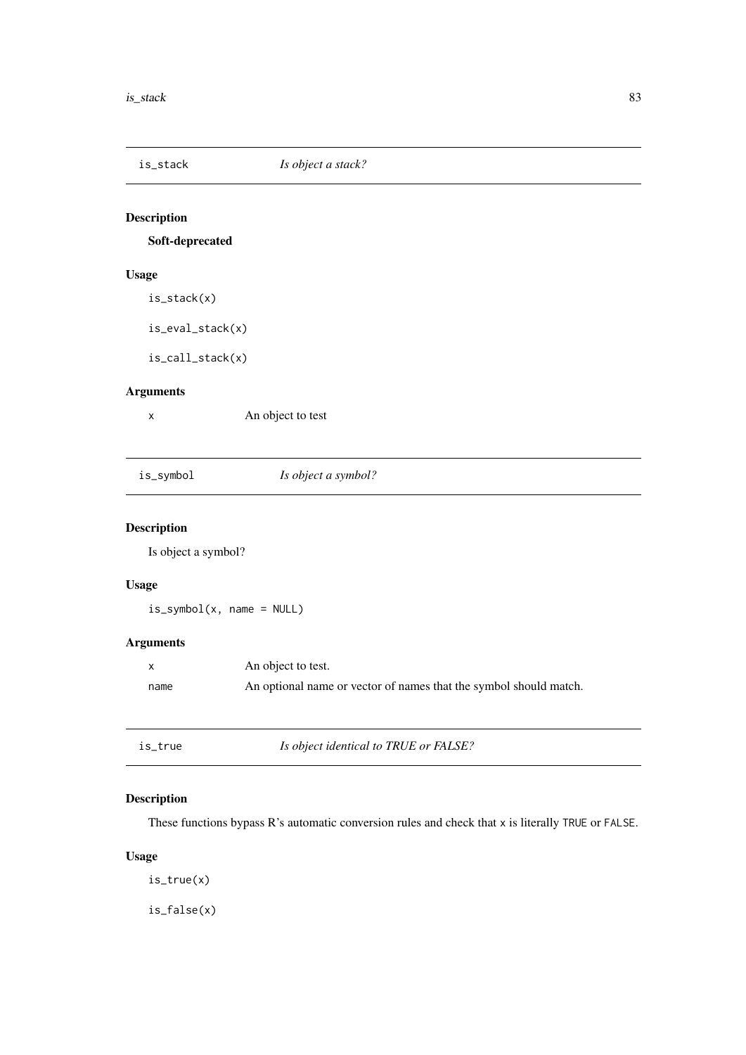Soft-deprecated

# Usage

is\_stack(x)

is\_eval\_stack(x)

is\_call\_stack(x)

# Arguments

x An object to test

# is\_symbol *Is object a symbol?*

# Description

Is object a symbol?

# Usage

is\_symbol(x, name = NULL)

# Arguments

|      | An object to test.                                                |
|------|-------------------------------------------------------------------|
| name | An optional name or vector of names that the symbol should match. |

is\_true *Is object identical to TRUE or FALSE?*

# Description

These functions bypass R's automatic conversion rules and check that x is literally TRUE or FALSE.

# Usage

is\_true(x)

is\_false(x)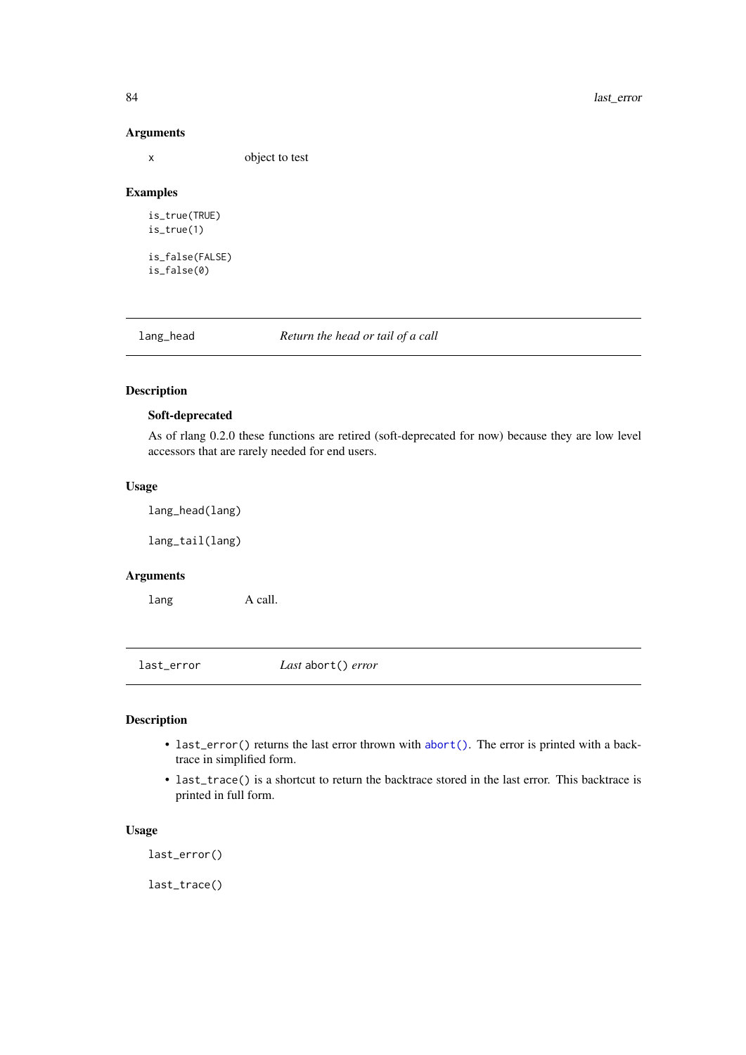# Arguments

x object to test

## Examples

is\_true(TRUE) is\_true(1) is\_false(FALSE) is\_false(0)

<span id="page-83-0"></span>

lang\_head *Return the head or tail of a call*

# <span id="page-83-1"></span>Description

## Soft-deprecated

As of rlang 0.2.0 these functions are retired (soft-deprecated for now) because they are low level accessors that are rarely needed for end users.

# Usage

lang\_head(lang)

lang\_tail(lang)

## Arguments

lang A call.

last\_error *Last* abort() *error*

## Description

- last\_error() returns the last error thrown with [abort\(\)](#page-3-0). The error is printed with a backtrace in simplified form.
- last\_trace() is a shortcut to return the backtrace stored in the last error. This backtrace is printed in full form.

#### Usage

last\_error()

last\_trace()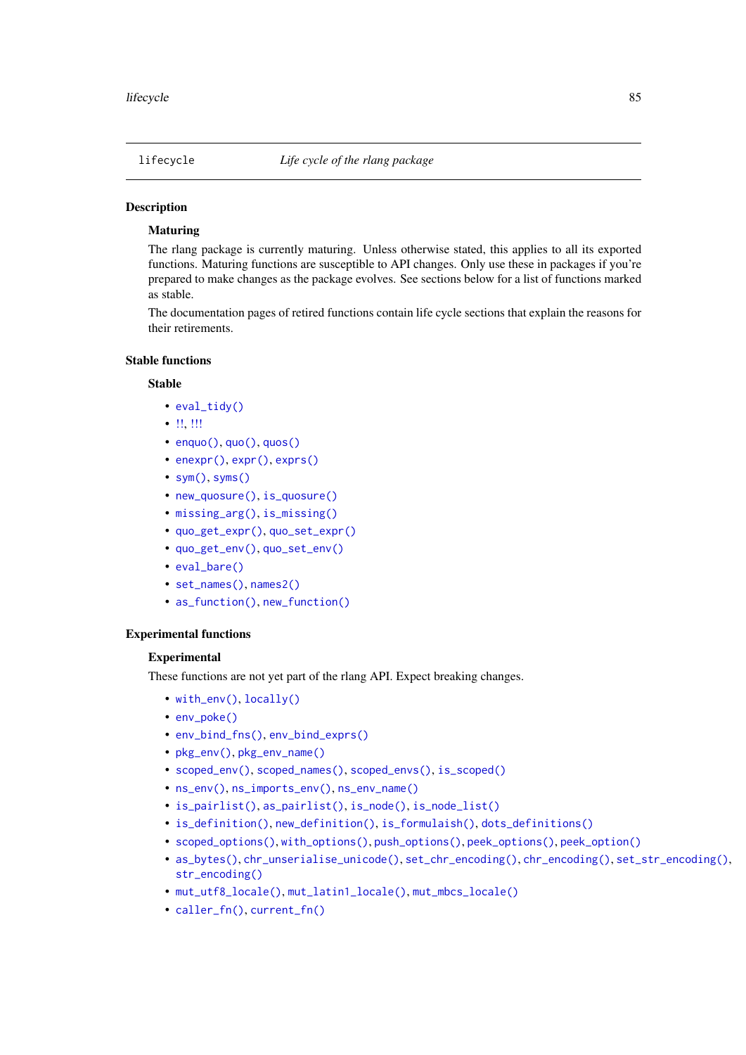# Maturing

The rlang package is currently maturing. Unless otherwise stated, this applies to all its exported functions. Maturing functions are susceptible to API changes. Only use these in packages if you're prepared to make changes as the package evolves. See sections below for a list of functions marked as stable.

The documentation pages of retired functions contain life cycle sections that explain the reasons for their retirements.

# Stable functions

## Stable

- [eval\\_tidy\(\)](#page-53-0)
- [!!,](#page-97-0) [!!!](#page-97-0)
- enquo $()$ , quo $()$ , quos $()$
- [enexpr\(\)](#page-103-0), [expr\(\)](#page-103-0), [exprs\(\)](#page-103-0)
- $sym(), syms()$  $sym(), syms()$  $sym(), syms()$
- [new\\_quosure\(\)](#page-15-0), [is\\_quosure\(\)](#page-100-0)
- [missing\\_arg\(\)](#page-88-0), [is\\_missing\(\)](#page-88-1)
- [quo\\_get\\_expr\(\)](#page-100-0), [quo\\_set\\_expr\(\)](#page-100-0)
- [quo\\_get\\_env\(\)](#page-100-0), [quo\\_set\\_env\(\)](#page-100-0)
- [eval\\_bare\(\)](#page-51-0)
- [set\\_names\(\)](#page-119-0), [names2\(\)](#page-90-0)
- [as\\_function\(\)](#page-12-0), [new\\_function\(\)](#page-93-0)

## Experimental functions

## **Experimental**

These functions are not yet part of the rlang API. Expect breaking changes.

- [with\\_env\(\)](#page-129-0), [locally\(\)](#page-129-1)
- [env\\_poke\(\)](#page-0-0)
- [env\\_bind\\_fns\(\)](#page-0-0), [env\\_bind\\_exprs\(\)](#page-0-0)
- [pkg\\_env\(\)](#page-0-0), [pkg\\_env\\_name\(\)](#page-0-0)
- [scoped\\_env\(\)](#page-0-0), [scoped\\_names\(\)](#page-0-0), [scoped\\_envs\(\)](#page-0-0), [is\\_scoped\(\)](#page-0-0)
- [ns\\_env\(\)](#page-0-0), [ns\\_imports\\_env\(\)](#page-0-0), [ns\\_env\\_name\(\)](#page-0-0)
- [is\\_pairlist\(\)](#page-0-0), [as\\_pairlist\(\)](#page-0-0), [is\\_node\(\)](#page-0-0), [is\\_node\\_list\(\)](#page-0-0)
- [is\\_definition\(\)](#page-0-0), [new\\_definition\(\)](#page-0-0), [is\\_formulaish\(\)](#page-0-0), [dots\\_definitions\(\)](#page-0-0)
- [scoped\\_options\(\)](#page-116-0), [with\\_options\(\)](#page-116-1), [push\\_options\(\)](#page-116-1), [peek\\_options\(\)](#page-116-1), [peek\\_option\(\)](#page-116-1)
- [as\\_bytes\(\)](#page-0-0), [chr\\_unserialise\\_unicode\(\)](#page-0-0), [set\\_chr\\_encoding\(\)](#page-0-0), [chr\\_encoding\(\)](#page-0-0), [set\\_str\\_encoding\(\)](#page-0-0), [str\\_encoding\(\)](#page-0-0)
- [mut\\_utf8\\_locale\(\)](#page-0-0), [mut\\_latin1\\_locale\(\)](#page-0-0), [mut\\_mbcs\\_locale\(\)](#page-0-0)
- [caller\\_fn\(\)](#page-22-0), [current\\_fn\(\)](#page-22-1)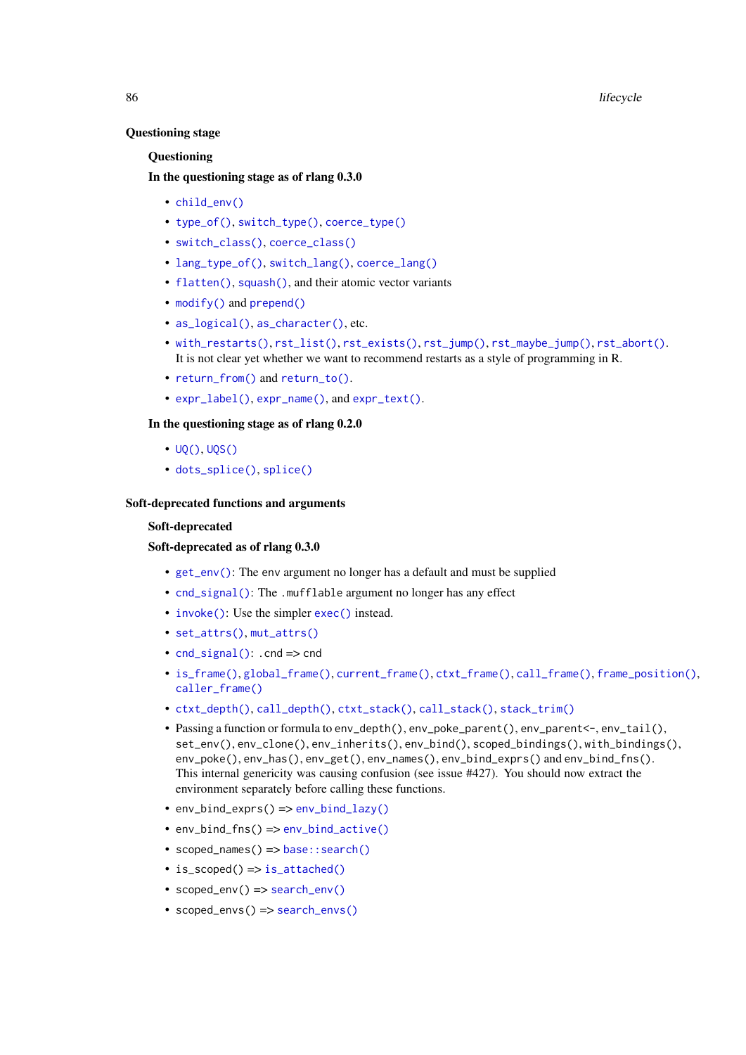## Questioning stage

## Questioning

# In the questioning stage as of rlang 0.3.0

- [child\\_env\(\)](#page-37-0)
- [type\\_of\(\)](#page-0-0), [switch\\_type\(\)](#page-0-0), [coerce\\_type\(\)](#page-0-0)
- [switch\\_class\(\)](#page-0-0), [coerce\\_class\(\)](#page-0-0)
- [lang\\_type\\_of\(\)](#page-0-0), [switch\\_lang\(\)](#page-0-0), [coerce\\_lang\(\)](#page-0-0)
- [flatten\(\)](#page-0-0), [squash\(\)](#page-0-0), and their atomic vector variants
- [modify\(\)](#page-0-0) and [prepend\(\)](#page-0-0)
- [as\\_logical\(\)](#page-0-0), [as\\_character\(\)](#page-0-0), etc.
- [with\\_restarts\(\)](#page-132-0), [rst\\_list\(\)](#page-114-0), [rst\\_exists\(\)](#page-114-1), [rst\\_jump\(\)](#page-114-1), [rst\\_maybe\\_jump\(\)](#page-114-1), [rst\\_abort\(\)](#page-113-0). It is not clear yet whether we want to recommend restarts as a style of programming in R.
- [return\\_from\(\)](#page-111-0) and [return\\_to\(\)](#page-111-1).
- [expr\\_label\(\)](#page-59-0), [expr\\_name\(\)](#page-59-1), and [expr\\_text\(\)](#page-59-1).

## In the questioning stage as of rlang 0.2.0

- [UQ\(\)](#page-97-0), [UQS\(\)](#page-97-0)
- [dots\\_splice\(\)](#page-0-0), [splice\(\)](#page-0-0)

## Soft-deprecated functions and arguments

## Soft-deprecated

## Soft-deprecated as of rlang 0.3.0

- [get\\_env\(\)](#page-65-0): The env argument no longer has a default and must be supplied
- [cnd\\_signal\(\)](#page-32-0): The .mufflable argument no longer has any effect
- [invoke\(\)](#page-0-0): Use the simpler [exec\(\)](#page-55-0) instead.
- [set\\_attrs\(\)](#page-0-0), [mut\\_attrs\(\)](#page-0-0)
- [cnd\\_signal\(\)](#page-32-0): .cnd => cnd
- [is\\_frame\(\)](#page-0-0), [global\\_frame\(\)](#page-0-0), [current\\_frame\(\)](#page-0-0), [ctxt\\_frame\(\)](#page-0-0), [call\\_frame\(\)](#page-0-0), [frame\\_position\(\)](#page-0-0), [caller\\_frame\(\)](#page-0-0)
- [ctxt\\_depth\(\)](#page-0-0), [call\\_depth\(\)](#page-0-0), [ctxt\\_stack\(\)](#page-0-0), [call\\_stack\(\)](#page-0-0), [stack\\_trim\(\)](#page-0-0)
- Passing a function or formula to env\_depth(), env\_poke\_parent(), env\_parent<-, env\_tail(), set\_env(), env\_clone(), env\_inherits(), env\_bind(), scoped\_bindings(), with\_bindings(), env\_poke(), env\_has(), env\_get(), env\_names(), env\_bind\_exprs() and env\_bind\_fns(). This internal genericity was causing confusion (see issue #427). You should now extract the environment separately before calling these functions.
- env\_bind\_exprs() => [env\\_bind\\_lazy\(\)](#page-39-0)
- env\_bind\_fns() => [env\\_bind\\_active\(\)](#page-39-0)
- scoped\_names() => [base::search\(\)](#page-0-0)
- is\_scoped() => [is\\_attached\(\)](#page-0-0)
- scoped\_env() => [search\\_env\(\)](#page-0-0)
- scoped\_envs() => [search\\_envs\(\)](#page-0-0)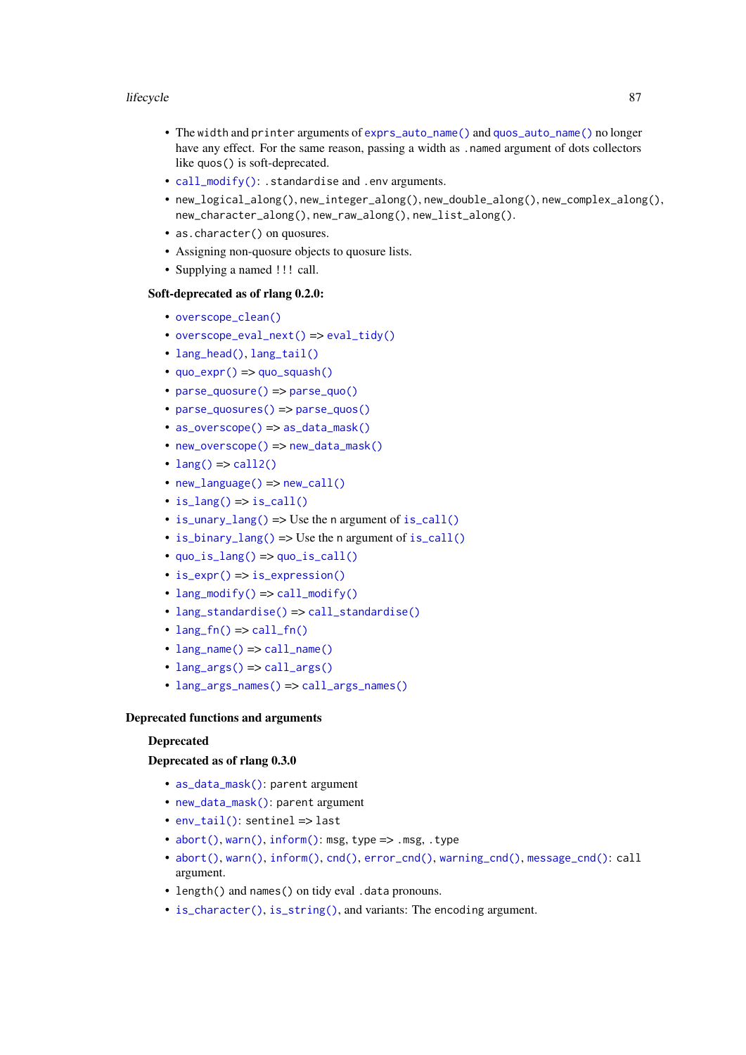#### lifecycle 87

- The width and printer arguments of [exprs\\_auto\\_name\(\)](#page-57-0) and [quos\\_auto\\_name\(\)](#page-57-1) no longer have any effect. For the same reason, passing a width as .named argument of dots collectors like quos() is soft-deprecated.
- [call\\_modify\(\)](#page-25-0): .standardise and .env arguments.
- new\_logical\_along(), new\_integer\_along(), new\_double\_along(), new\_complex\_along(), new\_character\_along(), new\_raw\_along(), new\_list\_along().
- as.character() on quosures.
- Assigning non-quosure objects to quosure lists.
- Supplying a named !!! call.

# Soft-deprecated as of rlang 0.2.0:

- [overscope\\_clean\(\)](#page-0-0)
- [overscope\\_eval\\_next\(\)](#page-0-0) => [eval\\_tidy\(\)](#page-53-0)
- [lang\\_head\(\)](#page-83-0), [lang\\_tail\(\)](#page-83-1)
- $quo\_expr() \Rightarrow quo\_squash()$
- [parse\\_quosure\(\)](#page-0-0) => [parse\\_quo\(\)](#page-96-1)
- [parse\\_quosures\(\)](#page-0-0) => [parse\\_quos\(\)](#page-96-1)
- [as\\_overscope\(\)](#page-0-0) = > [as\\_data\\_mask\(\)](#page-8-0)
- [new\\_overscope\(\)](#page-0-0) => [new\\_data\\_mask\(\)](#page-8-1)
- [lang\(\)](#page-0-0)  $\Rightarrow$  [call2\(\)](#page-20-0)
- [new\\_language\(\)](#page-0-0) => [new\\_call\(\)](#page-0-0)
- $is\_lang() \Rightarrow is\_call()$
- [is\\_unary\\_lang\(\)](#page-0-0) => Use the n argument of [is\\_call\(\)](#page-69-0)
- [is\\_binary\\_lang\(\)](#page-0-0) => Use the n argument of [is\\_call\(\)](#page-69-0)
- [quo\\_is\\_lang\(\)](#page-0-0) => [quo\\_is\\_call\(\)](#page-100-0)
- [is\\_expr\(\)](#page-0-0) => [is\\_expression\(\)](#page-73-0)
- [lang\\_modify\(\)](#page-0-0) => [call\\_modify\(\)](#page-25-0)
- [lang\\_standardise\(\)](#page-0-0) => [call\\_standardise\(\)](#page-28-0)
- $\cdot$  [lang\\_fn\(\)](#page-0-0) => [call\\_fn\(\)](#page-24-0)
- [lang\\_name\(\)](#page-0-0) => [call\\_name\(\)](#page-27-0)
- [lang\\_args\(\)](#page-0-0) => [call\\_args\(\)](#page-23-0)
- [lang\\_args\\_names\(\)](#page-0-0) => [call\\_args\\_names\(\)](#page-23-1)

# Deprecated functions and arguments

## Deprecated

# Deprecated as of rlang 0.3.0

- [as\\_data\\_mask\(\)](#page-8-0): parent argument
- [new\\_data\\_mask\(\)](#page-8-1): parent argument
- [env\\_tail\(\)](#page-49-0): sentinel => last
- [abort\(\)](#page-3-0), [warn\(\)](#page-3-1), [inform\(\)](#page-3-1): msg, type => .msg, .type
- [abort\(\)](#page-3-0), [warn\(\)](#page-3-1),  $inform()$ , [cnd\(\)](#page-29-0), error cnd(), warning cnd(), message cnd(): call argument.
- length() and names() on tidy eval .data pronouns.
- [is\\_character\(\)](#page-126-0), [is\\_string\(\)](#page-115-0), and variants: The encoding argument.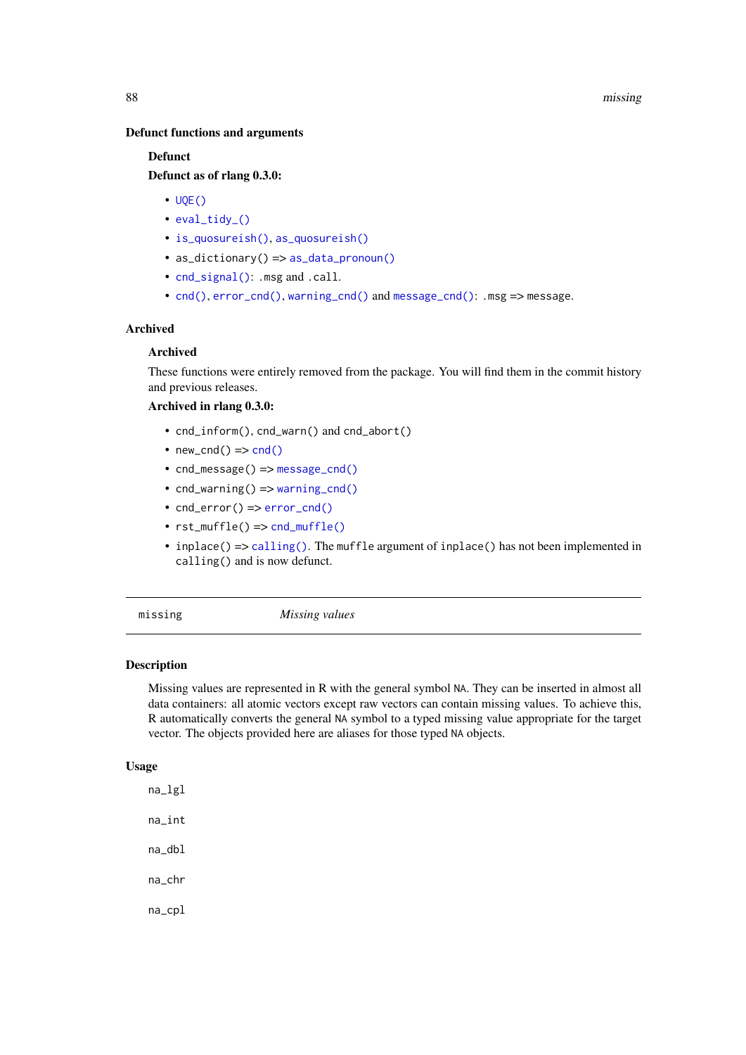## Defunct functions and arguments

## **Defunct**

# Defunct as of rlang 0.3.0:

- $\cdot$  [UQE\(\)](#page-0-0)
- [eval\\_tidy\\_\(\)](#page-0-0)
- [is\\_quosureish\(\)](#page-0-0), [as\\_quosureish\(\)](#page-0-0)
- as\_dictionary() => [as\\_data\\_pronoun\(\)](#page-8-1)
- [cnd\\_signal\(\)](#page-32-0): .msg and .call.
- [cnd\(\)](#page-29-0), [error\\_cnd\(\)](#page-29-1), [warning\\_cnd\(\)](#page-29-1) and [message\\_cnd\(\)](#page-29-1): .msg => message.

## Archived

## Archived

These functions were entirely removed from the package. You will find them in the commit history and previous releases.

## Archived in rlang 0.3.0:

- cnd\_inform(), cnd\_warn() and cnd\_abort()
- new [cnd\(\)](#page-29-0)  $\Rightarrow$  cnd()
- cnd\_message() => [message\\_cnd\(\)](#page-29-1)
- cnd\_warning() => [warning\\_cnd\(\)](#page-29-1)
- cnd\_error() => [error\\_cnd\(\)](#page-29-1)
- rst\_muffle() => [cnd\\_muffle\(\)](#page-30-0)
- inplace() => [calling\(\)](#page-56-0). The muffle argument of inplace() has not been implemented in calling() and is now defunct.

## <span id="page-87-0"></span>missing *Missing values*

## Description

Missing values are represented in R with the general symbol NA. They can be inserted in almost all data containers: all atomic vectors except raw vectors can contain missing values. To achieve this, R automatically converts the general NA symbol to a typed missing value appropriate for the target vector. The objects provided here are aliases for those typed NA objects.

## Usage

na\_lgl na\_int na\_dbl na\_chr na\_cpl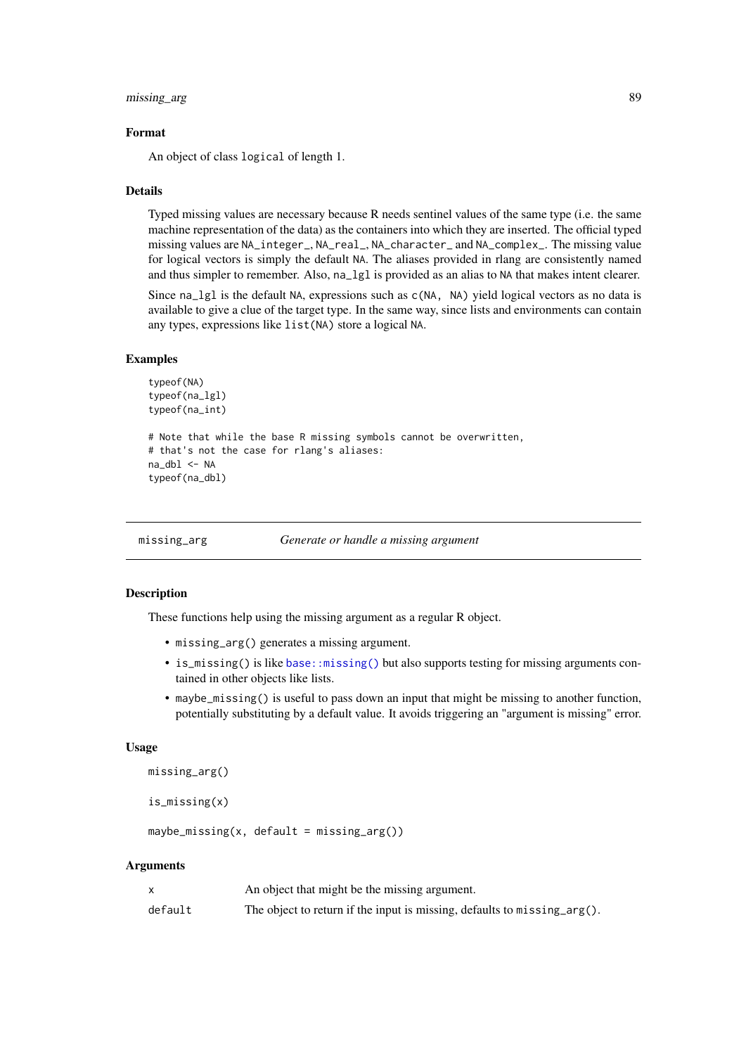#### missing\_arg 89

#### Format

An object of class logical of length 1.

## Details

Typed missing values are necessary because R needs sentinel values of the same type (i.e. the same machine representation of the data) as the containers into which they are inserted. The official typed missing values are NA\_integer\_, NA\_real\_, NA\_character\_ and NA\_complex\_. The missing value for logical vectors is simply the default NA. The aliases provided in rlang are consistently named and thus simpler to remember. Also, na\_lgl is provided as an alias to NA that makes intent clearer.

Since na\_lgl is the default NA, expressions such as c(NA, NA) yield logical vectors as no data is available to give a clue of the target type. In the same way, since lists and environments can contain any types, expressions like list(NA) store a logical NA.

## Examples

```
typeof(NA)
typeof(na_lgl)
typeof(na_int)
# Note that while the base R missing symbols cannot be overwritten,
# that's not the case for rlang's aliases:
na_dbl <- NA
typeof(na_dbl)
```
<span id="page-88-0"></span>missing\_arg *Generate or handle a missing argument*

## <span id="page-88-1"></span>Description

These functions help using the missing argument as a regular R object.

- missing\_arg() generates a missing argument.
- is\_missing() is like [base::missing\(\)](#page-0-0) but also supports testing for missing arguments contained in other objects like lists.
- maybe\_missing() is useful to pass down an input that might be missing to another function, potentially substituting by a default value. It avoids triggering an "argument is missing" error.

## Usage

```
missing_arg()
```
is\_missing(x)

 $maybe\_missing(x, default = missing()$ 

## Arguments

|         | An object that might be the missing argument.                                  |
|---------|--------------------------------------------------------------------------------|
| default | The object to return if the input is missing, defaults to $missing \, arg()$ . |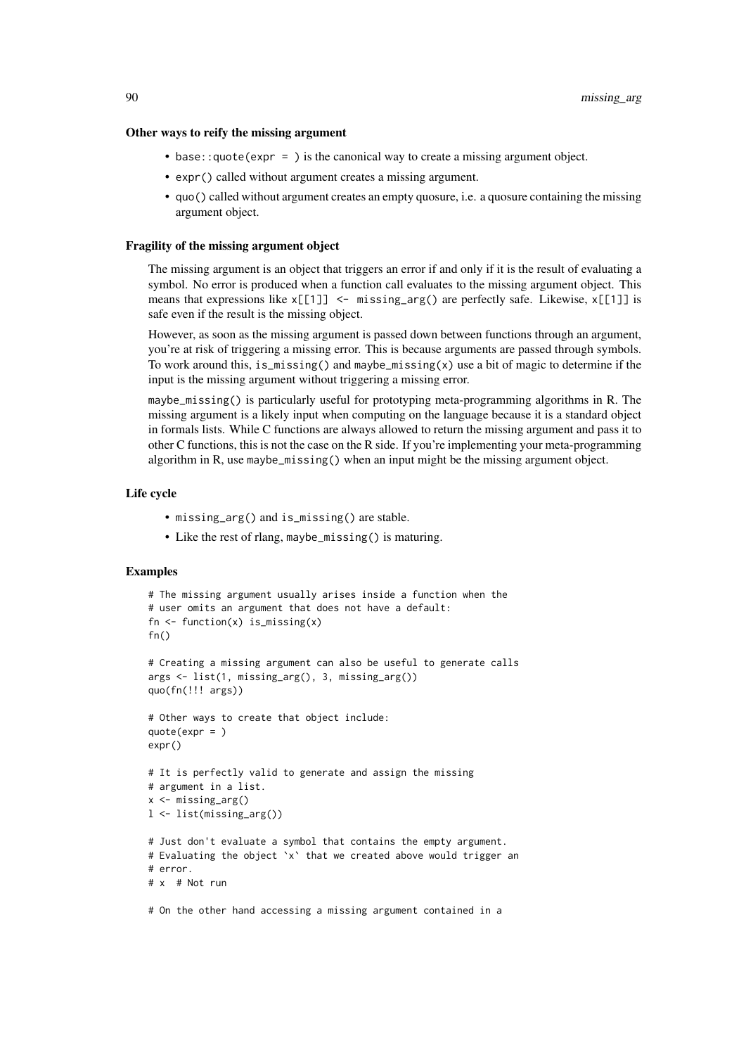#### Other ways to reify the missing argument

- base::quote(expr = ) is the canonical way to create a missing argument object.
- expr() called without argument creates a missing argument.
- quo() called without argument creates an empty quosure, i.e. a quosure containing the missing argument object.

#### Fragility of the missing argument object

The missing argument is an object that triggers an error if and only if it is the result of evaluating a symbol. No error is produced when a function call evaluates to the missing argument object. This means that expressions like  $x[[1]]$  <- missing\_arg() are perfectly safe. Likewise,  $x[[1]]$  is safe even if the result is the missing object.

However, as soon as the missing argument is passed down between functions through an argument, you're at risk of triggering a missing error. This is because arguments are passed through symbols. To work around this, is\_missing() and maybe\_missing(x) use a bit of magic to determine if the input is the missing argument without triggering a missing error.

maybe\_missing() is particularly useful for prototyping meta-programming algorithms in R. The missing argument is a likely input when computing on the language because it is a standard object in formals lists. While C functions are always allowed to return the missing argument and pass it to other C functions, this is not the case on the R side. If you're implementing your meta-programming algorithm in R, use maybe\_missing() when an input might be the missing argument object.

## Life cycle

- missing\_arg() and is\_missing() are stable.
- Like the rest of rlang, maybe\_missing() is maturing.

# Examples

```
# The missing argument usually arises inside a function when the
# user omits an argument that does not have a default:
fn \leq function(x) is_missing(x)
fn()
# Creating a missing argument can also be useful to generate calls
args <- list(1, missing_arg(), 3, missing_arg())
quo(fn(!!! args))
# Other ways to create that object include:
quote(expr = )
expr()
# It is perfectly valid to generate and assign the missing
# argument in a list.
x <- missing_arg()
l <- list(missing_arg())
# Just don't evaluate a symbol that contains the empty argument.
# Evaluating the object `x` that we created above would trigger an
# error.
# x # Not run
```
# On the other hand accessing a missing argument contained in a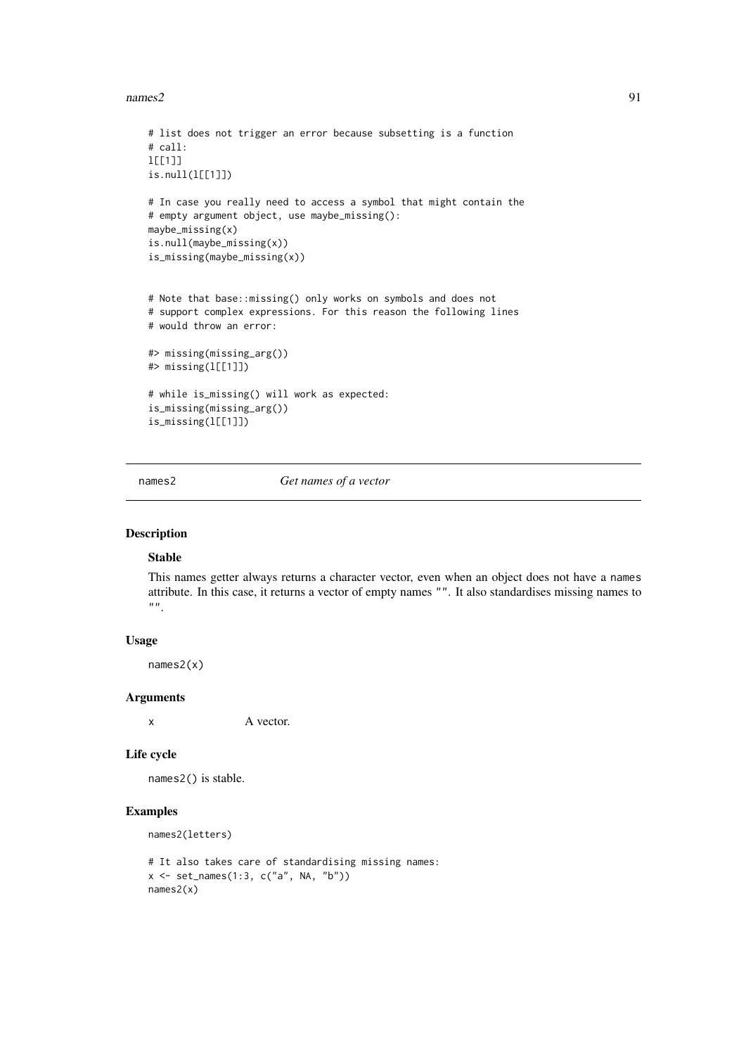$names2$  91

```
# list does not trigger an error because subsetting is a function
# call:
l[[1]]
is.null(l[[1]])
# In case you really need to access a symbol that might contain the
# empty argument object, use maybe_missing():
maybe_missing(x)
is.null(maybe_missing(x))
is_missing(maybe_missing(x))
# Note that base::missing() only works on symbols and does not
# support complex expressions. For this reason the following lines
# would throw an error:
#> missing(missing_arg())
#> missing(l[[1]])
# while is_missing() will work as expected:
is_missing(missing_arg())
is_missing(l[[1]])
```
<span id="page-90-0"></span>names2 *Get names of a vector*

# Description

# Stable

This names getter always returns a character vector, even when an object does not have a names attribute. In this case, it returns a vector of empty names "". It also standardises missing names to  $"$ .

# Usage

names2(x)

## Arguments

x A vector.

## Life cycle

names2() is stable.

```
names2(letters)
```

```
# It also takes care of standardising missing names:
x \le - set_names(1:3, c("a", NA, "b"))
names2(x)
```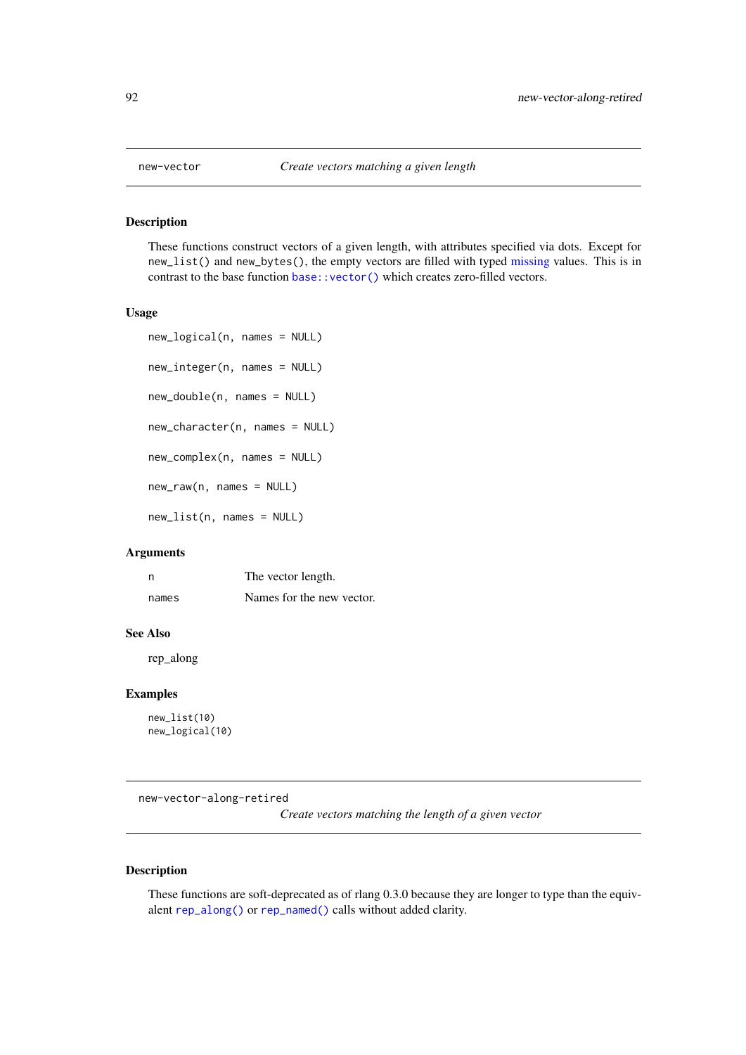These functions construct vectors of a given length, with attributes specified via dots. Except for new\_list() and new\_bytes(), the empty vectors are filled with typed [missing](#page-87-0) values. This is in contrast to the base function [base::vector\(\)](#page-0-0) which creates zero-filled vectors.

# Usage

```
new_logical(n, names = NULL)
new_integer(n, names = NULL)
new_double(n, names = NULL)
new_character(n, names = NULL)
new_complex(n, names = NULL)
new_raw(n, names = NULL)
new_list(n, names = NULL)
```
## Arguments

| n     | The vector length.        |
|-------|---------------------------|
| names | Names for the new vector. |

#### See Also

rep\_along

# Examples

new\_list(10) new\_logical(10)

new-vector-along-retired

*Create vectors matching the length of a given vector*

## Description

These functions are soft-deprecated as of rlang 0.3.0 because they are longer to type than the equivalent [rep\\_along\(\)](#page-109-0) or [rep\\_named\(\)](#page-109-1) calls without added clarity.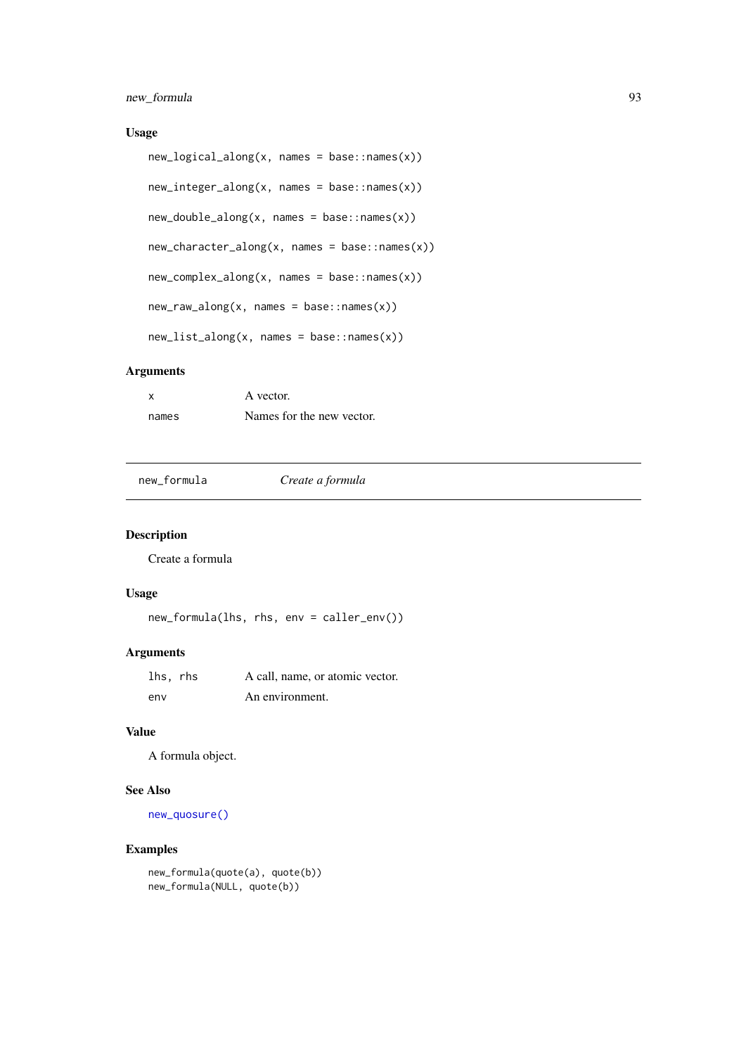## new\_formula 93

# Usage

```
new_logical_along(x, names = base::names(x))
new_integer_along(x, names = base::names(x))
new_double_along(x, names = base::names(x))
new_character_along(x, names = base::names(x))
new_complex_along(x, names = base::names(x))
new_raw_along(x, names = base::names(x))
new_list_along(x, names = base::names(x))
```
## Arguments

| x     | A vector.                 |
|-------|---------------------------|
| names | Names for the new vector. |

new\_formula *Create a formula*

# Description

Create a formula

## Usage

```
new_formula(lhs, rhs, env = caller_env())
```
# Arguments

| lhs, rhs | A call, name, or atomic vector. |
|----------|---------------------------------|
| env      | An environment.                 |

# Value

A formula object.

# See Also

[new\\_quosure\(\)](#page-15-0)

```
new_formula(quote(a), quote(b))
new_formula(NULL, quote(b))
```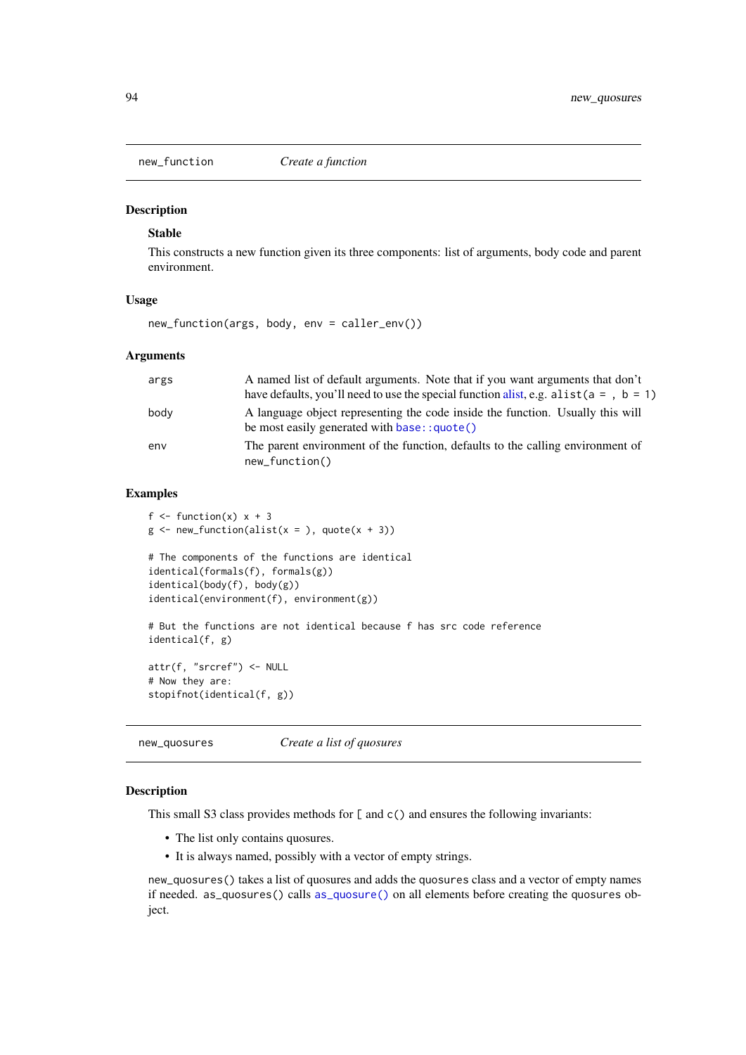<span id="page-93-0"></span>

# Stable

This constructs a new function given its three components: list of arguments, body code and parent environment.

## Usage

```
new_function(args, body, env = caller_env())
```
## Arguments

| args | A named list of default arguments. Note that if you want arguments that don't<br>have defaults, you'll need to use the special function alist, e.g. alist ( $a = 0$ , $b = 1$ ) |
|------|---------------------------------------------------------------------------------------------------------------------------------------------------------------------------------|
| body | A language object representing the code inside the function. Usually this will<br>be most easily generated with base:: quote()                                                  |
| env  | The parent environment of the function, defaults to the calling environment of<br>$new_function()$                                                                              |

# Examples

```
f \le function(x) x + 3g \leftarrow new_function(alist(x =), quote(x + 3))# The components of the functions are identical
identical(formals(f), formals(g))
identical(body(f), body(g))
identical(environment(f), environment(g))
# But the functions are not identical because f has src code reference
identical(f, g)
attr(f, "srcref") <- NULL
# Now they are:
stopifnot(identical(f, g))
```
new\_quosures *Create a list of quosures*

## Description

This small S3 class provides methods for [ and c() and ensures the following invariants:

- The list only contains quosures.
- It is always named, possibly with a vector of empty strings.

new\_quosures() takes a list of quosures and adds the quosures class and a vector of empty names if needed. as\_quosures() calls [as\\_quosure\(\)](#page-15-1) on all elements before creating the quosures object.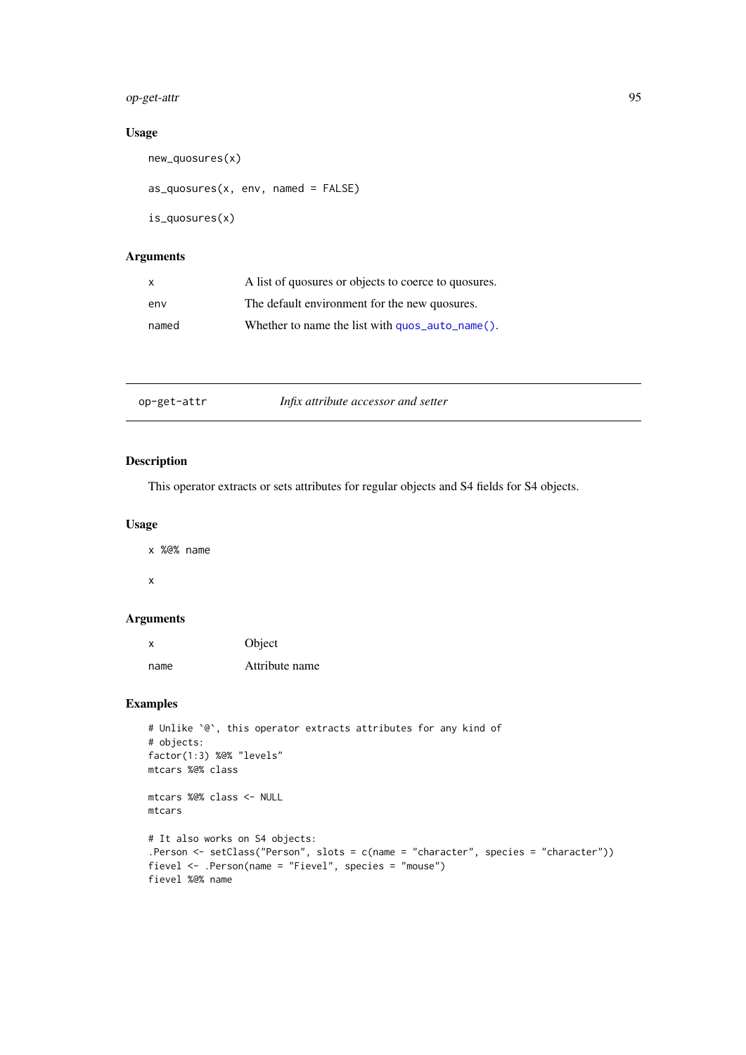# op-get-attr 95

# Usage

```
new_quosures(x)
```

```
as_quosures(x, env, named = FALSE)
```

```
is_quosures(x)
```
# Arguments

| X     | A list of quosures or objects to coerce to quosures.             |
|-------|------------------------------------------------------------------|
| env   | The default environment for the new quosures.                    |
| named | Whether to name the list with $\frac{quos}\text{auto\_name}()$ . |

# Description

This operator extracts or sets attributes for regular objects and S4 fields for S4 objects.

# Usage

x %@% name x

# Arguments

| x    | Object         |
|------|----------------|
| name | Attribute name |

```
# Unlike `@`, this operator extracts attributes for any kind of
# objects:
factor(1:3) %@% "levels"
mtcars %@% class
mtcars %@% class <- NULL
mtcars
# It also works on S4 objects:
.Person <- setClass("Person", slots = c(name = "character", species = "character"))
fievel <- .Person(name = "Fievel", species = "mouse")
fievel %@% name
```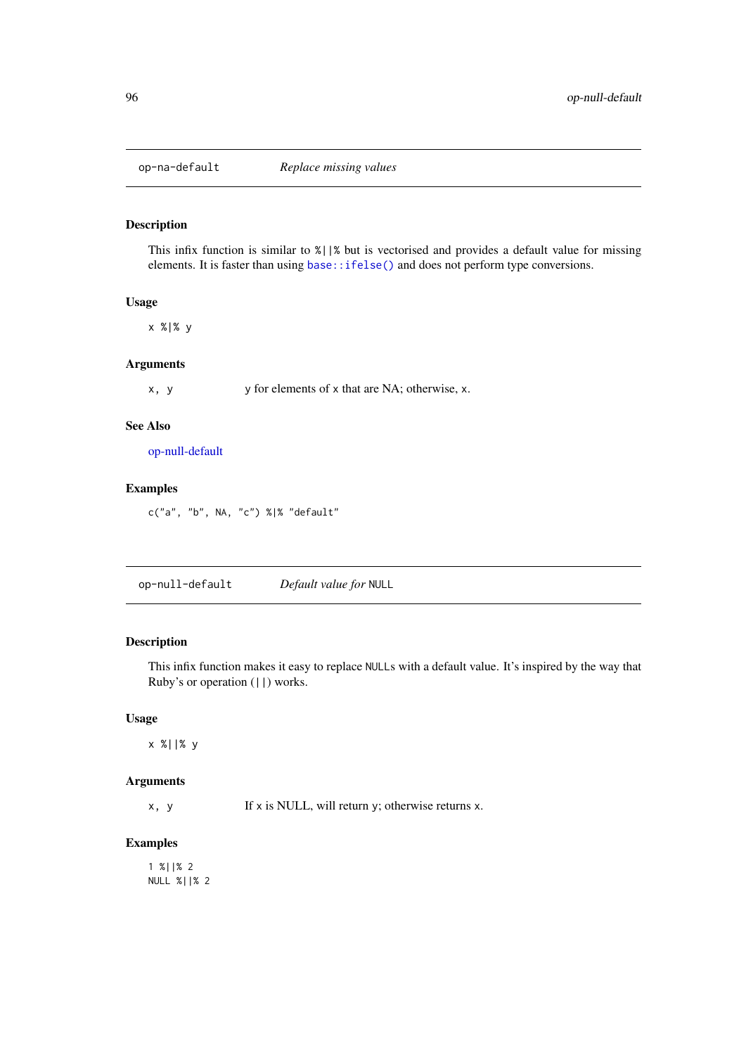This infix function is similar to %||% but is vectorised and provides a default value for missing elements. It is faster than using [base::ifelse\(\)](#page-0-0) and does not perform type conversions.

## Usage

x %|% y

# Arguments

x, y y for elements of x that are NA; otherwise, x.

# See Also

[op-null-default](#page-95-0)

# Examples

c("a", "b", NA, "c") %|% "default"

<span id="page-95-0"></span>op-null-default *Default value for* NULL

# Description

This infix function makes it easy to replace NULLs with a default value. It's inspired by the way that Ruby's or operation (||) works.

## Usage

x %||% y

# Arguments

 $x, y$  If  $x$  is NULL, will return  $y$ ; otherwise returns  $x$ .

# Examples

1 %||% 2 NULL %||% 2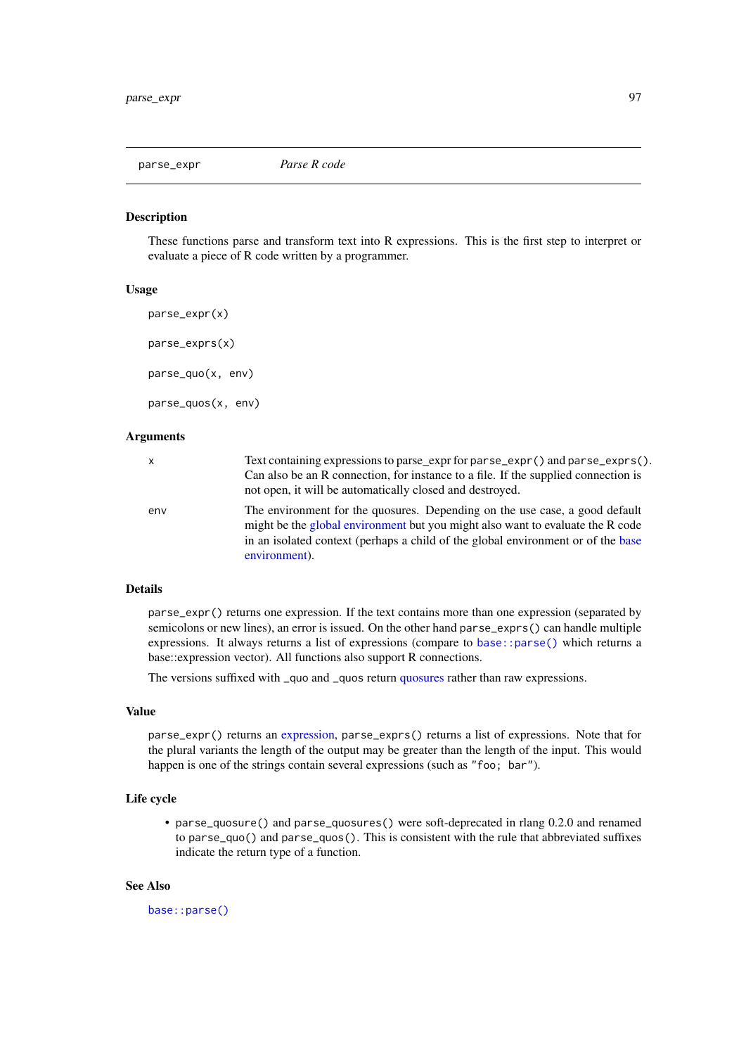<span id="page-96-1"></span><span id="page-96-0"></span>

These functions parse and transform text into R expressions. This is the first step to interpret or evaluate a piece of R code written by a programmer.

# Usage

```
parse_expr(x)
parse_exprs(x)
parse_quo(x, env)
parse_quos(x, env)
```
# Arguments

| x   | Text containing expressions to parse_expr for parse_expr() and parse_exprs().<br>Can also be an R connection, for instance to a file. If the supplied connection is<br>not open, it will be automatically closed and destroyed.                                    |
|-----|--------------------------------------------------------------------------------------------------------------------------------------------------------------------------------------------------------------------------------------------------------------------|
| env | The environment for the quosures. Depending on the use case, a good default<br>might be the global environment but you might also want to evaluate the R code<br>in an isolated context (perhaps a child of the global environment or of the base<br>environment). |

# Details

parse\_expr() returns one expression. If the text contains more than one expression (separated by semicolons or new lines), an error is issued. On the other hand parse\_exprs() can handle multiple expressions. It always returns a list of expressions (compare to [base::parse\(\)](#page-0-0) which returns a base::expression vector). All functions also support R connections.

The versions suffixed with \_quo and \_quos return [quosures](#page-103-1) rather than raw expressions.

# Value

parse\_expr() returns an [expression,](#page-73-0) parse\_exprs() returns a list of expressions. Note that for the plural variants the length of the output may be greater than the length of the input. This would happen is one of the strings contain several expressions (such as "foo; bar").

## Life cycle

• parse\_quosure() and parse\_quosures() were soft-deprecated in rlang 0.2.0 and renamed to parse\_quo() and parse\_quos(). This is consistent with the rule that abbreviated suffixes indicate the return type of a function.

# See Also

[base::parse\(\)](#page-0-0)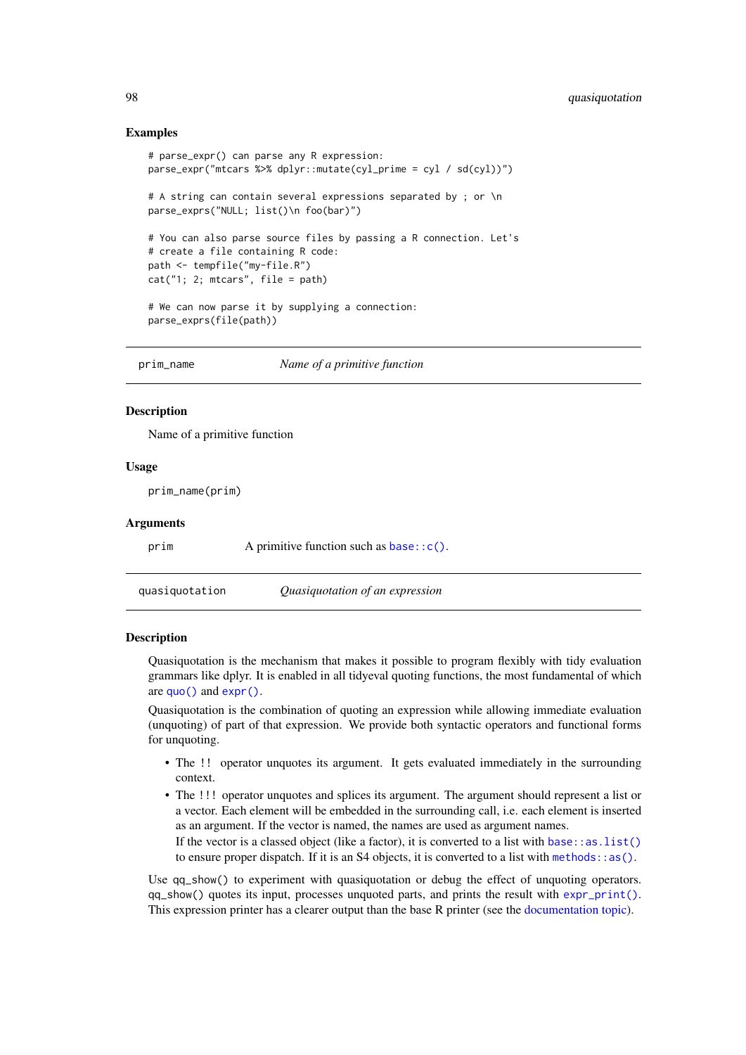## Examples

```
# parse_expr() can parse any R expression:
parse_expr("mtcars %>% dplyr::mutate(cyl_prime = cyl / sd(cyl))")
# A string can contain several expressions separated by ; or \n
parse_exprs("NULL; list()\n foo(bar)")
# You can also parse source files by passing a R connection. Let's
# create a file containing R code:
path <- tempfile("my-file.R")
cat("1; 2; mtcars", file = path)
# We can now parse it by supplying a connection:
parse_exprs(file(path))
```
prim\_name *Name of a primitive function*

## Description

Name of a primitive function

## Usage

prim\_name(prim)

#### Arguments

prim A primitive function such as base:: c().

<span id="page-97-1"></span>quasiquotation *Quasiquotation of an expression*

#### <span id="page-97-0"></span>Description

Quasiquotation is the mechanism that makes it possible to program flexibly with tidy evaluation grammars like dplyr. It is enabled in all tidyeval quoting functions, the most fundamental of which are [quo\(\)](#page-103-0) and [expr\(\)](#page-103-0).

Quasiquotation is the combination of quoting an expression while allowing immediate evaluation (unquoting) of part of that expression. We provide both syntactic operators and functional forms for unquoting.

- The !! operator unquotes its argument. It gets evaluated immediately in the surrounding context.
- The !!! operator unquotes and splices its argument. The argument should represent a list or a vector. Each element will be embedded in the surrounding call, i.e. each element is inserted as an argument. If the vector is named, the names are used as argument names. If the vector is a classed object (like a factor), it is converted to a list with base: : as.  $list()$ to ensure proper dispatch. If it is an S4 objects, it is converted to a list with methods:  $:as()$ .

Use qq\_show() to experiment with quasiquotation or debug the effect of unquoting operators. qq\_show() quotes its input, processes unquoted parts, and prints the result with [expr\\_print\(\)](#page-60-0). This expression printer has a clearer output than the base R printer (see the [documentation topic\)](#page-60-0).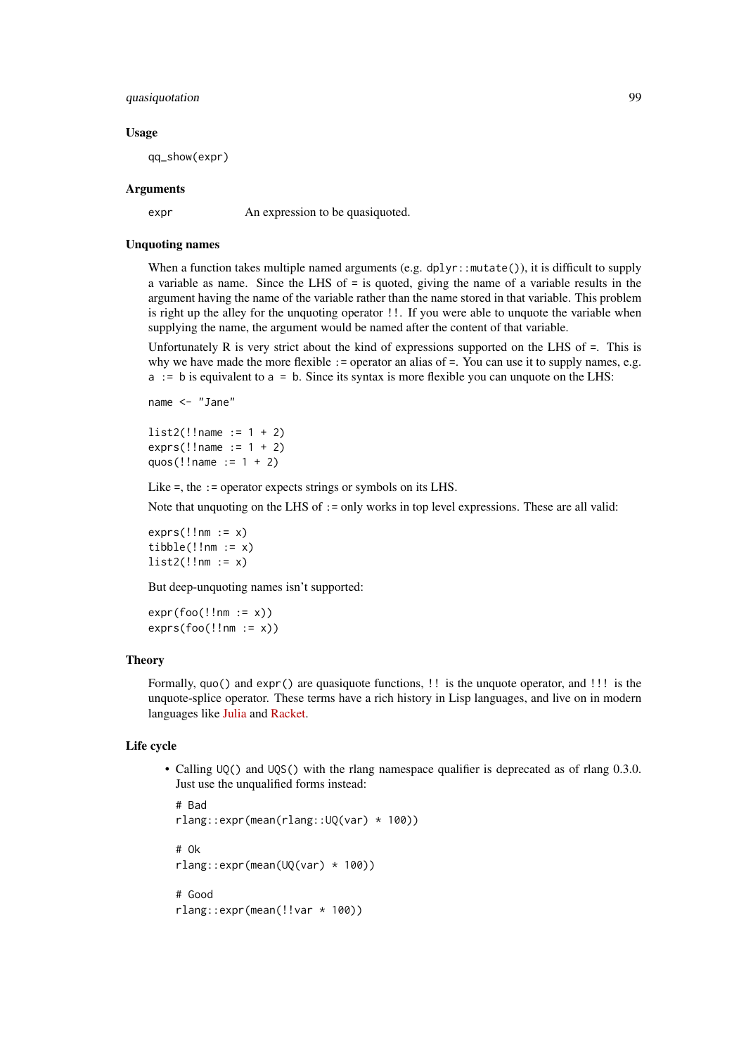#### quasiquotation 99

## Usage

qq\_show(expr)

## Arguments

expr An expression to be quasiquoted.

## Unquoting names

When a function takes multiple named arguments (e.g.  $d$ plyr::mutate()), it is difficult to supply a variable as name. Since the LHS of = is quoted, giving the name of a variable results in the argument having the name of the variable rather than the name stored in that variable. This problem is right up the alley for the unquoting operator !!. If you were able to unquote the variable when supplying the name, the argument would be named after the content of that variable.

Unfortunately  $R$  is very strict about the kind of expressions supported on the LHS of  $=$ . This is why we have made the more flexible := operator an alias of =. You can use it to supply names, e.g. a := b is equivalent to a = b. Since its syntax is more flexible you can unquote on the LHS:

name <- "Jane"

 $list2(!!name := 1 + 2)$  $exprs(!name := 1 + 2)$ quos $(!!$ name  $:= 1 + 2)$ 

Like =, the : = operator expects strings or symbols on its LHS.

Note that unquoting on the LHS of : = only works in top level expressions. These are all valid:

 $exprs(!!nm := x)$  $tibble(!!nm := x)$  $list2(!!nm := x)$ 

But deep-unquoting names isn't supported:

 $expr(foo(!!nm := x))$  $exprs(foo(!!nm := x))$ 

#### Theory

Formally, quo() and expr() are quasiquote functions, !! is the unquote operator, and !!! is the unquote-splice operator. These terms have a rich history in Lisp languages, and live on in modern languages like [Julia](https://docs.julialang.org/en/v1/manual/metaprogramming/) and [Racket.](https://docs.racket-lang.org/reference/quasiquote.html)

# Life cycle

• Calling UQ() and UQS() with the rlang namespace qualifier is deprecated as of rlang 0.3.0. Just use the unqualified forms instead:

```
# Bad
rlang::expr(mean(rlang::UQ(var) * 100))
# Ok
rlang::expr(mean(UQ(var) * 100))
# Good
rlang::expr(mean(!!var * 100))
```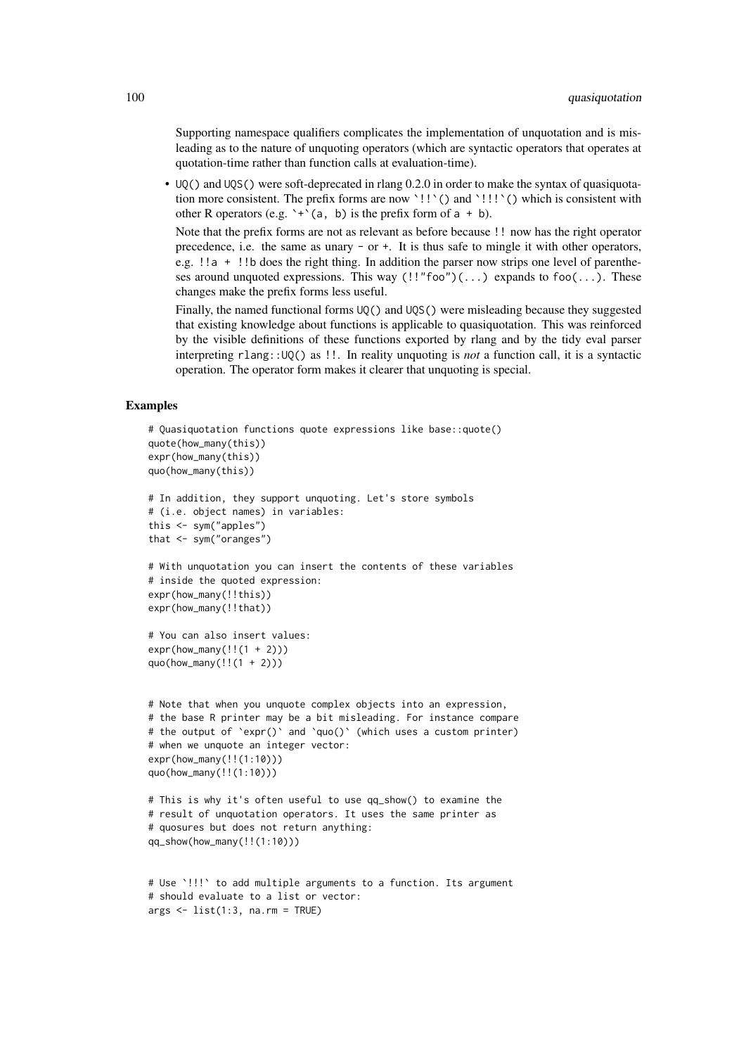Supporting namespace qualifiers complicates the implementation of unquotation and is misleading as to the nature of unquoting operators (which are syntactic operators that operates at quotation-time rather than function calls at evaluation-time).

• UQ() and UQS() were soft-deprecated in rlang 0.2.0 in order to make the syntax of quasiquotation more consistent. The prefix forms are now '!!'() and '!!'() which is consistent with other R operators (e.g.  $\rightarrow \$  (a, b) is the prefix form of a + b).

Note that the prefix forms are not as relevant as before because !! now has the right operator precedence, i.e. the same as unary - or +. It is thus safe to mingle it with other operators, e.g. !!a + !!b does the right thing. In addition the parser now strips one level of parentheses around unquoted expressions. This way  $(!!"$  foo" $)(...)$  expands to foo $(...)$ . These changes make the prefix forms less useful.

Finally, the named functional forms UQ() and UQS() were misleading because they suggested that existing knowledge about functions is applicable to quasiquotation. This was reinforced by the visible definitions of these functions exported by rlang and by the tidy eval parser interpreting rlang::UQ() as !!. In reality unquoting is *not* a function call, it is a syntactic operation. The operator form makes it clearer that unquoting is special.

```
# Quasiquotation functions quote expressions like base::quote()
quote(how_many(this))
expr(how_many(this))
quo(how_many(this))
# In addition, they support unquoting. Let's store symbols
# (i.e. object names) in variables:
this <- sym("apples")
that <- sym("oranges")
# With unquotation you can insert the contents of these variables
# inside the quoted expression:
expr(how_many(!!this))
expr(how_many(!!that))
# You can also insert values:
expr(how_many(!!(1 + 2)))
quo(how_many(!!(1 + 2)))
# Note that when you unquote complex objects into an expression,
# the base R printer may be a bit misleading. For instance compare
# the output of `expr()` and `quo()` (which uses a custom printer)
# when we unquote an integer vector:
expr(how_many(!!(1:10)))
quo(how_many(!!(1:10)))
# This is why it's often useful to use qq_show() to examine the
# result of unquotation operators. It uses the same printer as
# quosures but does not return anything:
qq_show(how_many(!!(1:10)))
```

```
# Use `!!!` to add multiple arguments to a function. Its argument
# should evaluate to a list or vector:
args < - list(1:3, na.rm = TRUE)
```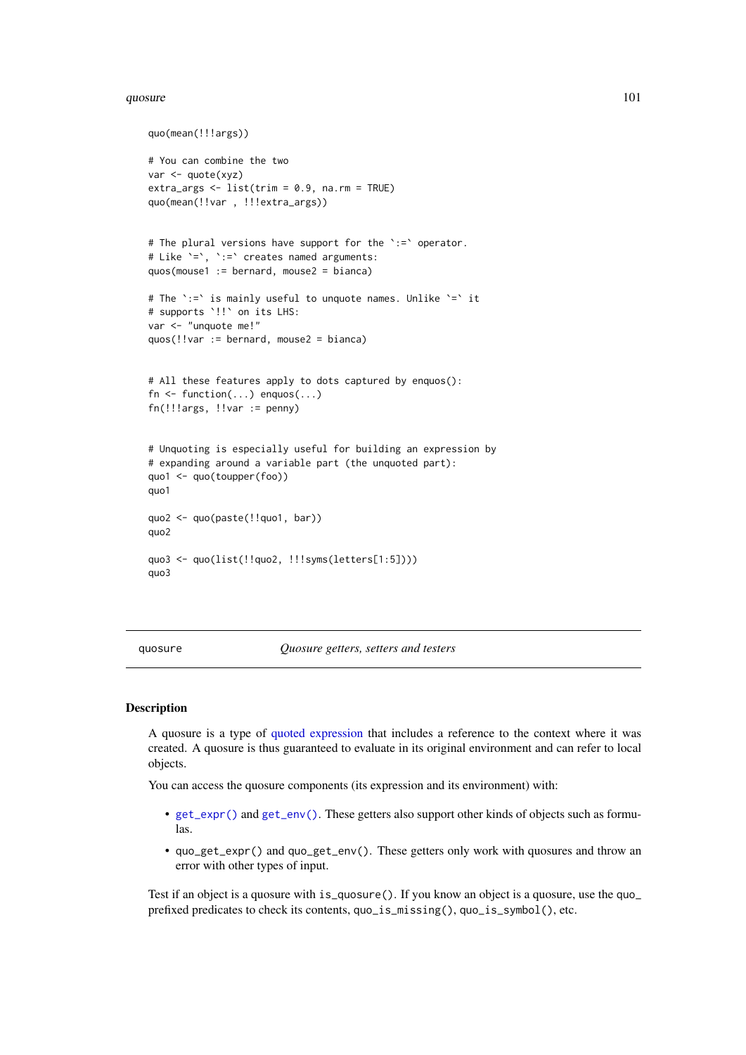## quosure and 101 and 102 and 102 and 102 and 102 and 102 and 103 and 103 and 104 and 104 and 104 and 104 and 104 and 104 and 104 and 104 and 104 and 104 and 104 and 104 and 104 and 104 and 104 and 104 and 104 and 104 and 10

```
quo(mean(!!!args))
# You can combine the two
var <- quote(xyz)
extra_args \le list(trim = 0.9, na.rm = TRUE)
quo(mean(!!var , !!!extra_args))
# The plural versions have support for the `:=` operator.
# Like `=`, `:=` creates named arguments:
quos(mouse1 := bernard, mouse2 = bianca)
# The `:=` is mainly useful to unquote names. Unlike `=` it
# supports `!!` on its LHS:
var <- "unquote me!"
quos(!!var := bernard, mouse2 = bianca)
# All these features apply to dots captured by enquos():
fn \leq function(...) enquos(...)
fn(!!!args, !!var := penny)
# Unquoting is especially useful for building an expression by
# expanding around a variable part (the unquoted part):
quo1 <- quo(toupper(foo))
quo1
quo2 <- quo(paste(!!quo1, bar))
quo2
quo3 <- quo(list(!!quo2, !!!syms(letters[1:5])))
quo3
```
<span id="page-100-1"></span>quosure *Quosure getters, setters and testers*

## <span id="page-100-0"></span>Description

A quosure is a type of [quoted expression](#page-103-1) that includes a reference to the context where it was created. A quosure is thus guaranteed to evaluate in its original environment and can refer to local objects.

You can access the quosure components (its expression and its environment) with:

- [get\\_expr\(\)](#page-118-0) and [get\\_env\(\)](#page-65-0). These getters also support other kinds of objects such as formulas.
- quo\_get\_expr() and quo\_get\_env(). These getters only work with quosures and throw an error with other types of input.

Test if an object is a quosure with is\_quosure(). If you know an object is a quosure, use the quo\_ prefixed predicates to check its contents, quo\_is\_missing(), quo\_is\_symbol(), etc.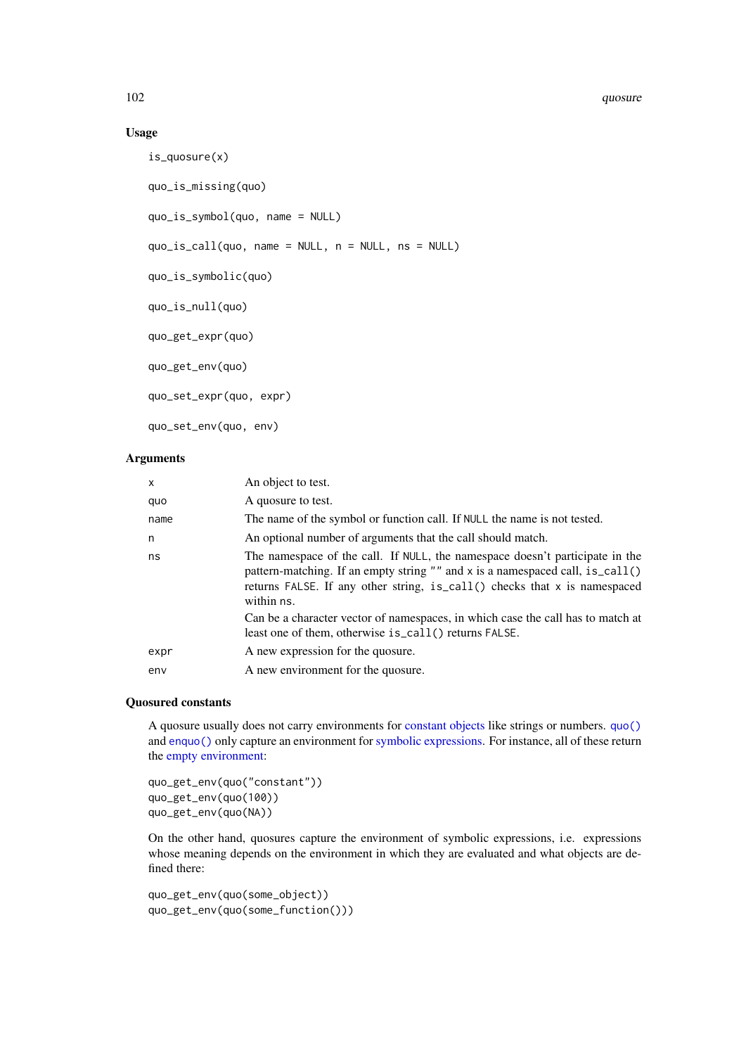## Usage

```
is_quosure(x)
quo_is_missing(quo)
quo_is_symbol(quo, name = NULL)
quo_is_call(quo, name = NULL, n = NULL, ns = NULL)
quo_is_symbolic(quo)
quo_is_null(quo)
quo_get_expr(quo)
quo_get_env(quo)
quo_set_expr(quo, expr)
quo_set_env(quo, env)
```
# Arguments

| $\mathsf{x}$ | An object to test.                                                                                                                                                                                                                                          |
|--------------|-------------------------------------------------------------------------------------------------------------------------------------------------------------------------------------------------------------------------------------------------------------|
| quo          | A quosure to test.                                                                                                                                                                                                                                          |
| name         | The name of the symbol or function call. If NULL the name is not tested.                                                                                                                                                                                    |
| n            | An optional number of arguments that the call should match.                                                                                                                                                                                                 |
| ns           | The namespace of the call. If NULL, the namespace doesn't participate in the<br>pattern-matching. If an empty string "" and x is a namespaced call, $is\_call()$<br>returns FALSE. If any other string, is_call() checks that x is namespaced<br>within ns. |
|              | Can be a character vector of namespaces, in which case the call has to match at<br>least one of them, otherwise is_call() returns FALSE.                                                                                                                    |
| expr         | A new expression for the quosure.                                                                                                                                                                                                                           |
| env          | A new environment for the quosure.                                                                                                                                                                                                                          |

#### Quosured constants

A quosure usually does not carry environments for [constant objects](#page-73-1) like strings or numbers. [quo\(\)](#page-103-0) and [enquo\(\)](#page-103-0) only capture an environment for [symbolic expressions.](#page-73-1) For instance, all of these return the [empty environment:](#page-36-0)

quo\_get\_env(quo("constant")) quo\_get\_env(quo(100)) quo\_get\_env(quo(NA))

On the other hand, quosures capture the environment of symbolic expressions, i.e. expressions whose meaning depends on the environment in which they are evaluated and what objects are defined there:

```
quo_get_env(quo(some_object))
quo_get_env(quo(some_function()))
```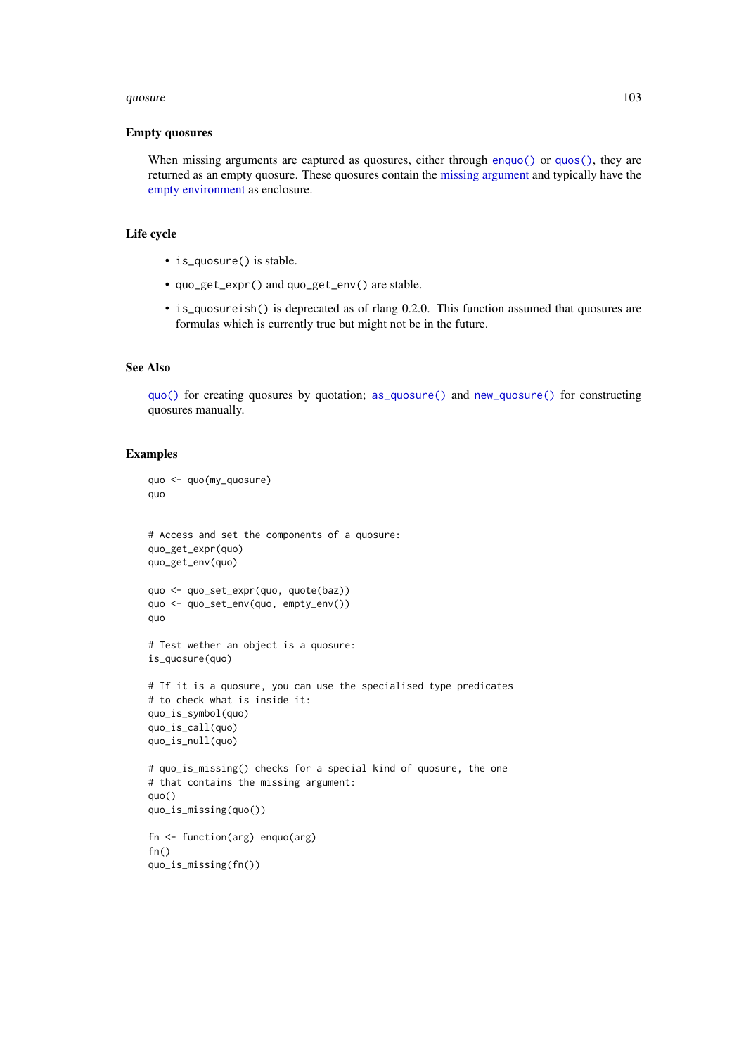#### quosure and the contract of the contract of the contract of the contract of the contract of the contract of the contract of the contract of the contract of the contract of the contract of the contract of the contract of th

## Empty quosures

When missing arguments are captured as quosures, either through [enquo\(\)](#page-103-0) or [quos\(\)](#page-103-0), they are returned as an empty quosure. These quosures contain the [missing argument](#page-88-0) and typically have the [empty environment](#page-36-0) as enclosure.

# Life cycle

- is\_quosure() is stable.
- quo\_get\_expr() and quo\_get\_env() are stable.
- is\_quosureish() is deprecated as of rlang 0.2.0. This function assumed that quosures are formulas which is currently true but might not be in the future.

## See Also

[quo\(\)](#page-103-0) for creating quosures by quotation; [as\\_quosure\(\)](#page-15-1) and [new\\_quosure\(\)](#page-15-0) for constructing quosures manually.

```
quo <- quo(my_quosure)
quo
# Access and set the components of a quosure:
quo_get_expr(quo)
quo_get_env(quo)
quo <- quo_set_expr(quo, quote(baz))
quo <- quo_set_env(quo, empty_env())
quo
# Test wether an object is a quosure:
is_quosure(quo)
# If it is a quosure, you can use the specialised type predicates
# to check what is inside it:
quo_is_symbol(quo)
quo_is_call(quo)
quo_is_null(quo)
# quo_is_missing() checks for a special kind of quosure, the one
# that contains the missing argument:
quo()
quo_is_missing(quo())
fn <- function(arg) enquo(arg)
fn()quo_is_missing(fn())
```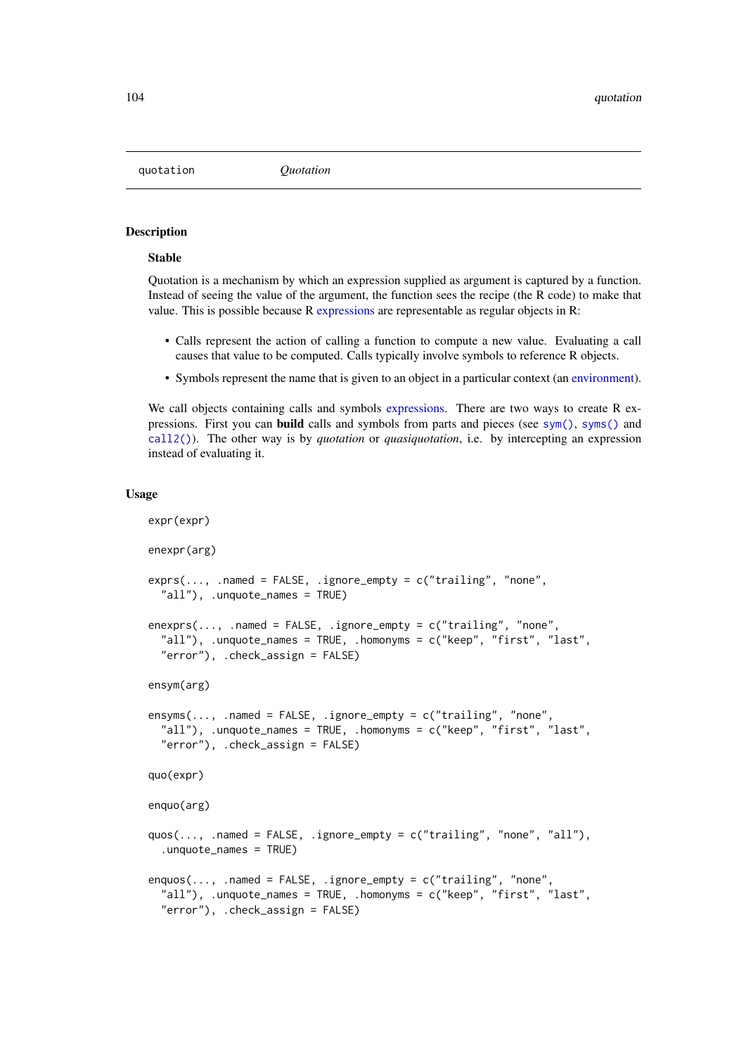<span id="page-103-1"></span>quotation *Quotation*

## <span id="page-103-0"></span>Description

# Stable

Quotation is a mechanism by which an expression supplied as argument is captured by a function. Instead of seeing the value of the argument, the function sees the recipe (the R code) to make that value. This is possible because R [expressions](#page-0-0) are representable as regular objects in R:

- Calls represent the action of calling a function to compute a new value. Evaluating a call causes that value to be computed. Calls typically involve symbols to reference R objects.
- Symbols represent the name that is given to an object in a particular context (an [environment\)](#page-37-1).

We call objects containing calls and symbols [expressions.](#page-0-0) There are two ways to create R expressions. First you can **build** calls and symbols from parts and pieces (see [sym\(\)](#page-121-0), [syms\(\)](#page-121-1) and [call2\(\)](#page-20-0)). The other way is by *quotation* or *quasiquotation*, i.e. by intercepting an expression instead of evaluating it.

#### Usage

```
expr(expr)
enexpr(arg)
exprs(..., .name] = FALSE, .ignore\_empty = c("training", 'none","all"), .unquote_names = TRUE)
enexprs(..., .named = FALSE, .ignore_empty = c("trailing", "none",
  "all"), .unquote_names = TRUE, .homonyms = c("keep", "first", "last",
  "error"), .check_assign = FALSE)
ensym(arg)
ensyms(..., .named = FALSE, .ignore_empty = c("trailing", "none",
  "all"), .unquote_names = TRUE, .homonyms = c("keep", "first", "last",
  "error"), .check_assign = FALSE)
quo(expr)
enquo(arg)
quos(..., .named = FALSE, .ignore_empty = c("trailing", "none", "all"),
  .unquote_names = TRUE)
enquos(..., .named = FALSE, .ignore_empty = c("trailing", "none",
  "all"), .unquote_names = TRUE, .homonyms = c("keep", "first", "last",
  "error"), .check_assign = FALSE)
```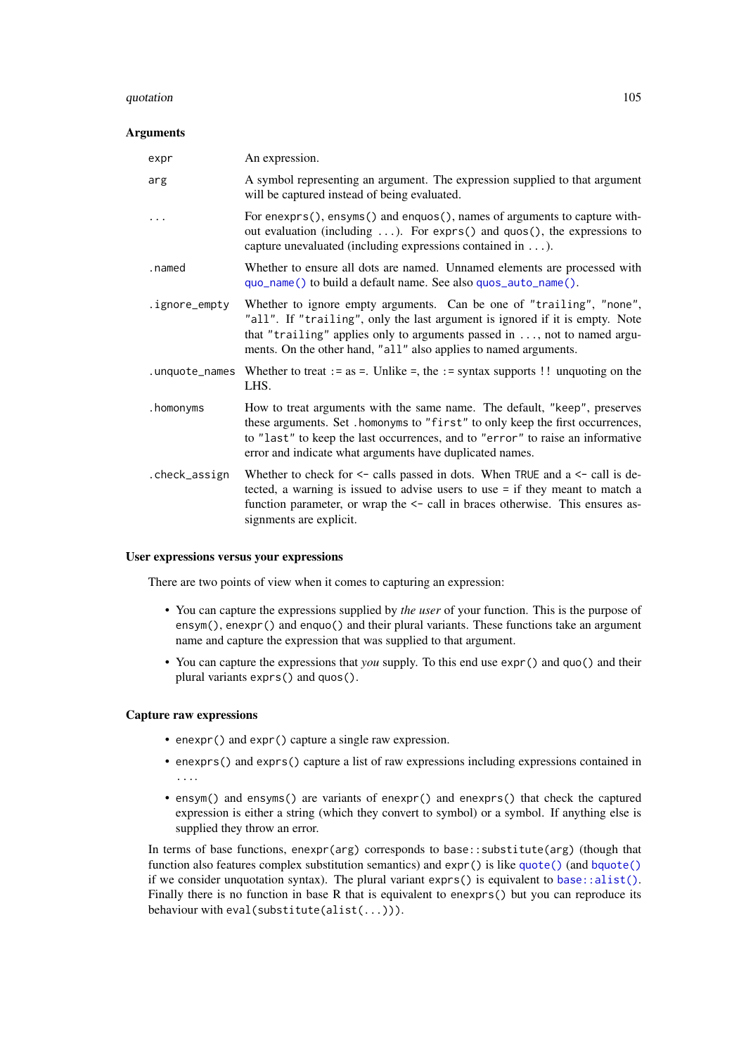#### quotation and the contract of the contract of the contract of the contract of the contract of the contract of the contract of the contract of the contract of the contract of the contract of the contract of the contract of

## Arguments

| expr          | An expression.                                                                                                                                                                                                                                                                                               |
|---------------|--------------------------------------------------------------------------------------------------------------------------------------------------------------------------------------------------------------------------------------------------------------------------------------------------------------|
| arg           | A symbol representing an argument. The expression supplied to that argument<br>will be captured instead of being evaluated.                                                                                                                                                                                  |
| .             | For enexprs(), ensyms() and enquos(), names of arguments to capture with-<br>out evaluation (including $\dots$ ). For exprs() and quos(), the expressions to<br>capture unevaluated (including expressions contained in $\dots$ ).                                                                           |
| .named        | Whether to ensure all dots are named. Unnamed elements are processed with<br>quo_name() to build a default name. See also quos_auto_name().                                                                                                                                                                  |
| .ignore_empty | Whether to ignore empty arguments. Can be one of "trailing", "none",<br>"all". If "trailing", only the last argument is ignored if it is empty. Note<br>that "trailing" applies only to arguments passed in $\dots$ , not to named argu-<br>ments. On the other hand, "all" also applies to named arguments. |
|               | . unquote_names Whether to treat := as =. Unlike =, the := syntax supports !! unquoting on the<br>LHS.                                                                                                                                                                                                       |
| .homonyms     | How to treat arguments with the same name. The default, "keep", preserves<br>these arguments. Set . homonyms to "first" to only keep the first occurrences,<br>to "last" to keep the last occurrences, and to "error" to raise an informative<br>error and indicate what arguments have duplicated names.    |
| .check_assign | Whether to check for $\leq$ calls passed in dots. When TRUE and a $\leq$ call is de-<br>tected, a warning is issued to advise users to use = if they meant to match a<br>function parameter, or wrap the $\le$ - call in braces otherwise. This ensures as-<br>signments are explicit.                       |

## User expressions versus your expressions

There are two points of view when it comes to capturing an expression:

- You can capture the expressions supplied by *the user* of your function. This is the purpose of ensym(), enexpr() and enquo() and their plural variants. These functions take an argument name and capture the expression that was supplied to that argument.
- You can capture the expressions that *you* supply. To this end use expr() and quo() and their plural variants exprs() and quos().

## Capture raw expressions

- enexpr() and expr() capture a single raw expression.
- enexprs() and exprs() capture a list of raw expressions including expressions contained in ....
- ensym() and ensyms() are variants of enexpr() and enexprs() that check the captured expression is either a string (which they convert to symbol) or a symbol. If anything else is supplied they throw an error.

In terms of base functions, enexpr(arg) corresponds to base::substitute(arg) (though that function also features complex substitution semantics) and expr() is like [quote\(\)](#page-0-0) (and [bquote\(\)](#page-0-0) if we consider unquotation syntax). The plural variant exprs() is equivalent to [base::alist\(\)](#page-0-0). Finally there is no function in base R that is equivalent to enexprs() but you can reproduce its behaviour with eval(substitute(alist(...))).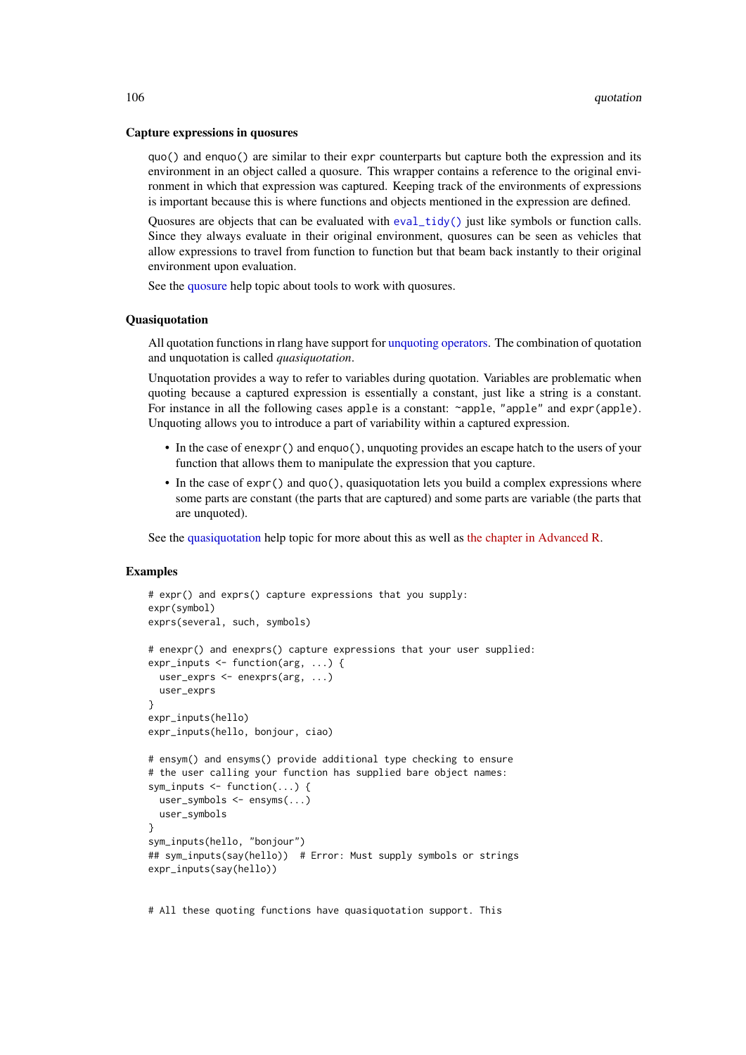#### Capture expressions in quosures

quo() and enquo() are similar to their expr counterparts but capture both the expression and its environment in an object called a quosure. This wrapper contains a reference to the original environment in which that expression was captured. Keeping track of the environments of expressions is important because this is where functions and objects mentioned in the expression are defined.

Quosures are objects that can be evaluated with [eval\\_tidy\(\)](#page-53-0) just like symbols or function calls. Since they always evaluate in their original environment, quosures can be seen as vehicles that allow expressions to travel from function to function but that beam back instantly to their original environment upon evaluation.

See the [quosure](#page-100-1) help topic about tools to work with quosures.

### Quasiquotation

All quotation functions in rlang have support for [unquoting operators.](#page-97-1) The combination of quotation and unquotation is called *quasiquotation*.

Unquotation provides a way to refer to variables during quotation. Variables are problematic when quoting because a captured expression is essentially a constant, just like a string is a constant. For instance in all the following cases apple is a constant: ~apple, "apple" and expr(apple). Unquoting allows you to introduce a part of variability within a captured expression.

- In the case of enexpr() and enquo(), unquoting provides an escape hatch to the users of your function that allows them to manipulate the expression that you capture.
- In the case of expr() and quo(), quasiquotation lets you build a complex expressions where some parts are constant (the parts that are captured) and some parts are variable (the parts that are unquoted).

See the [quasiquotation](#page-97-1) help topic for more about this as well as [the chapter in Advanced R.](https://adv-r.hadley.nz/quasiquotation.html)

## Examples

```
# expr() and exprs() capture expressions that you supply:
expr(symbol)
exprs(several, such, symbols)
# enexpr() and enexprs() capture expressions that your user supplied:
expr_inputs <- function(arg, ...) {
 user_exprs <- enexprs(arg, ...)
 user_exprs
}
expr_inputs(hello)
expr_inputs(hello, bonjour, ciao)
# ensym() and ensyms() provide additional type checking to ensure
# the user calling your function has supplied bare object names:
sym_inputs <- function(...) {
  user_symbols <- ensyms(...)
 user_symbols
}
sym_inputs(hello, "bonjour")
## sym_inputs(say(hello)) # Error: Must supply symbols or strings
expr_inputs(say(hello))
```
# All these quoting functions have quasiquotation support. This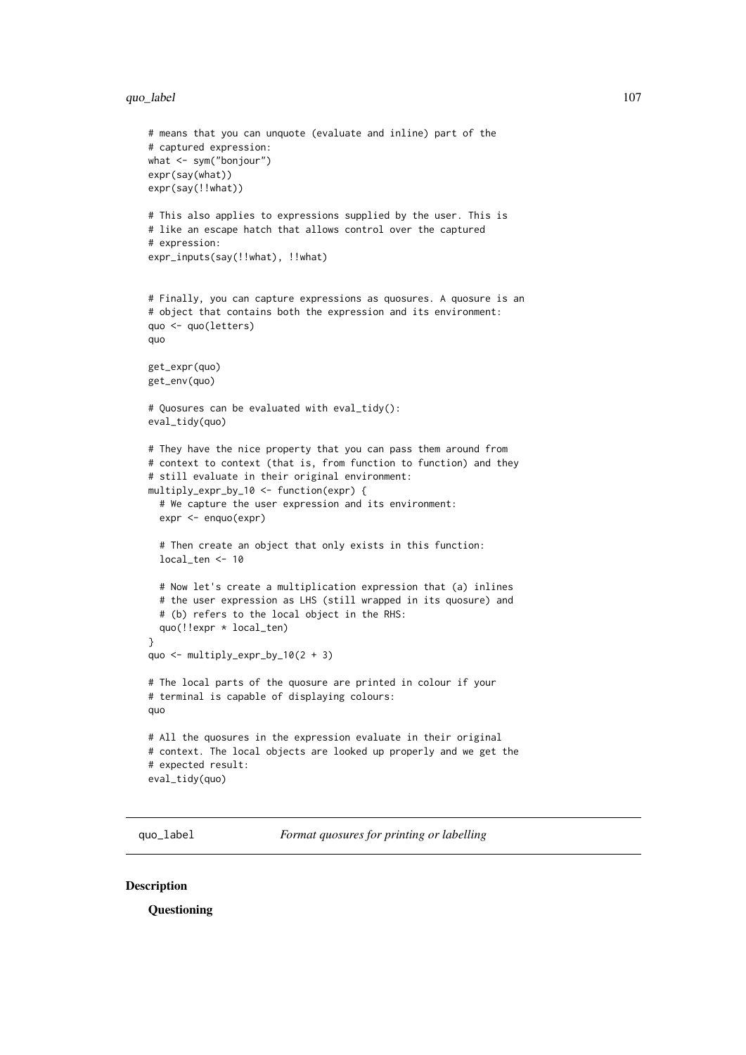#### quo\_label 107

```
# means that you can unquote (evaluate and inline) part of the
# captured expression:
what <- sym("bonjour")
expr(say(what))
expr(say(!!what))
# This also applies to expressions supplied by the user. This is
# like an escape hatch that allows control over the captured
# expression:
expr_inputs(say(!!what), !!what)
# Finally, you can capture expressions as quosures. A quosure is an
# object that contains both the expression and its environment:
quo <- quo(letters)
quo
get_expr(quo)
get_env(quo)
# Quosures can be evaluated with eval_tidy():
eval_tidy(quo)
# They have the nice property that you can pass them around from
# context to context (that is, from function to function) and they
# still evaluate in their original environment:
multiply_expr_by_10 <- function(expr) {
  # We capture the user expression and its environment:
  expr <- enquo(expr)
  # Then create an object that only exists in this function:
  local_ten <- 10
  # Now let's create a multiplication expression that (a) inlines
  # the user expression as LHS (still wrapped in its quosure) and
  # (b) refers to the local object in the RHS:
  quo(!!expr * local_ten)
}
quo \le multiply_expr_by_10(2 + 3)
# The local parts of the quosure are printed in colour if your
# terminal is capable of displaying colours:
quo
# All the quosures in the expression evaluate in their original
# context. The local objects are looked up properly and we get the
# expected result:
eval_tidy(quo)
```
quo\_label *Format quosures for printing or labelling*

# <span id="page-106-0"></span>Description

**Questioning**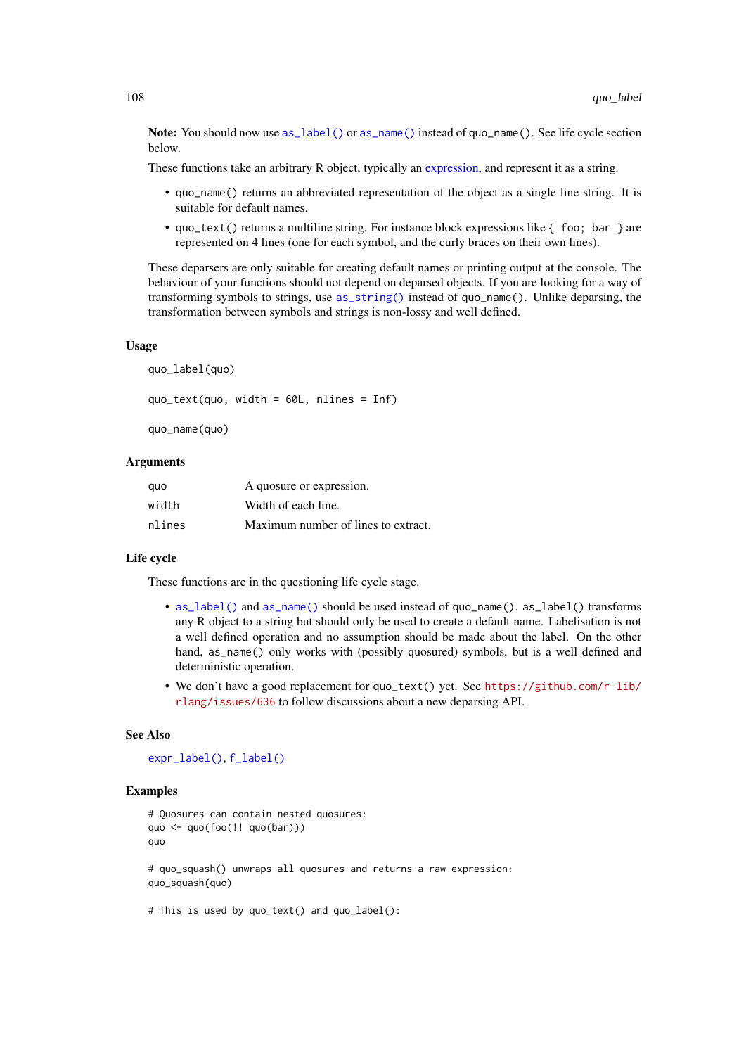Note: You should now use as label() or as name() instead of quo\_name(). See life cycle section below.

These functions take an arbitrary R object, typically an [expression,](#page-73-0) and represent it as a string.

- quo\_name() returns an abbreviated representation of the object as a single line string. It is suitable for default names.
- quo\_text() returns a multiline string. For instance block expressions like  $\{$  foo; bar  $\}$  are represented on 4 lines (one for each symbol, and the curly braces on their own lines).

These deparsers are only suitable for creating default names or printing output at the console. The behaviour of your functions should not depend on deparsed objects. If you are looking for a way of transforming symbols to strings, use [as\\_string\(\)](#page-16-0) instead of quo\_name(). Unlike deparsing, the transformation between symbols and strings is non-lossy and well defined.

#### Usage

quo\_label(quo)

quo\_text(quo, width = 60L, nlines = Inf)

quo\_name(quo)

## Arguments

| quo    | A quosure or expression.            |
|--------|-------------------------------------|
| width  | Width of each line.                 |
| nlines | Maximum number of lines to extract. |

## Life cycle

These functions are in the questioning life cycle stage.

- [as\\_label\(\)](#page-13-0) and [as\\_name\(\)](#page-14-0) should be used instead of quo\_name(). as\_label() transforms any R object to a string but should only be used to create a default name. Labelisation is not a well defined operation and no assumption should be made about the label. On the other hand, as\_name() only works with (possibly quosured) symbols, but is a well defined and deterministic operation.
- We don't have a good replacement for quo\_text() yet. See [https://github.com/r-lib/](https://github.com/r-lib/rlang/issues/636) [rlang/issues/636](https://github.com/r-lib/rlang/issues/636) to follow discussions about a new deparsing API.

## See Also

```
expr_label(), f_label()
```

```
# Quosures can contain nested quosures:
quo <- quo(foo(!! quo(bar)))
quo
# quo_squash() unwraps all quosures and returns a raw expression:
quo_squash(quo)
```

```
# This is used by quo_text() and quo_label():
```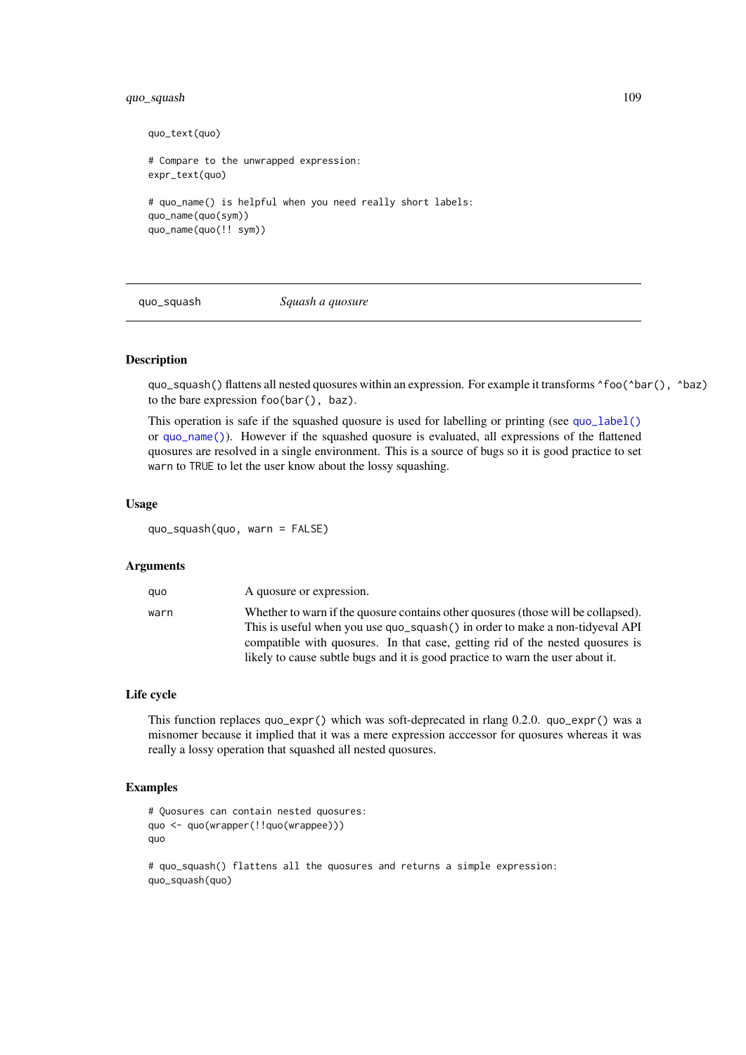#### <span id="page-108-0"></span>quo\_squash 109

```
quo_text(quo)
# Compare to the unwrapped expression:
expr_text(quo)
# quo_name() is helpful when you need really short labels:
quo_name(quo(sym))
quo_name(quo(!! sym))
```
quo\_squash *Squash a quosure*

# Description

quo\_squash() flattens all nested quosures within an expression. For example it transforms ^foo(^bar(), ^baz) to the bare expression foo(bar(), baz).

This operation is safe if the squashed quosure is used for labelling or printing (see [quo\\_label\(\)](#page-106-0) or [quo\\_name\(\)](#page-106-1)). However if the squashed quosure is evaluated, all expressions of the flattened quosures are resolved in a single environment. This is a source of bugs so it is good practice to set warn to TRUE to let the user know about the lossy squashing.

# Usage

quo\_squash(quo, warn = FALSE)

#### Arguments

| quo  | A quosure or expression.                                                                                                                                                                                                                           |
|------|----------------------------------------------------------------------------------------------------------------------------------------------------------------------------------------------------------------------------------------------------|
| warn | Whether to warn if the quosure contains other quosures (those will be collapsed).<br>This is useful when you use quo_squash() in order to make a non-tidyeval API<br>compatible with quosures. In that case, getting rid of the nested quosures is |
|      | likely to cause subtle bugs and it is good practice to warn the user about it.                                                                                                                                                                     |

#### Life cycle

This function replaces quo\_expr() which was soft-deprecated in rlang 0.2.0. quo\_expr() was a misnomer because it implied that it was a mere expression acccessor for quosures whereas it was really a lossy operation that squashed all nested quosures.

```
# Quosures can contain nested quosures:
quo <- quo(wrapper(!!quo(wrappee)))
quo
# quo_squash() flattens all the quosures and returns a simple expression:
```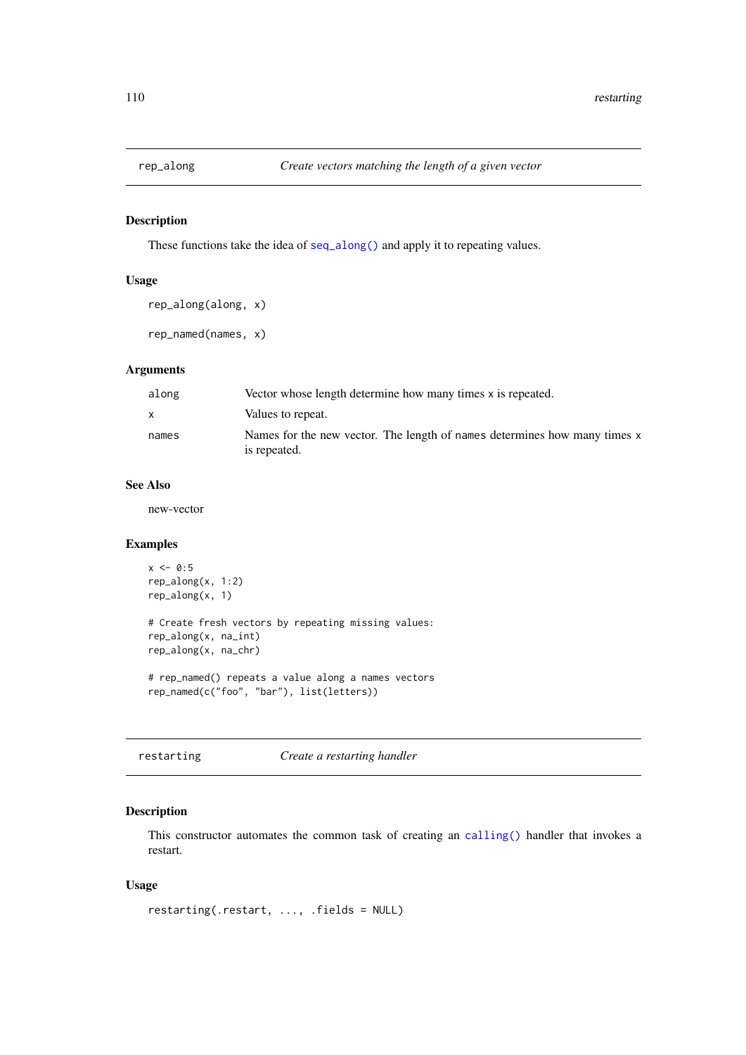<span id="page-109-0"></span>

#### Description

These functions take the idea of [seq\\_along\(\)](#page-0-0) and apply it to repeating values.

# Usage

```
rep_along(along, x)
```
rep\_named(names, x)

# Arguments

| along | Vector whose length determine how many times x is repeated.                               |
|-------|-------------------------------------------------------------------------------------------|
|       | Values to repeat.                                                                         |
| names | Names for the new vector. The length of names determines how many times x<br>is repeated. |

# See Also

new-vector

#### Examples

```
x \le -0.5rep_along(x, 1:2)
rep_along(x, 1)
# Create fresh vectors by repeating missing values:
rep_along(x, na_int)
rep_along(x, na_chr)
# rep_named() repeats a value along a names vectors
```

```
rep_named(c("foo", "bar"), list(letters))
```

```
restarting Create a restarting handler
```
# Description

This constructor automates the common task of creating an [calling\(\)](#page-56-0) handler that invokes a restart.

# Usage

```
restarting(.restart, ..., .fields = NULL)
```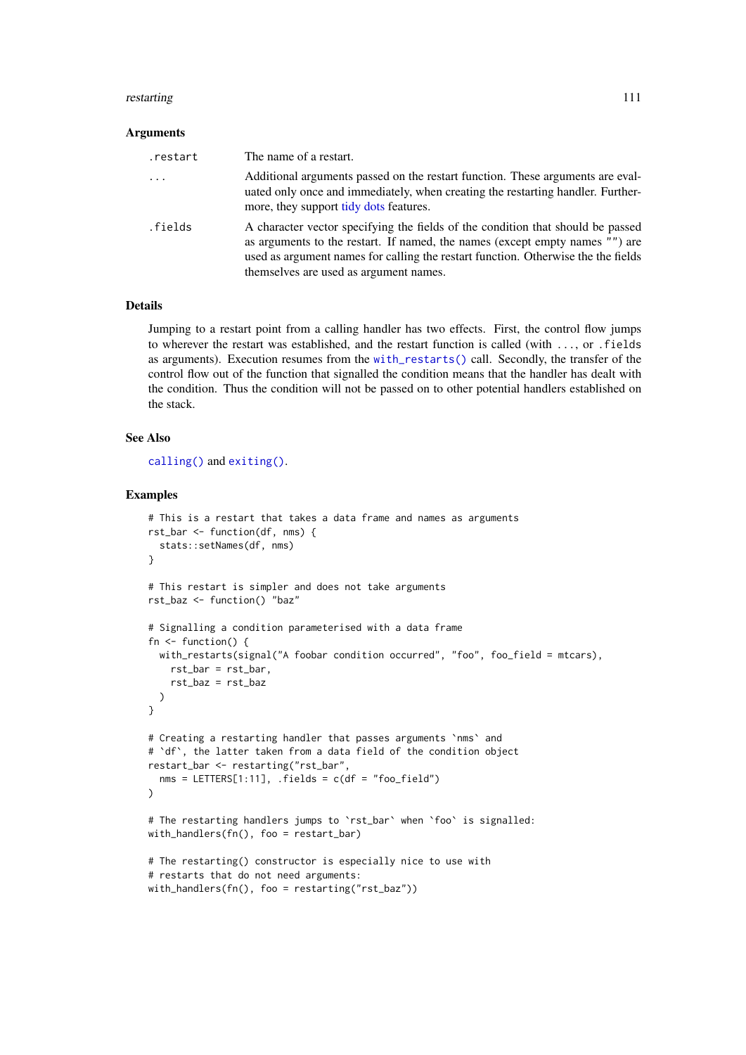#### <span id="page-110-0"></span>restarting the starting of the starting of the starting of the starting of the starting of the starting of the starting of the starting of the starting of the starting of the starting of the starting of the starting of the

#### Arguments

| .restart   | The name of a restart.                                                                                                                                                                                                                                                                         |
|------------|------------------------------------------------------------------------------------------------------------------------------------------------------------------------------------------------------------------------------------------------------------------------------------------------|
| $\ddots$ . | Additional arguments passed on the restart function. These arguments are eval-<br>uated only once and immediately, when creating the restarting handler. Further-<br>more, they support tidy dots features.                                                                                    |
| .fields    | A character vector specifying the fields of the condition that should be passed<br>as arguments to the restart. If named, the names (except empty names "") are<br>used as argument names for calling the restart function. Otherwise the the fields<br>themselves are used as argument names. |

#### Details

Jumping to a restart point from a calling handler has two effects. First, the control flow jumps to wherever the restart was established, and the restart function is called (with ..., or .fields as arguments). Execution resumes from the [with\\_restarts\(\)](#page-132-0) call. Secondly, the transfer of the control flow out of the function that signalled the condition means that the handler has dealt with the condition. Thus the condition will not be passed on to other potential handlers established on the stack.

# See Also

[calling\(\)](#page-56-0) and [exiting\(\)](#page-56-1).

```
# This is a restart that takes a data frame and names as arguments
rst_bar <- function(df, nms) {
 stats::setNames(df, nms)
}
# This restart is simpler and does not take arguments
rst_baz <- function() "baz"
# Signalling a condition parameterised with a data frame
fn \leq function() {
  with_restarts(signal("A foobar condition occurred", "foo", foo_field = mtcars),
    rst_bar = rst_bar,
    rst_baz = rst_baz
  \lambda}
# Creating a restarting handler that passes arguments `nms` and
# 'df', the latter taken from a data field of the condition object
restart_bar <- restarting("rst_bar",
  nms = LETTERS[1:11], . fields = c(df = "foo_field"))
# The restarting handlers jumps to `rst_bar` when `foo` is signalled:
with_handlers(fn(), foo = restart_bar)
# The restarting() constructor is especially nice to use with
# restarts that do not need arguments:
with_handlers(fn(), foo = restarting("rst_baz"))
```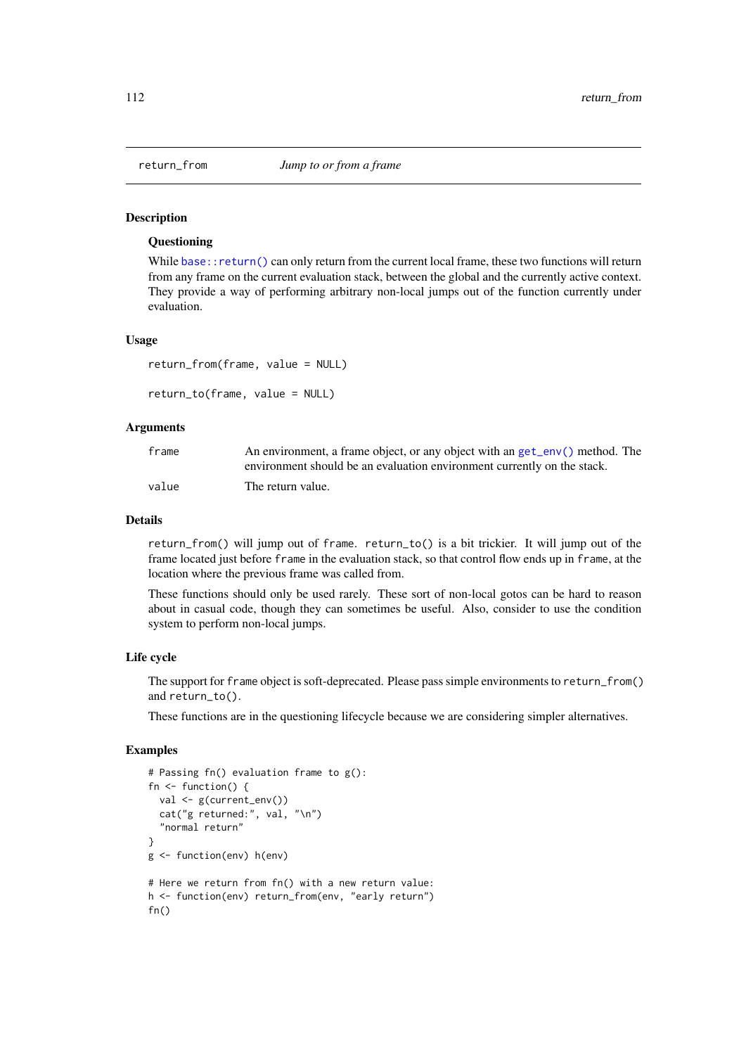#### <span id="page-111-1"></span>Description

# **Ouestioning**

While [base::return\(\)](#page-0-0) can only return from the current local frame, these two functions will return from any frame on the current evaluation stack, between the global and the currently active context. They provide a way of performing arbitrary non-local jumps out of the function currently under evaluation.

#### Usage

```
return_from(frame, value = NULL)
```

```
return_to(frame, value = NULL)
```
#### Arguments

| frame | An environment, a frame object, or any object with an get_env() method. The |
|-------|-----------------------------------------------------------------------------|
|       | environment should be an evaluation environment currently on the stack.     |
| value | The return value.                                                           |

#### Details

return\_from() will jump out of frame. return\_to() is a bit trickier. It will jump out of the frame located just before frame in the evaluation stack, so that control flow ends up in frame, at the location where the previous frame was called from.

These functions should only be used rarely. These sort of non-local gotos can be hard to reason about in casual code, though they can sometimes be useful. Also, consider to use the condition system to perform non-local jumps.

#### Life cycle

The support for frame object is soft-deprecated. Please pass simple environments to return\_from() and return to().

These functions are in the questioning lifecycle because we are considering simpler alternatives.

```
# Passing fn() evaluation frame to g():
fn <- function() {
 val <- g(current_env())
  cat("g returned:", val, "\n")
  "normal return"
}
g <- function(env) h(env)
# Here we return from fn() with a new return value:
h <- function(env) return_from(env, "early return")
fn()
```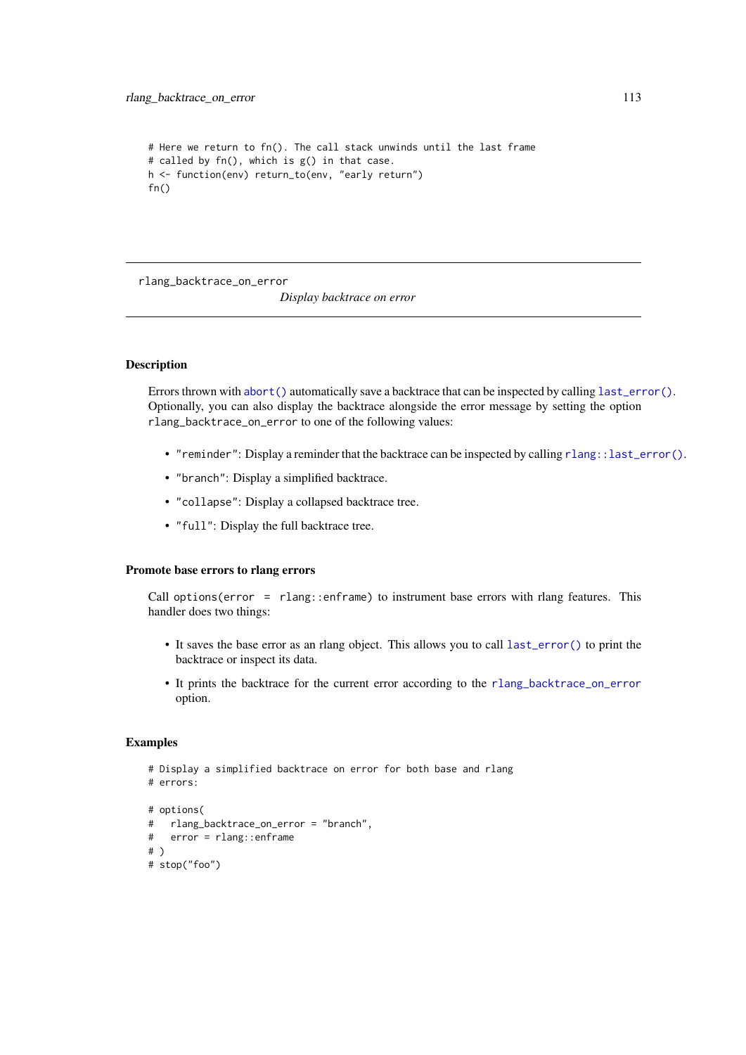```
# Here we return to fn(). The call stack unwinds until the last frame
# called by fn(), which is g() in that case.
h <- function(env) return_to(env, "early return")
fn()
```
<span id="page-112-0"></span>rlang\_backtrace\_on\_error

*Display backtrace on error*

# Description

Errors thrown with [abort\(\)](#page-3-0) automatically save a backtrace that can be inspected by calling [last\\_error\(\)](#page-83-0). Optionally, you can also display the backtrace alongside the error message by setting the option rlang\_backtrace\_on\_error to one of the following values:

- "reminder": Display a reminder that the backtrace can be inspected by calling [rlang::last\\_error\(\)](#page-0-0).
- "branch": Display a simplified backtrace.
- "collapse": Display a collapsed backtrace tree.
- "full": Display the full backtrace tree.

# Promote base errors to rlang errors

Call options(error =  $r$ lang::enframe) to instrument base errors with rlang features. This handler does two things:

- It saves the base error as an rlang object. This allows you to call [last\\_error\(\)](#page-83-0) to print the backtrace or inspect its data.
- It prints the backtrace for the current error according to the [rlang\\_backtrace\\_on\\_error](#page-112-0) option.

```
# Display a simplified backtrace on error for both base and rlang
# errors:
# options(
# rlang_backtrace_on_error = "branch",
# error = rlang::enframe
# )
# stop("foo")
```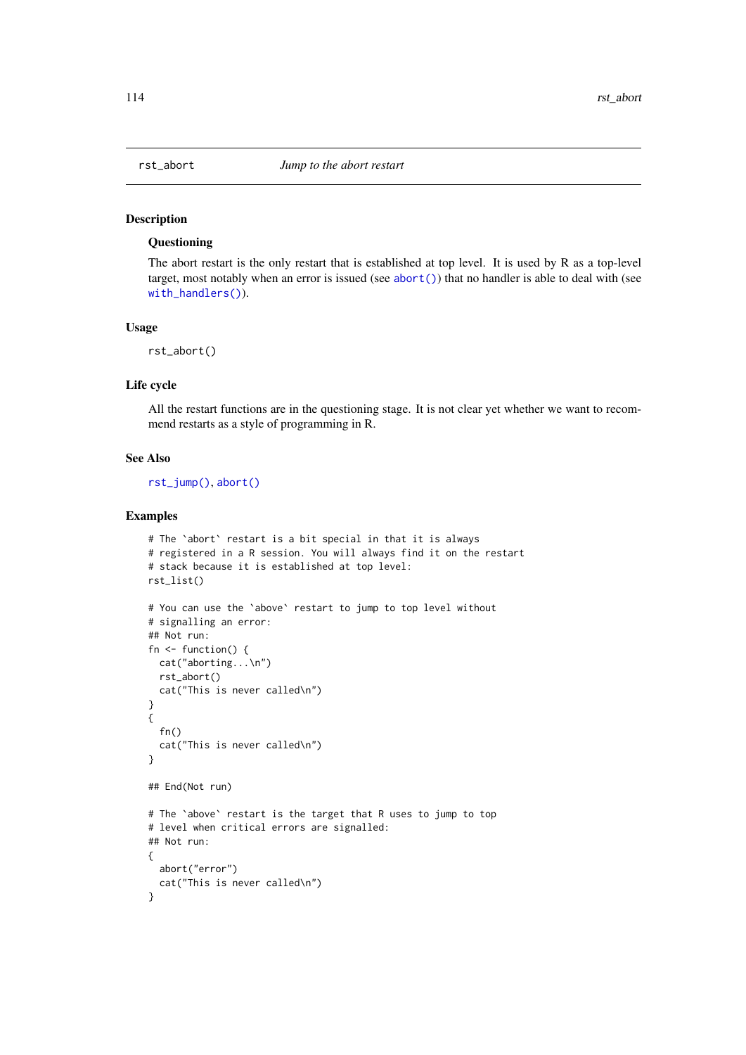<span id="page-113-0"></span>

# Description

# Questioning

The abort restart is the only restart that is established at top level. It is used by R as a top-level target, most notably when an error is issued (see [abort\(\)](#page-3-0)) that no handler is able to deal with (see [with\\_handlers\(\)](#page-130-0)).

#### Usage

rst\_abort()

#### Life cycle

All the restart functions are in the questioning stage. It is not clear yet whether we want to recommend restarts as a style of programming in R.

#### See Also

[rst\\_jump\(\)](#page-114-0), [abort\(\)](#page-3-0)

```
# The `abort` restart is a bit special in that it is always
# registered in a R session. You will always find it on the restart
# stack because it is established at top level:
rst_list()
# You can use the `above` restart to jump to top level without
# signalling an error:
## Not run:
fn <- function() {
 cat("aborting...\n")
 rst_abort()
 cat("This is never called\n")
}
{
  fn()
  cat("This is never called\n")
}
## End(Not run)
# The `above` restart is the target that R uses to jump to top
# level when critical errors are signalled:
## Not run:
{
  abort("error")
  cat("This is never called\n")
}
```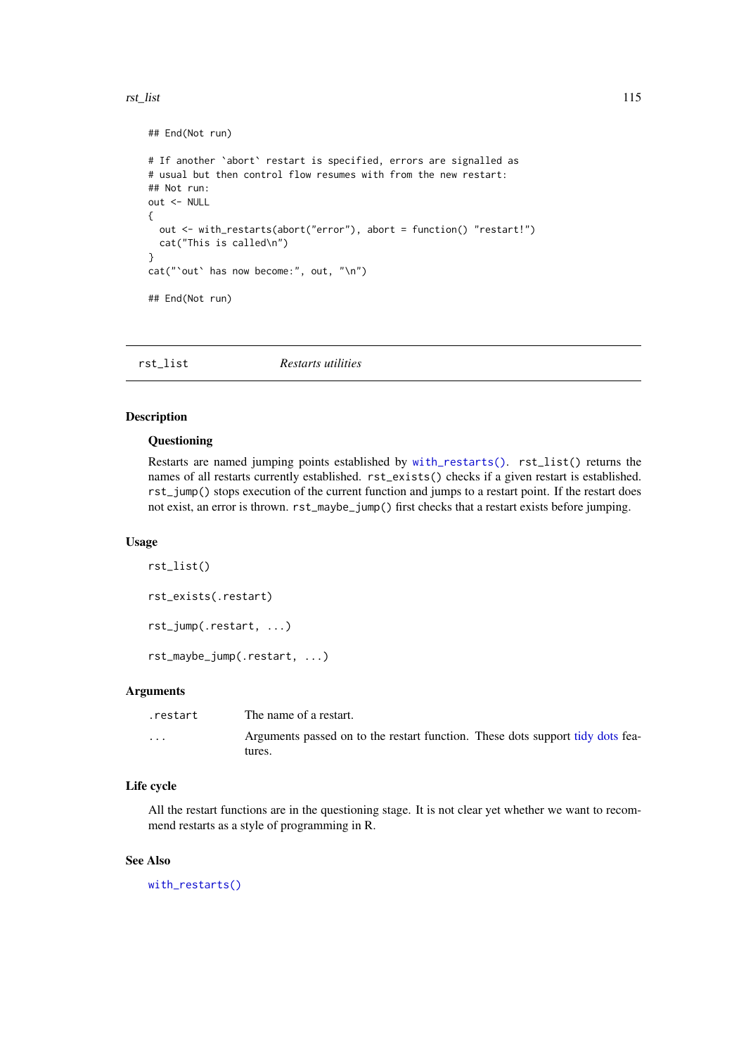#### <span id="page-114-1"></span>rst\_list 115

```
## End(Not run)
# If another `abort` restart is specified, errors are signalled as
# usual but then control flow resumes with from the new restart:
## Not run:
out <- NULL
{
  out <- with_restarts(abort("error"), abort = function() "restart!")
  cat("This is called\n")
}
cat("`out` has now become:", out, "\n")
## End(Not run)
```

| rst list | Restarts utilities |  |
|----------|--------------------|--|
|----------|--------------------|--|

# <span id="page-114-0"></span>Description

#### Questioning

Restarts are named jumping points established by [with\\_restarts\(\)](#page-132-0). rst\_list() returns the names of all restarts currently established. rst\_exists() checks if a given restart is established. rst\_jump() stops execution of the current function and jumps to a restart point. If the restart does not exist, an error is thrown. rst\_maybe\_jump() first checks that a restart exists before jumping.

#### Usage

```
rst_list()
rst_exists(.restart)
rst_jump(.restart, ...)
rst_maybe_jump(.restart, ...)
```
# Arguments

| .restart | The name of a restart.                                                                   |
|----------|------------------------------------------------------------------------------------------|
| $\cdots$ | Arguments passed on to the restart function. These dots support tidy dots fea-<br>tures. |

#### Life cycle

All the restart functions are in the questioning stage. It is not clear yet whether we want to recommend restarts as a style of programming in R.

#### See Also

[with\\_restarts\(\)](#page-132-0)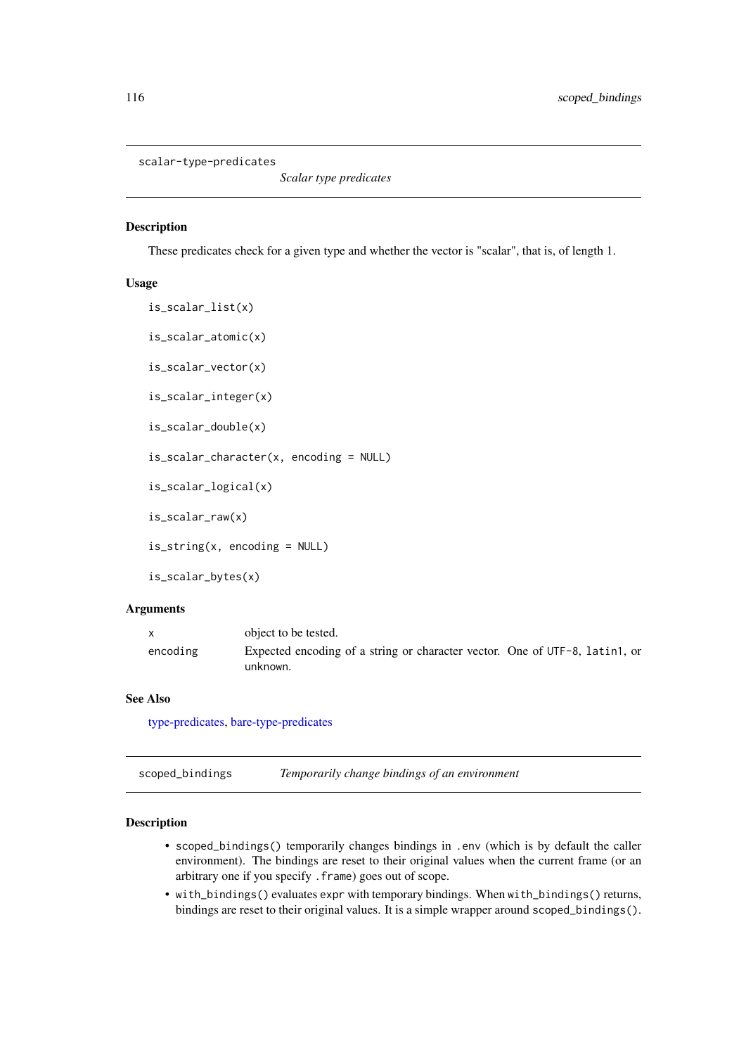<span id="page-115-1"></span><span id="page-115-0"></span>scalar-type-predicates

*Scalar type predicates*

#### Description

These predicates check for a given type and whether the vector is "scalar", that is, of length 1.

#### Usage

is\_scalar\_list(x) is\_scalar\_atomic(x) is\_scalar\_vector(x) is\_scalar\_integer(x) is\_scalar\_double(x) is\_scalar\_character(x, encoding = NULL) is\_scalar\_logical(x) is\_scalar\_raw(x) is\_string(x, encoding = NULL) is\_scalar\_bytes(x)

# Arguments

|          | object to be tested.                                                                    |
|----------|-----------------------------------------------------------------------------------------|
| encoding | Expected encoding of a string or character vector. One of UTF-8, latin1, or<br>unknown. |

# See Also

[type-predicates,](#page-126-0) [bare-type-predicates](#page-18-0)

| scoped_bindings | Temporarily change bindings of an environment |  |
|-----------------|-----------------------------------------------|--|
|                 |                                               |  |

# Description

- scoped\_bindings() temporarily changes bindings in .env (which is by default the caller environment). The bindings are reset to their original values when the current frame (or an arbitrary one if you specify .frame) goes out of scope.
- with\_bindings() evaluates expr with temporary bindings. When with\_bindings() returns, bindings are reset to their original values. It is a simple wrapper around scoped\_bindings().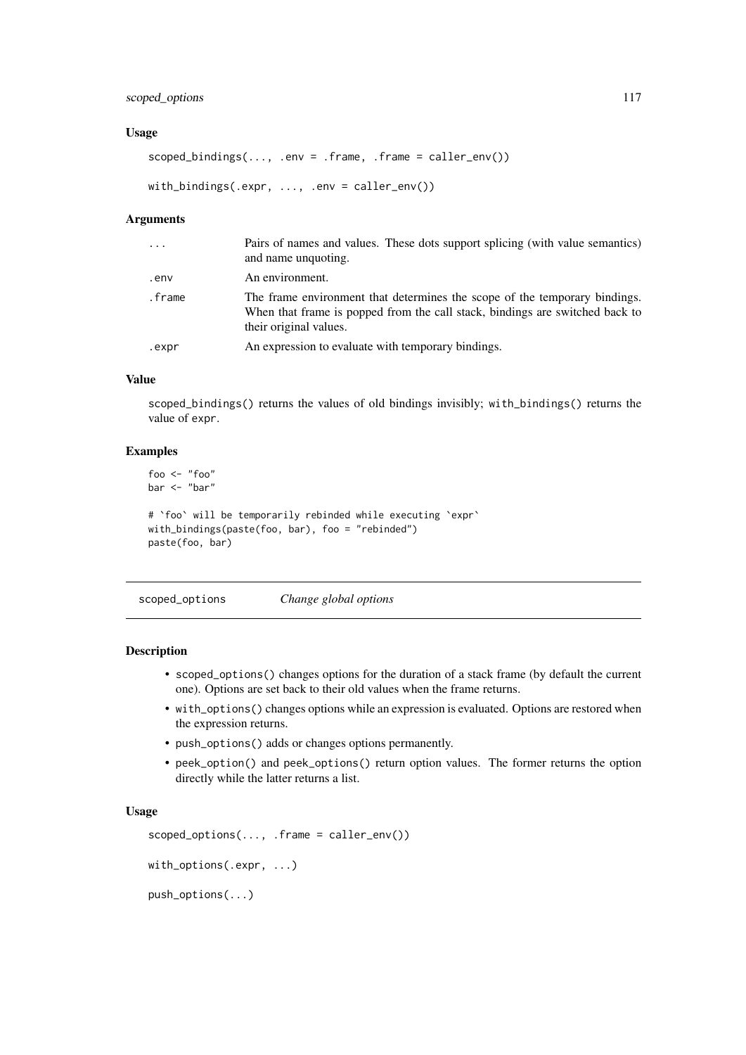#### <span id="page-116-0"></span>scoped\_options 117

#### Usage

```
scoped_bindings(..., .env = .frame, .frame = caller_env())
with_bindings(.expr, ..., .env = caller_env())
```
# Arguments

| $\ddots$ | Pairs of names and values. These dots support splicing (with value semantics)<br>and name unquoting.                                                                                 |
|----------|--------------------------------------------------------------------------------------------------------------------------------------------------------------------------------------|
| env.     | An environment.                                                                                                                                                                      |
| .frame   | The frame environment that determines the scope of the temporary bindings.<br>When that frame is popped from the call stack, bindings are switched back to<br>their original values. |
| .expr    | An expression to evaluate with temporary bindings.                                                                                                                                   |

# Value

scoped\_bindings() returns the values of old bindings invisibly; with\_bindings() returns the value of expr.

# Examples

```
foo <- "foo"
bar <- "bar"
# `foo` will be temporarily rebinded while executing `expr`
with_bindings(paste(foo, bar), foo = "rebinded")
paste(foo, bar)
```
scoped\_options *Change global options*

# Description

- scoped\_options() changes options for the duration of a stack frame (by default the current one). Options are set back to their old values when the frame returns.
- with\_options() changes options while an expression is evaluated. Options are restored when the expression returns.
- push\_options() adds or changes options permanently.
- peek\_option() and peek\_options() return option values. The former returns the option directly while the latter returns a list.

#### Usage

```
scoped_options(..., .frame = caller_env())
with_options(.expr, ...)
```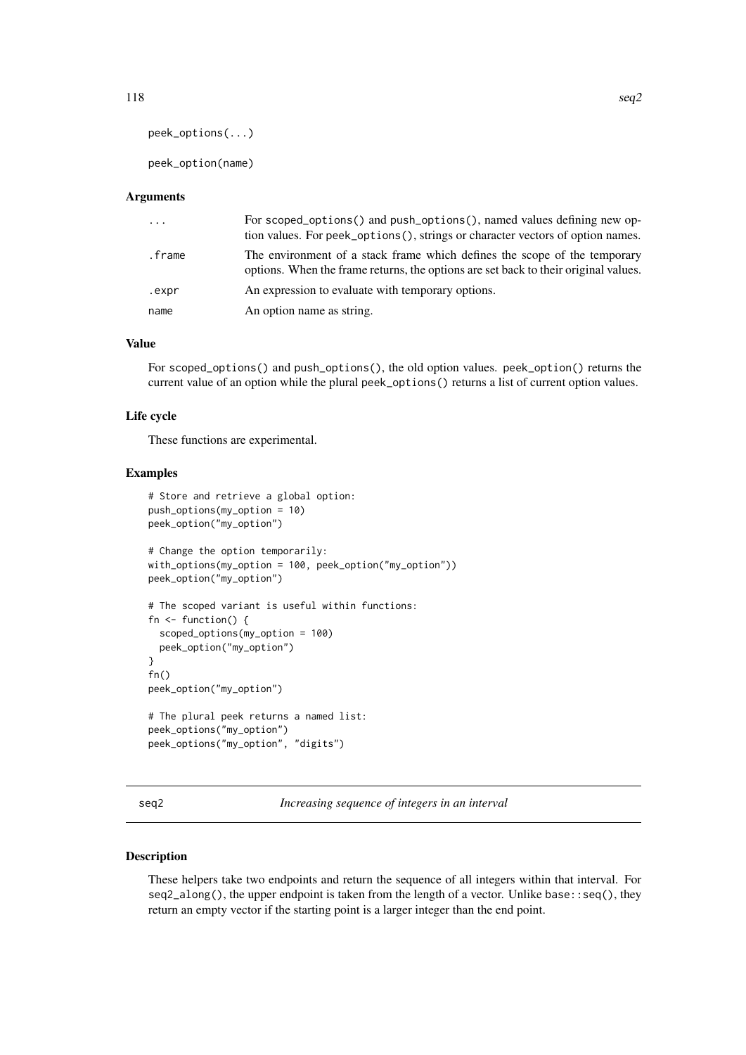```
peek_options(...)
```
peek\_option(name)

#### Arguments

| $\ddots$ | For scoped_options() and push_options(), named values defining new op-<br>tion values. For peek_options(), strings or character vectors of option names.         |
|----------|------------------------------------------------------------------------------------------------------------------------------------------------------------------|
| .frame   | The environment of a stack frame which defines the scope of the temporary<br>options. When the frame returns, the options are set back to their original values. |
| .expr    | An expression to evaluate with temporary options.                                                                                                                |
| name     | An option name as string.                                                                                                                                        |

#### Value

For scoped\_options() and push\_options(), the old option values. peek\_option() returns the current value of an option while the plural peek\_options() returns a list of current option values.

#### Life cycle

These functions are experimental.

#### Examples

```
# Store and retrieve a global option:
push_options(my_option = 10)
peek_option("my_option")
# Change the option temporarily:
with_options(my_option = 100, peek_option("my_option"))
peek_option("my_option")
# The scoped variant is useful within functions:
fn <- function() {
  scoped_options(my_option = 100)
 peek_option("my_option")
}
fn()
peek_option("my_option")
# The plural peek returns a named list:
peek_options("my_option")
peek_options("my_option", "digits")
```
seq2 *Increasing sequence of integers in an interval*

#### Description

These helpers take two endpoints and return the sequence of all integers within that interval. For seq2\_along(), the upper endpoint is taken from the length of a vector. Unlike base::seq(), they return an empty vector if the starting point is a larger integer than the end point.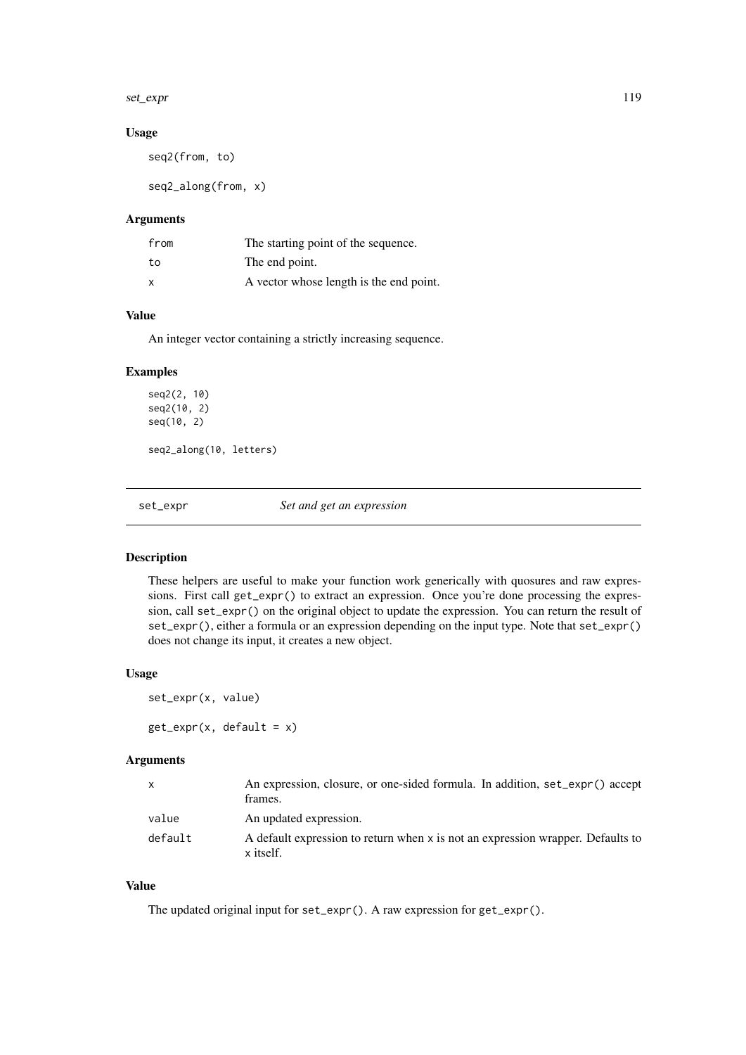<span id="page-118-2"></span>set\_expr 119

# Usage

seq2(from, to)

seq2\_along(from, x)

# Arguments

| from | The starting point of the sequence.     |
|------|-----------------------------------------|
| to   | The end point.                          |
| x    | A vector whose length is the end point. |

# Value

An integer vector containing a strictly increasing sequence.

# Examples

seq2(2, 10) seq2(10, 2) seq(10, 2) seq2\_along(10, letters)

<span id="page-118-1"></span>set\_expr *Set and get an expression*

# <span id="page-118-0"></span>Description

These helpers are useful to make your function work generically with quosures and raw expressions. First call get\_expr() to extract an expression. Once you're done processing the expression, call set\_expr() on the original object to update the expression. You can return the result of set\_expr(), either a formula or an expression depending on the input type. Note that set\_expr() does not change its input, it creates a new object.

#### Usage

```
set_expr(x, value)
get\_expr(x, default = x)
```
# Arguments

|         | An expression, closure, or one-sided formula. In addition, set_expr() accept<br>frames.      |
|---------|----------------------------------------------------------------------------------------------|
| value   | An updated expression.                                                                       |
| default | A default expression to return when x is not an expression wrapper. Defaults to<br>x itself. |

# Value

The updated original input for set\_expr(). A raw expression for get\_expr().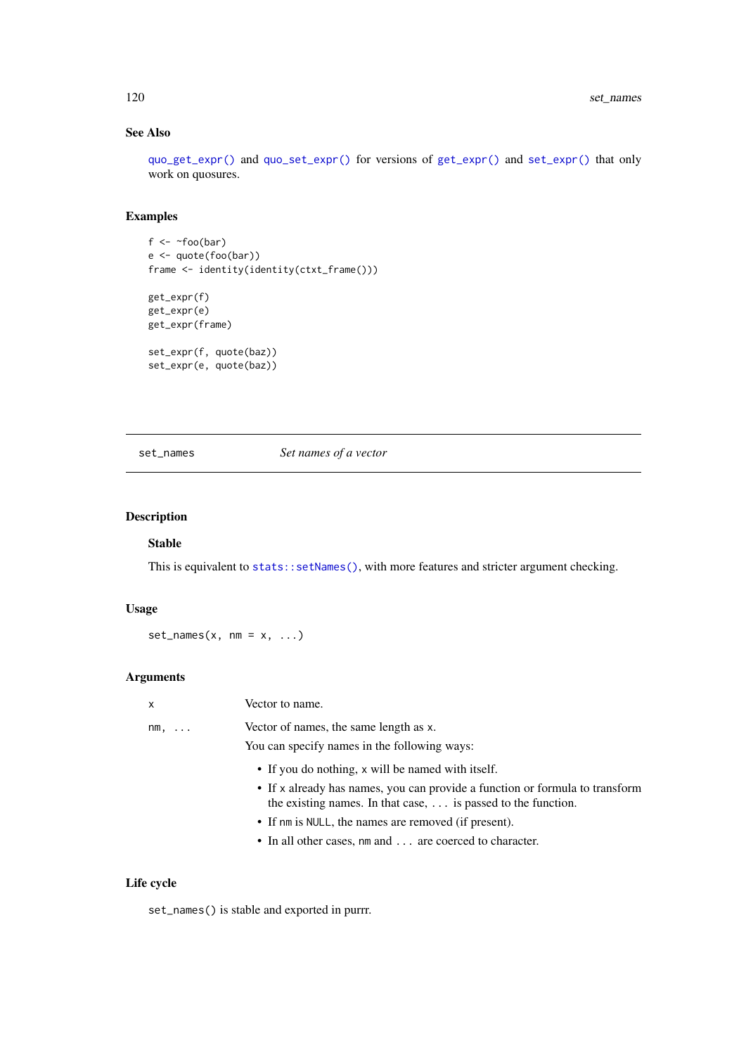# See Also

[quo\\_get\\_expr\(\)](#page-100-0) and [quo\\_set\\_expr\(\)](#page-100-0) for versions of [get\\_expr\(\)](#page-118-0) and [set\\_expr\(\)](#page-118-1) that only work on quosures.

# Examples

```
f \leftarrow \text{r}foo(bar)
e <- quote(foo(bar))
frame <- identity(identity(ctxt_frame()))
get_expr(f)
get_expr(e)
get_expr(frame)
set_expr(f, quote(baz))
set_expr(e, quote(baz))
```
#### set\_names *Set names of a vector*

# Description

# Stable

This is equivalent to [stats::setNames\(\)](#page-0-0), with more features and stricter argument checking.

# Usage

 $set\_names(x, nm = x, ...)$ 

# Arguments

| x            | Vector to name.                                                                                                                                      |
|--------------|------------------------------------------------------------------------------------------------------------------------------------------------------|
| $nm, \ldots$ | Vector of names, the same length as x.                                                                                                               |
|              | You can specify names in the following ways:                                                                                                         |
|              | • If you do nothing, x will be named with itself.                                                                                                    |
|              | • If x already has names, you can provide a function or formula to transform<br>the existing names. In that case, $\dots$ is passed to the function. |
|              | • If nm is NULL, the names are removed (if present).                                                                                                 |
|              | • In all other cases, nm and  are coerced to character.                                                                                              |
|              |                                                                                                                                                      |

# Life cycle

set\_names() is stable and exported in purrr.

<span id="page-119-0"></span>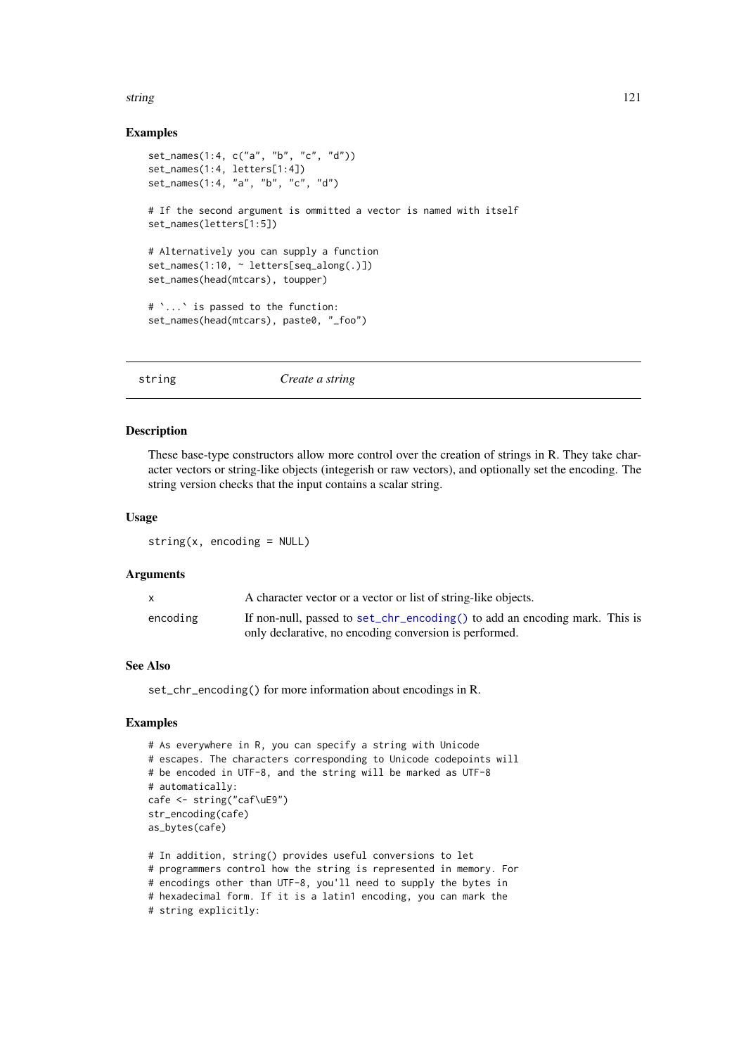#### <span id="page-120-0"></span>string the contract of the contract of the contract of the contract of the contract of the contract of the contract of the contract of the contract of the contract of the contract of the contract of the contract of the con

#### Examples

```
set_names(1:4, c("a", "b", "c", "d"))
set_names(1:4, letters[1:4])
set_names(1:4, "a", "b", "c", "d")
# If the second argument is ommitted a vector is named with itself
set_names(letters[1:5])
# Alternatively you can supply a function
set_names(1:10, ~ letters[seq_along(.)])
set_names(head(mtcars), toupper)
# `...` is passed to the function:
set_names(head(mtcars), paste0, "_foo")
```
string *Create a string*

# Description

These base-type constructors allow more control over the creation of strings in R. They take character vectors or string-like objects (integerish or raw vectors), and optionally set the encoding. The string version checks that the input contains a scalar string.

# Usage

 $string(x, encoding = NULL)$ 

#### Arguments

| $\mathsf{x}$ | A character vector or a vector or list of string-like objects.                                                                       |  |
|--------------|--------------------------------------------------------------------------------------------------------------------------------------|--|
| encoding     | If non-null, passed to set_chr_encoding() to add an encoding mark. This is<br>only declarative, no encoding conversion is performed. |  |

# See Also

set\_chr\_encoding() for more information about encodings in R.

```
# As everywhere in R, you can specify a string with Unicode
# escapes. The characters corresponding to Unicode codepoints will
# be encoded in UTF-8, and the string will be marked as UTF-8
# automatically:
cafe <- string("caf\uE9")
str_encoding(cafe)
as_bytes(cafe)
# In addition, string() provides useful conversions to let
# programmers control how the string is represented in memory. For
# encodings other than UTF-8, you'll need to supply the bytes in
# hexadecimal form. If it is a latin1 encoding, you can mark the
# string explicitly:
```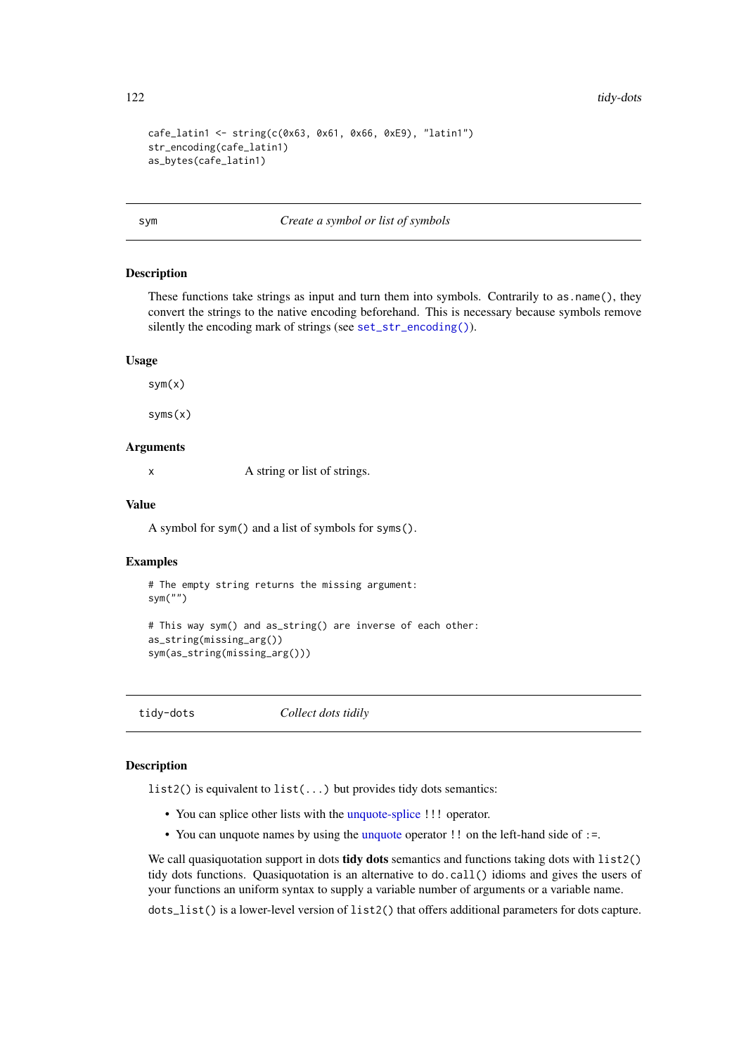```
cafe_latin1 <- string(c(0x63, 0x61, 0x66, 0xE9), "latin1")
str_encoding(cafe_latin1)
as_bytes(cafe_latin1)
```
sym *Create a symbol or list of symbols*

#### Description

These functions take strings as input and turn them into symbols. Contrarily to as name(), they convert the strings to the native encoding beforehand. This is necessary because symbols remove silently the encoding mark of strings (see [set\\_str\\_encoding\(\)](#page-0-0)).

#### Usage

sym(x)

syms(x)

# Arguments

x A string or list of strings.

# Value

A symbol for sym() and a list of symbols for syms().

#### Examples

```
# The empty string returns the missing argument:
sym("")
```

```
# This way sym() and as_string() are inverse of each other:
as_string(missing_arg())
sym(as_string(missing_arg()))
```
<span id="page-121-0"></span>tidy-dots *Collect dots tidily*

#### Description

list2() is equivalent to list(...) but provides tidy dots semantics:

- You can splice other lists with the [unquote-splice](#page-97-0) !!! operator.
- You can [unquote](#page-97-0) names by using the unquote operator !! on the left-hand side of :=.

We call quasiquotation support in dots tidy dots semantics and functions taking dots with list2() tidy dots functions. Quasiquotation is an alternative to do.call() idioms and gives the users of your functions an uniform syntax to supply a variable number of arguments or a variable name.

dots\_list() is a lower-level version of list2() that offers additional parameters for dots capture.

<span id="page-121-1"></span>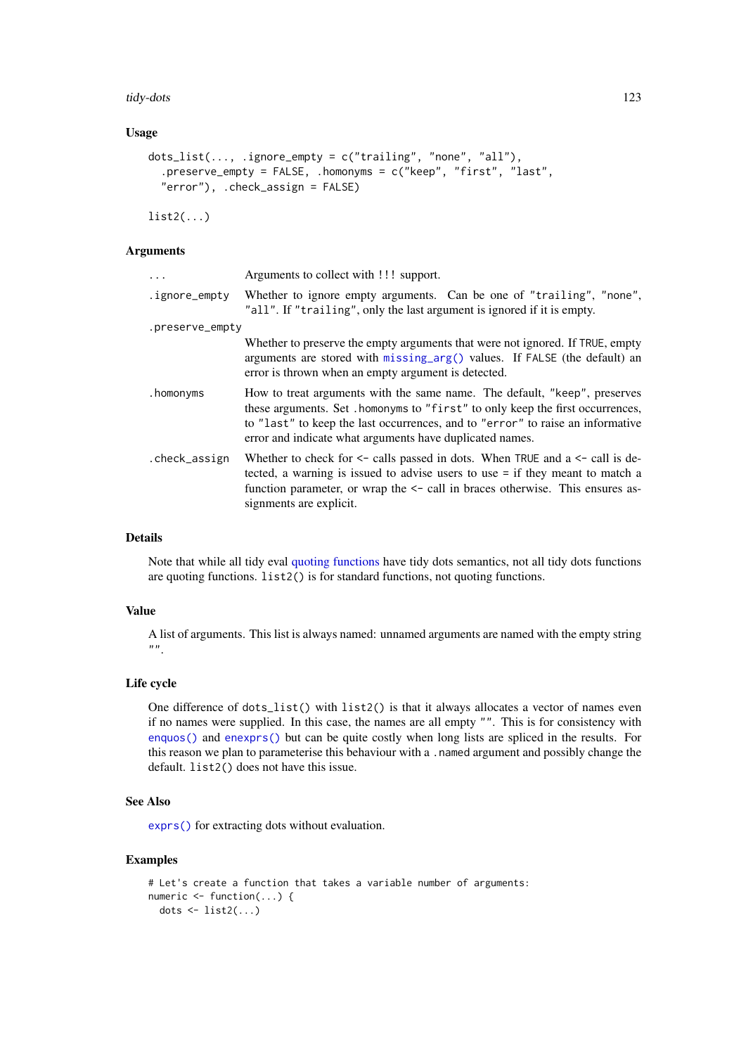#### <span id="page-122-0"></span>tidy-dots 123

#### Usage

```
dots_list(..., .ignore_empty = c("trailing", "none", "all"),
  .preserve_empty = FALSE, .homonyms = c("keep", "first", "last",
  "error"), .check_assign = FALSE)
```
 $list2(...)$ 

# Arguments

| $\ddots$        | Arguments to collect with !!! support.                                                                                                                                                                                                                                                                    |
|-----------------|-----------------------------------------------------------------------------------------------------------------------------------------------------------------------------------------------------------------------------------------------------------------------------------------------------------|
| .ignore_empty   | Whether to ignore empty arguments. Can be one of "trailing", "none",<br>"all". If "trailing", only the last argument is ignored if it is empty.                                                                                                                                                           |
| .preserve_empty |                                                                                                                                                                                                                                                                                                           |
|                 | Whether to preserve the empty arguments that were not ignored. If TRUE, empty<br>arguments are stored with $missing_arg()$ values. If $FALSE (the default)$ an<br>error is thrown when an empty argument is detected.                                                                                     |
| .homonyms       | How to treat arguments with the same name. The default, "keep", preserves<br>these arguments. Set . homonyms to "first" to only keep the first occurrences,<br>to "last" to keep the last occurrences, and to "error" to raise an informative<br>error and indicate what arguments have duplicated names. |
| .check_assign   | Whether to check for $\leq$ calls passed in dots. When TRUE and a $\leq$ call is de-<br>tected, a warning is issued to advise users to use $=$ if they meant to match a<br>function parameter, or wrap the $\le$ - call in braces otherwise. This ensures as-<br>signments are explicit.                  |

#### Details

Note that while all tidy eval [quoting functions](#page-103-0) have tidy dots semantics, not all tidy dots functions are quoting functions. list2() is for standard functions, not quoting functions.

# Value

A list of arguments. This list is always named: unnamed arguments are named with the empty string  $"$ .

# Life cycle

One difference of dots\_list() with list2() is that it always allocates a vector of names even if no names were supplied. In this case, the names are all empty "". This is for consistency with [enquos\(\)](#page-103-1) and [enexprs\(\)](#page-103-1) but can be quite costly when long lists are spliced in the results. For this reason we plan to parameterise this behaviour with a . named argument and possibly change the default. list2() does not have this issue.

#### See Also

[exprs\(\)](#page-103-1) for extracting dots without evaluation.

```
# Let's create a function that takes a variable number of arguments:
numeric \leq function(...) {
  dots \leftarrow list2(...)
```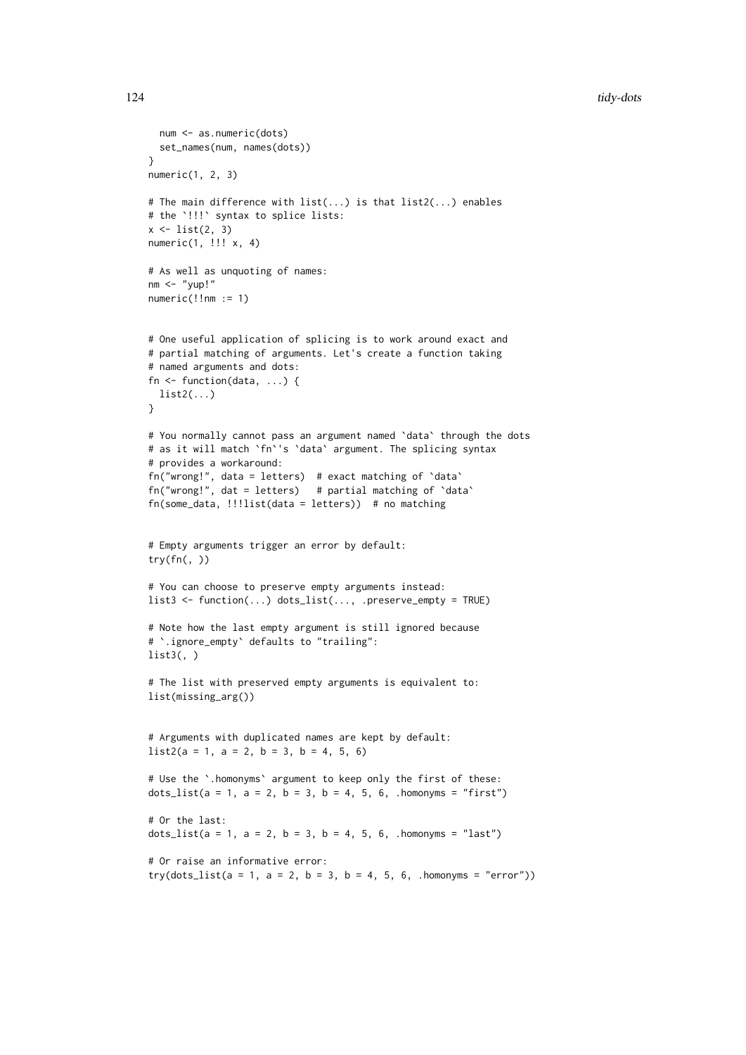```
num <- as.numeric(dots)
  set_names(num, names(dots))
}
numeric(1, 2, 3)
# The main difference with list(...) is that list2(...) enables
# the `!!!` syntax to splice lists:
x \leftarrow list(2, 3)
numeric(1, !!! x, 4)
# As well as unquoting of names:
nm < - "yup!"
numeric(!!nm := 1)# One useful application of splicing is to work around exact and
# partial matching of arguments. Let's create a function taking
# named arguments and dots:
fn <- function(data, ...) {
 list2(...)}
# You normally cannot pass an argument named `data` through the dots
# as it will match `fn`'s `data` argument. The splicing syntax
# provides a workaround:
fn("wrong!", data = letters) # exact matching of `data`
fn("wrong!", dat = letters) # partial matching of `data`
fn(some_data, !!!list(data = letters)) # no matching
# Empty arguments trigger an error by default:
try(fn(, ))
# You can choose to preserve empty arguments instead:
list3 <- function(...) dots_list(..., .preserve_empty = TRUE)
# Note how the last empty argument is still ignored because
# `.ignore_empty` defaults to "trailing":
list3(, )# The list with preserved empty arguments is equivalent to:
list(missing_arg())
# Arguments with duplicated names are kept by default:
list2(a = 1, a = 2, b = 3, b = 4, 5, 6)# Use the `.homonyms` argument to keep only the first of these:
dots_list(a = 1, a = 2, b = 3, b = 4, 5, 6, .homonyms = "first")
# Or the last:
dots list(a = 1, a = 2, b = 3, b = 4, 5, 6, .homonyms = "last")
# Or raise an informative error:
try(dots\_list(a = 1, a = 2, b = 3, b = 4, 5, 6, .homonyms = "error")
```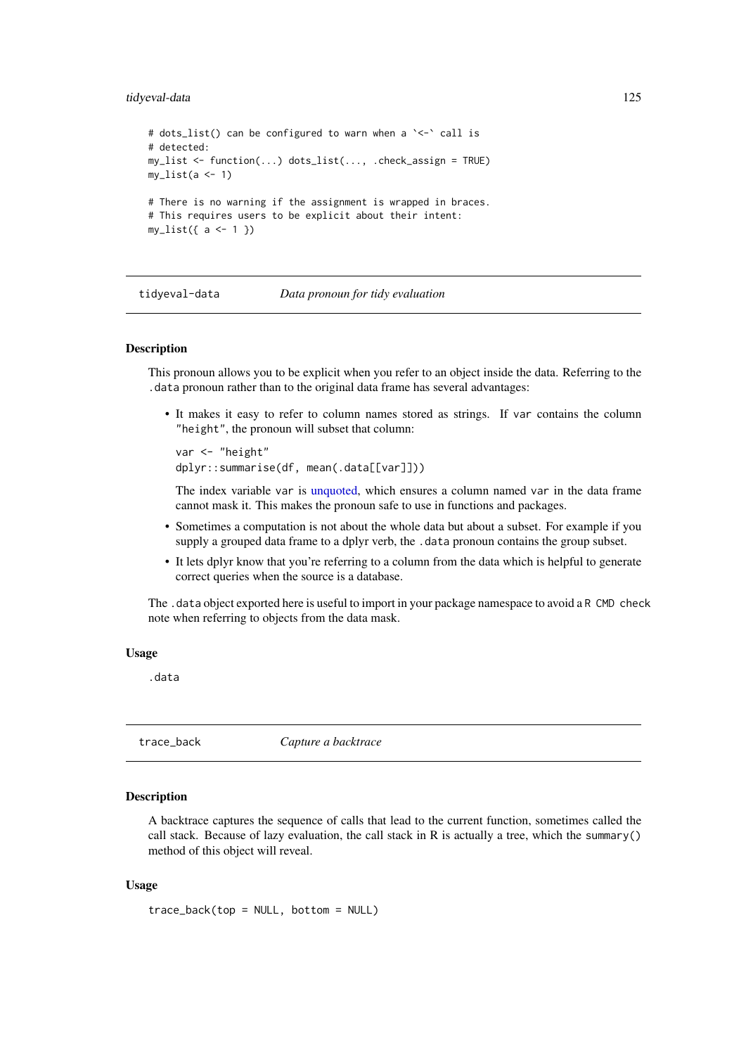#### <span id="page-124-1"></span>tidyeval-data 125

```
# dots_list() can be configured to warn when a `<-` call is
# detected:
my_list <- function(...) dots_list(..., .check_assign = TRUE)
my\_list(a \leq 1)# There is no warning if the assignment is wrapped in braces.
# This requires users to be explicit about their intent:
my\_list({ a < - 1 })
```
tidyeval-data *Data pronoun for tidy evaluation*

#### **Description**

This pronoun allows you to be explicit when you refer to an object inside the data. Referring to the .data pronoun rather than to the original data frame has several advantages:

• It makes it easy to refer to column names stored as strings. If var contains the column "height", the pronoun will subset that column:

```
var <- "height"
dplyr::summarise(df, mean(.data[[var]]))
```
The index variable var is [unquoted,](#page-97-0) which ensures a column named var in the data frame cannot mask it. This makes the pronoun safe to use in functions and packages.

- Sometimes a computation is not about the whole data but about a subset. For example if you supply a grouped data frame to a dplyr verb, the .data pronoun contains the group subset.
- It lets dplyr know that you're referring to a column from the data which is helpful to generate correct queries when the source is a database.

The .data object exported here is useful to import in your package namespace to avoid a R CMD check note when referring to objects from the data mask.

# Usage

.data

<span id="page-124-0"></span>trace\_back *Capture a backtrace*

# Description

A backtrace captures the sequence of calls that lead to the current function, sometimes called the call stack. Because of lazy evaluation, the call stack in R is actually a tree, which the summary() method of this object will reveal.

#### Usage

```
trace_back(top = NULL, bottom = NULL)
```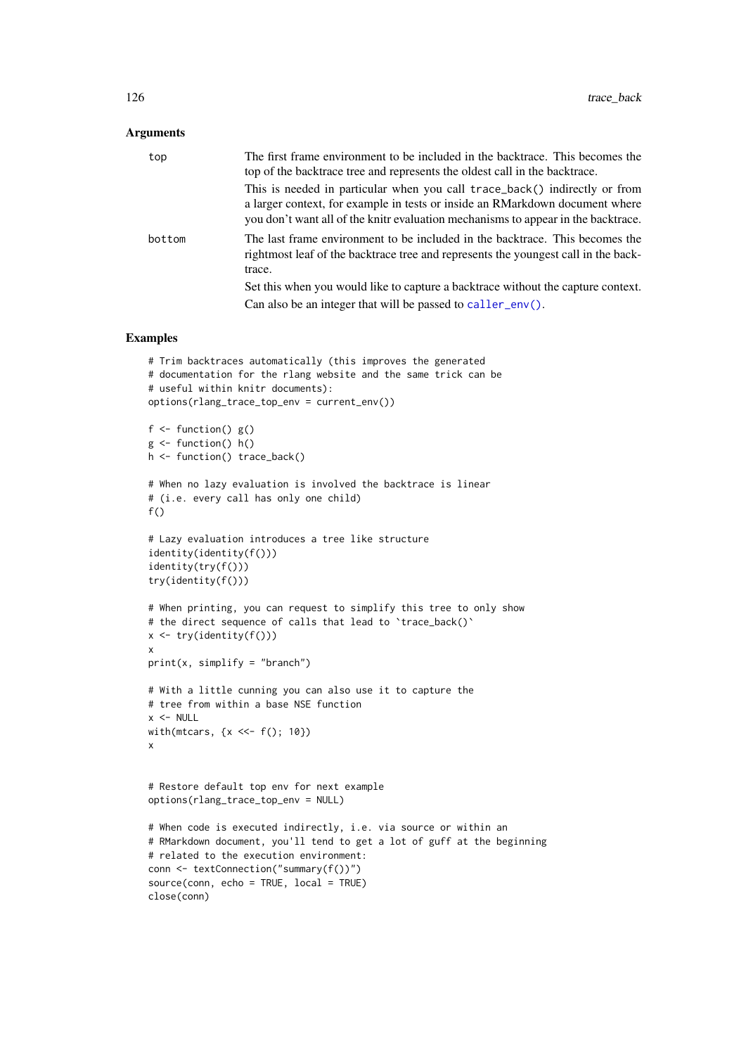#### <span id="page-125-0"></span>Arguments

| top    | The first frame environment to be included in the backtrace. This becomes the<br>top of the backtrace tree and represents the oldest call in the backtrace.                                                                                     |
|--------|-------------------------------------------------------------------------------------------------------------------------------------------------------------------------------------------------------------------------------------------------|
|        | This is needed in particular when you call trace_back() indirectly or from<br>a larger context, for example in tests or inside an RMarkdown document where<br>you don't want all of the knitr evaluation mechanisms to appear in the backtrace. |
| bottom | The last frame environment to be included in the backtrace. This becomes the<br>rightmost leaf of the backtrace tree and represents the youngest call in the back-<br>trace.                                                                    |
|        | Set this when you would like to capture a backtrace without the capture context.<br>Can also be an integer that will be passed to $\text{caller\_env}()$ .                                                                                      |

```
# Trim backtraces automatically (this improves the generated
# documentation for the rlang website and the same trick can be
# useful within knitr documents):
options(rlang_trace_top_env = current_env())
f \leftarrow function() g()g \leftarrow function() h()
h <- function() trace_back()
# When no lazy evaluation is involved the backtrace is linear
# (i.e. every call has only one child)
f()
# Lazy evaluation introduces a tree like structure
identity(identity(f()))
identity(try(f()))
try(identity(f()))
# When printing, you can request to simplify this tree to only show
# the direct sequence of calls that lead to 'trace_back()'
x \leftarrow try(identity(f())x
print(x, simplify = "branch")
# With a little cunning you can also use it to capture the
# tree from within a base NSE function
x < - NULL
with(mtcars, \{x \leq -f(\) ; 10\})
x
# Restore default top env for next example
options(rlang_trace_top_env = NULL)
# When code is executed indirectly, i.e. via source or within an
# RMarkdown document, you'll tend to get a lot of guff at the beginning
# related to the execution environment:
conn <- textConnection("summary(f())")
source(conn, echo = TRUE, local = TRUE)
close(conn)
```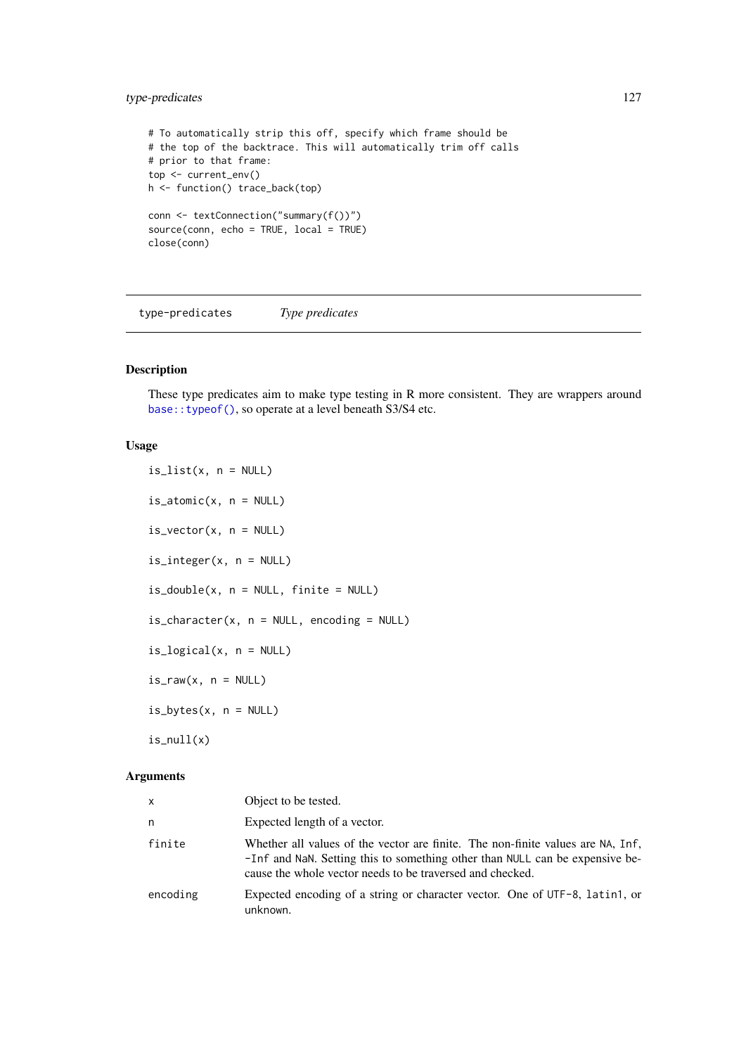#### <span id="page-126-1"></span>type-predicates 127

```
# To automatically strip this off, specify which frame should be
# the top of the backtrace. This will automatically trim off calls
# prior to that frame:
top <- current_env()
h <- function() trace_back(top)
conn <- textConnection("summary(f())")
source(conn, echo = TRUE, local = TRUE)
close(conn)
```
<span id="page-126-0"></span>type-predicates *Type predicates*

# Description

These type predicates aim to make type testing in R more consistent. They are wrappers around [base::typeof\(\)](#page-0-0), so operate at a level beneath S3/S4 etc.

# Usage

```
is\_list(x, n = NULL)is\_atomic(x, n = NULL)is\_vector(x, n = NULL)is_integer(x, n = NULL)
is\_double(x, n = NULL, finite = NULL)is_{\text{c}}\text{character}(x, n = \text{NULL}, \text{encoding} = \text{NULL})is\_logical(x, n = NULL)is_{raw}(x, n = NULL)is\_bytes(x, n = NULL)is\_null(x)
```
#### Arguments

| X        | Object to be tested.                                                                                                                                                                                                         |
|----------|------------------------------------------------------------------------------------------------------------------------------------------------------------------------------------------------------------------------------|
| n        | Expected length of a vector.                                                                                                                                                                                                 |
| finite   | Whether all values of the vector are finite. The non-finite values are NA, Inf,<br>-Inf and NaN. Setting this to something other than NULL can be expensive be-<br>cause the whole vector needs to be traversed and checked. |
| encoding | Expected encoding of a string or character vector. One of UTF-8, latin1, or<br>unknown.                                                                                                                                      |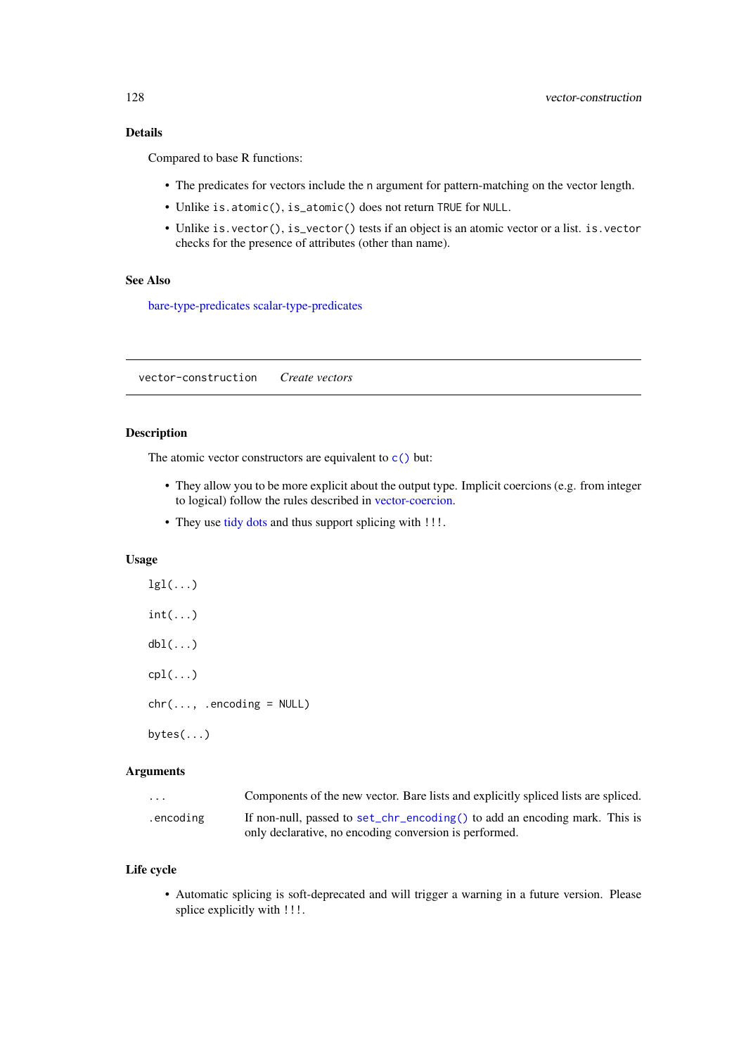# <span id="page-127-0"></span>Details

Compared to base R functions:

- The predicates for vectors include the n argument for pattern-matching on the vector length.
- Unlike is.atomic(), is\_atomic() does not return TRUE for NULL.
- Unlike is.vector(), is\_vector() tests if an object is an atomic vector or a list. is.vector checks for the presence of attributes (other than name).

# See Also

[bare-type-predicates](#page-18-0) [scalar-type-predicates](#page-115-0)

vector-construction *Create vectors*

# Description

The atomic vector constructors are equivalent to  $c()$  but:

- They allow you to be more explicit about the output type. Implicit coercions (e.g. from integer to logical) follow the rules described in [vector-coercion.](#page-0-0)
- They use [tidy dots](#page-121-0) and thus support splicing with !!!.

# Usage

 $lgl(...)$  $int(...)$  $dbl(...)$  $cpl(...)$  $chr(..., .encoding = NULL)$ bytes(...)

# Arguments

| .         | Components of the new vector. Bare lists and explicitly spliced lists are spliced. |
|-----------|------------------------------------------------------------------------------------|
| .encoding | If non-null, passed to set_chr_encoding() to add an encoding mark. This is         |
|           | only declarative, no encoding conversion is performed.                             |

# Life cycle

• Automatic splicing is soft-deprecated and will trigger a warning in a future version. Please splice explicitly with !!!.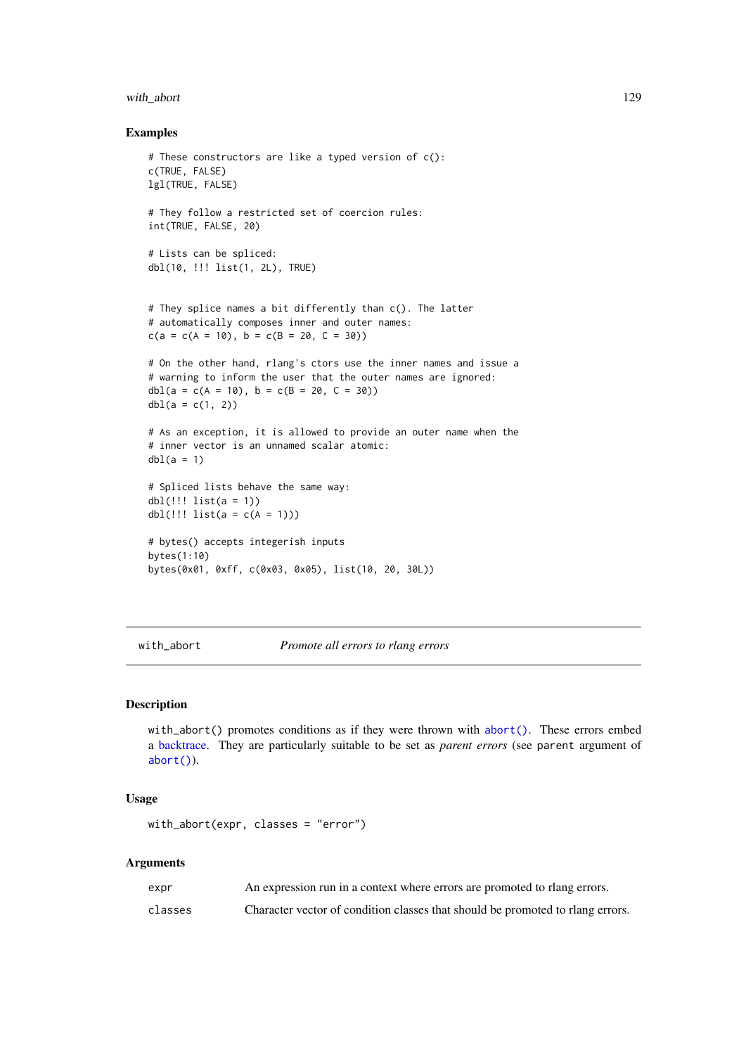#### <span id="page-128-0"></span>with\_abort 129

#### Examples

```
# These constructors are like a typed version of c():
c(TRUE, FALSE)
lgl(TRUE, FALSE)
# They follow a restricted set of coercion rules:
int(TRUE, FALSE, 20)
# Lists can be spliced:
dbl(10, !!! list(1, 2L), TRUE)
# They splice names a bit differently than c(). The latter
# automatically composes inner and outer names:
c(a = c(A = 10), b = c(B = 20, C = 30))# On the other hand, rlang's ctors use the inner names and issue a
# warning to inform the user that the outer names are ignored:
dbl(a = c(A = 10), b = c(B = 20, C = 30))dbl(a = c(1, 2))# As an exception, it is allowed to provide an outer name when the
# inner vector is an unnamed scalar atomic:
dbl(a = 1)# Spliced lists behave the same way:
dbl(!!! list(a = 1))
dbl(!!! list(a = c(A = 1)))
# bytes() accepts integerish inputs
bytes(1:10)
bytes(0x01, 0xff, c(0x03, 0x05), list(10, 20, 30L))
```
with\_abort *Promote all errors to rlang errors*

# Description

with\_abort() promotes conditions as if they were thrown with [abort\(\)](#page-3-0). These errors embed a [backtrace.](#page-124-0) They are particularly suitable to be set as *parent errors* (see parent argument of [abort\(\)](#page-3-0)).

# Usage

```
with_abort(expr, classes = "error")
```
# Arguments

| expr    | An expression run in a context where errors are promoted to rlang errors.      |
|---------|--------------------------------------------------------------------------------|
| classes | Character vector of condition classes that should be promoted to rlang errors. |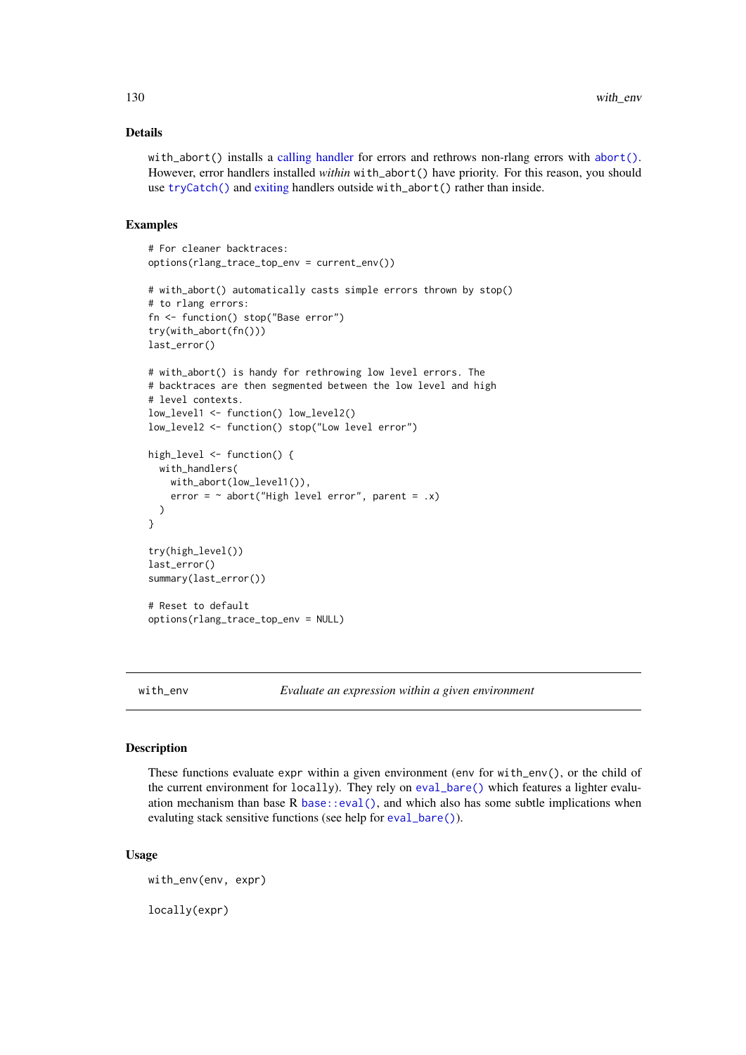#### <span id="page-129-0"></span>Details

with\_abort() installs a [calling handler](#page-56-0) for errors and rethrows non-rlang errors with [abort\(\)](#page-3-0). However, error handlers installed *within* with\_abort() have priority. For this reason, you should use [tryCatch\(\)](#page-0-0) and [exiting](#page-56-1) handlers outside with\_abort() rather than inside.

# Examples

```
# For cleaner backtraces:
options(rlang_trace_top_env = current_env())
# with_abort() automatically casts simple errors thrown by stop()
# to rlang errors:
fn <- function() stop("Base error")
try(with_abort(fn()))
last_error()
# with_abort() is handy for rethrowing low level errors. The
# backtraces are then segmented between the low level and high
# level contexts.
low_level1 <- function() low_level2()
low_level2 <- function() stop("Low level error")
high_level <- function() {
  with_handlers(
    with_abort(low_level1()),
    error = \sim abort("High level error", parent = .x)
  \lambda}
try(high_level())
last_error()
summary(last_error())
# Reset to default
options(rlang_trace_top_env = NULL)
```
with\_env *Evaluate an expression within a given environment*

#### Description

These functions evaluate expr within a given environment (env for with\_env(), or the child of the current environment for locally). They rely on [eval\\_bare\(\)](#page-51-0) which features a lighter evaluation mechanism than base R [base::eval\(\)](#page-0-0), and which also has some subtle implications when evaluting stack sensitive functions (see help for [eval\\_bare\(\)](#page-51-0)).

#### Usage

with\_env(env, expr)

locally(expr)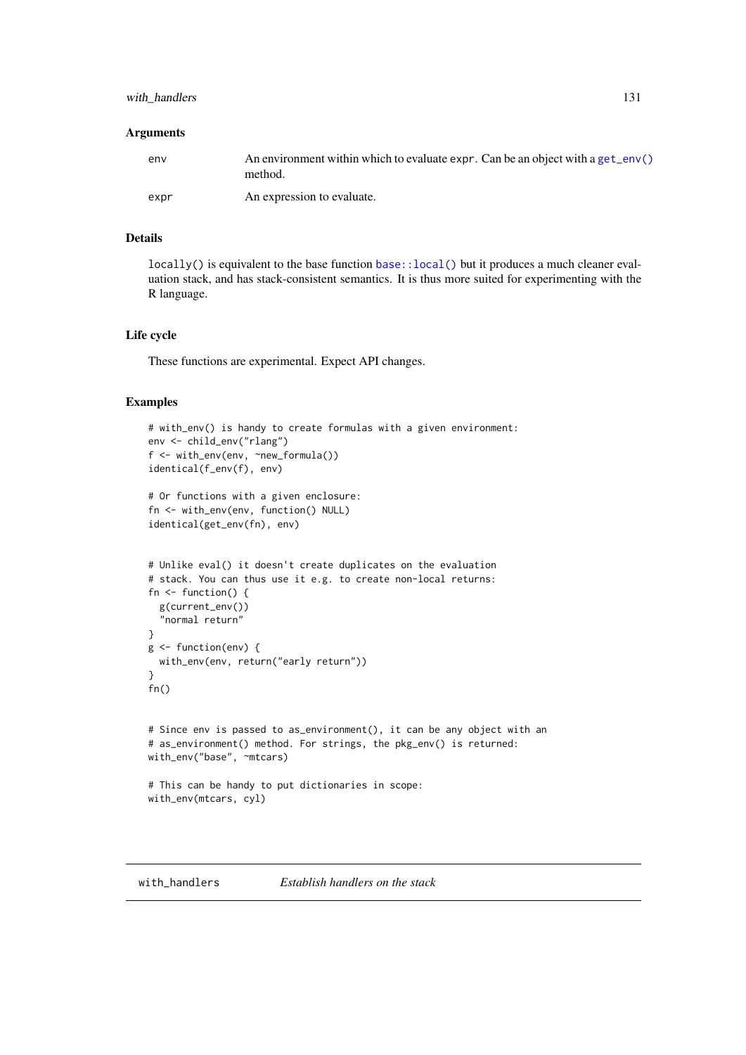#### <span id="page-130-1"></span>with\_handlers 131

#### Arguments

| env  | An environment within which to evaluate expr. Can be an object with a get_env()<br>method. |
|------|--------------------------------------------------------------------------------------------|
| expr | An expression to evaluate.                                                                 |

# Details

locally() is equivalent to the base function base: : local() but it produces a much cleaner evaluation stack, and has stack-consistent semantics. It is thus more suited for experimenting with the R language.

# Life cycle

These functions are experimental. Expect API changes.

```
# with_env() is handy to create formulas with a given environment:
env <- child_env("rlang")
f <- with_env(env, ~new_formula())
identical(f_env(f), env)
# Or functions with a given enclosure:
fn <- with_env(env, function() NULL)
identical(get_env(fn), env)
# Unlike eval() it doesn't create duplicates on the evaluation
# stack. You can thus use it e.g. to create non-local returns:
fn <- function() {
 g(current_env())
  "normal return"
}
g <- function(env) {
 with_env(env, return("early return"))
}
fn()
# Since env is passed to as_environment(), it can be any object with an
# as_environment() method. For strings, the pkg_env() is returned:
with_env("base", ~mtcars)
# This can be handy to put dictionaries in scope:
with_env(mtcars, cyl)
```
<span id="page-130-0"></span>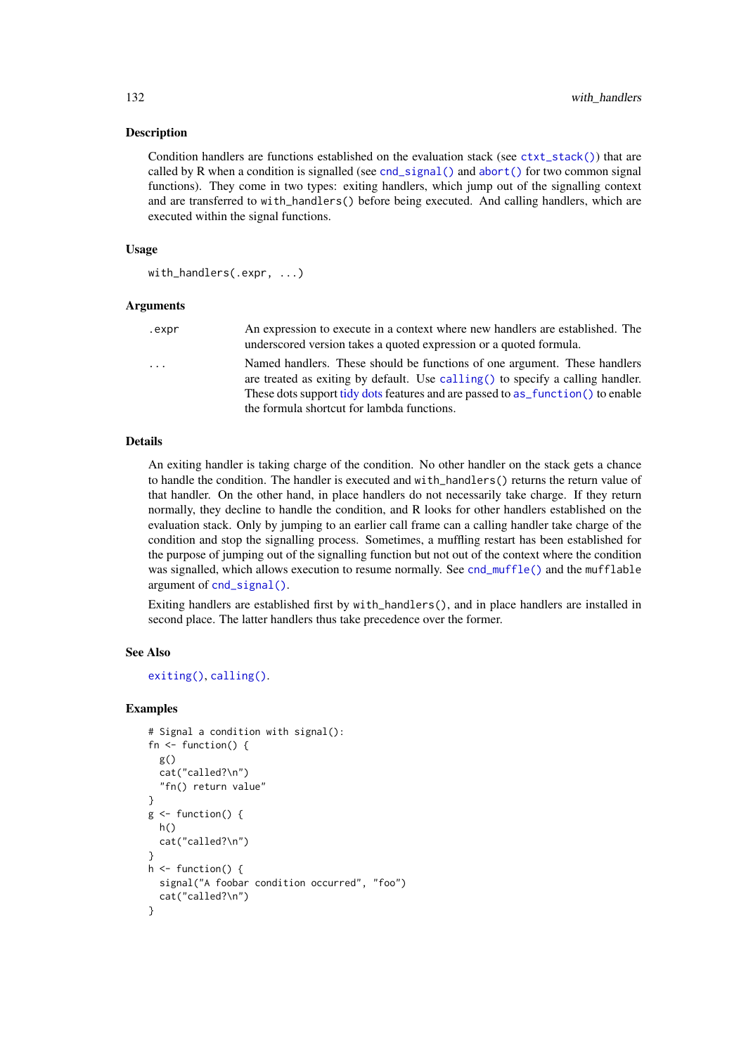#### Description

Condition handlers are functions established on the evaluation stack (see  $\text{ctxt}\text{-stack}($ )) that are called by R when a condition is signalled (see [cnd\\_signal\(\)](#page-32-0) and [abort\(\)](#page-3-0) for two common signal functions). They come in two types: exiting handlers, which jump out of the signalling context and are transferred to with\_handlers() before being executed. And calling handlers, which are executed within the signal functions.

#### Usage

```
with_handlers(.expr, ...)
```
#### Arguments

| .expr                   | An expression to execute in a context where new handlers are established. The<br>underscored version takes a quoted expression or a quoted formula.                                                                                                                                            |
|-------------------------|------------------------------------------------------------------------------------------------------------------------------------------------------------------------------------------------------------------------------------------------------------------------------------------------|
| $\cdot$ $\cdot$ $\cdot$ | Named handlers. These should be functions of one argument. These handlers<br>are treated as exiting by default. Use calling () to specify a calling handler.<br>These dots support tidy dots features and are passed to as function () to enable<br>the formula shortcut for lambda functions. |

#### Details

An exiting handler is taking charge of the condition. No other handler on the stack gets a chance to handle the condition. The handler is executed and with\_handlers() returns the return value of that handler. On the other hand, in place handlers do not necessarily take charge. If they return normally, they decline to handle the condition, and R looks for other handlers established on the evaluation stack. Only by jumping to an earlier call frame can a calling handler take charge of the condition and stop the signalling process. Sometimes, a muffling restart has been established for the purpose of jumping out of the signalling function but not out of the context where the condition was signalled, which allows execution to resume normally. See [cnd\\_muffle\(\)](#page-30-0) and the mufflable argument of [cnd\\_signal\(\)](#page-32-0).

Exiting handlers are established first by with\_handlers(), and in place handlers are installed in second place. The latter handlers thus take precedence over the former.

#### See Also

```
exiting(), calling().
```

```
# Signal a condition with signal():
fn \leq function() {
  g()
  cat("called?\n")
  "fn() return value"
}
g \leftarrow function() {
  h()
  cat("called?\n")
}
h \leftarrow function() {
  signal("A foobar condition occurred", "foo")
  cat("called?\n")
}
```
<span id="page-131-0"></span>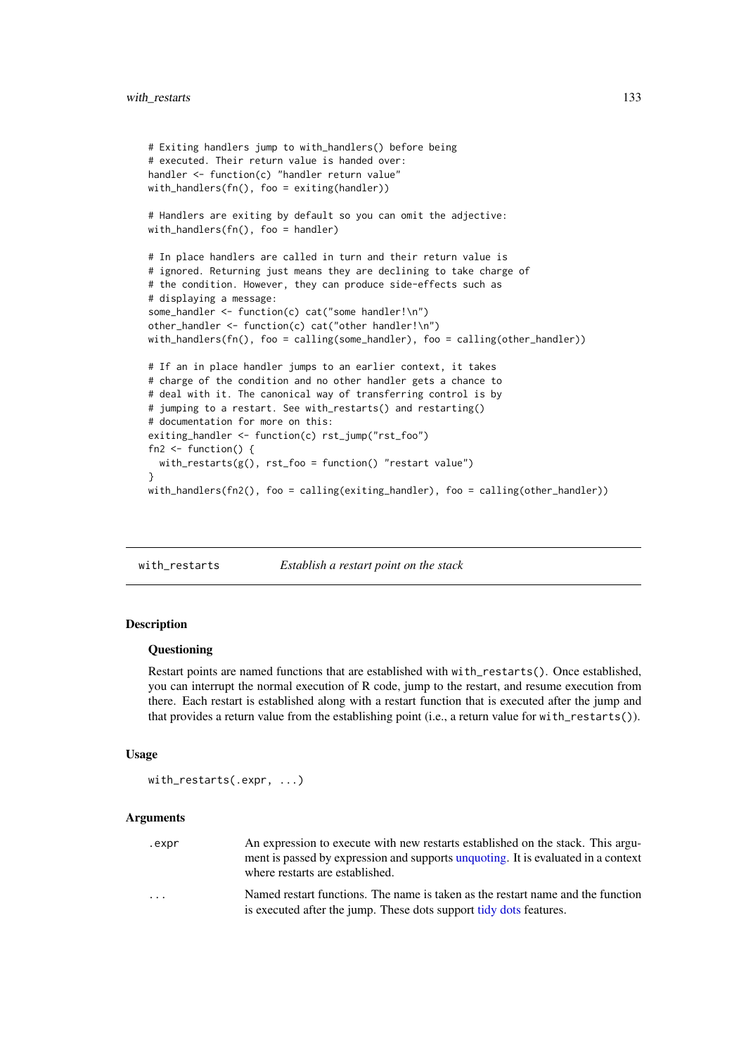```
# Exiting handlers jump to with_handlers() before being
# executed. Their return value is handed over:
handler <- function(c) "handler return value"
with_handlers(fn(), foo = exiting(handler))
# Handlers are exiting by default so you can omit the adjective:
with_handlers(fn(), foo = handler)
# In place handlers are called in turn and their return value is
# ignored. Returning just means they are declining to take charge of
# the condition. However, they can produce side-effects such as
# displaying a message:
some_handler <- function(c) cat("some handler!\n")
other_handler <- function(c) cat("other handler!\n")
with_handlers(fn(), foo = calling(some_handler), foo = calling(other_handler))
# If an in place handler jumps to an earlier context, it takes
# charge of the condition and no other handler gets a chance to
# deal with it. The canonical way of transferring control is by
# jumping to a restart. See with_restarts() and restarting()
# documentation for more on this:
exiting_handler <- function(c) rst_jump("rst_foo")
fn2 \leftarrow function() {
  with_restarts(g(), rst_foo = function() "restart value")
\lambdawith_handlers(fn2(), foo = calling(exiting_handler), foo = calling(other_handler))
```
<span id="page-132-0"></span>with\_restarts *Establish a restart point on the stack*

# Description

#### Questioning

Restart points are named functions that are established with with\_restarts(). Once established, you can interrupt the normal execution of R code, jump to the restart, and resume execution from there. Each restart is established along with a restart function that is executed after the jump and that provides a return value from the establishing point (i.e., a return value for with\_restarts()).

#### Usage

```
with_restarts(.expr, ...)
```
#### Arguments

| .expr                   | An expression to execute with new restarts established on the stack. This argu-                                      |
|-------------------------|----------------------------------------------------------------------------------------------------------------------|
|                         | ment is passed by expression and supports unquoting. It is evaluated in a context<br>where restarts are established. |
| $\cdot$ $\cdot$ $\cdot$ | Named restart functions. The name is taken as the restart name and the function                                      |
|                         | is executed after the jump. These dots support tidy dots features.                                                   |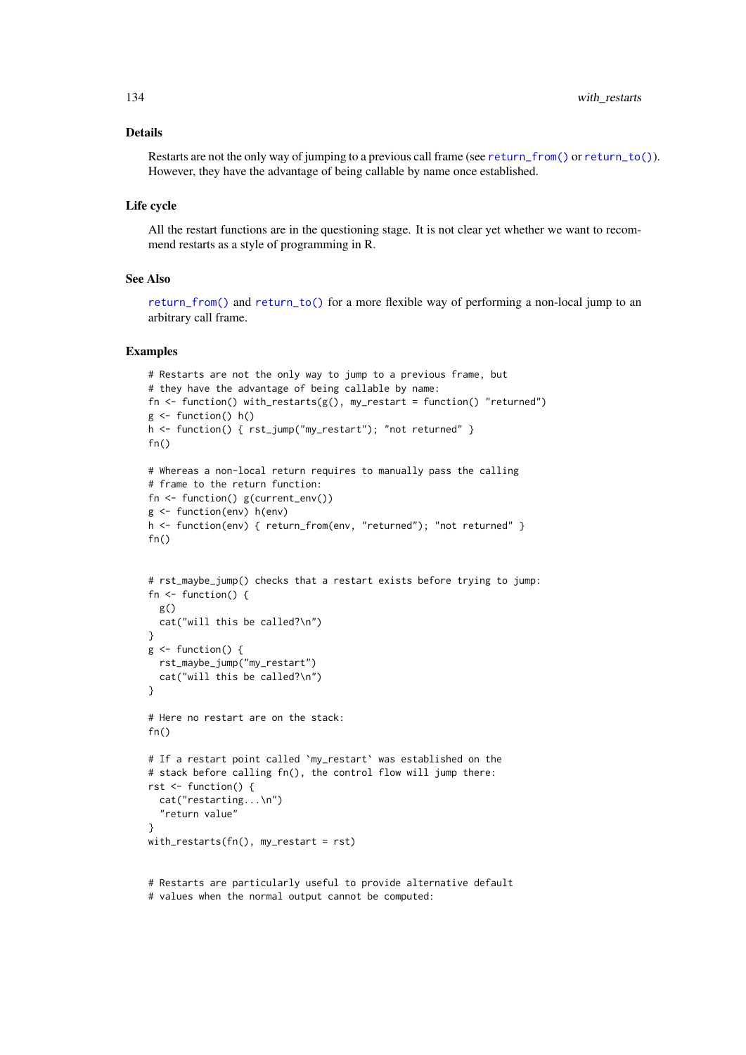#### Details

Restarts are not the only way of jumping to a previous call frame (see [return\\_from\(\)](#page-111-0) or [return\\_to\(\)](#page-111-1)). However, they have the advantage of being callable by name once established.

# Life cycle

All the restart functions are in the questioning stage. It is not clear yet whether we want to recommend restarts as a style of programming in R.

#### See Also

[return\\_from\(\)](#page-111-0) and [return\\_to\(\)](#page-111-1) for a more flexible way of performing a non-local jump to an arbitrary call frame.

# Examples

```
# Restarts are not the only way to jump to a previous frame, but
# they have the advantage of being callable by name:
fn <- function() with_restarts(g(), my_restart = function() "returned")
g \leftarrow function() h()h <- function() { rst_jump("my_restart"); "not returned" }
fn()
# Whereas a non-local return requires to manually pass the calling
# frame to the return function:
fn <- function() g(current_env())
g <- function(env) h(env)
h <- function(env) { return_from(env, "returned"); "not returned" }
fn()# rst_maybe_jump() checks that a restart exists before trying to jump:
fn <- function() {
 g()
 cat("will this be called?\n")
}
g \leftarrow function() {
 rst_maybe_jump("my_restart")
  cat("will this be called?\n")
}
# Here no restart are on the stack:
fn()
# If a restart point called `my_restart` was established on the
# stack before calling fn(), the control flow will jump there:
rst <- function() {
  cat("restarting...\n")
  "return value"
}
with_restarts(fn(), my_restart = rst)
```
# Restarts are particularly useful to provide alternative default # values when the normal output cannot be computed:

<span id="page-133-0"></span>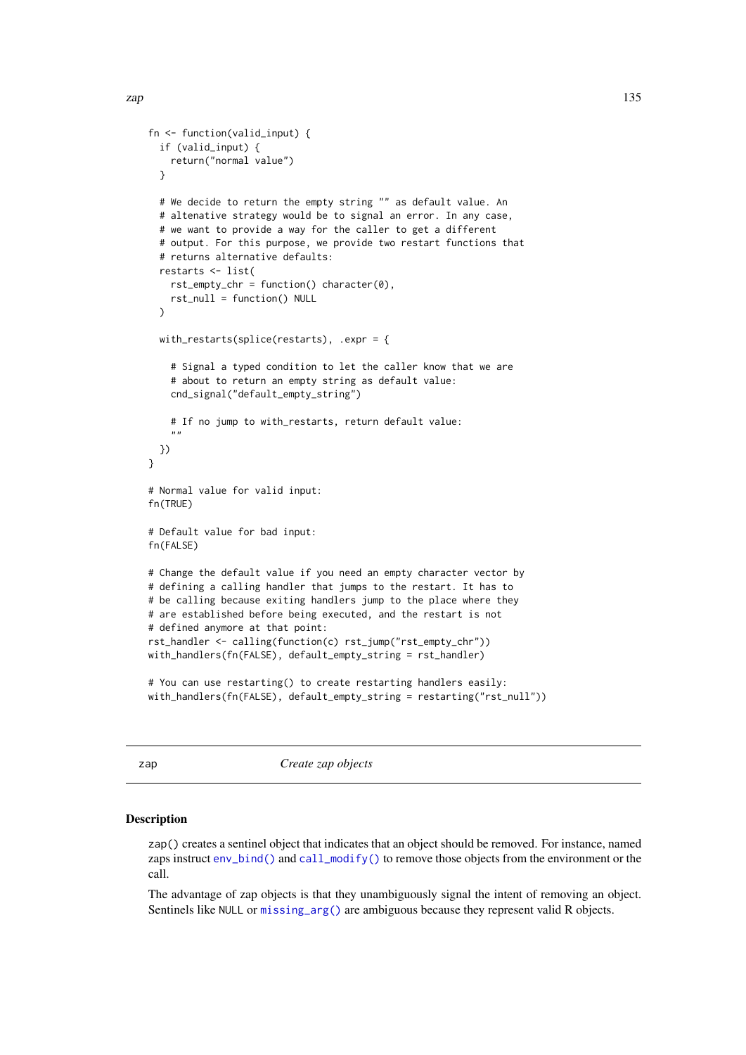```
fn <- function(valid_input) {
  if (valid_input) {
    return("normal value")
  }
  # We decide to return the empty string "" as default value. An
  # altenative strategy would be to signal an error. In any case,
  # we want to provide a way for the caller to get a different
  # output. For this purpose, we provide two restart functions that
  # returns alternative defaults:
  restarts <- list(
    rst\_empty\_chr = function() character(0),rst_null = function() NULL
  \lambdawith_restarts(splice(restarts), .expr = {
    # Signal a typed condition to let the caller know that we are
    # about to return an empty string as default value:
    cnd_signal("default_empty_string")
    # If no jump to with_restarts, return default value:
    ""
  })
}
# Normal value for valid input:
fn(TRUE)
# Default value for bad input:
fn(FALSE)
# Change the default value if you need an empty character vector by
# defining a calling handler that jumps to the restart. It has to
# be calling because exiting handlers jump to the place where they
# are established before being executed, and the restart is not
# defined anymore at that point:
rst_handler <- calling(function(c) rst_jump("rst_empty_chr"))
with_handlers(fn(FALSE), default_empty_string = rst_handler)
# You can use restarting() to create restarting handlers easily:
with_handlers(fn(FALSE), default_empty_string = restarting("rst_null"))
```
zap *Create zap objects*

#### **Description**

zap() creates a sentinel object that indicates that an object should be removed. For instance, named zaps instruct [env\\_bind\(\)](#page-39-0) and [call\\_modify\(\)](#page-25-0) to remove those objects from the environment or the call.

The advantage of zap objects is that they unambiguously signal the intent of removing an object. Sentinels like NULL or [missing\\_arg\(\)](#page-88-0) are ambiguous because they represent valid R objects.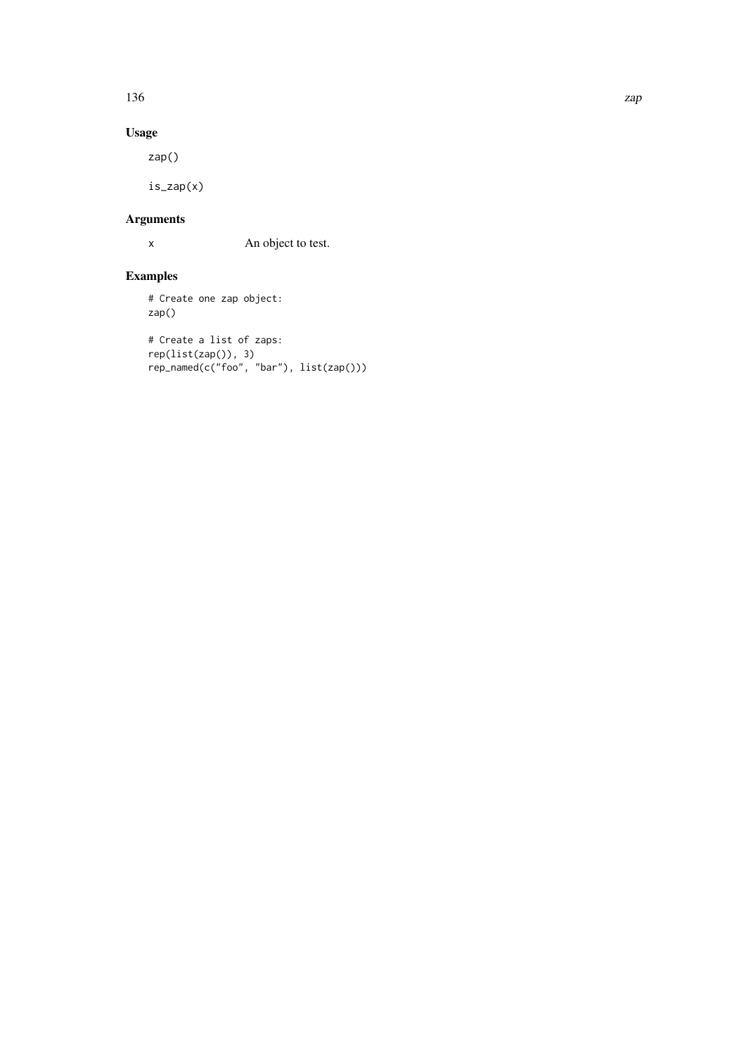136 zap

# Usage

zap()

is\_zap(x)

# Arguments

x An object to test.

# Examples

# Create one zap object: zap()

```
# Create a list of zaps:
rep(list(zap()), 3)
rep_named(c("foo", "bar"), list(zap()))
```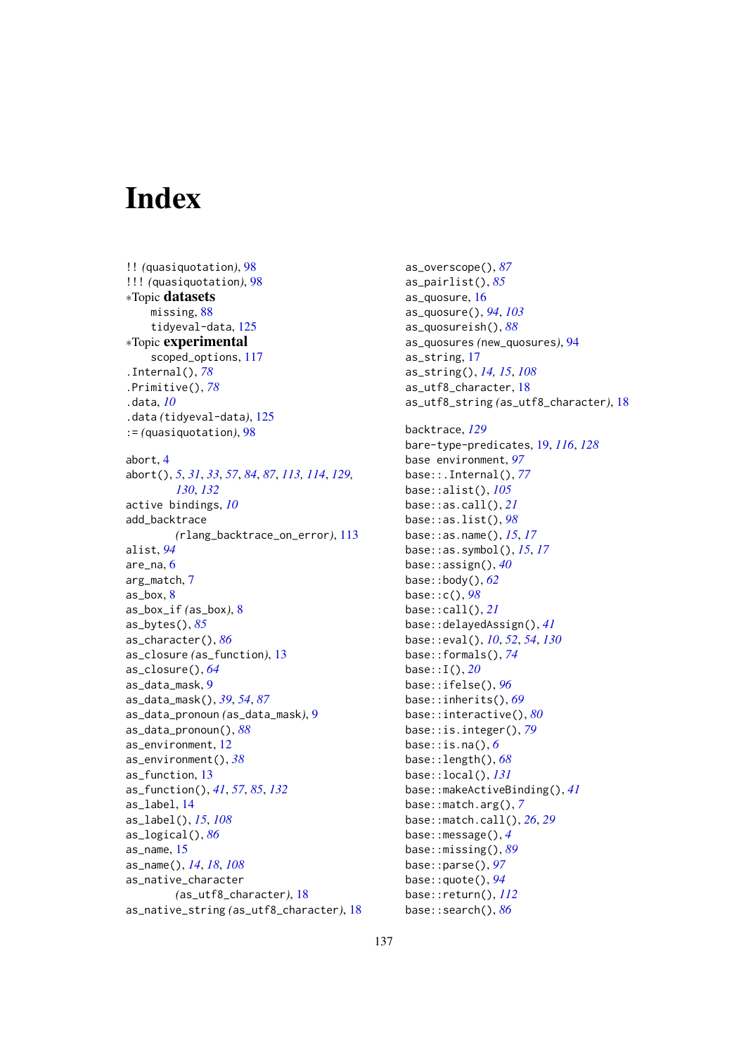# Index

!! *(*quasiquotation*)*, [98](#page-97-1) !!! *(*quasiquotation*)*, [98](#page-97-1) ∗Topic datasets missing, [88](#page-87-0) tidyeval-data, [125](#page-124-1) ∗Topic experimental scoped\_options, [117](#page-116-0) .Internal(), *[78](#page-77-0)* .Primitive(), *[78](#page-77-0)* .data, *[10](#page-9-0)* .data *(*tidyeval-data*)*, [125](#page-124-1) := *(*quasiquotation*)*, [98](#page-97-1) abort, [4](#page-3-1) abort(), *[5](#page-4-0)*, *[31](#page-30-1)*, *[33](#page-32-1)*, *[57](#page-56-2)*, *[84](#page-83-1)*, *[87](#page-86-0)*, *[113,](#page-112-1) [114](#page-113-0)*, *[129,](#page-128-0) [130](#page-129-0)*, *[132](#page-131-0)* active bindings, *[10](#page-9-0)* add\_backtrace *(*rlang\_backtrace\_on\_error*)*, [113](#page-112-1) alist, *[94](#page-93-0)* are\_na, [6](#page-5-0) arg\_match, [7](#page-6-0) as box,  $8$ as\_box\_if *(*as\_box*)*, [8](#page-7-0) as\_bytes(), *[85](#page-84-0)* as\_character(), *[86](#page-85-0)* as\_closure *(*as\_function*)*, [13](#page-12-1) as\_closure(), *[64](#page-63-0)* as\_data\_mask, [9](#page-8-0) as\_data\_mask(), *[39](#page-38-0)*, *[54](#page-53-0)*, *[87](#page-86-0)* as\_data\_pronoun *(*as\_data\_mask*)*, [9](#page-8-0) as\_data\_pronoun(), *[88](#page-87-0)* as\_environment, [12](#page-11-0) as\_environment(), *[38](#page-37-0)* as\_function, [13](#page-12-1) as\_function(), *[41](#page-40-0)*, *[57](#page-56-2)*, *[85](#page-84-0)*, *[132](#page-131-0)* as\_label, [14](#page-13-0) as\_label(), *[15](#page-14-0)*, *[108](#page-107-0)* as\_logical(), *[86](#page-85-0)* as\_name, [15](#page-14-0) as\_name(), *[14](#page-13-0)*, *[18](#page-17-0)*, *[108](#page-107-0)* as\_native\_character *(*as\_utf8\_character*)*, [18](#page-17-0) as\_native\_string *(*as\_utf8\_character*)*, [18](#page-17-0) as\_overscope(), *[87](#page-86-0)* as\_pairlist(), *[85](#page-84-0)* as\_quosure, [16](#page-15-0) as\_quosure(), *[94](#page-93-0)*, *[103](#page-102-0)* as\_quosureish(), *[88](#page-87-0)* as\_quosures *(*new\_quosures*)*, [94](#page-93-0) as\_string, [17](#page-16-0) as\_string(), *[14,](#page-13-0) [15](#page-14-0)*, *[108](#page-107-0)* as\_utf8\_character, [18](#page-17-0) as\_utf8\_string *(*as\_utf8\_character*)*, [18](#page-17-0) backtrace, *[129](#page-128-0)* bare-type-predicates, [19,](#page-18-1) *[116](#page-115-1)*, *[128](#page-127-0)* base environment, *[97](#page-96-0)* base::.Internal(), *[77](#page-76-0)* base::alist(), *[105](#page-104-0)* base::as.call(), *[21](#page-20-0)* base::as.list(), *[98](#page-97-1)* base::as.name(), *[15](#page-14-0)*, *[17](#page-16-0)* base::as.symbol(), *[15](#page-14-0)*, *[17](#page-16-0)* base::assign(), *[40](#page-39-1)* base::body(), *[62](#page-61-0)* base::c(), *[98](#page-97-1)* base::call(), *[21](#page-20-0)* base::delayedAssign(), *[41](#page-40-0)* base::eval(), *[10](#page-9-0)*, *[52](#page-51-1)*, *[54](#page-53-0)*, *[130](#page-129-0)* base::formals(), *[74](#page-73-0)* base::I(), *[20](#page-19-0)* base::ifelse(), *[96](#page-95-0)* base::inherits(), *[69](#page-68-0)* base::interactive(), *[80](#page-79-0)* base::is.integer(), *[79](#page-78-0)* base::is.na(), *[6](#page-5-0)* base::length(), *[68](#page-67-0)* base::local(), *[131](#page-130-1)* base::makeActiveBinding(), *[41](#page-40-0)* base::match.arg(), *[7](#page-6-0)* base::match.call(), *[26](#page-25-1)*, *[29](#page-28-0)* base::message(), *[4](#page-3-1)* base::missing(), *[89](#page-88-1)* base::parse(), *[97](#page-96-0)* base::quote(), *[94](#page-93-0)* base::return(), *[112](#page-111-2)* base::search(), *[86](#page-85-0)*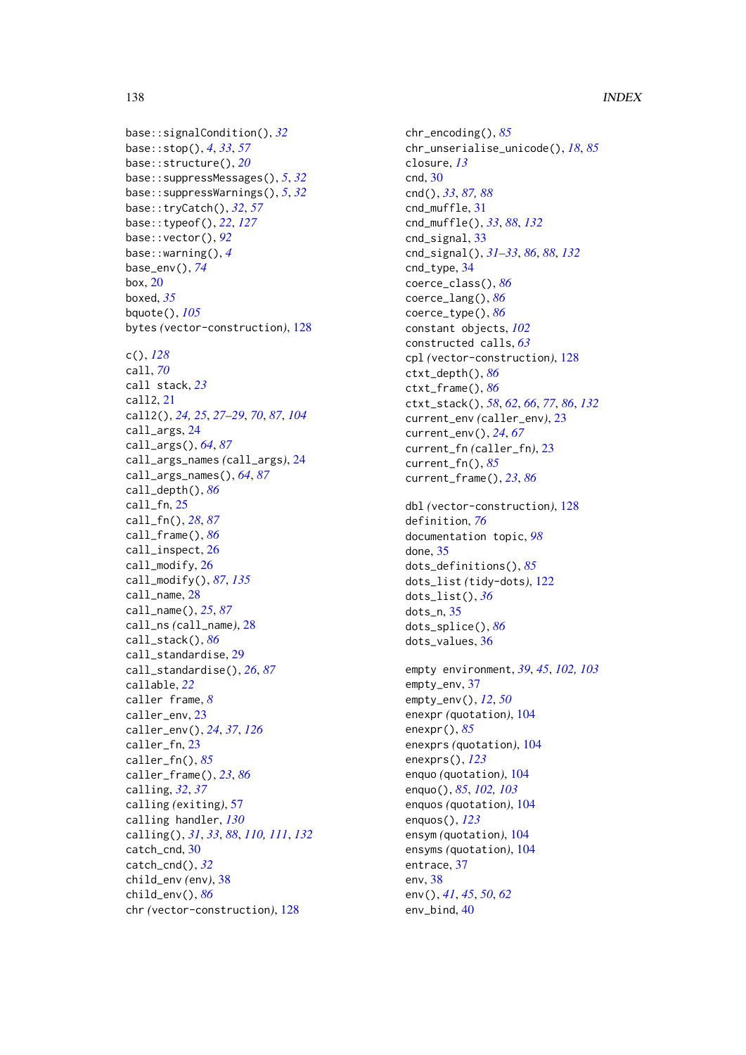base::signalCondition(), *[32](#page-31-0)* base::stop(), *[4](#page-3-1)*, *[33](#page-32-1)*, *[57](#page-56-2)* base::structure(), *[20](#page-19-0)* base::suppressMessages(), *[5](#page-4-0)*, *[32](#page-31-0)* base::suppressWarnings(), *[5](#page-4-0)*, *[32](#page-31-0)* base::tryCatch(), *[32](#page-31-0)*, *[57](#page-56-2)* base::typeof(), *[22](#page-21-0)*, *[127](#page-126-1)* base::vector(), *[92](#page-91-0)* base::warning(), *[4](#page-3-1)* base\_env(), *[74](#page-73-0)* box, [20](#page-19-0) boxed, *[35](#page-34-0)* bquote(), *[105](#page-104-0)* bytes *(*vector-construction*)*, [128](#page-127-0) c(), *[128](#page-127-0)* call, *[70](#page-69-0)* call stack, *[23](#page-22-1)* call2, [21](#page-20-0) call2(), *[24,](#page-23-0) [25](#page-24-0)*, *[27](#page-26-0)[–29](#page-28-0)*, *[70](#page-69-0)*, *[87](#page-86-0)*, *[104](#page-103-2)* call\_args, [24](#page-23-0) call\_args(), *[64](#page-63-0)*, *[87](#page-86-0)* call\_args\_names *(*call\_args*)*, [24](#page-23-0) call\_args\_names(), *[64](#page-63-0)*, *[87](#page-86-0)* call\_depth(), *[86](#page-85-0)* call\_fn, [25](#page-24-0) call\_fn(), *[28](#page-27-0)*, *[87](#page-86-0)* call\_frame(), *[86](#page-85-0)* call\_inspect, [26](#page-25-1) call\_modify, [26](#page-25-1) call\_modify(), *[87](#page-86-0)*, *[135](#page-134-0)* call\_name, [28](#page-27-0) call\_name(), *[25](#page-24-0)*, *[87](#page-86-0)* call\_ns *(*call\_name*)*, [28](#page-27-0) call\_stack(), *[86](#page-85-0)* call\_standardise, [29](#page-28-0) call\_standardise(), *[26](#page-25-1)*, *[87](#page-86-0)* callable, *[22](#page-21-0)* caller frame, *[8](#page-7-0)* caller\_env. [23](#page-22-1) caller\_env(), *[24](#page-23-0)*, *[37](#page-36-0)*, *[126](#page-125-0)* caller\_fn, [23](#page-22-1) caller\_fn(), *[85](#page-84-0)* caller\_frame(), *[23](#page-22-1)*, *[86](#page-85-0)* calling, *[32](#page-31-0)*, *[37](#page-36-0)* calling *(*exiting*)*, [57](#page-56-2) calling handler, *[130](#page-129-0)* calling(), *[31](#page-30-1)*, *[33](#page-32-1)*, *[88](#page-87-0)*, *[110,](#page-109-0) [111](#page-110-0)*, *[132](#page-131-0)* catch\_cnd, [30](#page-29-0) catch\_cnd(), *[32](#page-31-0)* child\_env *(*env*)*, [38](#page-37-0) child\_env(), *[86](#page-85-0)* chr *(*vector-construction*)*, [128](#page-127-0)

chr\_encoding(), *[85](#page-84-0)* chr\_unserialise\_unicode(), *[18](#page-17-0)*, *[85](#page-84-0)* closure, *[13](#page-12-1)* cnd, [30](#page-29-0) cnd(), *[33](#page-32-1)*, *[87,](#page-86-0) [88](#page-87-0)* cnd\_muffle, [31](#page-30-1) cnd\_muffle(), *[33](#page-32-1)*, *[88](#page-87-0)*, *[132](#page-131-0)* cnd\_signal, [33](#page-32-1) cnd\_signal(), *[31](#page-30-1)[–33](#page-32-1)*, *[86](#page-85-0)*, *[88](#page-87-0)*, *[132](#page-131-0)* cnd\_type, [34](#page-33-0) coerce\_class(), *[86](#page-85-0)* coerce\_lang(), *[86](#page-85-0)* coerce\_type(), *[86](#page-85-0)* constant objects, *[102](#page-101-0)* constructed calls, *[63](#page-62-0)* cpl *(*vector-construction*)*, [128](#page-127-0) ctxt\_depth(), *[86](#page-85-0)* ctxt\_frame(), *[86](#page-85-0)* ctxt\_stack(), *[58](#page-57-0)*, *[62](#page-61-0)*, *[66](#page-65-1)*, *[77](#page-76-0)*, *[86](#page-85-0)*, *[132](#page-131-0)* current\_env *(*caller\_env*)*, [23](#page-22-1) current\_env(), *[24](#page-23-0)*, *[67](#page-66-0)* current\_fn *(*caller\_fn*)*, [23](#page-22-1) current\_fn(), *[85](#page-84-0)* current\_frame(), *[23](#page-22-1)*, *[86](#page-85-0)* dbl *(*vector-construction*)*, [128](#page-127-0) definition, *[76](#page-75-0)* documentation topic, *[98](#page-97-1)* done, [35](#page-34-0) dots\_definitions(), *[85](#page-84-0)* dots\_list *(*tidy-dots*)*, [122](#page-121-1) dots\_list(), *[36](#page-35-0)* dots\_n, [35](#page-34-0) dots\_splice(), *[86](#page-85-0)* dots\_values, [36](#page-35-0) empty environment, *[39](#page-38-0)*, *[45](#page-44-0)*, *[102,](#page-101-0) [103](#page-102-0)* empty\_env, [37](#page-36-0) empty\_env(), *[12](#page-11-0)*, *[50](#page-49-0)* enexpr *(*quotation*)*, [104](#page-103-2) enexpr(), *[85](#page-84-0)* enexprs *(*quotation*)*, [104](#page-103-2) enexprs(), *[123](#page-122-0)* enquo *(*quotation*)*, [104](#page-103-2) enquo(), *[85](#page-84-0)*, *[102,](#page-101-0) [103](#page-102-0)* enquos *(*quotation*)*, [104](#page-103-2) enquos(), *[123](#page-122-0)* ensym *(*quotation*)*, [104](#page-103-2) ensyms *(*quotation*)*, [104](#page-103-2) entrace, [37](#page-36-0) env, [38](#page-37-0) env(), *[41](#page-40-0)*, *[45](#page-44-0)*, *[50](#page-49-0)*, *[62](#page-61-0)* env\_bind, [40](#page-39-1)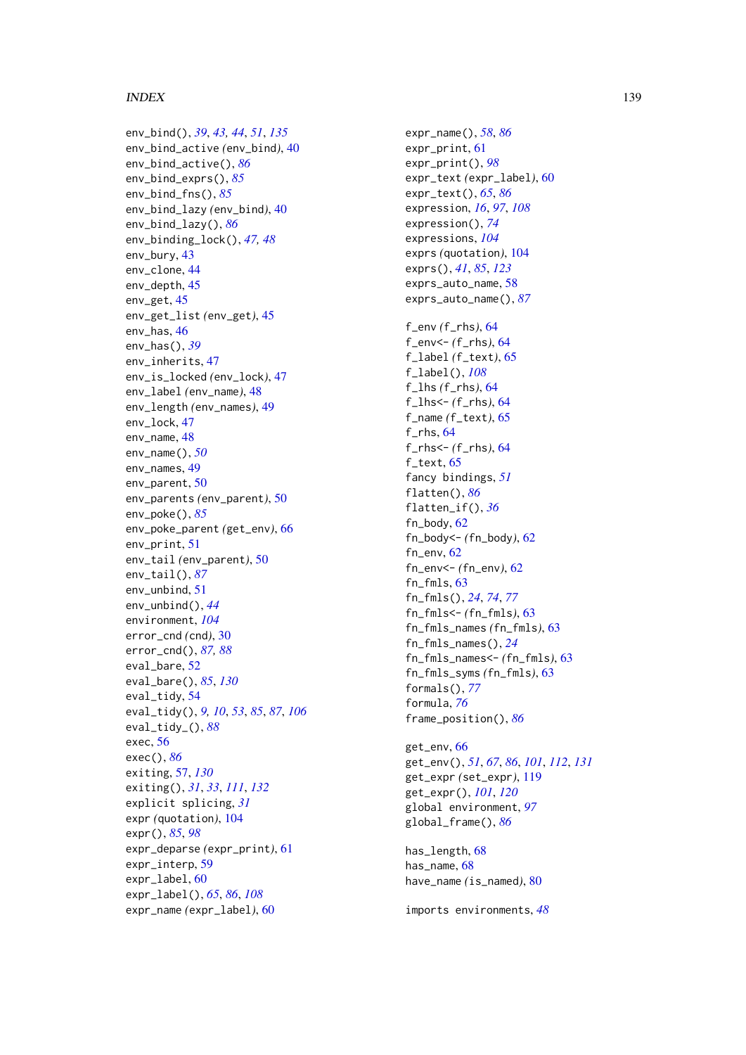## INDEX 139

env\_bind() , *[39](#page-38-0)* , *[43](#page-42-0) , [44](#page-43-0)* , *[51](#page-50-0)* , *[135](#page-134-0)* env\_bind\_active *(*env\_bind *)* , [40](#page-39-1) env\_bind\_active() , *[86](#page-85-0)* env\_bind\_exprs() , *[85](#page-84-0)* env\_bind\_fns() , *[85](#page-84-0)* env\_bind\_lazy *(*env\_bind *)* , [40](#page-39-1) env\_bind\_lazy() , *[86](#page-85-0)* env\_binding\_lock() , *[47,](#page-46-0) [48](#page-47-0)* env\_bury , [43](#page-42-0) env\_clone , [44](#page-43-0) env\_depth , [45](#page-44-0) env\_get , [45](#page-44-0) env\_get\_list *(*env\_get *)* , [45](#page-44-0) env\_has , [46](#page-45-0) env\_has() , *[39](#page-38-0)* env\_inherits , [47](#page-46-0) env\_is\_locked *(*env\_lock *)* , [47](#page-46-0) env\_label *(*env\_name *)* , [48](#page-47-0) env\_length *(*env\_names *)* , [49](#page-48-0) env\_lock , [47](#page-46-0) env\_name , [48](#page-47-0) env\_name() , *[50](#page-49-0)* env\_names , [49](#page-48-0) env\_parent , [50](#page-49-0) env\_parents *(*env\_parent *)* , [50](#page-49-0) env\_poke() , *[85](#page-84-0)* env\_poke\_parent *(*get\_env *)* , [66](#page-65-1) env\_print , [51](#page-50-0) env\_tail *(*env\_parent *)* , [50](#page-49-0) env\_tail() , *[87](#page-86-0)* env\_unbind , [51](#page-50-0) env\_unbind() , *[44](#page-43-0)* environment , *[104](#page-103-2)* error\_cnd *(*cnd *)* , [30](#page-29-0) error\_cnd() , *[87,](#page-86-0) [88](#page-87-0)* eval\_bare , [52](#page-51-1) eval\_bare() , *[85](#page-84-0)* , *[130](#page-129-0)* eval\_tidy , [54](#page-53-0) eval\_tidy() , *[9](#page-8-0) , [10](#page-9-0)* , *[53](#page-52-0)* , *[85](#page-84-0)* , *[87](#page-86-0)* , *[106](#page-105-0)* eval\_tidy\_() , *[88](#page-87-0)* exec , [56](#page-55-0) exec() , *[86](#page-85-0)* exiting , [57](#page-56-2) , *[130](#page-129-0)* exiting() , *[31](#page-30-1)* , *[33](#page-32-1)* , *[111](#page-110-0)* , *[132](#page-131-0)* explicit splicing , *[31](#page-30-1)* expr *(*quotation *)* , [104](#page-103-2) expr() , *[85](#page-84-0)* , *[98](#page-97-1)* expr\_deparse *(*expr\_print *)* , [61](#page-60-0) expr\_interp , [59](#page-58-0) expr\_label , [60](#page-59-0) expr\_label() , *[65](#page-64-0)* , *[86](#page-85-0)* , *[108](#page-107-0)* expr\_name *(*expr\_label *)* , [60](#page-59-0)

expr\_name() , *[58](#page-57-0)* , *[86](#page-85-0)* expr\_print , [61](#page-60-0) expr\_print() , *[98](#page-97-1)* expr\_text *(*expr\_label *)* , [60](#page-59-0) expr\_text() , *[65](#page-64-0)* , *[86](#page-85-0)* expression , *[16](#page-15-0)* , *[97](#page-96-0)* , *[108](#page-107-0)* expression() , *[74](#page-73-0)* expressions , *[104](#page-103-2)* exprs *(*quotation *)* , [104](#page-103-2) exprs() , *[41](#page-40-0)* , *[85](#page-84-0)* , *[123](#page-122-0)* exprs\_auto\_name , [58](#page-57-0) exprs\_auto\_name() , *[87](#page-86-0)* f\_env *(*f\_rhs *)* , [64](#page-63-0) f\_env<- *(*f\_rhs *)* , [64](#page-63-0) f\_label *(*f\_text *)* , [65](#page-64-0) f\_label() , *[108](#page-107-0)* f\_lhs *(*f\_rhs *)* , [64](#page-63-0) f\_lhs<- *(*f\_rhs *)* , [64](#page-63-0) f\_name *(*f\_text *)* , [65](#page-64-0) f\_rhs , [64](#page-63-0) f\_rhs<- *(*f\_rhs *)* , [64](#page-63-0) f\_text, [65](#page-64-0) fancy bindings , *[51](#page-50-0)* flatten() , *[86](#page-85-0)* flatten\_if() , *[36](#page-35-0)* fn\_body , [62](#page-61-0) fn\_body<- *(*fn\_body *)* , [62](#page-61-0) fn\_env , [62](#page-61-0) fn\_env<- *(*fn\_env *)* , [62](#page-61-0) fn\_fmls , [63](#page-62-0) fn\_fmls() , *[24](#page-23-0)* , *[74](#page-73-0)* , *[77](#page-76-0)* fn\_fmls<- *(*fn\_fmls *)* , [63](#page-62-0) fn\_fmls\_names *(*fn\_fmls *)* , [63](#page-62-0) fn\_fmls\_names() , *[24](#page-23-0)* fn\_fmls\_names<- *(*fn\_fmls *)* , [63](#page-62-0) fn\_fmls\_syms *(*fn\_fmls *)* , [63](#page-62-0) formals() , *[77](#page-76-0)* formula , *[76](#page-75-0)* frame\_position() , *[86](#page-85-0)* get\_env , [66](#page-65-1)

get\_env() , *[51](#page-50-0)* , *[67](#page-66-0)* , *[86](#page-85-0)* , *[101](#page-100-1)* , *[112](#page-111-2)* , *[131](#page-130-1)* get\_expr *(*set\_expr *)* , [119](#page-118-2) get\_expr() , *[101](#page-100-1)* , *[120](#page-119-0)* global environment , *[97](#page-96-0)* global\_frame() , *[86](#page-85-0)*

has\_length , [68](#page-67-0) has\_name, [68](#page-67-0) have\_name *(*is\_named *)* , [80](#page-79-0)

imports environments , *[48](#page-47-0)*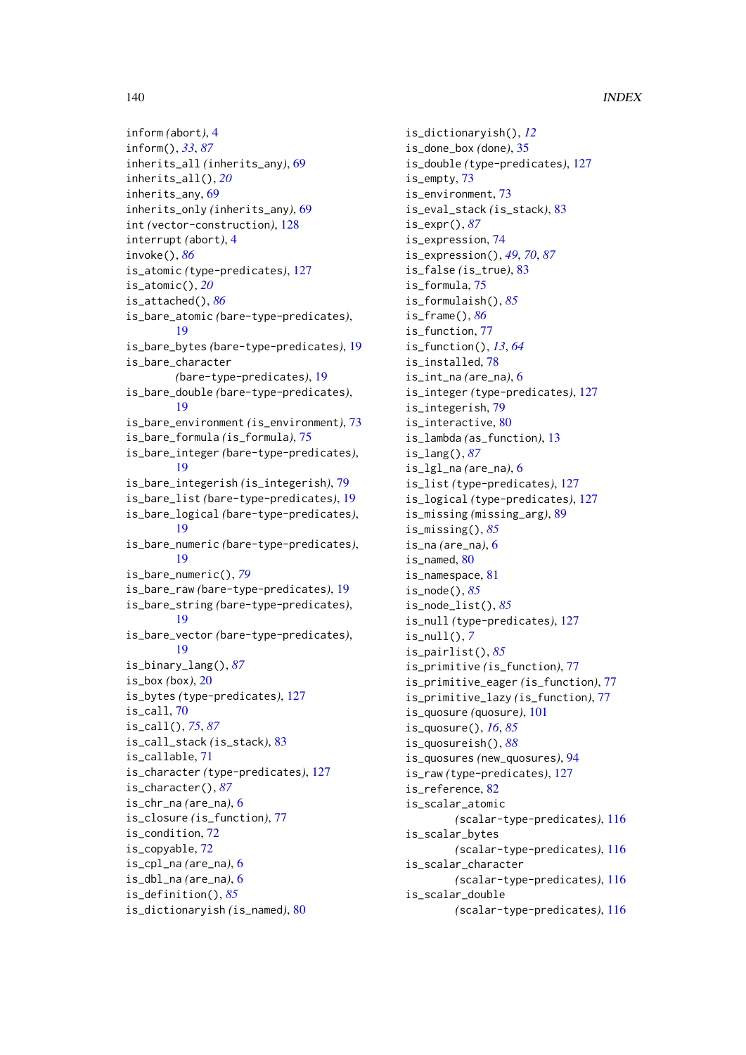```
inform (abort), 4
inform(), 33, 87
inherits_all (inherits_any), 69
inherits_all(), 20
inherits_any, 69
inherits_only (inherits_any), 69
int (vector-construction), 128
interrupt (abort), 4
invoke(), 86
is_atomic (type-predicates), 127
is_atomic(), 20
is_attached(), 86
is_bare_atomic (bare-type-predicates),
        19
is_bare_bytes (bare-type-predicates), 19
is_bare_character
        (bare-type-predicates), 19
is_bare_double (bare-type-predicates),
        19
is_bare_environment (is_environment), 73
is_bare_formula (is_formula), 75
is_bare_integer (bare-type-predicates),
        19
is_bare_integerish (is_integerish), 79
is_bare_list (bare-type-predicates), 19
is_bare_logical (bare-type-predicates),
        19
is_bare_numeric (bare-type-predicates),
        19
is_bare_numeric(), 79
is_bare_raw (bare-type-predicates), 19
is_bare_string (bare-type-predicates),
        19
is_bare_vector (bare-type-predicates),
        19
is_binary_lang(), 87
is_box (box), 20
is_bytes (type-predicates), 127
is_call, 70
is_call(), 75, 87
is_call_stack (is_stack), 83
is_callable, 71
is_character (type-predicates), 127
is_character(), 87
is_chr_na (are_na), 6
is_closure (is_function), 77
72
is_copyable, 72
is_cpl_na (are_na), 6
is_dbl_na (are_na), 6
is_definition(), 85
is_dictionaryish (is_named), 80
```
is\_dictionaryish(), *[12](#page-11-0)* is\_done\_box *(*done*)*, [35](#page-34-0) is\_double *(*type-predicates*)*, [127](#page-126-1) is\_empty, [73](#page-72-0) is\_environment, [73](#page-72-0) is\_eval\_stack *(*is\_stack*)*, [83](#page-82-0) is\_expr(), *[87](#page-86-0)* is\_expression, [74](#page-73-0) is\_expression(), *[49](#page-48-0)*, *[70](#page-69-0)*, *[87](#page-86-0)* is\_false *(*is\_true*)*, [83](#page-82-0) is formula, [75](#page-74-0) is\_formulaish(), *[85](#page-84-0)* is\_frame(), *[86](#page-85-0)* is\_function, [77](#page-76-0) is\_function(), *[13](#page-12-1)*, *[64](#page-63-0)* is\_installed, [78](#page-77-0) is\_int\_na *(*are\_na*)*, [6](#page-5-0) is\_integer *(*type-predicates*)*, [127](#page-126-1) is\_integerish, [79](#page-78-0) is interactive. [80](#page-79-0) is\_lambda *(*as\_function*)*, [13](#page-12-1) is\_lang(), *[87](#page-86-0)* is\_lgl\_na *(*are\_na*)*, [6](#page-5-0) is\_list *(*type-predicates*)*, [127](#page-126-1) is\_logical *(*type-predicates*)*, [127](#page-126-1) is\_missing *(*missing\_arg*)*, [89](#page-88-1) is\_missing(), *[85](#page-84-0)* is\_na *(*are\_na*)*, [6](#page-5-0) is\_named, [80](#page-79-0) is\_namespace, [81](#page-80-0) is\_node(), *[85](#page-84-0)* is\_node\_list(), *[85](#page-84-0)* is\_null *(*type-predicates*)*, [127](#page-126-1) is\_null(), *[7](#page-6-0)* is\_pairlist(), *[85](#page-84-0)* is\_primitive *(*is\_function*)*, [77](#page-76-0) is\_primitive\_eager *(*is\_function*)*, [77](#page-76-0) is\_primitive\_lazy *(*is\_function*)*, [77](#page-76-0) is\_quosure *(*quosure*)*, [101](#page-100-1) is\_quosure(), *[16](#page-15-0)*, *[85](#page-84-0)* is\_quosureish(), *[88](#page-87-0)* is\_quosures *(*new\_quosures*)*, [94](#page-93-0) is\_raw *(*type-predicates*)*, [127](#page-126-1) is\_reference, [82](#page-81-0) is\_scalar\_atomic *(*scalar-type-predicates*)*, [116](#page-115-1) is\_scalar\_bytes *(*scalar-type-predicates*)*, [116](#page-115-1) is\_scalar\_character *(*scalar-type-predicates*)*, [116](#page-115-1) is\_scalar\_double *(*scalar-type-predicates*)*, [116](#page-115-1)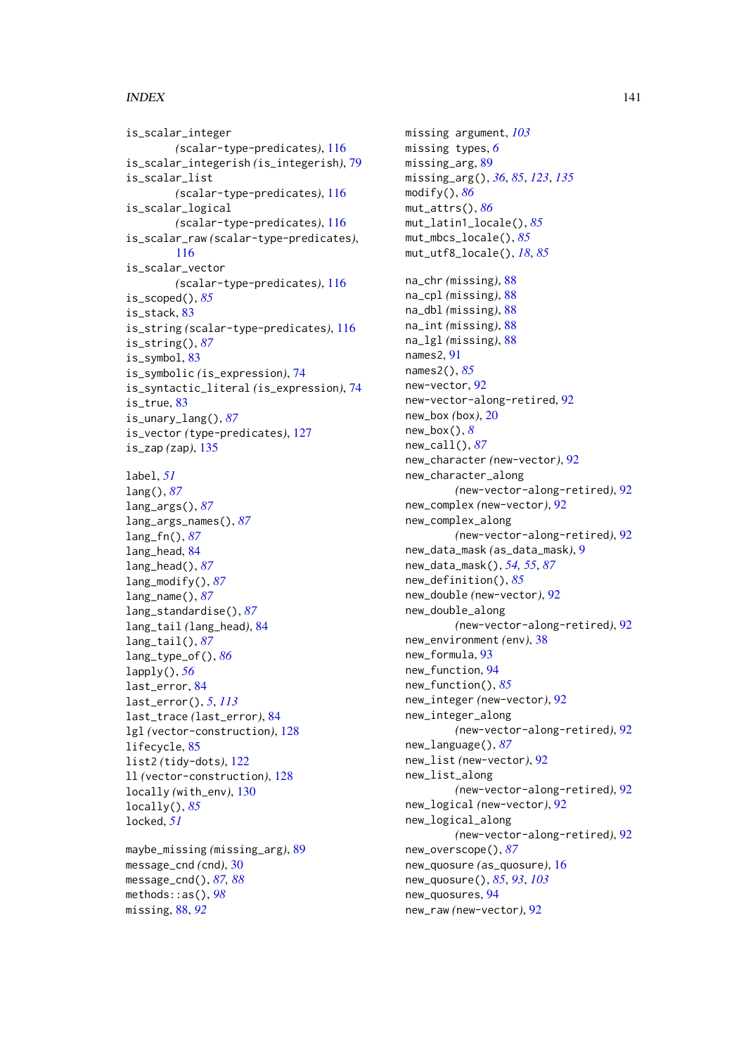# INDEX 141

is\_scalar\_integer *(*scalar-type-predicates*)*, [116](#page-115-1) is\_scalar\_integerish *(*is\_integerish*)*, [79](#page-78-0) is\_scalar\_list *(*scalar-type-predicates*)*, [116](#page-115-1) is\_scalar\_logical *(*scalar-type-predicates*)*, [116](#page-115-1) is\_scalar\_raw *(*scalar-type-predicates*)*, [116](#page-115-1) is\_scalar\_vector *(*scalar-type-predicates*)*, [116](#page-115-1) is scoped(),  $85$ is stack. [83](#page-82-0) is\_string *(*scalar-type-predicates*)*, [116](#page-115-1) is\_string(), *[87](#page-86-0)* is\_symbol, [83](#page-82-0) is\_symbolic *(*is\_expression*)*, [74](#page-73-0) is\_syntactic\_literal *(*is\_expression*)*, [74](#page-73-0) is\_true, [83](#page-82-0) is\_unary\_lang(), *[87](#page-86-0)* is\_vector *(*type-predicates*)*, [127](#page-126-1) is\_zap *(*zap*)*, [135](#page-134-0) label, *[51](#page-50-0)*

lang(), *[87](#page-86-0)* lang\_args(), *[87](#page-86-0)* lang\_args\_names(), *[87](#page-86-0)* lang\_fn(), *[87](#page-86-0)* lang\_head, [84](#page-83-1) lang\_head(), *[87](#page-86-0)* lang\_modify(), *[87](#page-86-0)* lang\_name(), *[87](#page-86-0)* lang\_standardise(), *[87](#page-86-0)* lang\_tail *(*lang\_head*)*, [84](#page-83-1) lang\_tail(), *[87](#page-86-0)* lang\_type\_of(), *[86](#page-85-0)* lapply(), *[56](#page-55-0)* last\_error, [84](#page-83-1) last\_error(), *[5](#page-4-0)*, *[113](#page-112-1)* last\_trace *(*last\_error*)*, [84](#page-83-1) lgl *(*vector-construction*)*, [128](#page-127-0) lifecycle, [85](#page-84-0) list2 *(*tidy-dots*)*, [122](#page-121-1) ll *(*vector-construction*)*, [128](#page-127-0) locally *(*with\_env*)*, [130](#page-129-0) locally(), *[85](#page-84-0)* locked, *[51](#page-50-0)*

maybe\_missing *(*missing\_arg*)*, [89](#page-88-1) message\_cnd *(*cnd*)*, [30](#page-29-0) message\_cnd(), *[87,](#page-86-0) [88](#page-87-0)* methods::as(), *[98](#page-97-1)* missing, [88,](#page-87-0) *[92](#page-91-0)*

missing argument, *[103](#page-102-0)* missing types, *[6](#page-5-0)* missing\_arg, [89](#page-88-1) missing\_arg(), *[36](#page-35-0)*, *[85](#page-84-0)*, *[123](#page-122-0)*, *[135](#page-134-0)* modify(), *[86](#page-85-0)* mut\_attrs(), *[86](#page-85-0)* mut\_latin1\_locale(), *[85](#page-84-0)* mut\_mbcs\_locale(), *[85](#page-84-0)* mut\_utf8\_locale(), *[18](#page-17-0)*, *[85](#page-84-0)* na\_chr *(*missing*)*, [88](#page-87-0) na\_cpl *(*missing*)*, [88](#page-87-0) na\_dbl *(*missing*)*, [88](#page-87-0) na\_int *(*missing*)*, [88](#page-87-0) na\_lgl *(*missing*)*, [88](#page-87-0) names2, [91](#page-90-0) names2(), *[85](#page-84-0)* new-vector, [92](#page-91-0) new-vector-along-retired, [92](#page-91-0) new\_box *(*box*)*, [20](#page-19-0) new\_box(), *[8](#page-7-0)* new\_call(), *[87](#page-86-0)* new\_character *(*new-vector*)*, [92](#page-91-0) new\_character\_along *(*new-vector-along-retired*)*, [92](#page-91-0) new\_complex *(*new-vector*)*, [92](#page-91-0) new\_complex\_along *(*new-vector-along-retired*)*, [92](#page-91-0) new\_data\_mask *(*as\_data\_mask*)*, [9](#page-8-0) new\_data\_mask(), *[54,](#page-53-0) [55](#page-54-0)*, *[87](#page-86-0)* new\_definition(), *[85](#page-84-0)* new\_double *(*new-vector*)*, [92](#page-91-0) new\_double\_along *(*new-vector-along-retired*)*, [92](#page-91-0) new\_environment *(*env*)*, [38](#page-37-0) new formula. [93](#page-92-0) new\_function, [94](#page-93-0) new\_function(), *[85](#page-84-0)* new\_integer *(*new-vector*)*, [92](#page-91-0) new\_integer\_along *(*new-vector-along-retired*)*, [92](#page-91-0) new\_language(), *[87](#page-86-0)* new\_list *(*new-vector*)*, [92](#page-91-0) new\_list\_along *(*new-vector-along-retired*)*, [92](#page-91-0) new\_logical *(*new-vector*)*, [92](#page-91-0) new\_logical\_along *(*new-vector-along-retired*)*, [92](#page-91-0) new\_overscope(), *[87](#page-86-0)* new\_quosure *(*as\_quosure*)*, [16](#page-15-0) new\_quosure(), *[85](#page-84-0)*, *[93](#page-92-0)*, *[103](#page-102-0)* new\_quosures, [94](#page-93-0) new\_raw *(*new-vector*)*, [92](#page-91-0)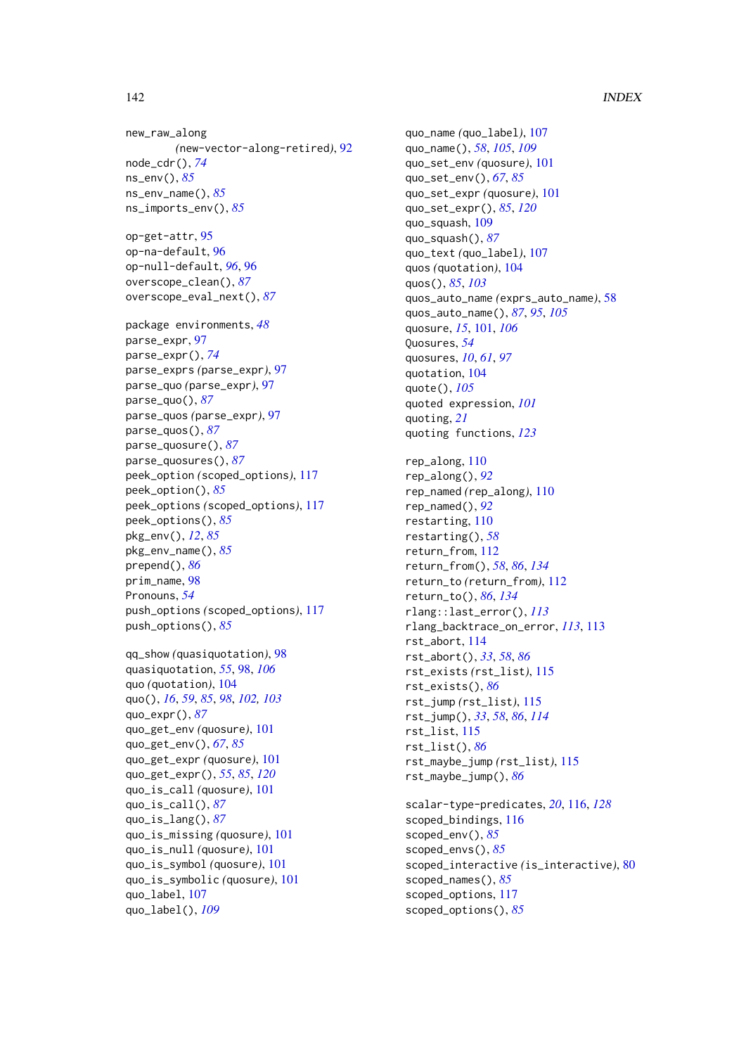new\_raw\_along *(*new-vector-along-retired*)*, [92](#page-91-0) node\_cdr(), *[74](#page-73-0)* ns\_env(), *[85](#page-84-0)* ns\_env\_name(), *[85](#page-84-0)* ns\_imports\_env(), *[85](#page-84-0)* op-get-attr, [95](#page-94-0) op-na-default, [96](#page-95-0) op-null-default, *[96](#page-95-0)*, [96](#page-95-0) overscope\_clean(), *[87](#page-86-0)* overscope\_eval\_next(), *[87](#page-86-0)* package environments, *[48](#page-47-0)* parse\_expr, [97](#page-96-0) parse\_expr(), *[74](#page-73-0)* parse\_exprs *(*parse\_expr*)*, [97](#page-96-0) parse\_quo *(*parse\_expr*)*, [97](#page-96-0) parse\_quo(), *[87](#page-86-0)* parse\_quos *(*parse\_expr*)*, [97](#page-96-0) parse\_quos(), *[87](#page-86-0)* parse\_quosure(), *[87](#page-86-0)* parse\_quosures(), *[87](#page-86-0)* peek\_option *(*scoped\_options*)*, [117](#page-116-0) peek\_option(), *[85](#page-84-0)* peek\_options *(*scoped\_options*)*, [117](#page-116-0) peek\_options(), *[85](#page-84-0)* pkg\_env(), *[12](#page-11-0)*, *[85](#page-84-0)* pkg\_env\_name(), *[85](#page-84-0)* prepend(), *[86](#page-85-0)* prim\_name, [98](#page-97-1) Pronouns, *[54](#page-53-0)* push\_options *(*scoped\_options*)*, [117](#page-116-0) push\_options(), *[85](#page-84-0)* qq\_show *(*quasiquotation*)*, [98](#page-97-1) quasiquotation, *[55](#page-54-0)*, [98,](#page-97-1) *[106](#page-105-0)*

quo *(*quotation*)*, [104](#page-103-2) quo(), *[16](#page-15-0)*, *[59](#page-58-0)*, *[85](#page-84-0)*, *[98](#page-97-1)*, *[102,](#page-101-0) [103](#page-102-0)* quo\_expr(), *[87](#page-86-0)* quo\_get\_env *(*quosure*)*, [101](#page-100-1) quo\_get\_env(), *[67](#page-66-0)*, *[85](#page-84-0)* quo\_get\_expr *(*quosure*)*, [101](#page-100-1) quo\_get\_expr(), *[55](#page-54-0)*, *[85](#page-84-0)*, *[120](#page-119-0)* quo\_is\_call *(*quosure*)*, [101](#page-100-1) quo\_is\_call(), *[87](#page-86-0)* quo\_is\_lang(), *[87](#page-86-0)* quo\_is\_missing *(*quosure*)*, [101](#page-100-1) quo\_is\_null *(*quosure*)*, [101](#page-100-1) quo\_is\_symbol *(*quosure*)*, [101](#page-100-1) quo\_is\_symbolic *(*quosure*)*, [101](#page-100-1) quo\_label, [107](#page-106-2) quo\_label(), *[109](#page-108-0)*

quo\_name *(*quo\_label*)*, [107](#page-106-2) quo\_name(), *[58](#page-57-0)*, *[105](#page-104-0)*, *[109](#page-108-0)* quo\_set\_env *(*quosure*)*, [101](#page-100-1) quo\_set\_env(), *[67](#page-66-0)*, *[85](#page-84-0)* quo\_set\_expr *(*quosure*)*, [101](#page-100-1) quo\_set\_expr(), *[85](#page-84-0)*, *[120](#page-119-0)* quo\_squash, [109](#page-108-0) quo\_squash(), *[87](#page-86-0)* quo\_text *(*quo\_label*)*, [107](#page-106-2) quos *(*quotation*)*, [104](#page-103-2) quos(), *[85](#page-84-0)*, *[103](#page-102-0)* quos\_auto\_name *(*exprs\_auto\_name*)*, [58](#page-57-0) quos\_auto\_name(), *[87](#page-86-0)*, *[95](#page-94-0)*, *[105](#page-104-0)* quosure, *[15](#page-14-0)*, [101,](#page-100-1) *[106](#page-105-0)* Quosures, *[54](#page-53-0)* quosures, *[10](#page-9-0)*, *[61](#page-60-0)*, *[97](#page-96-0)* quotation, [104](#page-103-2) quote(), *[105](#page-104-0)* quoted expression, *[101](#page-100-1)* quoting, *[21](#page-20-0)* quoting functions, *[123](#page-122-0)* rep along, [110](#page-109-0) rep\_along(), *[92](#page-91-0)* rep\_named *(*rep\_along*)*, [110](#page-109-0) rep\_named(), *[92](#page-91-0)* restarting, [110](#page-109-0) restarting(), *[58](#page-57-0)* return\_from, [112](#page-111-2) return\_from(), *[58](#page-57-0)*, *[86](#page-85-0)*, *[134](#page-133-0)* return\_to *(*return\_from*)*, [112](#page-111-2) return\_to(), *[86](#page-85-0)*, *[134](#page-133-0)* rlang::last\_error(), *[113](#page-112-1)* rlang\_backtrace\_on\_error, *[113](#page-112-1)*, [113](#page-112-1) rst\_abort, [114](#page-113-0) rst\_abort(), *[33](#page-32-1)*, *[58](#page-57-0)*, *[86](#page-85-0)* rst\_exists *(*rst\_list*)*, [115](#page-114-1) rst\_exists(), *[86](#page-85-0)* rst\_jump *(*rst\_list*)*, [115](#page-114-1) rst\_jump(), *[33](#page-32-1)*, *[58](#page-57-0)*, *[86](#page-85-0)*, *[114](#page-113-0)* rst\_list, [115](#page-114-1) rst\_list(), *[86](#page-85-0)* rst\_maybe\_jump *(*rst\_list*)*, [115](#page-114-1) rst\_maybe\_jump(), *[86](#page-85-0)* scalar-type-predicates, *[20](#page-19-0)*, [116,](#page-115-1) *[128](#page-127-0)*

scoped\_bindings, [116](#page-115-1) scoped\_env(), *[85](#page-84-0)* scoped\_envs(), *[85](#page-84-0)* scoped\_interactive *(*is\_interactive*)*, [80](#page-79-0) scoped\_names(), *[85](#page-84-0)* scoped\_options, [117](#page-116-0) scoped\_options(), *[85](#page-84-0)*